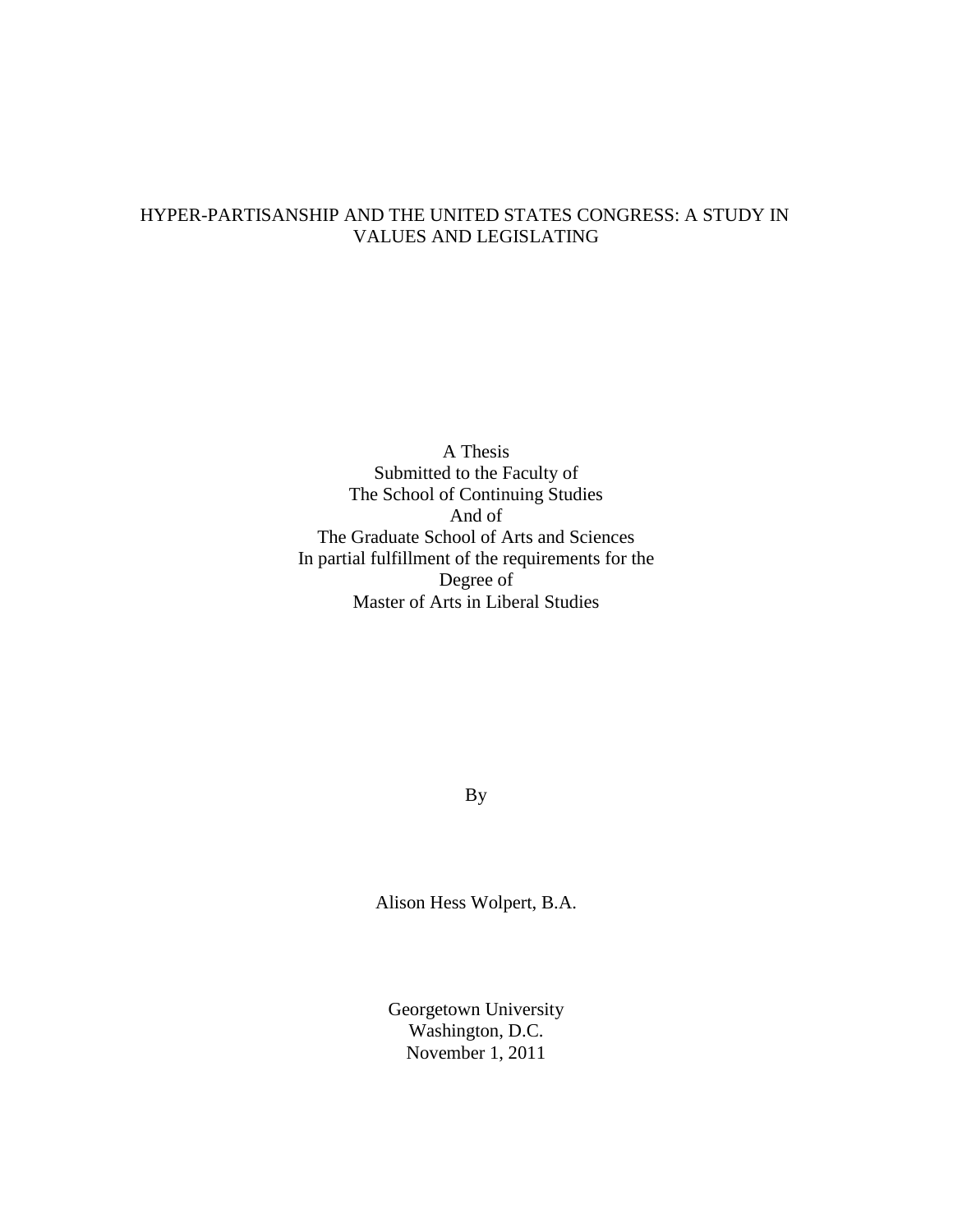# HYPER-PARTISANSHIP AND THE UNITED STATES CONGRESS: A STUDY IN VALUES AND LEGISLATING

A Thesis Submitted to the Faculty of The School of Continuing Studies And of The Graduate School of Arts and Sciences In partial fulfillment of the requirements for the Degree of Master of Arts in Liberal Studies

By

Alison Hess Wolpert, B.A.

Georgetown University Washington, D.C. November 1, 2011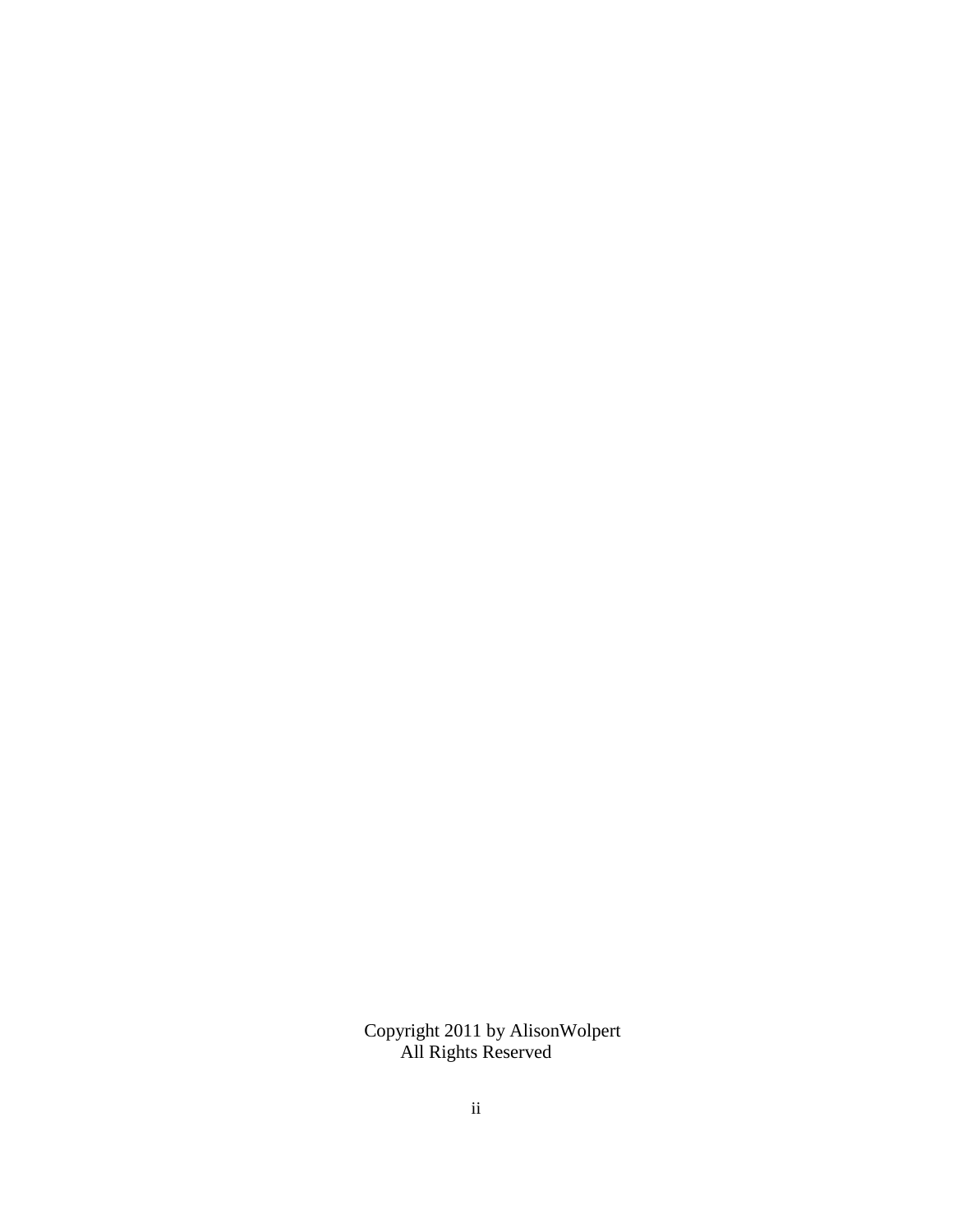Copyright 2011 by AlisonWolpert All Rights Reserved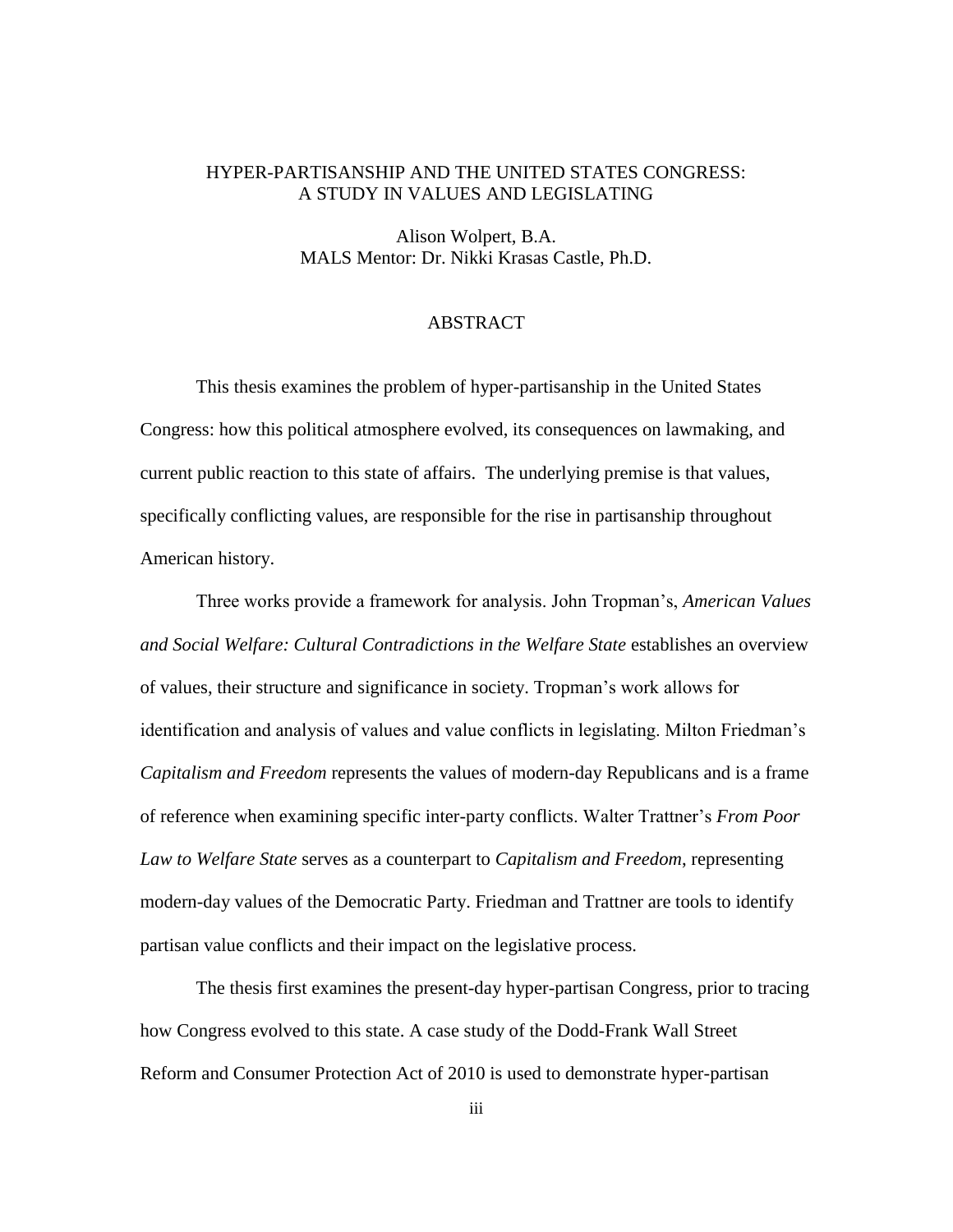## HYPER-PARTISANSHIP AND THE UNITED STATES CONGRESS: A STUDY IN VALUES AND LEGISLATING

Alison Wolpert, B.A. MALS Mentor: Dr. Nikki Krasas Castle, Ph.D.

#### ABSTRACT

This thesis examines the problem of hyper-partisanship in the United States Congress: how this political atmosphere evolved, its consequences on lawmaking, and current public reaction to this state of affairs. The underlying premise is that values, specifically conflicting values, are responsible for the rise in partisanship throughout American history.

Three works provide a framework for analysis. John Tropman"s, *American Values and Social Welfare: Cultural Contradictions in the Welfare State* establishes an overview of values, their structure and significance in society. Tropman"s work allows for identification and analysis of values and value conflicts in legislating. Milton Friedman"s *Capitalism and Freedom* represents the values of modern-day Republicans and is a frame of reference when examining specific inter-party conflicts. Walter Trattner"s *From Poor Law to Welfare State* serves as a counterpart to *Capitalism and Freedom*, representing modern-day values of the Democratic Party. Friedman and Trattner are tools to identify partisan value conflicts and their impact on the legislative process.

The thesis first examines the present-day hyper-partisan Congress, prior to tracing how Congress evolved to this state. A case study of the Dodd-Frank Wall Street Reform and Consumer Protection Act of 2010 is used to demonstrate hyper-partisan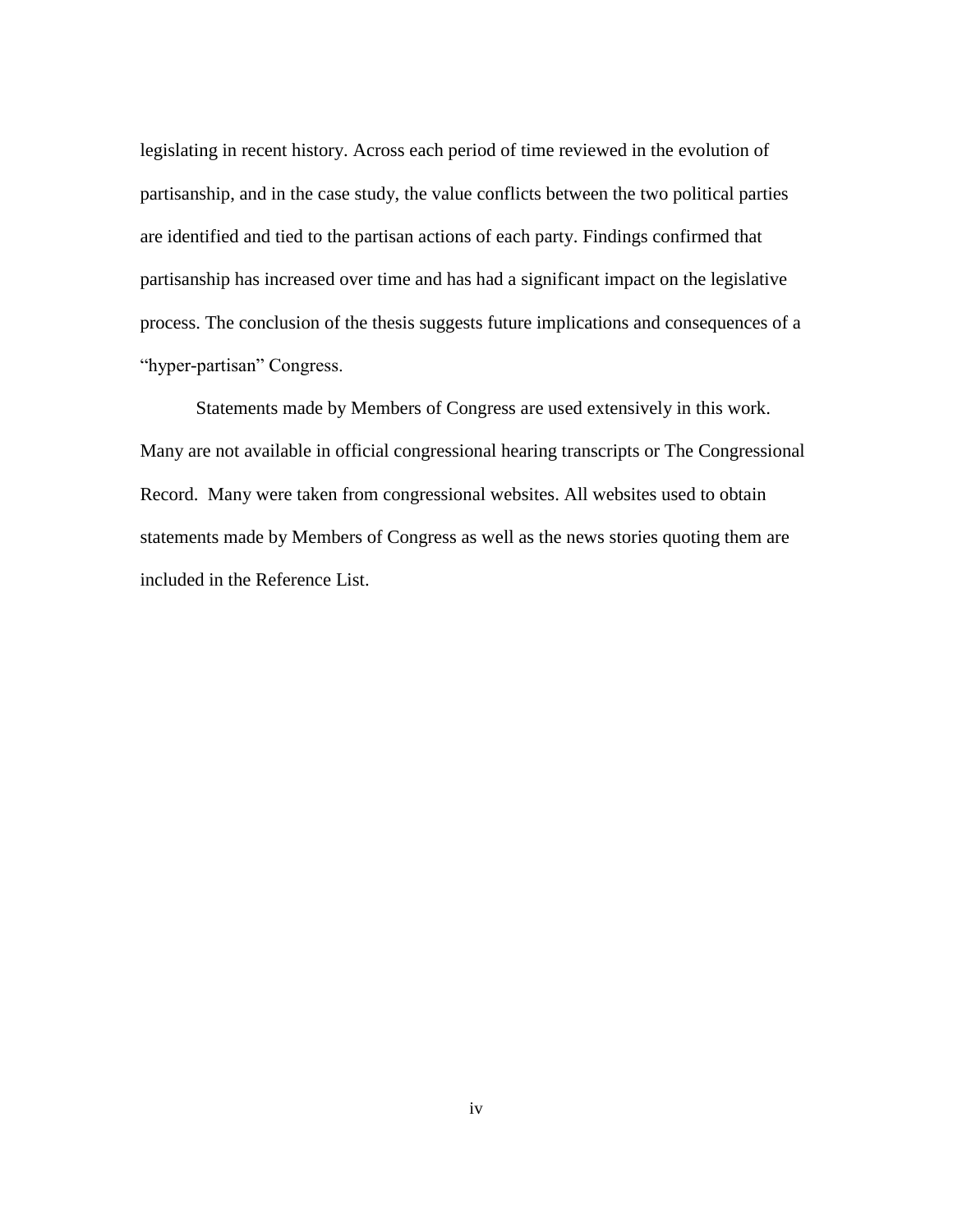legislating in recent history. Across each period of time reviewed in the evolution of partisanship, and in the case study, the value conflicts between the two political parties are identified and tied to the partisan actions of each party. Findings confirmed that partisanship has increased over time and has had a significant impact on the legislative process. The conclusion of the thesis suggests future implications and consequences of a "hyper-partisan" Congress.

Statements made by Members of Congress are used extensively in this work. Many are not available in official congressional hearing transcripts or The Congressional Record. Many were taken from congressional websites. All websites used to obtain statements made by Members of Congress as well as the news stories quoting them are included in the Reference List.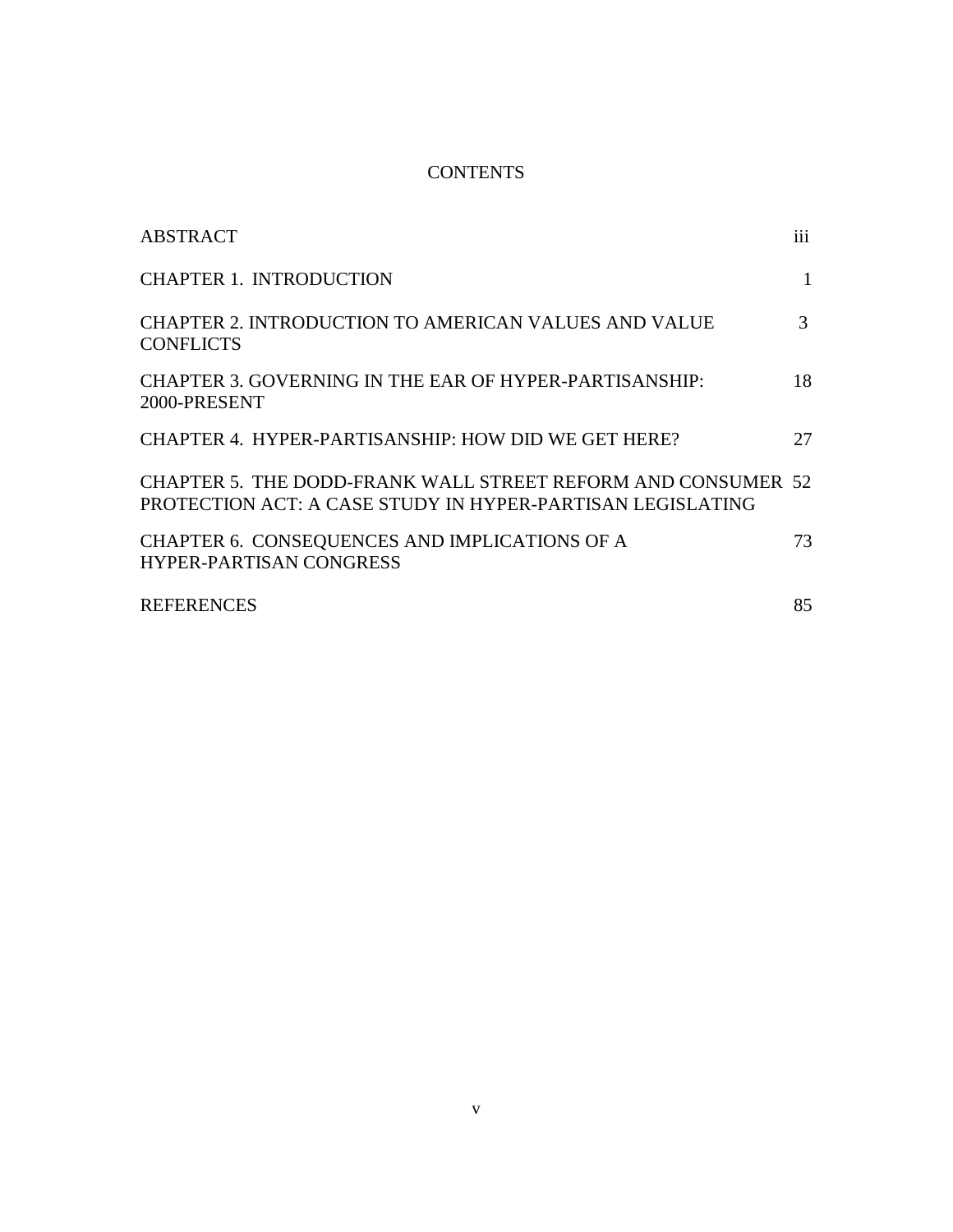# **CONTENTS**

| ABSTRACT                                                                                                                   | $\overline{111}$ |
|----------------------------------------------------------------------------------------------------------------------------|------------------|
| <b>CHAPTER 1. INTRODUCTION</b>                                                                                             | 1                |
| CHAPTER 2. INTRODUCTION TO AMERICAN VALUES AND VALUE<br><b>CONFLICTS</b>                                                   | 3                |
| CHAPTER 3. GOVERNING IN THE EAR OF HYPER-PARTISANSHIP:<br>2000-PRESENT                                                     | 18               |
| CHAPTER 4. HYPER-PARTISANSHIP: HOW DID WE GET HERE?                                                                        | 27               |
| CHAPTER 5. THE DODD-FRANK WALL STREET REFORM AND CONSUMER 52<br>PROTECTION ACT: A CASE STUDY IN HYPER-PARTISAN LEGISLATING |                  |
| CHAPTER 6. CONSEQUENCES AND IMPLICATIONS OF A<br><b>HYPER-PARTISAN CONGRESS</b>                                            | 73               |
| <b>REFERENCES</b>                                                                                                          | 85               |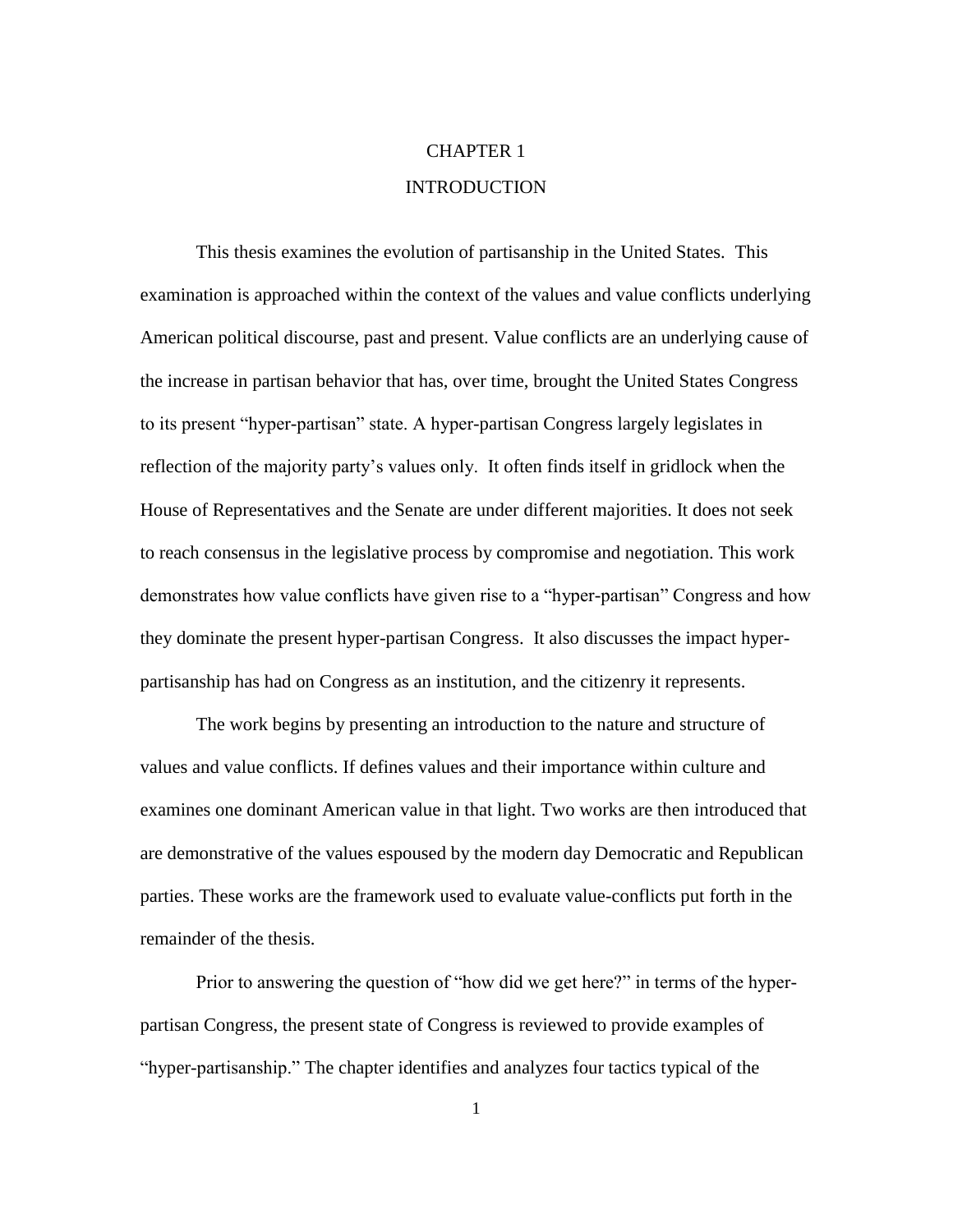# CHAPTER 1 INTRODUCTION

This thesis examines the evolution of partisanship in the United States. This examination is approached within the context of the values and value conflicts underlying American political discourse, past and present. Value conflicts are an underlying cause of the increase in partisan behavior that has, over time, brought the United States Congress to its present "hyper-partisan" state. A hyper-partisan Congress largely legislates in reflection of the majority party"s values only. It often finds itself in gridlock when the House of Representatives and the Senate are under different majorities. It does not seek to reach consensus in the legislative process by compromise and negotiation. This work demonstrates how value conflicts have given rise to a "hyper-partisan" Congress and how they dominate the present hyper-partisan Congress. It also discusses the impact hyperpartisanship has had on Congress as an institution, and the citizenry it represents.

The work begins by presenting an introduction to the nature and structure of values and value conflicts. If defines values and their importance within culture and examines one dominant American value in that light. Two works are then introduced that are demonstrative of the values espoused by the modern day Democratic and Republican parties. These works are the framework used to evaluate value-conflicts put forth in the remainder of the thesis.

Prior to answering the question of "how did we get here?" in terms of the hyperpartisan Congress, the present state of Congress is reviewed to provide examples of "hyper-partisanship." The chapter identifies and analyzes four tactics typical of the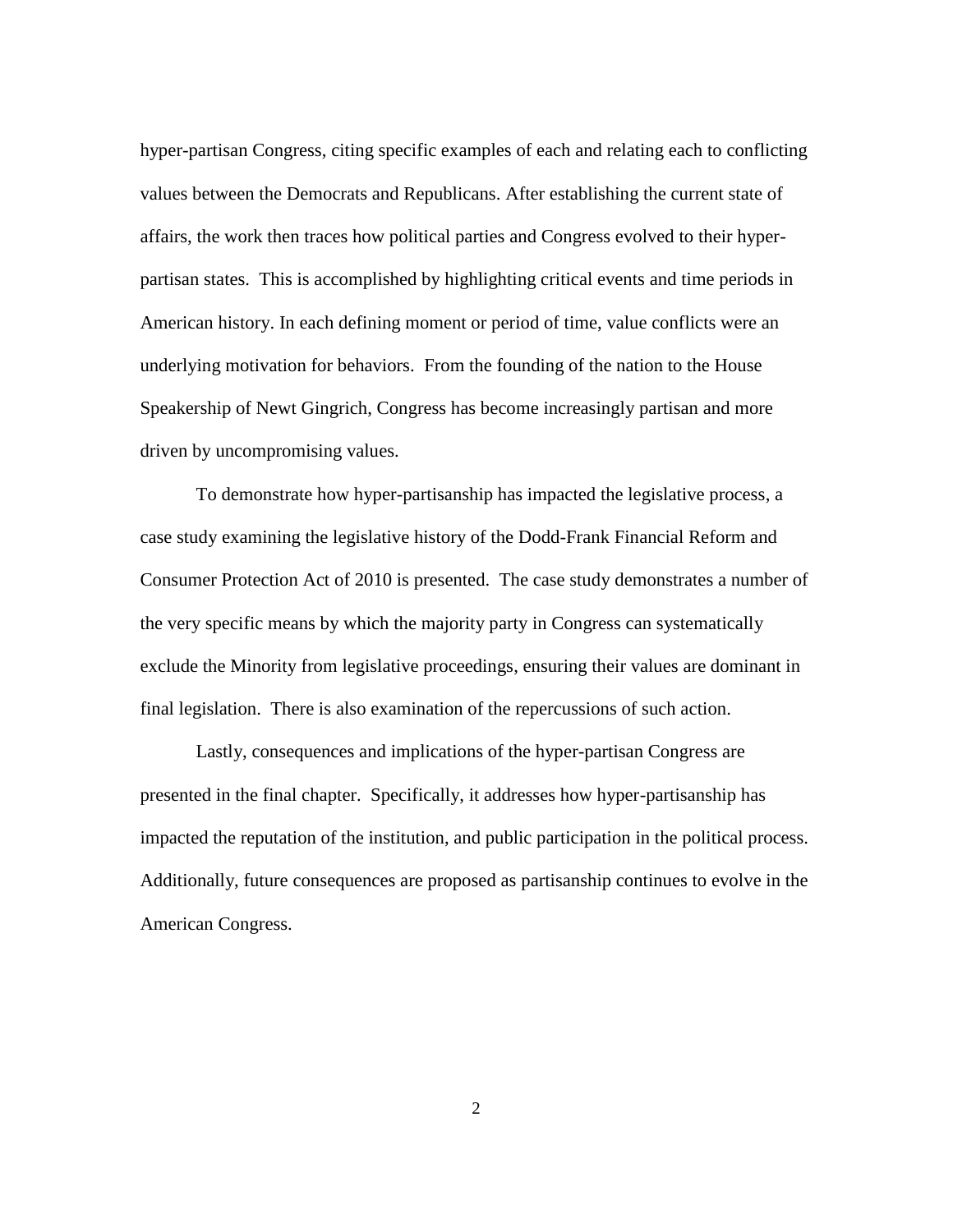hyper-partisan Congress, citing specific examples of each and relating each to conflicting values between the Democrats and Republicans. After establishing the current state of affairs, the work then traces how political parties and Congress evolved to their hyperpartisan states. This is accomplished by highlighting critical events and time periods in American history. In each defining moment or period of time, value conflicts were an underlying motivation for behaviors. From the founding of the nation to the House Speakership of Newt Gingrich, Congress has become increasingly partisan and more driven by uncompromising values.

To demonstrate how hyper-partisanship has impacted the legislative process, a case study examining the legislative history of the Dodd-Frank Financial Reform and Consumer Protection Act of 2010 is presented. The case study demonstrates a number of the very specific means by which the majority party in Congress can systematically exclude the Minority from legislative proceedings, ensuring their values are dominant in final legislation. There is also examination of the repercussions of such action.

Lastly, consequences and implications of the hyper-partisan Congress are presented in the final chapter. Specifically, it addresses how hyper-partisanship has impacted the reputation of the institution, and public participation in the political process. Additionally, future consequences are proposed as partisanship continues to evolve in the American Congress.

2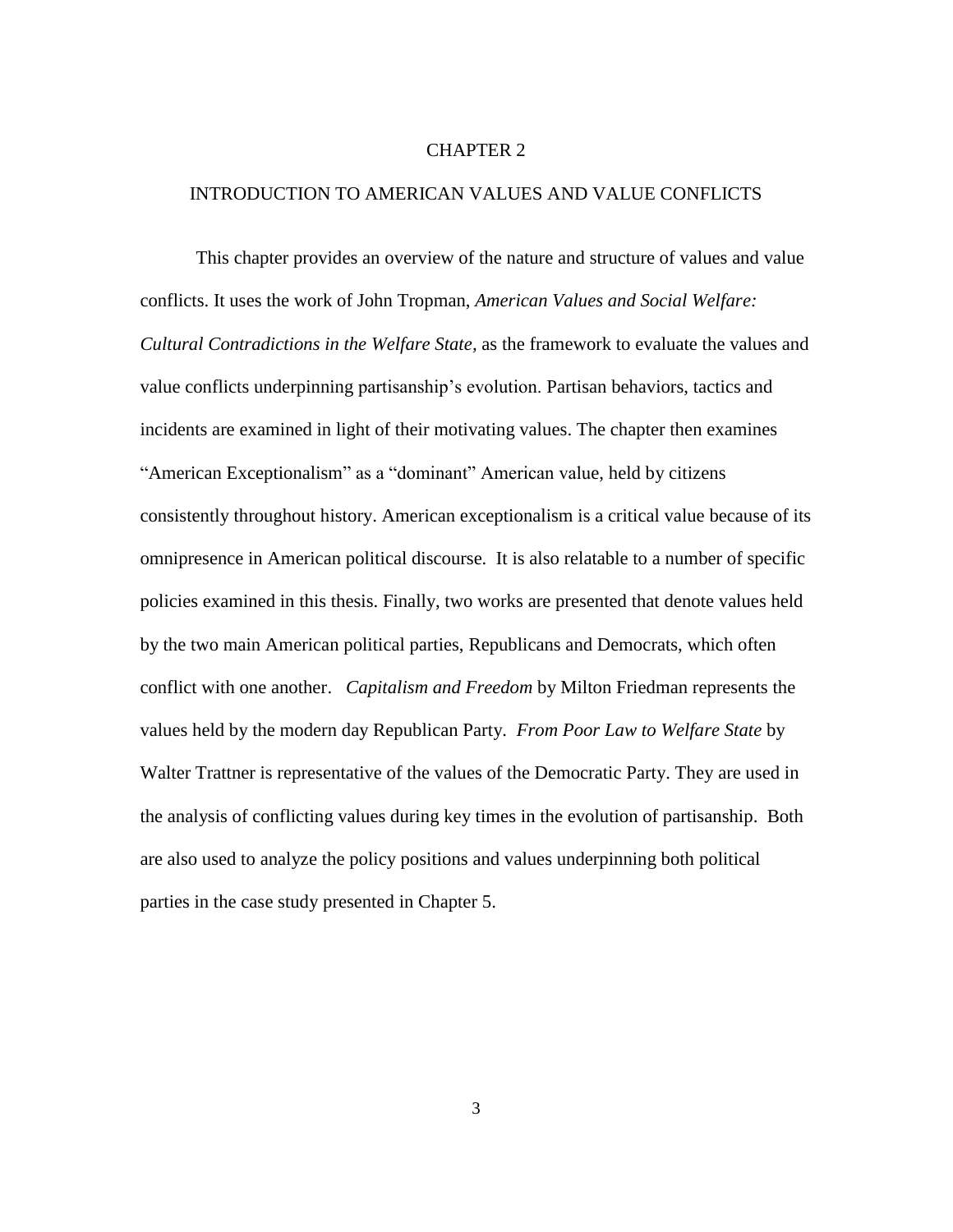#### CHAPTER 2

#### INTRODUCTION TO AMERICAN VALUES AND VALUE CONFLICTS

This chapter provides an overview of the nature and structure of values and value conflicts. It uses the work of John Tropman, *American Values and Social Welfare: Cultural Contradictions in the Welfare State,* as the framework to evaluate the values and value conflicts underpinning partisanship"s evolution. Partisan behaviors, tactics and incidents are examined in light of their motivating values. The chapter then examines "American Exceptionalism" as a "dominant" American value, held by citizens consistently throughout history. American exceptionalism is a critical value because of its omnipresence in American political discourse. It is also relatable to a number of specific policies examined in this thesis. Finally, two works are presented that denote values held by the two main American political parties, Republicans and Democrats, which often conflict with one another. *Capitalism and Freedom* by Milton Friedman represents the values held by the modern day Republican Party. *From Poor Law to Welfare State* by Walter Trattner is representative of the values of the Democratic Party. They are used in the analysis of conflicting values during key times in the evolution of partisanship. Both are also used to analyze the policy positions and values underpinning both political parties in the case study presented in Chapter 5.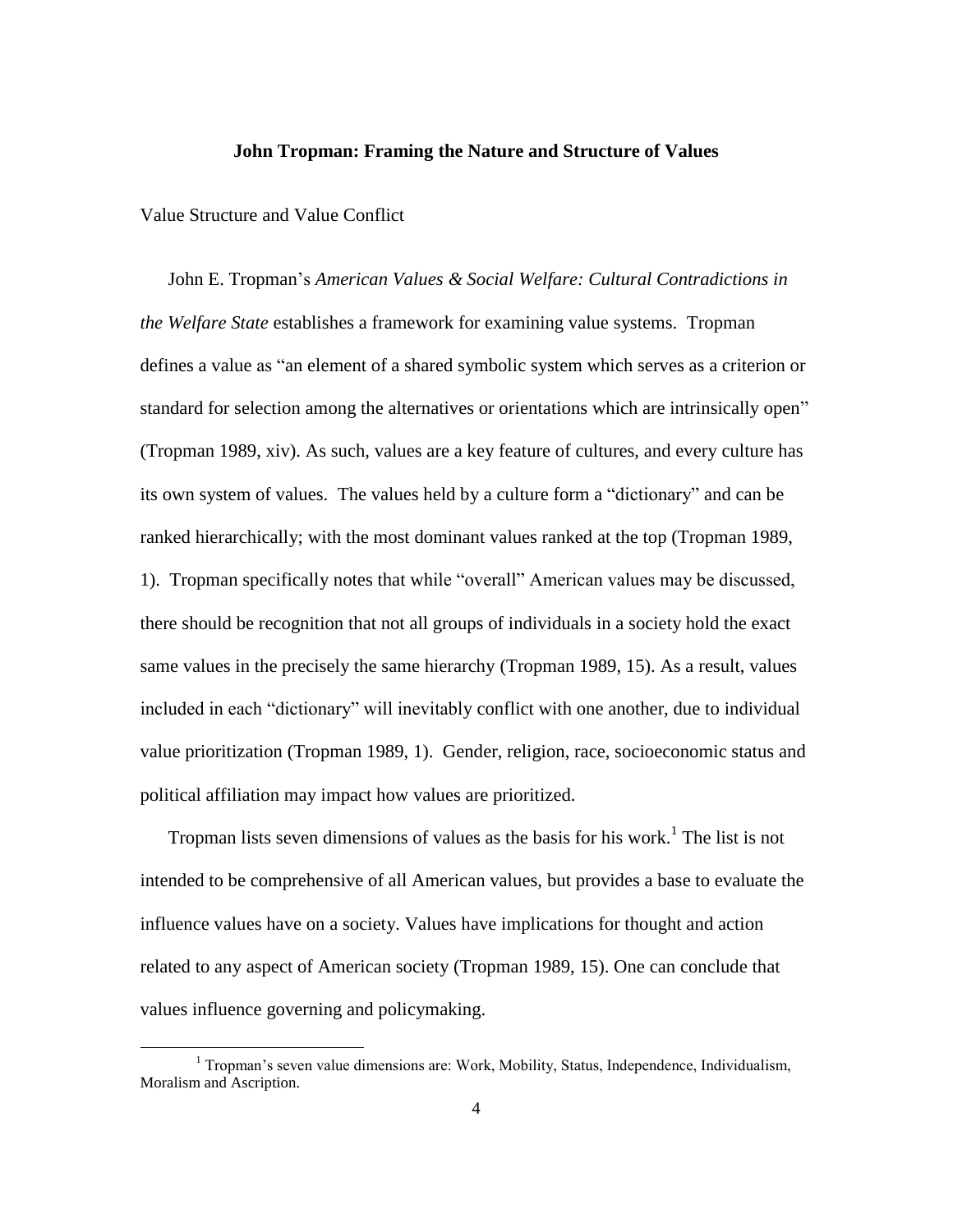#### **John Tropman: Framing the Nature and Structure of Values**

Value Structure and Value Conflict

 $\overline{\phantom{a}}$ 

John E. Tropman"s *American Values & Social Welfare: Cultural Contradictions in the Welfare State* establishes a framework for examining value systems. Tropman defines a value as "an element of a shared symbolic system which serves as a criterion or standard for selection among the alternatives or orientations which are intrinsically open" (Tropman 1989, xiv). As such, values are a key feature of cultures, and every culture has its own system of values. The values held by a culture form a "dictionary" and can be ranked hierarchically; with the most dominant values ranked at the top (Tropman 1989, 1). Tropman specifically notes that while "overall" American values may be discussed, there should be recognition that not all groups of individuals in a society hold the exact same values in the precisely the same hierarchy (Tropman 1989, 15). As a result, values included in each "dictionary" will inevitably conflict with one another, due to individual value prioritization (Tropman 1989, 1). Gender, religion, race, socioeconomic status and political affiliation may impact how values are prioritized.

Tropman lists seven dimensions of values as the basis for his work.<sup>1</sup> The list is not intended to be comprehensive of all American values, but provides a base to evaluate the influence values have on a society. Values have implications for thought and action related to any aspect of American society (Tropman 1989, 15). One can conclude that values influence governing and policymaking.

 $1$  Tropman's seven value dimensions are: Work, Mobility, Status, Independence, Individualism, Moralism and Ascription.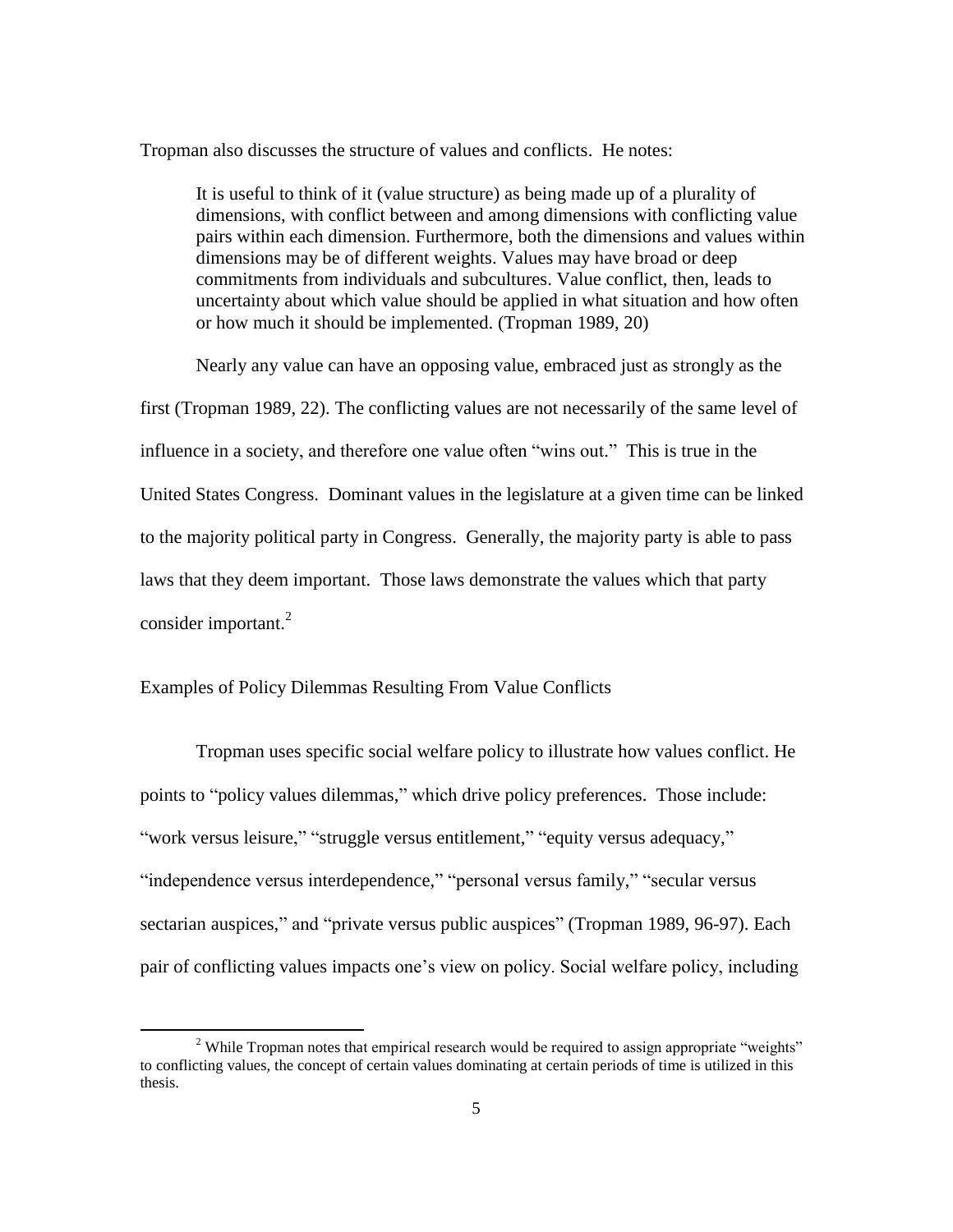Tropman also discusses the structure of values and conflicts. He notes:

It is useful to think of it (value structure) as being made up of a plurality of dimensions, with conflict between and among dimensions with conflicting value pairs within each dimension. Furthermore, both the dimensions and values within dimensions may be of different weights. Values may have broad or deep commitments from individuals and subcultures. Value conflict, then, leads to uncertainty about which value should be applied in what situation and how often or how much it should be implemented. (Tropman 1989, 20)

Nearly any value can have an opposing value, embraced just as strongly as the first (Tropman 1989, 22). The conflicting values are not necessarily of the same level of influence in a society, and therefore one value often "wins out." This is true in the United States Congress. Dominant values in the legislature at a given time can be linked to the majority political party in Congress. Generally, the majority party is able to pass laws that they deem important. Those laws demonstrate the values which that party consider important. $^{2}$ 

#### Examples of Policy Dilemmas Resulting From Value Conflicts

 $\overline{\phantom{a}}$ 

Tropman uses specific social welfare policy to illustrate how values conflict. He points to "policy values dilemmas," which drive policy preferences. Those include: "work versus leisure," "struggle versus entitlement," "equity versus adequacy," "independence versus interdependence," "personal versus family," "secular versus sectarian auspices," and "private versus public auspices" (Tropman 1989, 96-97). Each pair of conflicting values impacts one"s view on policy. Social welfare policy, including

<sup>&</sup>lt;sup>2</sup> While Tropman notes that empirical research would be required to assign appropriate "weights" to conflicting values, the concept of certain values dominating at certain periods of time is utilized in this thesis.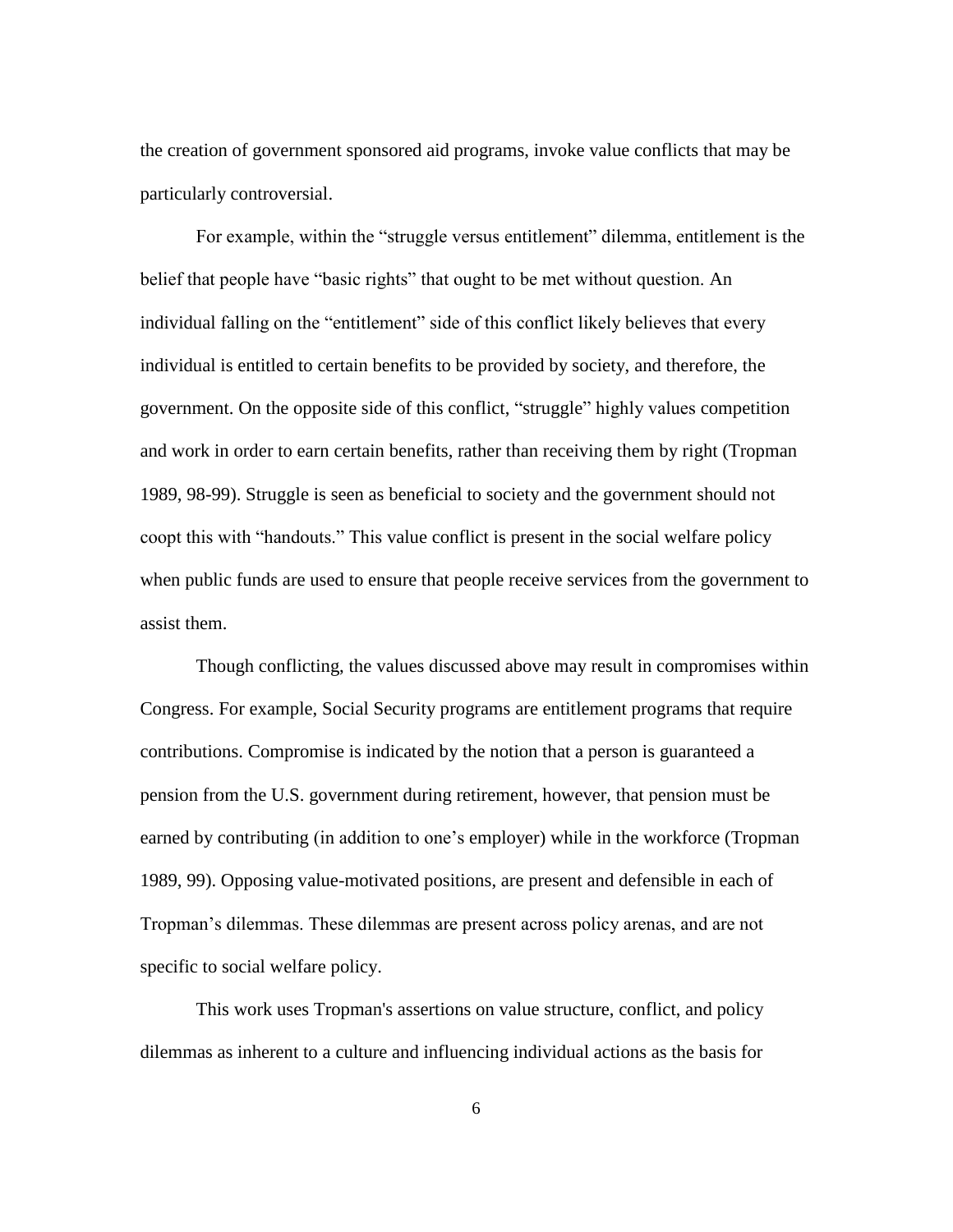the creation of government sponsored aid programs, invoke value conflicts that may be particularly controversial.

For example, within the "struggle versus entitlement" dilemma, entitlement is the belief that people have "basic rights" that ought to be met without question. An individual falling on the "entitlement" side of this conflict likely believes that every individual is entitled to certain benefits to be provided by society, and therefore, the government. On the opposite side of this conflict, "struggle" highly values competition and work in order to earn certain benefits, rather than receiving them by right (Tropman 1989, 98-99). Struggle is seen as beneficial to society and the government should not coopt this with "handouts." This value conflict is present in the social welfare policy when public funds are used to ensure that people receive services from the government to assist them.

Though conflicting, the values discussed above may result in compromises within Congress. For example, Social Security programs are entitlement programs that require contributions. Compromise is indicated by the notion that a person is guaranteed a pension from the U.S. government during retirement, however, that pension must be earned by contributing (in addition to one's employer) while in the workforce (Tropman 1989, 99). Opposing value-motivated positions, are present and defensible in each of Tropman"s dilemmas. These dilemmas are present across policy arenas, and are not specific to social welfare policy.

This work uses Tropman's assertions on value structure, conflict, and policy dilemmas as inherent to a culture and influencing individual actions as the basis for

6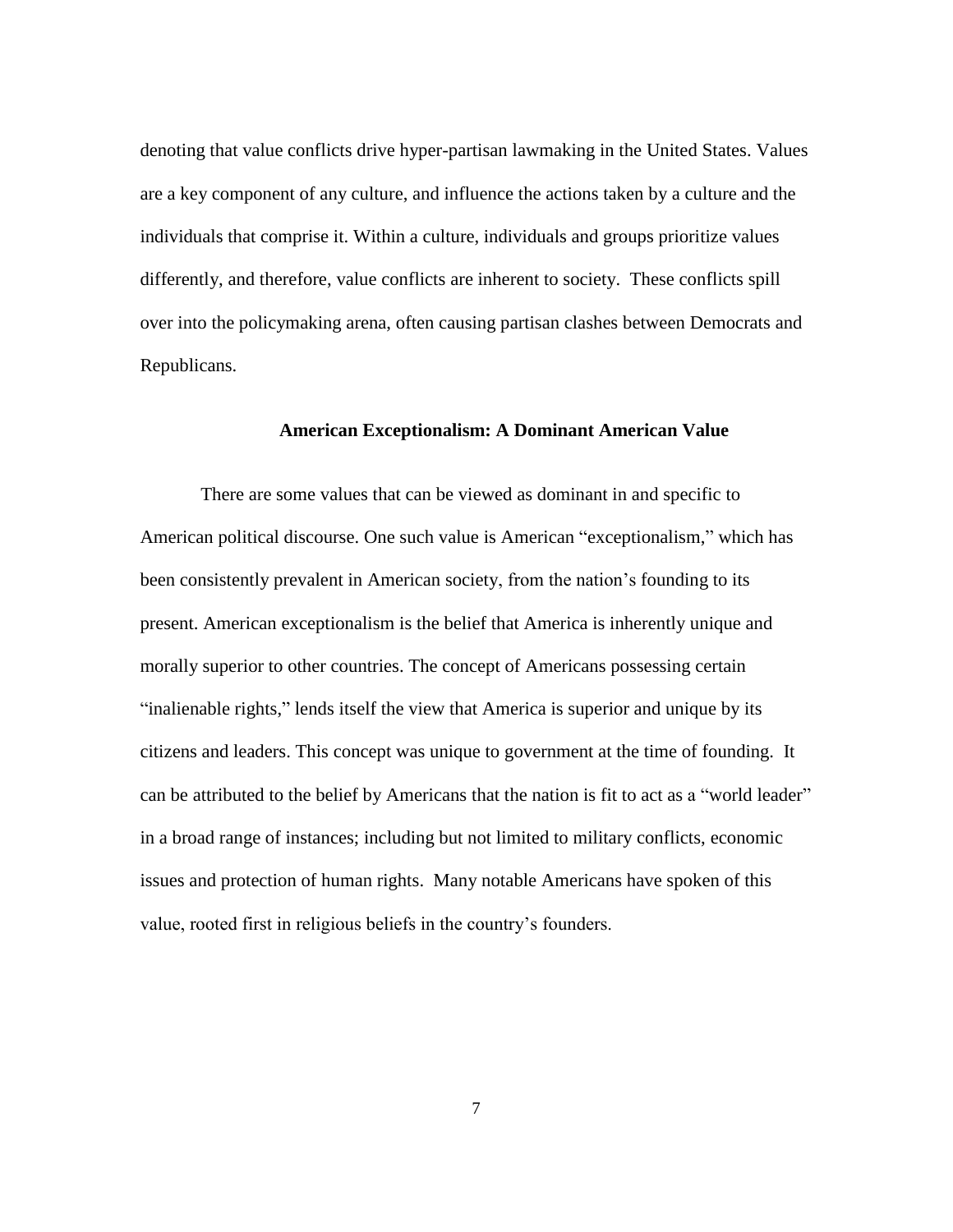denoting that value conflicts drive hyper-partisan lawmaking in the United States. Values are a key component of any culture, and influence the actions taken by a culture and the individuals that comprise it. Within a culture, individuals and groups prioritize values differently, and therefore, value conflicts are inherent to society. These conflicts spill over into the policymaking arena, often causing partisan clashes between Democrats and Republicans.

#### **American Exceptionalism: A Dominant American Value**

There are some values that can be viewed as dominant in and specific to American political discourse. One such value is American "exceptionalism," which has been consistently prevalent in American society, from the nation's founding to its present. American exceptionalism is the belief that America is inherently unique and morally superior to other countries. The concept of Americans possessing certain "inalienable rights," lends itself the view that America is superior and unique by its citizens and leaders. This concept was unique to government at the time of founding. It can be attributed to the belief by Americans that the nation is fit to act as a "world leader" in a broad range of instances; including but not limited to military conflicts, economic issues and protection of human rights. Many notable Americans have spoken of this value, rooted first in religious beliefs in the country"s founders.

7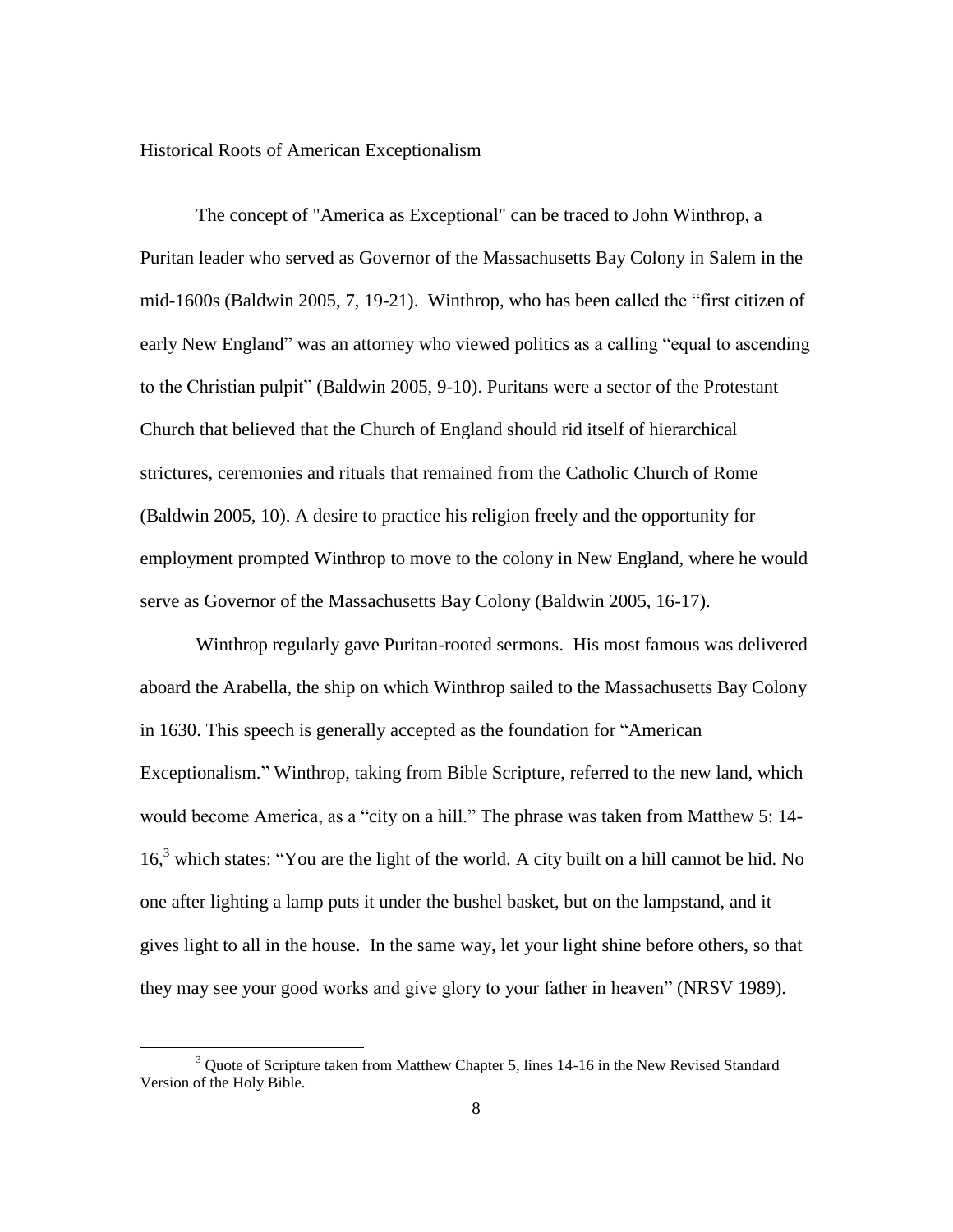#### Historical Roots of American Exceptionalism

The concept of "America as Exceptional" can be traced to John Winthrop, a Puritan leader who served as Governor of the Massachusetts Bay Colony in Salem in the mid-1600s (Baldwin 2005, 7, 19-21). Winthrop, who has been called the "first citizen of early New England" was an attorney who viewed politics as a calling "equal to ascending to the Christian pulpit" (Baldwin 2005, 9-10). Puritans were a sector of the Protestant Church that believed that the Church of England should rid itself of hierarchical strictures, ceremonies and rituals that remained from the Catholic Church of Rome (Baldwin 2005, 10). A desire to practice his religion freely and the opportunity for employment prompted Winthrop to move to the colony in New England, where he would serve as Governor of the Massachusetts Bay Colony (Baldwin 2005, 16-17).

Winthrop regularly gave Puritan-rooted sermons. His most famous was delivered aboard the Arabella, the ship on which Winthrop sailed to the Massachusetts Bay Colony in 1630. This speech is generally accepted as the foundation for "American Exceptionalism." Winthrop, taking from Bible Scripture, referred to the new land, which would become America, as a "city on a hill." The phrase was taken from Matthew 5: 14- 16, <sup>3</sup> which states: "You are the light of the world. A city built on a hill cannot be hid. No one after lighting a lamp puts it under the bushel basket, but on the lampstand, and it gives light to all in the house. In the same way, let your light shine before others, so that they may see your good works and give glory to your father in heaven" (NRSV 1989).

 $\overline{\phantom{a}}$ 

<sup>&</sup>lt;sup>3</sup> Ouote of Scripture taken from Matthew Chapter 5, lines 14-16 in the New Revised Standard Version of the Holy Bible.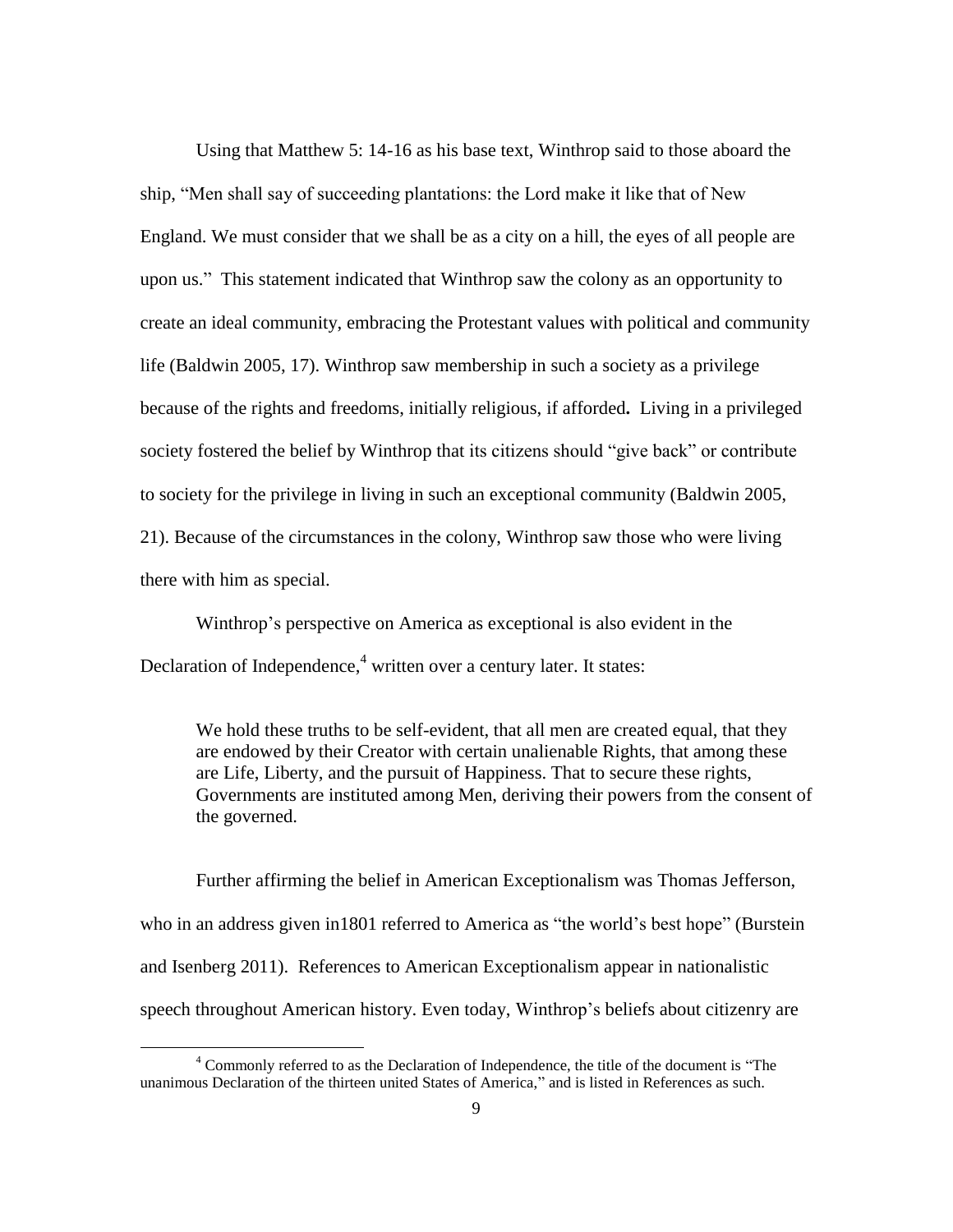Using that Matthew 5: 14-16 as his base text, Winthrop said to those aboard the ship, "Men shall say of succeeding plantations: the Lord make it like that of New England. We must consider that we shall be as a city on a hill, the eyes of all people are upon us." This statement indicated that Winthrop saw the colony as an opportunity to create an ideal community, embracing the Protestant values with political and community life (Baldwin 2005, 17). Winthrop saw membership in such a society as a privilege because of the rights and freedoms, initially religious, if afforded**.** Living in a privileged society fostered the belief by Winthrop that its citizens should "give back" or contribute to society for the privilege in living in such an exceptional community (Baldwin 2005, 21). Because of the circumstances in the colony, Winthrop saw those who were living there with him as special.

Winthrop"s perspective on America as exceptional is also evident in the Declaration of Independence,<sup>4</sup> written over a century later. It states:

We hold these truths to be self-evident, that all men are created equal, that they are endowed by their Creator with certain unalienable Rights, that among these are Life, Liberty, and the pursuit of Happiness. That to secure these rights, Governments are instituted among Men, deriving their powers from the consent of the governed.

Further affirming the belief in American Exceptionalism was Thomas Jefferson, who in an address given in 1801 referred to America as "the world's best hope" (Burstein and Isenberg 2011). References to American Exceptionalism appear in nationalistic speech throughout American history. Even today, Winthrop"s beliefs about citizenry are

 $\overline{\phantom{a}}$ 

<sup>&</sup>lt;sup>4</sup> Commonly referred to as the Declaration of Independence, the title of the document is "The unanimous Declaration of the thirteen united States of America," and is listed in References as such.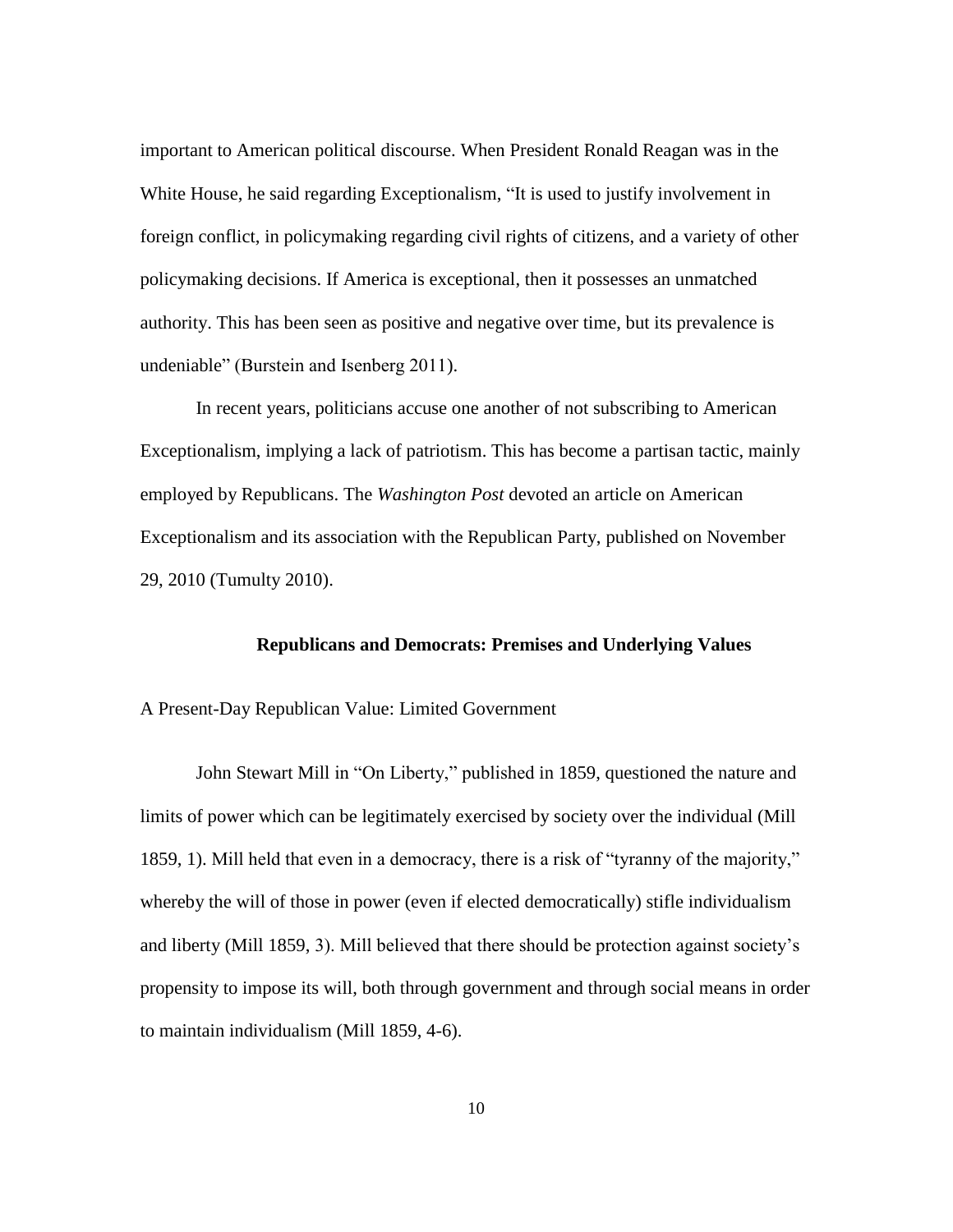important to American political discourse. When President Ronald Reagan was in the White House, he said regarding Exceptionalism, "It is used to justify involvement in foreign conflict, in policymaking regarding civil rights of citizens, and a variety of other policymaking decisions. If America is exceptional, then it possesses an unmatched authority. This has been seen as positive and negative over time, but its prevalence is undeniable" (Burstein and Isenberg 2011).

In recent years, politicians accuse one another of not subscribing to American Exceptionalism, implying a lack of patriotism. This has become a partisan tactic, mainly employed by Republicans. The *Washington Post* devoted an article on American Exceptionalism and its association with the Republican Party, published on November 29, 2010 (Tumulty 2010).

#### **Republicans and Democrats: Premises and Underlying Values**

A Present-Day Republican Value: Limited Government

John Stewart Mill in "On Liberty," published in 1859, questioned the nature and limits of power which can be legitimately exercised by society over the individual (Mill 1859, 1). Mill held that even in a democracy, there is a risk of "tyranny of the majority," whereby the will of those in power (even if elected democratically) stifle individualism and liberty (Mill 1859, 3). Mill believed that there should be protection against society"s propensity to impose its will, both through government and through social means in order to maintain individualism (Mill 1859, 4-6).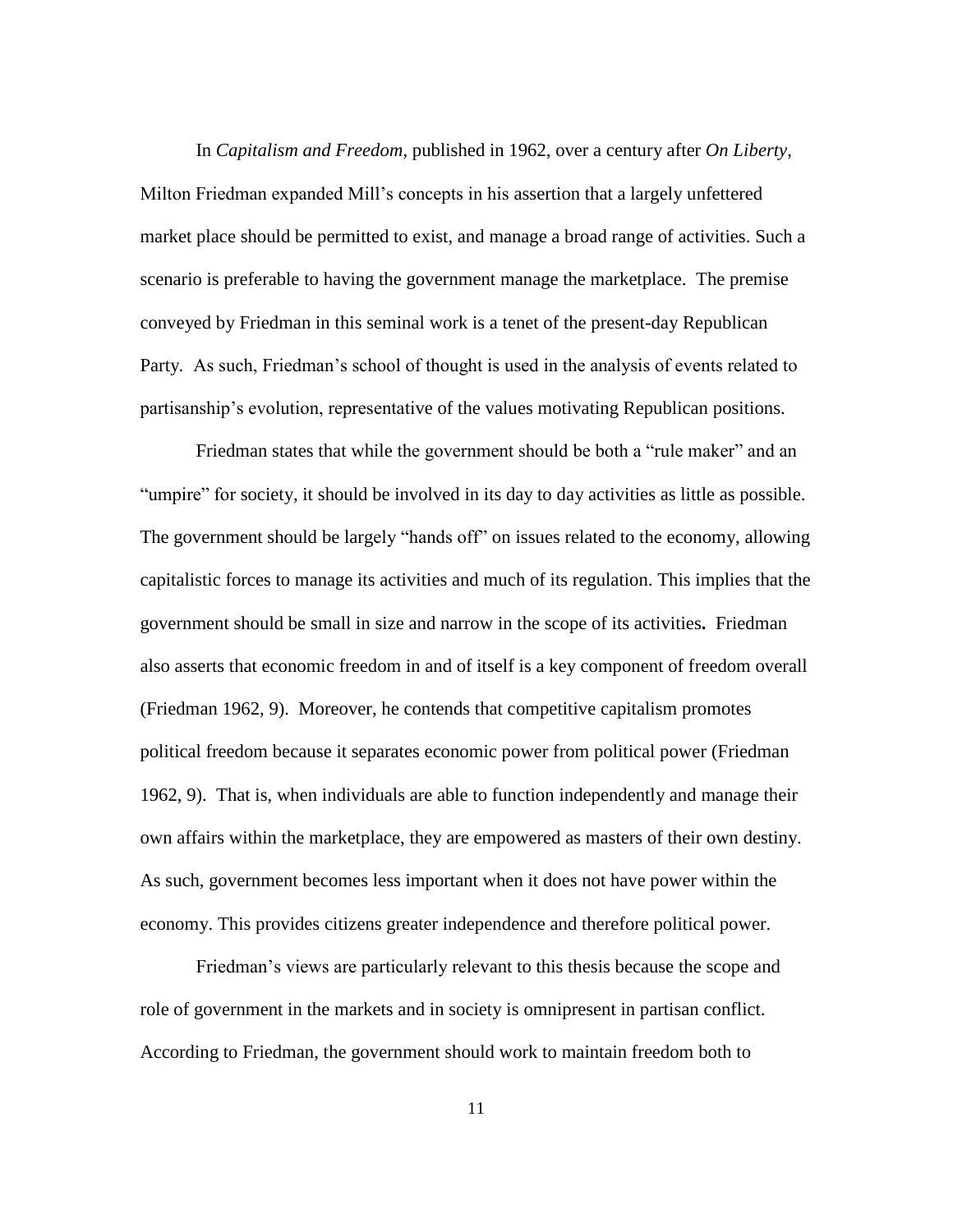In *Capitalism and Freedom,* published in 1962, over a century after *On Liberty*, Milton Friedman expanded Mill"s concepts in his assertion that a largely unfettered market place should be permitted to exist, and manage a broad range of activities. Such a scenario is preferable to having the government manage the marketplace. The premise conveyed by Friedman in this seminal work is a tenet of the present-day Republican Party*.* As such, Friedman"s school of thought is used in the analysis of events related to partisanship"s evolution, representative of the values motivating Republican positions.

Friedman states that while the government should be both a "rule maker" and an "umpire" for society, it should be involved in its day to day activities as little as possible. The government should be largely "hands off" on issues related to the economy, allowing capitalistic forces to manage its activities and much of its regulation. This implies that the government should be small in size and narrow in the scope of its activities**.** Friedman also asserts that economic freedom in and of itself is a key component of freedom overall (Friedman 1962, 9). Moreover, he contends that competitive capitalism promotes political freedom because it separates economic power from political power (Friedman 1962, 9). That is, when individuals are able to function independently and manage their own affairs within the marketplace, they are empowered as masters of their own destiny. As such, government becomes less important when it does not have power within the economy. This provides citizens greater independence and therefore political power.

Friedman"s views are particularly relevant to this thesis because the scope and role of government in the markets and in society is omnipresent in partisan conflict. According to Friedman, the government should work to maintain freedom both to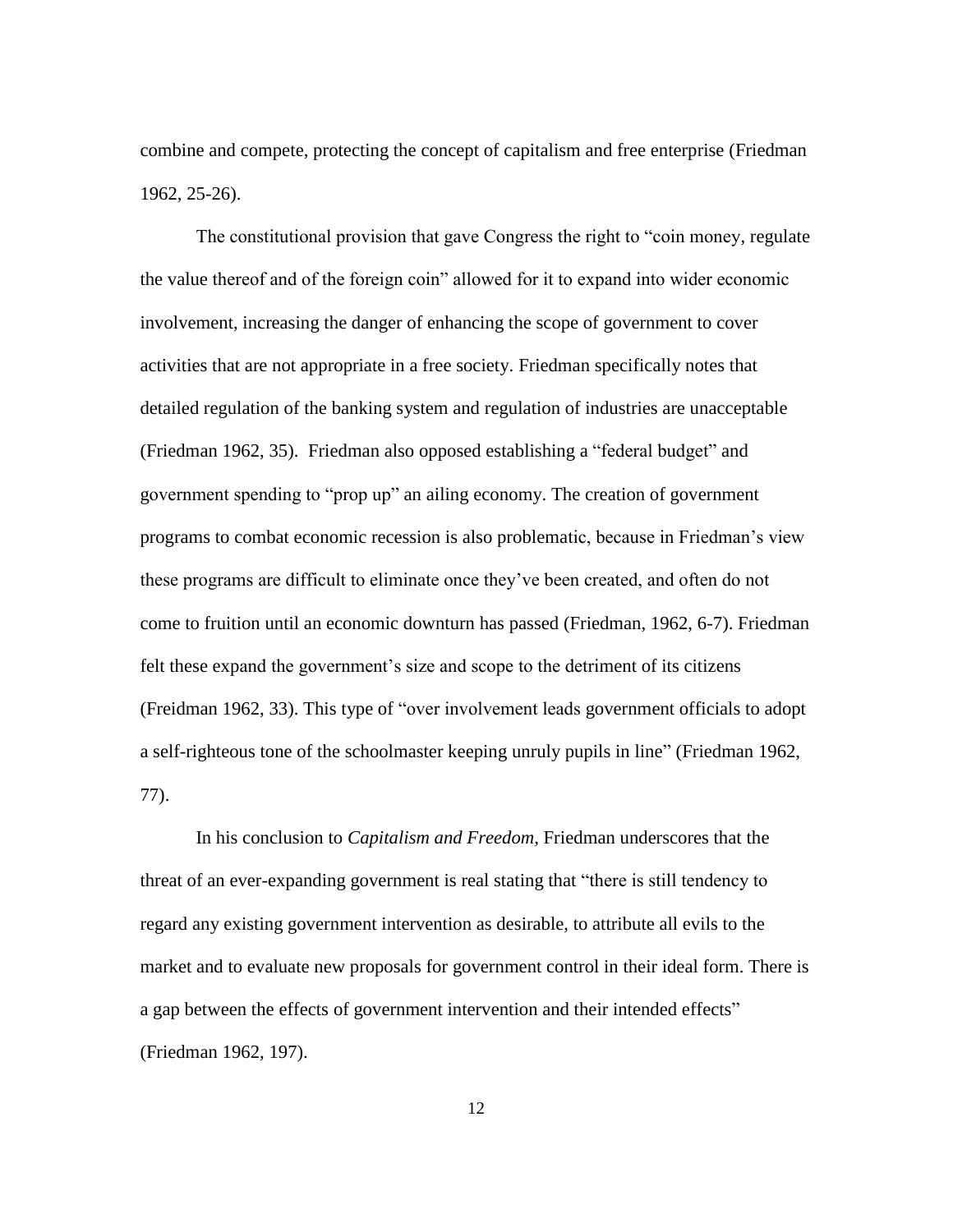combine and compete, protecting the concept of capitalism and free enterprise (Friedman 1962, 25-26).

The constitutional provision that gave Congress the right to "coin money, regulate the value thereof and of the foreign coin" allowed for it to expand into wider economic involvement, increasing the danger of enhancing the scope of government to cover activities that are not appropriate in a free society. Friedman specifically notes that detailed regulation of the banking system and regulation of industries are unacceptable (Friedman 1962, 35). Friedman also opposed establishing a "federal budget" and government spending to "prop up" an ailing economy. The creation of government programs to combat economic recession is also problematic, because in Friedman"s view these programs are difficult to eliminate once they"ve been created, and often do not come to fruition until an economic downturn has passed (Friedman, 1962, 6-7). Friedman felt these expand the government's size and scope to the detriment of its citizens (Freidman 1962, 33). This type of "over involvement leads government officials to adopt a self-righteous tone of the schoolmaster keeping unruly pupils in line" (Friedman 1962, 77).

In his conclusion to *Capitalism and Freedom*, Friedman underscores that the threat of an ever-expanding government is real stating that "there is still tendency to regard any existing government intervention as desirable, to attribute all evils to the market and to evaluate new proposals for government control in their ideal form. There is a gap between the effects of government intervention and their intended effects" (Friedman 1962, 197).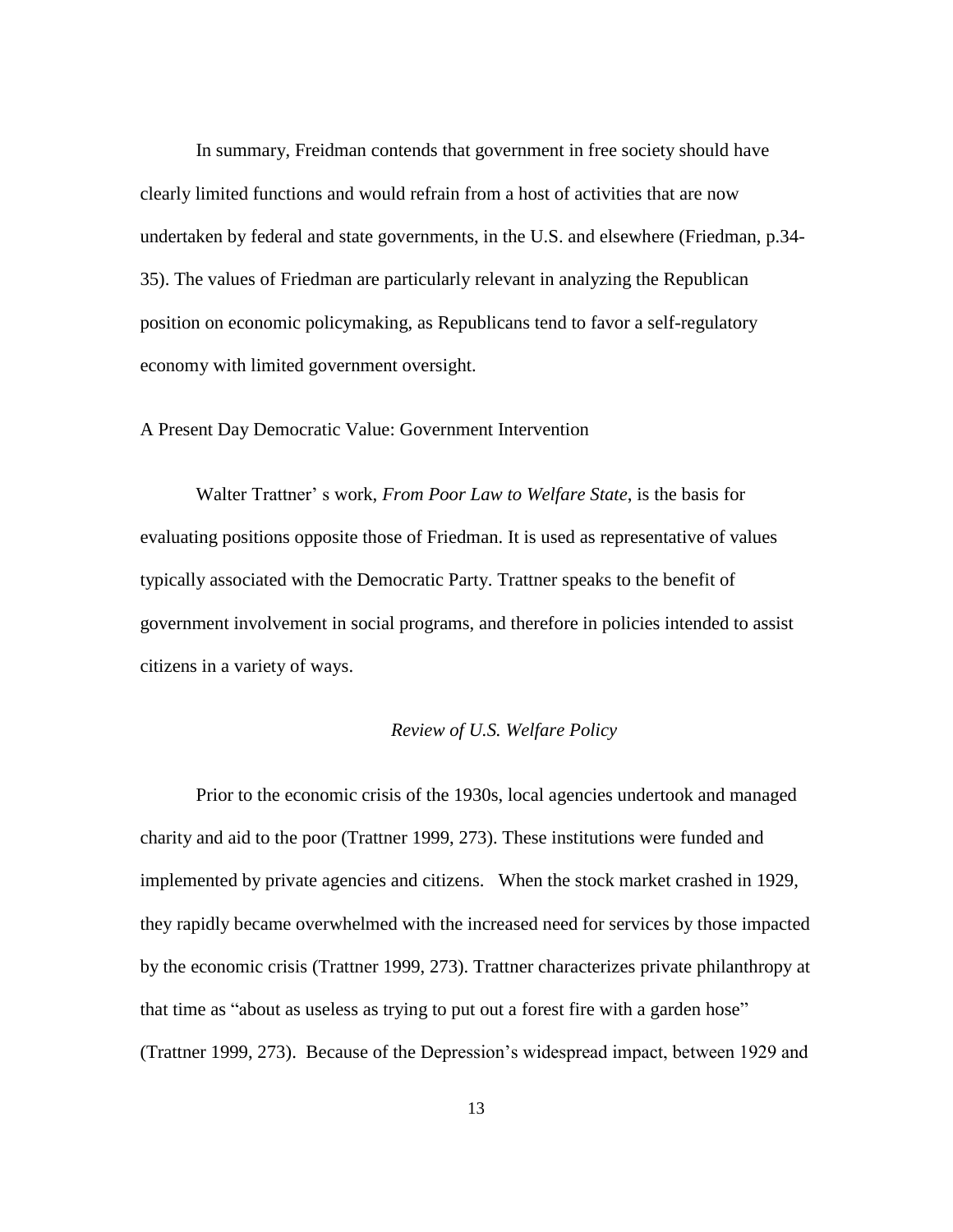In summary, Freidman contends that government in free society should have clearly limited functions and would refrain from a host of activities that are now undertaken by federal and state governments, in the U.S. and elsewhere (Friedman, p.34- 35). The values of Friedman are particularly relevant in analyzing the Republican position on economic policymaking, as Republicans tend to favor a self-regulatory economy with limited government oversight.

#### A Present Day Democratic Value: Government Intervention

Walter Trattner" s work, *From Poor Law to Welfare State*, is the basis for evaluating positions opposite those of Friedman. It is used as representative of values typically associated with the Democratic Party. Trattner speaks to the benefit of government involvement in social programs, and therefore in policies intended to assist citizens in a variety of ways.

#### *Review of U.S. Welfare Policy*

Prior to the economic crisis of the 1930s, local agencies undertook and managed charity and aid to the poor (Trattner 1999, 273). These institutions were funded and implemented by private agencies and citizens. When the stock market crashed in 1929, they rapidly became overwhelmed with the increased need for services by those impacted by the economic crisis (Trattner 1999, 273). Trattner characterizes private philanthropy at that time as "about as useless as trying to put out a forest fire with a garden hose" (Trattner 1999, 273). Because of the Depression"s widespread impact, between 1929 and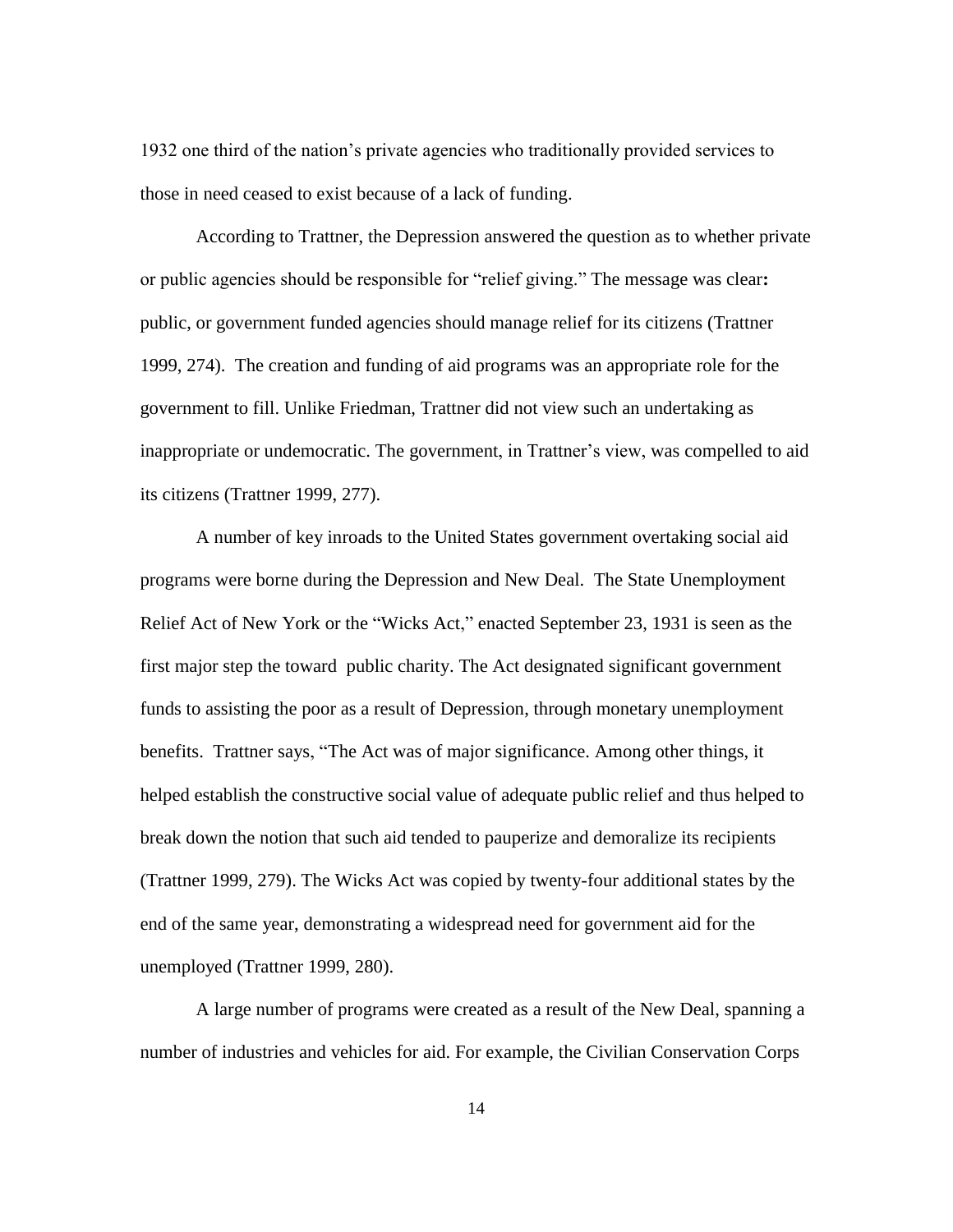1932 one third of the nation"s private agencies who traditionally provided services to those in need ceased to exist because of a lack of funding.

According to Trattner, the Depression answered the question as to whether private or public agencies should be responsible for "relief giving." The message was clear**:**  public, or government funded agencies should manage relief for its citizens (Trattner 1999, 274). The creation and funding of aid programs was an appropriate role for the government to fill. Unlike Friedman, Trattner did not view such an undertaking as inappropriate or undemocratic. The government, in Trattner"s view, was compelled to aid its citizens (Trattner 1999, 277).

A number of key inroads to the United States government overtaking social aid programs were borne during the Depression and New Deal. The State Unemployment Relief Act of New York or the "Wicks Act," enacted September 23, 1931 is seen as the first major step the toward public charity. The Act designated significant government funds to assisting the poor as a result of Depression, through monetary unemployment benefits. Trattner says, "The Act was of major significance. Among other things, it helped establish the constructive social value of adequate public relief and thus helped to break down the notion that such aid tended to pauperize and demoralize its recipients (Trattner 1999, 279). The Wicks Act was copied by twenty-four additional states by the end of the same year, demonstrating a widespread need for government aid for the unemployed (Trattner 1999, 280).

A large number of programs were created as a result of the New Deal, spanning a number of industries and vehicles for aid. For example, the Civilian Conservation Corps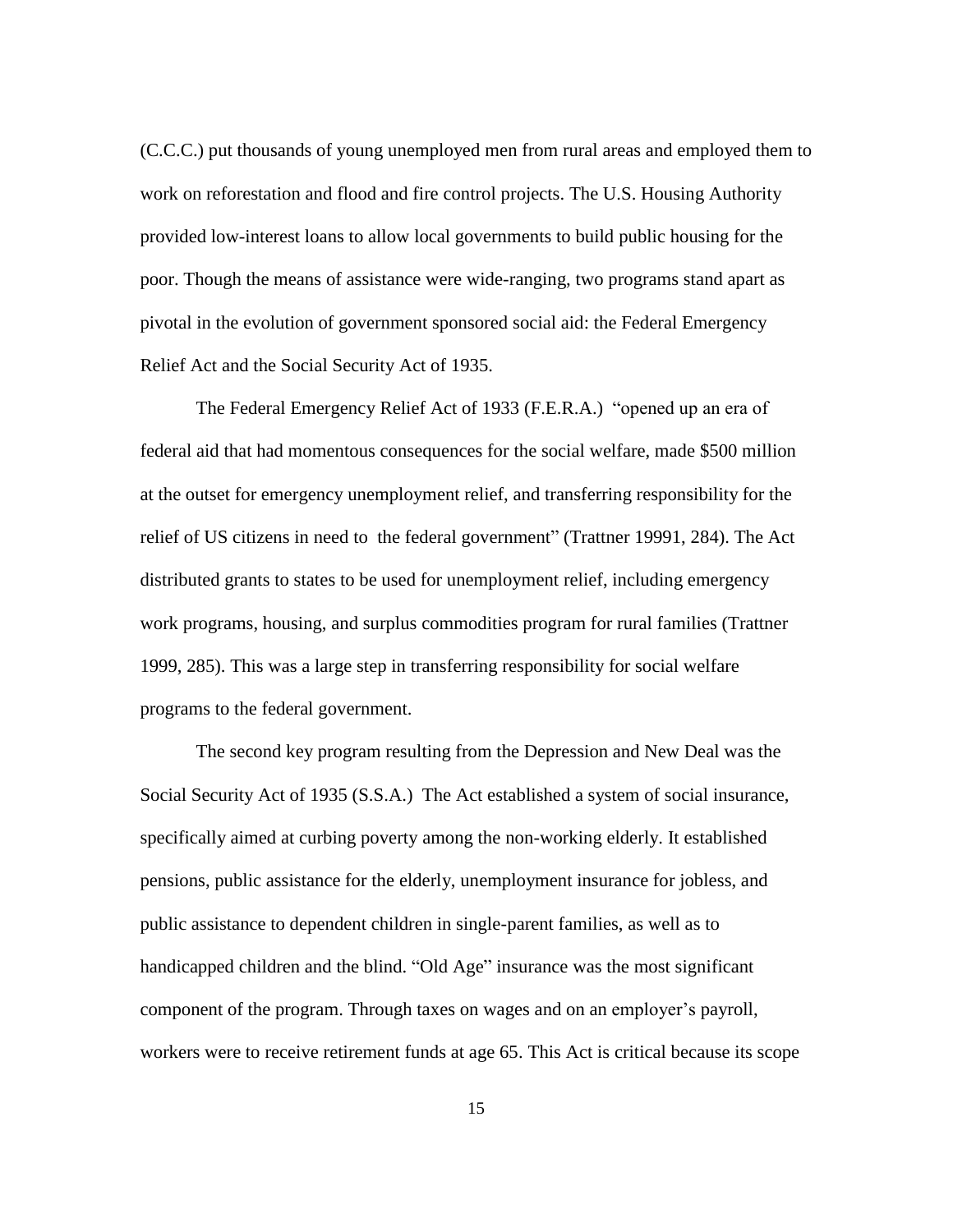(C.C.C.) put thousands of young unemployed men from rural areas and employed them to work on reforestation and flood and fire control projects. The U.S. Housing Authority provided low-interest loans to allow local governments to build public housing for the poor. Though the means of assistance were wide-ranging, two programs stand apart as pivotal in the evolution of government sponsored social aid: the Federal Emergency Relief Act and the Social Security Act of 1935.

The Federal Emergency Relief Act of 1933 (F.E.R.A.) "opened up an era of federal aid that had momentous consequences for the social welfare, made \$500 million at the outset for emergency unemployment relief, and transferring responsibility for the relief of US citizens in need to the federal government" (Trattner 19991, 284). The Act distributed grants to states to be used for unemployment relief, including emergency work programs, housing, and surplus commodities program for rural families (Trattner 1999, 285). This was a large step in transferring responsibility for social welfare programs to the federal government.

The second key program resulting from the Depression and New Deal was the Social Security Act of 1935 (S.S.A.) The Act established a system of social insurance, specifically aimed at curbing poverty among the non-working elderly. It established pensions, public assistance for the elderly, unemployment insurance for jobless, and public assistance to dependent children in single-parent families, as well as to handicapped children and the blind. "Old Age" insurance was the most significant component of the program. Through taxes on wages and on an employer"s payroll, workers were to receive retirement funds at age 65. This Act is critical because its scope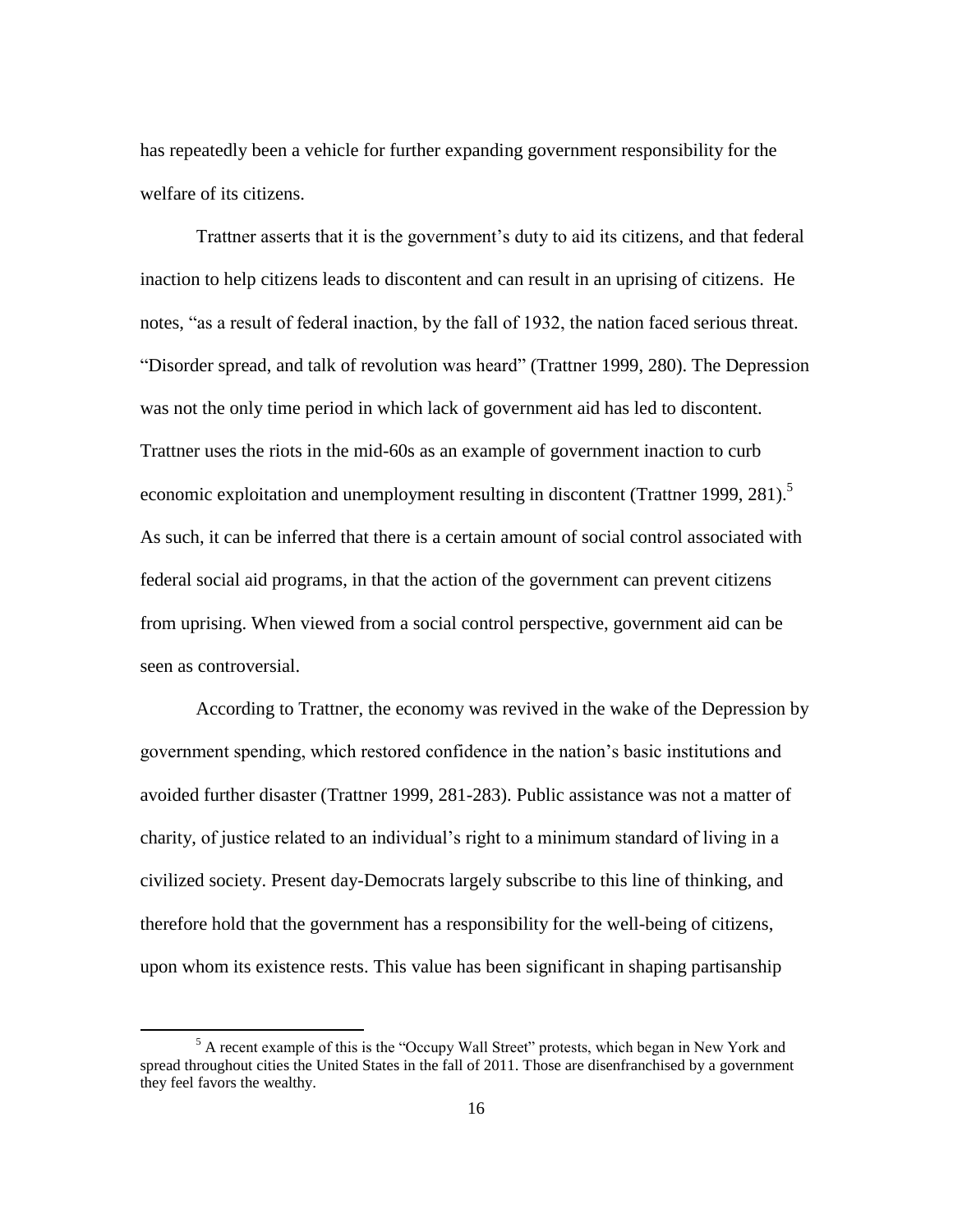has repeatedly been a vehicle for further expanding government responsibility for the welfare of its citizens.

Trattner asserts that it is the government's duty to aid its citizens, and that federal inaction to help citizens leads to discontent and can result in an uprising of citizens. He notes, "as a result of federal inaction, by the fall of 1932, the nation faced serious threat. "Disorder spread, and talk of revolution was heard" (Trattner 1999, 280). The Depression was not the only time period in which lack of government aid has led to discontent. Trattner uses the riots in the mid-60s as an example of government inaction to curb economic exploitation and unemployment resulting in discontent (Trattner 1999, 281).<sup>5</sup> As such, it can be inferred that there is a certain amount of social control associated with federal social aid programs, in that the action of the government can prevent citizens from uprising. When viewed from a social control perspective, government aid can be seen as controversial.

According to Trattner, the economy was revived in the wake of the Depression by government spending, which restored confidence in the nation"s basic institutions and avoided further disaster (Trattner 1999, 281-283). Public assistance was not a matter of charity, of justice related to an individual"s right to a minimum standard of living in a civilized society. Present day-Democrats largely subscribe to this line of thinking, and therefore hold that the government has a responsibility for the well-being of citizens, upon whom its existence rests. This value has been significant in shaping partisanship

 $\overline{\phantom{a}}$ 

<sup>&</sup>lt;sup>5</sup> A recent example of this is the "Occupy Wall Street" protests, which began in New York and spread throughout cities the United States in the fall of 2011. Those are disenfranchised by a government they feel favors the wealthy.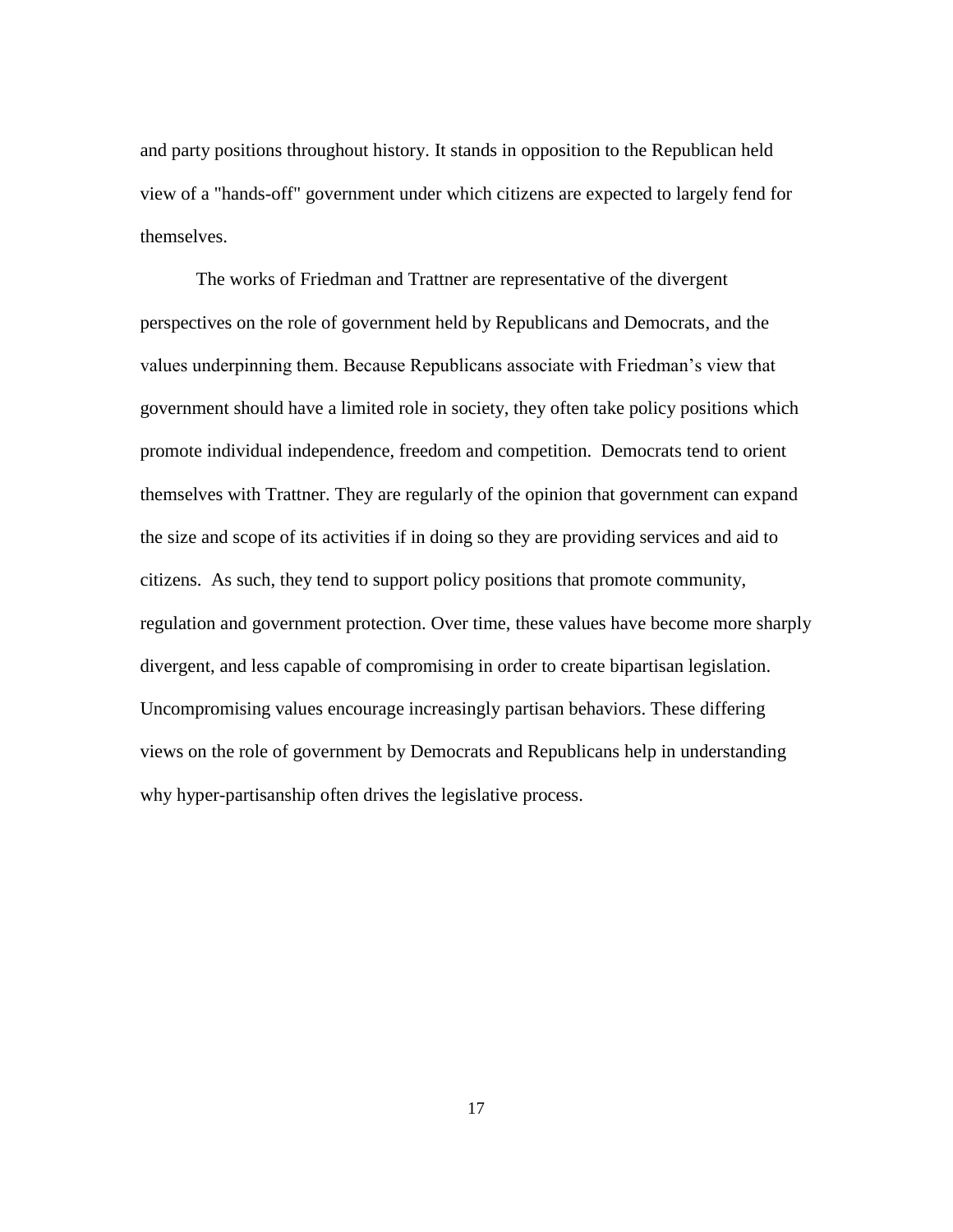and party positions throughout history. It stands in opposition to the Republican held view of a "hands-off" government under which citizens are expected to largely fend for themselves.

The works of Friedman and Trattner are representative of the divergent perspectives on the role of government held by Republicans and Democrats, and the values underpinning them. Because Republicans associate with Friedman"s view that government should have a limited role in society, they often take policy positions which promote individual independence, freedom and competition. Democrats tend to orient themselves with Trattner. They are regularly of the opinion that government can expand the size and scope of its activities if in doing so they are providing services and aid to citizens. As such, they tend to support policy positions that promote community, regulation and government protection. Over time, these values have become more sharply divergent, and less capable of compromising in order to create bipartisan legislation. Uncompromising values encourage increasingly partisan behaviors. These differing views on the role of government by Democrats and Republicans help in understanding why hyper-partisanship often drives the legislative process.

17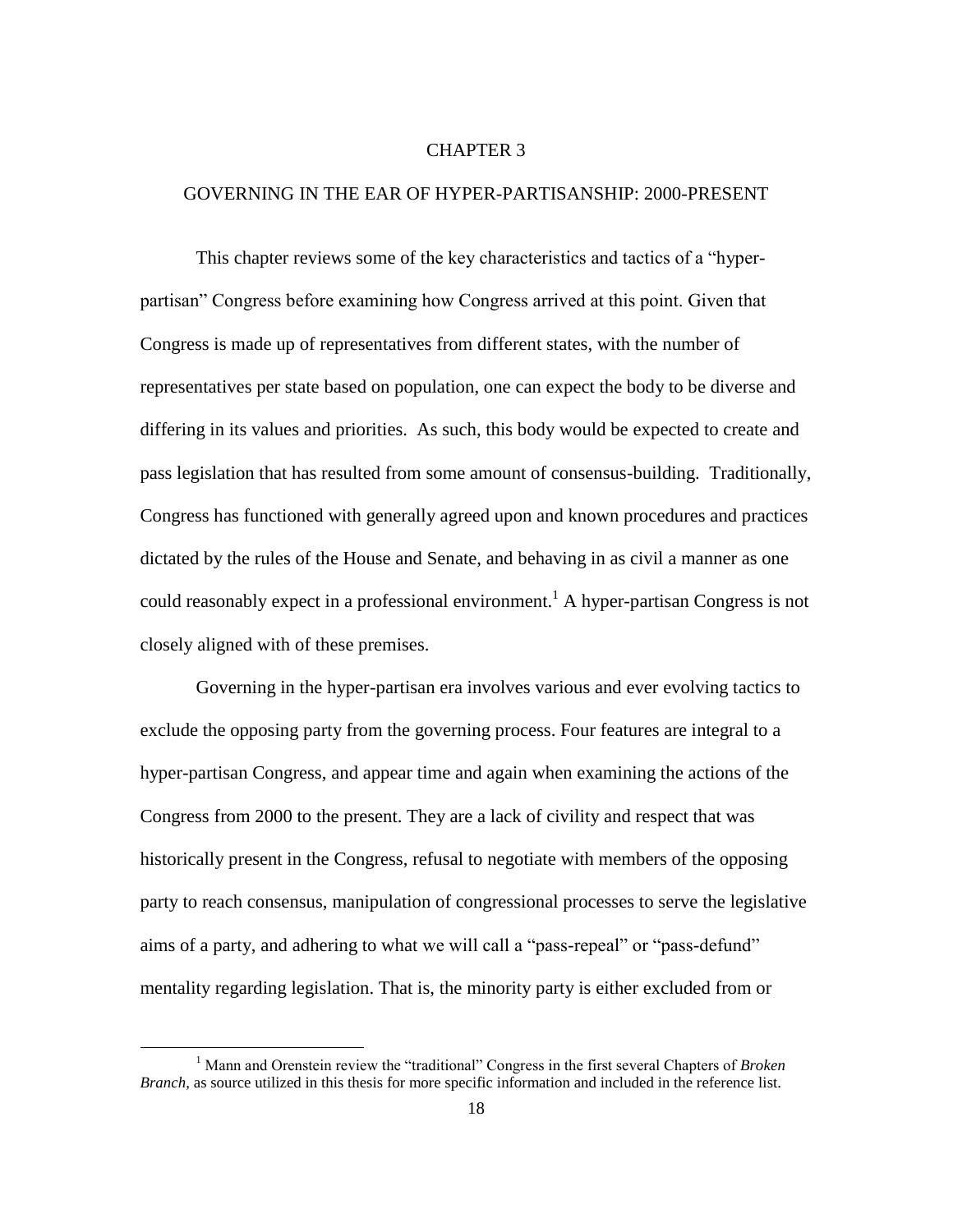#### CHAPTER 3

#### GOVERNING IN THE EAR OF HYPER-PARTISANSHIP: 2000-PRESENT

This chapter reviews some of the key characteristics and tactics of a "hyperpartisan" Congress before examining how Congress arrived at this point. Given that Congress is made up of representatives from different states, with the number of representatives per state based on population, one can expect the body to be diverse and differing in its values and priorities. As such, this body would be expected to create and pass legislation that has resulted from some amount of consensus-building. Traditionally, Congress has functioned with generally agreed upon and known procedures and practices dictated by the rules of the House and Senate, and behaving in as civil a manner as one could reasonably expect in a professional environment.<sup>1</sup> A hyper-partisan Congress is not closely aligned with of these premises.

Governing in the hyper-partisan era involves various and ever evolving tactics to exclude the opposing party from the governing process. Four features are integral to a hyper-partisan Congress, and appear time and again when examining the actions of the Congress from 2000 to the present. They are a lack of civility and respect that was historically present in the Congress, refusal to negotiate with members of the opposing party to reach consensus, manipulation of congressional processes to serve the legislative aims of a party, and adhering to what we will call a "pass-repeal" or "pass-defund" mentality regarding legislation. That is, the minority party is either excluded from or

 $\overline{\phantom{a}}$ 

<sup>1</sup> Mann and Orenstein review the "traditional" Congress in the first several Chapters of *Broken Branch,* as source utilized in this thesis for more specific information and included in the reference list.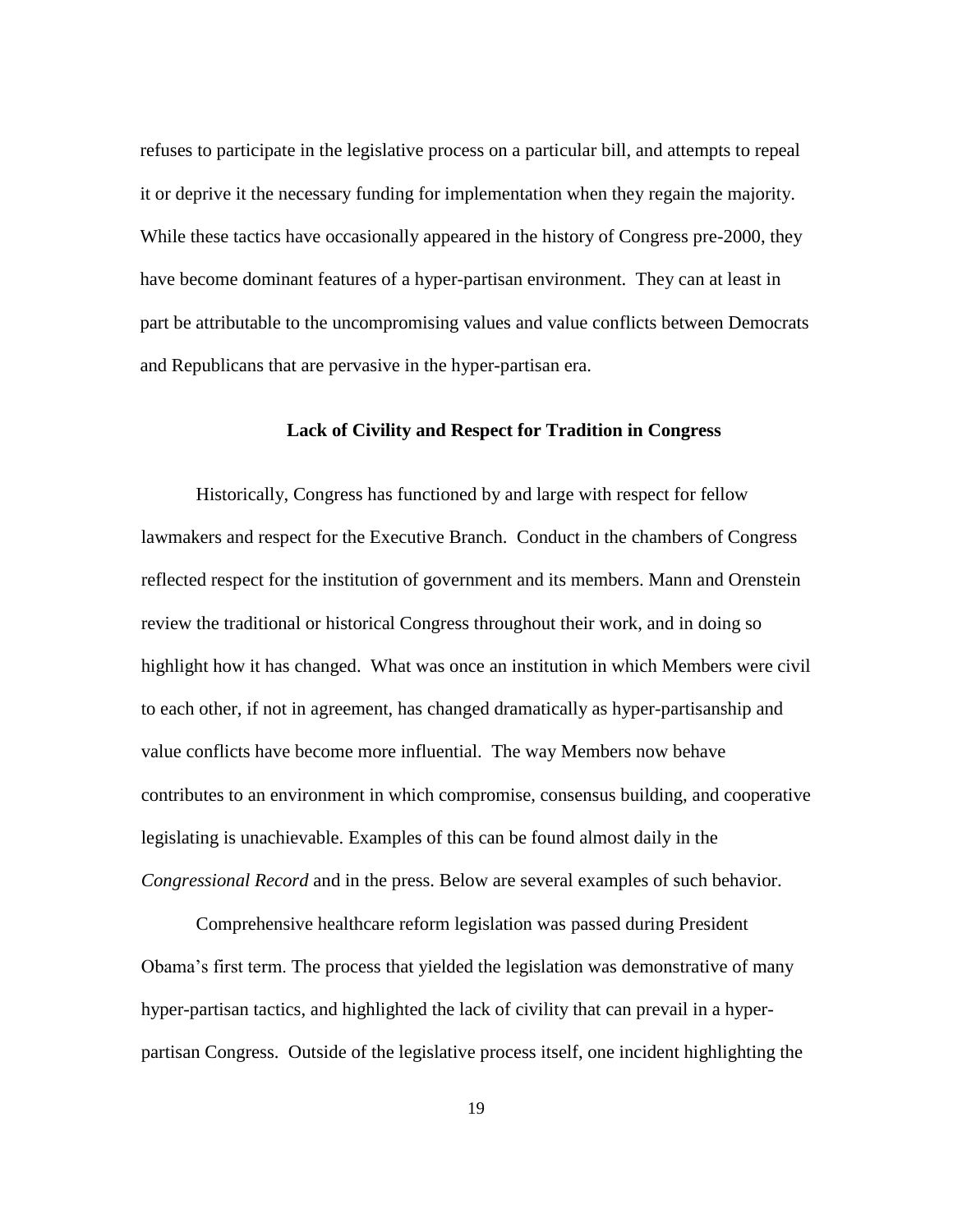refuses to participate in the legislative process on a particular bill, and attempts to repeal it or deprive it the necessary funding for implementation when they regain the majority. While these tactics have occasionally appeared in the history of Congress pre-2000, they have become dominant features of a hyper-partisan environment. They can at least in part be attributable to the uncompromising values and value conflicts between Democrats and Republicans that are pervasive in the hyper-partisan era.

#### **Lack of Civility and Respect for Tradition in Congress**

Historically, Congress has functioned by and large with respect for fellow lawmakers and respect for the Executive Branch. Conduct in the chambers of Congress reflected respect for the institution of government and its members. Mann and Orenstein review the traditional or historical Congress throughout their work, and in doing so highlight how it has changed. What was once an institution in which Members were civil to each other, if not in agreement, has changed dramatically as hyper-partisanship and value conflicts have become more influential. The way Members now behave contributes to an environment in which compromise, consensus building, and cooperative legislating is unachievable. Examples of this can be found almost daily in the *Congressional Record* and in the press. Below are several examples of such behavior.

Comprehensive healthcare reform legislation was passed during President Obama"s first term. The process that yielded the legislation was demonstrative of many hyper-partisan tactics, and highlighted the lack of civility that can prevail in a hyperpartisan Congress. Outside of the legislative process itself, one incident highlighting the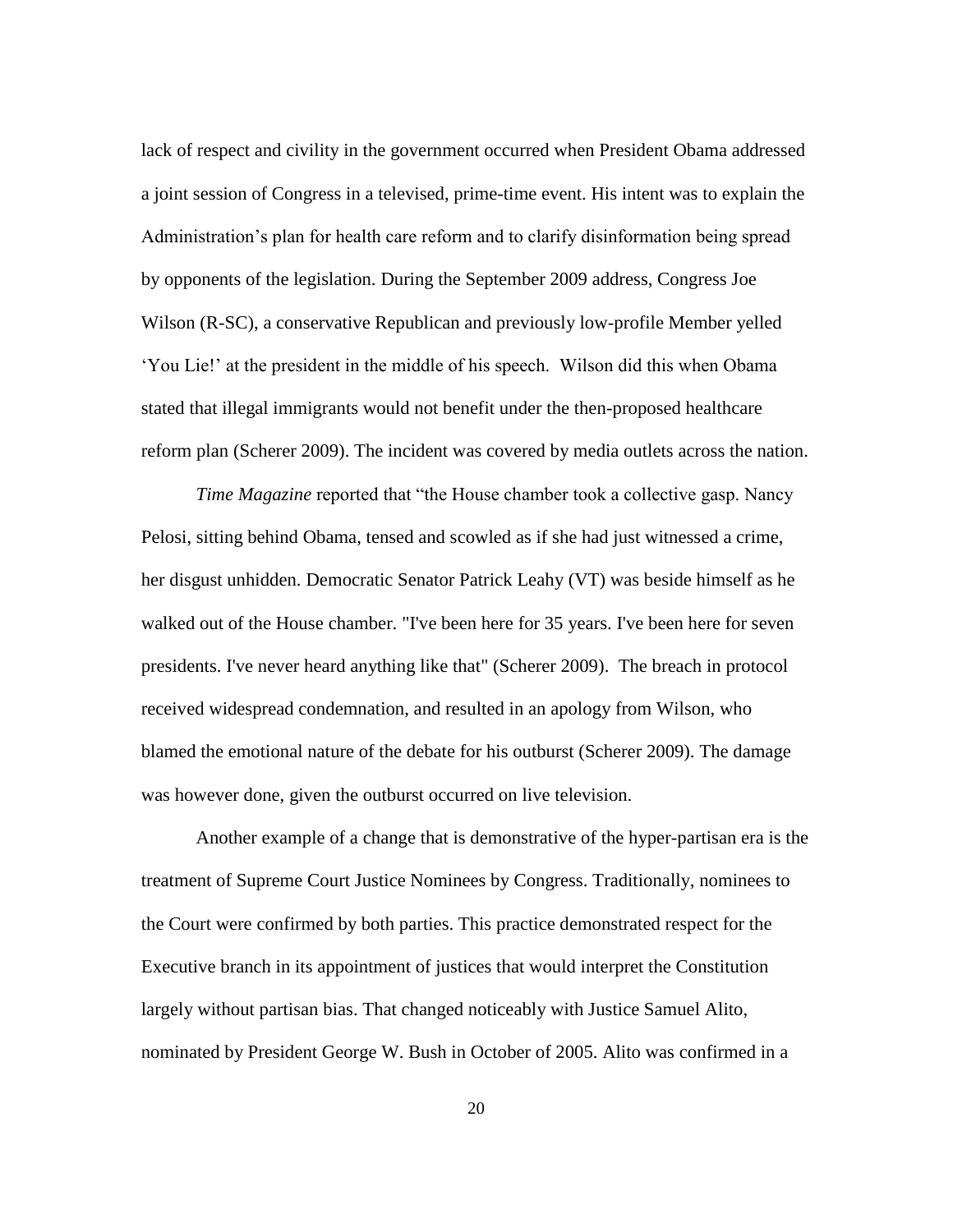lack of respect and civility in the government occurred when President Obama addressed a joint session of Congress in a televised, prime-time event. His intent was to explain the Administration"s plan for health care reform and to clarify disinformation being spread by opponents of the legislation. During the September 2009 address, Congress Joe Wilson (R-SC), a conservative Republican and previously low-profile Member yelled "You Lie!" at the president in the middle of his speech. Wilson did this when Obama stated that illegal immigrants would not benefit under the then-proposed healthcare reform plan (Scherer 2009). The incident was covered by media outlets across the nation.

*Time Magazine* reported that "the House chamber took a collective gasp. Nancy Pelosi, sitting behind Obama, tensed and scowled as if she had just witnessed a crime, her disgust unhidden. Democratic Senator Patrick Leahy (VT) was beside himself as he walked out of the House chamber. "I've been here for 35 years. I've been here for seven presidents. I've never heard anything like that" (Scherer 2009). The breach in protocol received widespread condemnation, and resulted in an apology from Wilson, who blamed the emotional nature of the debate for his outburst (Scherer 2009). The damage was however done, given the outburst occurred on live television.

Another example of a change that is demonstrative of the hyper-partisan era is the treatment of Supreme Court Justice Nominees by Congress. Traditionally, nominees to the Court were confirmed by both parties. This practice demonstrated respect for the Executive branch in its appointment of justices that would interpret the Constitution largely without partisan bias. That changed noticeably with Justice Samuel Alito, nominated by President George W. Bush in October of 2005. Alito was confirmed in a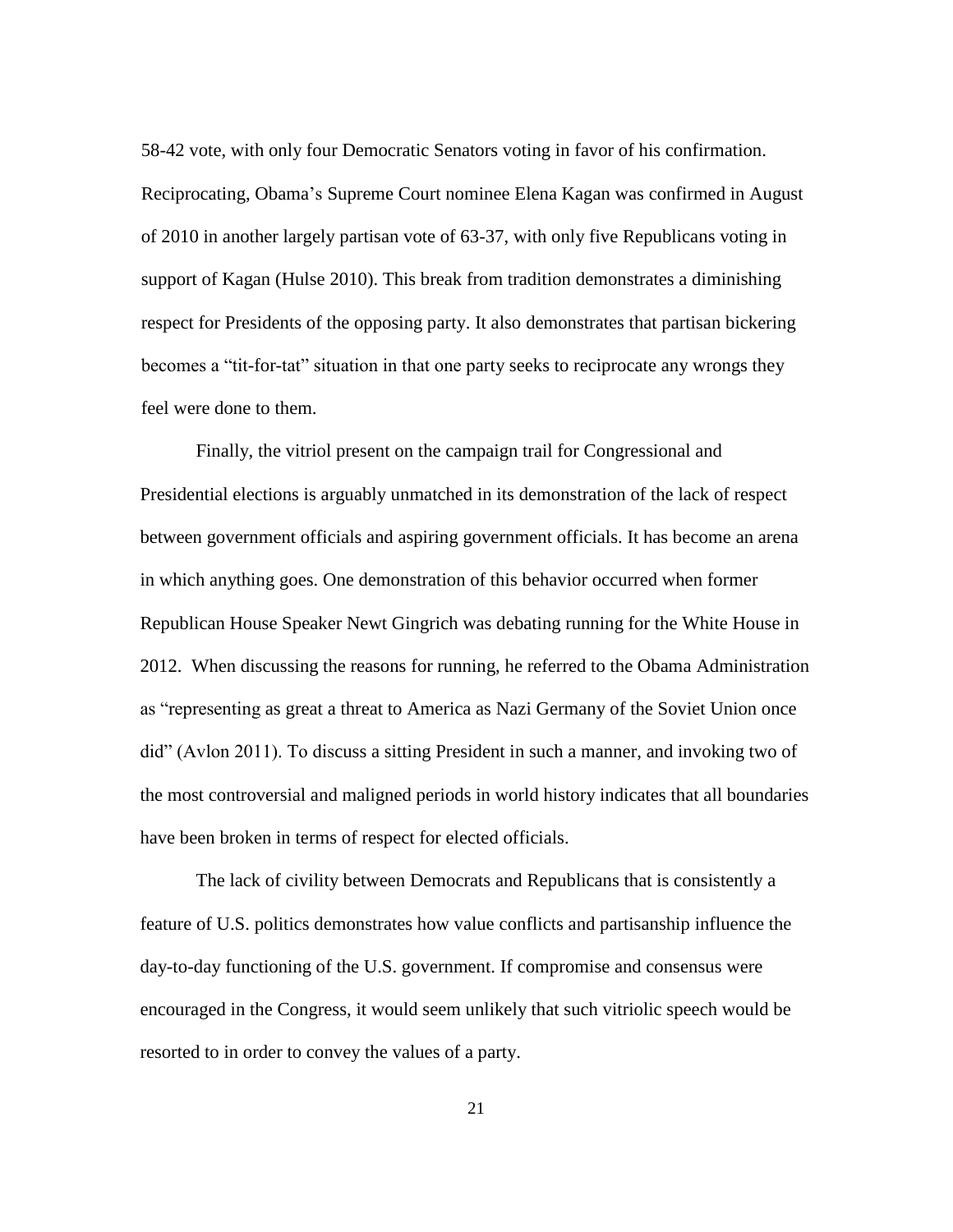58-42 vote, with only four Democratic Senators voting in favor of his confirmation. Reciprocating, Obama"s Supreme Court nominee Elena Kagan was confirmed in August of 2010 in another largely partisan vote of 63-37, with only five Republicans voting in support of Kagan (Hulse 2010). This break from tradition demonstrates a diminishing respect for Presidents of the opposing party. It also demonstrates that partisan bickering becomes a "tit-for-tat" situation in that one party seeks to reciprocate any wrongs they feel were done to them.

Finally, the vitriol present on the campaign trail for Congressional and Presidential elections is arguably unmatched in its demonstration of the lack of respect between government officials and aspiring government officials. It has become an arena in which anything goes. One demonstration of this behavior occurred when former Republican House Speaker Newt Gingrich was debating running for the White House in 2012. When discussing the reasons for running, he referred to the Obama Administration as "representing as great a threat to America as Nazi Germany of the Soviet Union once did" (Avlon 2011). To discuss a sitting President in such a manner, and invoking two of the most controversial and maligned periods in world history indicates that all boundaries have been broken in terms of respect for elected officials.

The lack of civility between Democrats and Republicans that is consistently a feature of U.S. politics demonstrates how value conflicts and partisanship influence the day-to-day functioning of the U.S. government. If compromise and consensus were encouraged in the Congress, it would seem unlikely that such vitriolic speech would be resorted to in order to convey the values of a party.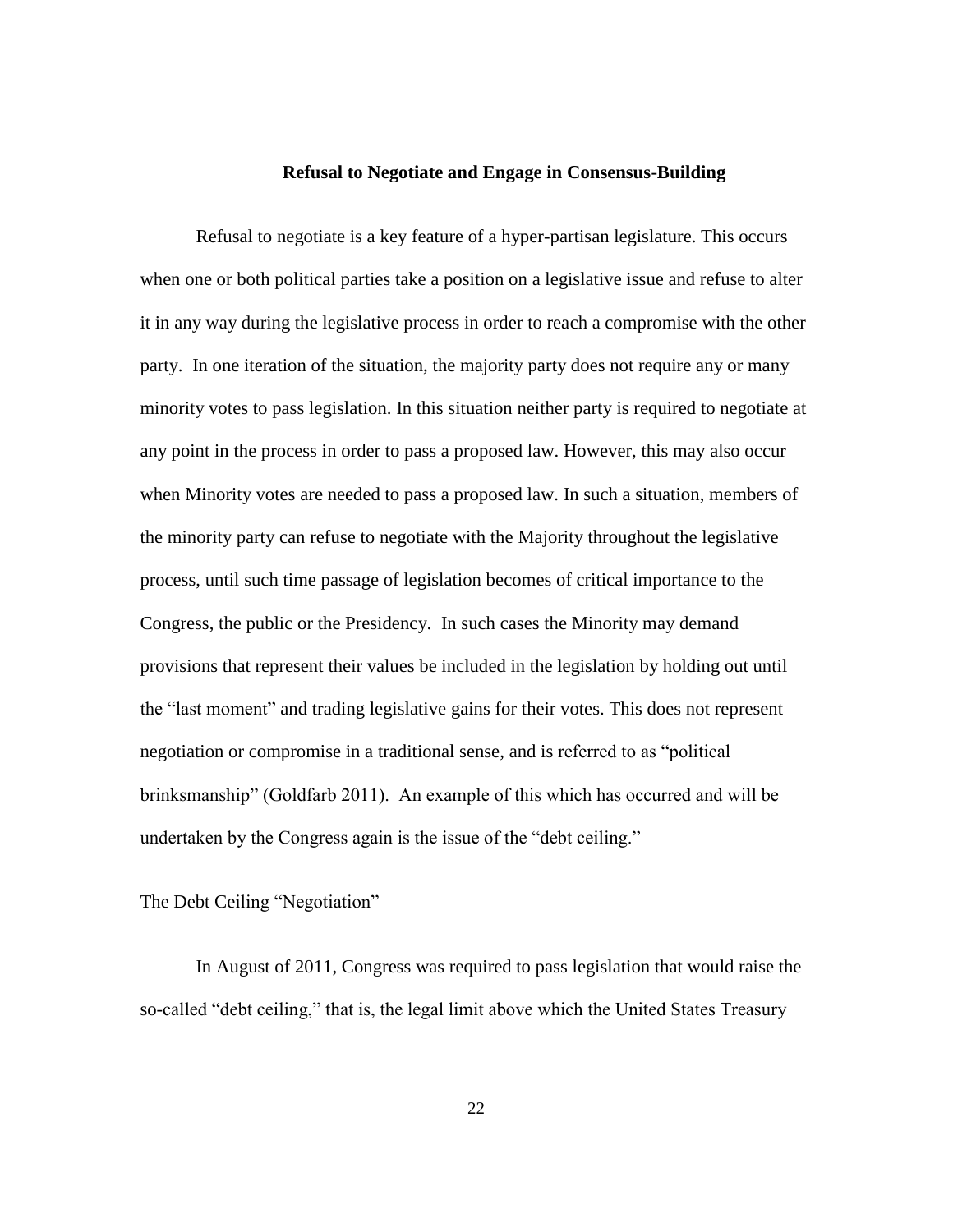#### **Refusal to Negotiate and Engage in Consensus-Building**

Refusal to negotiate is a key feature of a hyper-partisan legislature. This occurs when one or both political parties take a position on a legislative issue and refuse to alter it in any way during the legislative process in order to reach a compromise with the other party. In one iteration of the situation, the majority party does not require any or many minority votes to pass legislation. In this situation neither party is required to negotiate at any point in the process in order to pass a proposed law. However, this may also occur when Minority votes are needed to pass a proposed law. In such a situation, members of the minority party can refuse to negotiate with the Majority throughout the legislative process, until such time passage of legislation becomes of critical importance to the Congress, the public or the Presidency. In such cases the Minority may demand provisions that represent their values be included in the legislation by holding out until the "last moment" and trading legislative gains for their votes. This does not represent negotiation or compromise in a traditional sense, and is referred to as "political brinksmanship" (Goldfarb 2011). An example of this which has occurred and will be undertaken by the Congress again is the issue of the "debt ceiling."

The Debt Ceiling "Negotiation"

In August of 2011, Congress was required to pass legislation that would raise the so-called "debt ceiling," that is, the legal limit above which the United States Treasury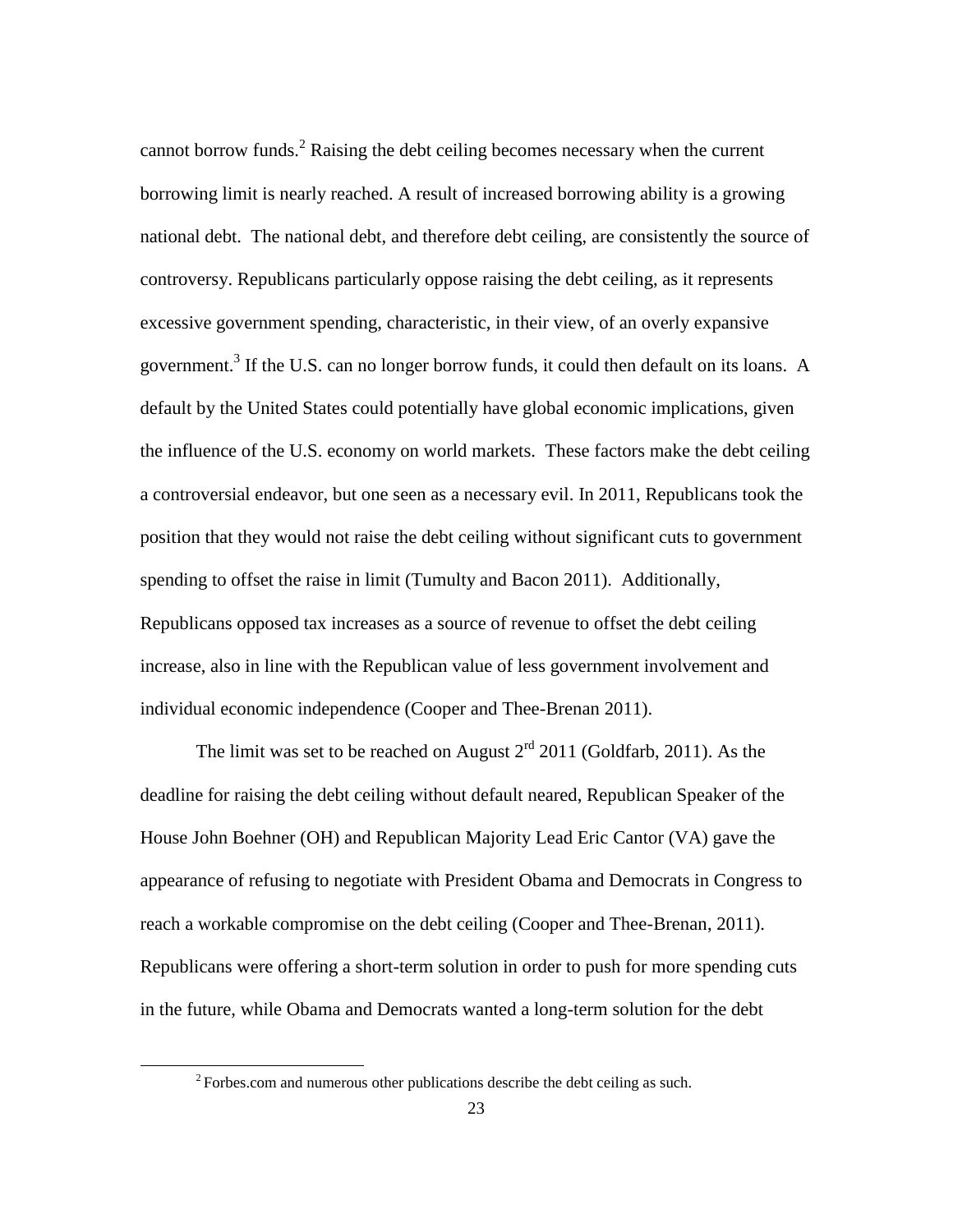cannot borrow funds.<sup>2</sup> Raising the debt ceiling becomes necessary when the current borrowing limit is nearly reached. A result of increased borrowing ability is a growing national debt. The national debt, and therefore debt ceiling, are consistently the source of controversy. Republicans particularly oppose raising the debt ceiling, as it represents excessive government spending, characteristic, in their view, of an overly expansive government.<sup>3</sup> If the U.S. can no longer borrow funds, it could then default on its loans. A default by the United States could potentially have global economic implications, given the influence of the U.S. economy on world markets. These factors make the debt ceiling a controversial endeavor, but one seen as a necessary evil. In 2011, Republicans took the position that they would not raise the debt ceiling without significant cuts to government spending to offset the raise in limit (Tumulty and Bacon 2011). Additionally, Republicans opposed tax increases as a source of revenue to offset the debt ceiling increase, also in line with the Republican value of less government involvement and individual economic independence (Cooper and Thee-Brenan 2011).

The limit was set to be reached on August  $2<sup>rd</sup>$  2011 (Goldfarb, 2011). As the deadline for raising the debt ceiling without default neared, Republican Speaker of the House John Boehner (OH) and Republican Majority Lead Eric Cantor (VA) gave the appearance of refusing to negotiate with President Obama and Democrats in Congress to reach a workable compromise on the debt ceiling (Cooper and Thee-Brenan, 2011). Republicans were offering a short-term solution in order to push for more spending cuts in the future, while Obama and Democrats wanted a long-term solution for the debt

 $\overline{\phantom{a}}$ 

 $2^2$  Forbes.com and numerous other publications describe the debt ceiling as such.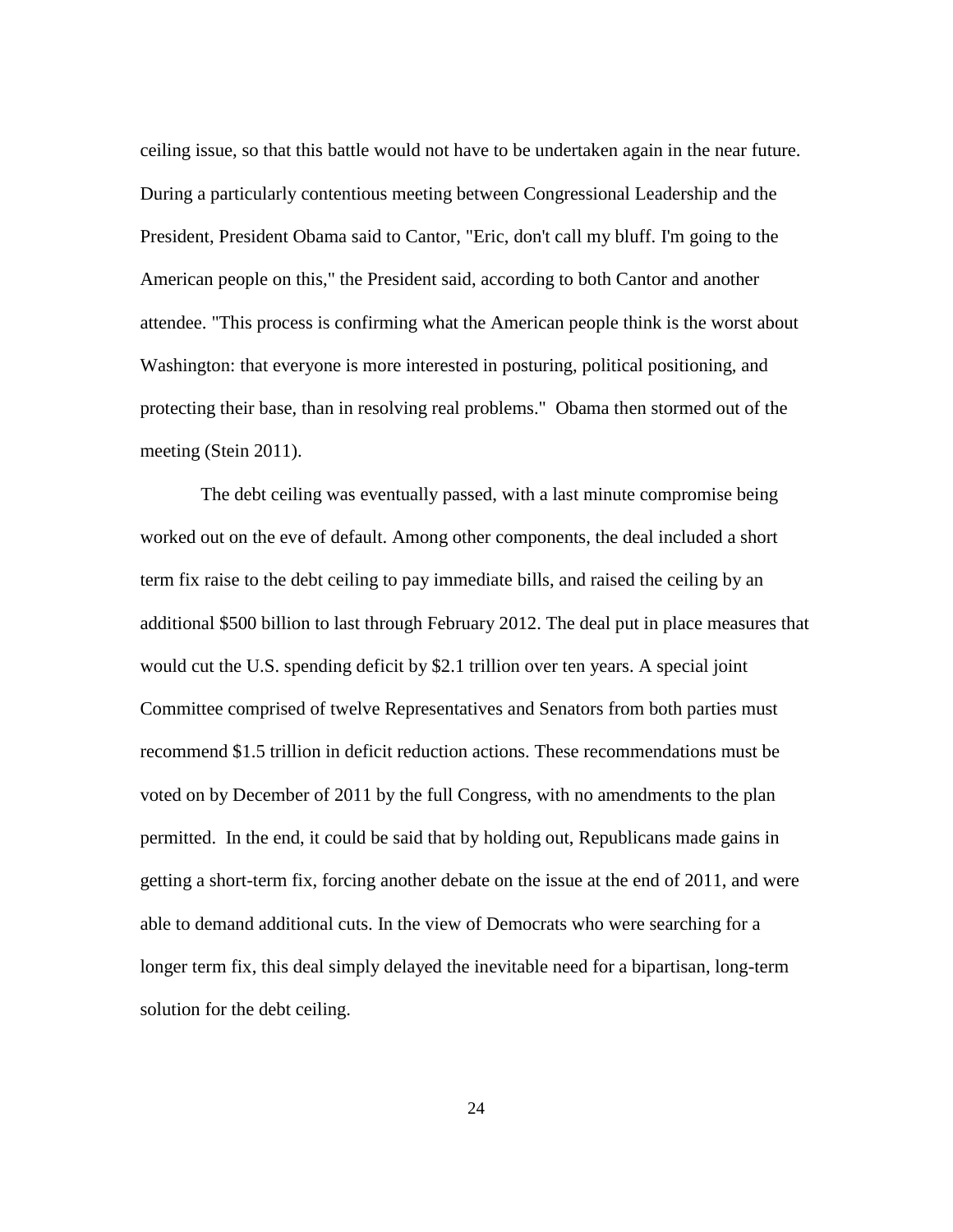ceiling issue, so that this battle would not have to be undertaken again in the near future. During a particularly contentious meeting between Congressional Leadership and the President, President Obama said to Cantor, "Eric, don't call my bluff. I'm going to the American people on this," the President said, according to both Cantor and another attendee. "This process is confirming what the American people think is the worst about Washington: that everyone is more interested in posturing, political positioning, and protecting their base, than in resolving real problems." Obama then stormed out of the meeting (Stein 2011).

The debt ceiling was eventually passed, with a last minute compromise being worked out on the eve of default. Among other components, the deal included a short term fix raise to the debt ceiling to pay immediate bills, and raised the ceiling by an additional \$500 billion to last through February 2012. The deal put in place measures that would cut the U.S. spending deficit by \$2.1 trillion over ten years. A special joint Committee comprised of twelve Representatives and Senators from both parties must recommend \$1.5 trillion in deficit reduction actions. These recommendations must be voted on by December of 2011 by the full Congress, with no amendments to the plan permitted. In the end, it could be said that by holding out, Republicans made gains in getting a short-term fix, forcing another debate on the issue at the end of 2011, and were able to demand additional cuts. In the view of Democrats who were searching for a longer term fix, this deal simply delayed the inevitable need for a bipartisan, long-term solution for the debt ceiling.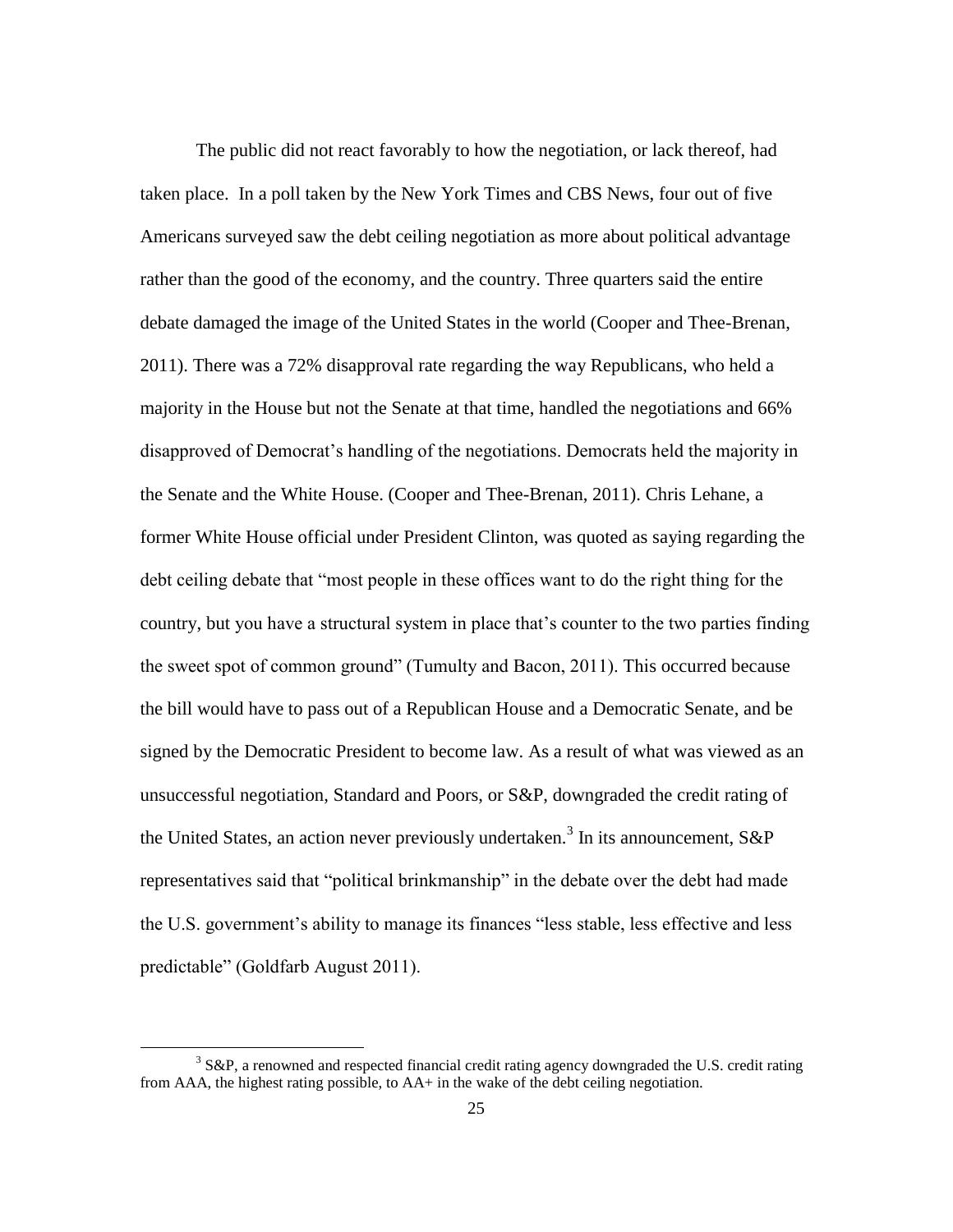The public did not react favorably to how the negotiation, or lack thereof, had taken place. In a poll taken by the New York Times and CBS News, four out of five Americans surveyed saw the debt ceiling negotiation as more about political advantage rather than the good of the economy, and the country. Three quarters said the entire debate damaged the image of the United States in the world (Cooper and Thee-Brenan, 2011). There was a 72% disapproval rate regarding the way Republicans, who held a majority in the House but not the Senate at that time, handled the negotiations and 66% disapproved of Democrat"s handling of the negotiations. Democrats held the majority in the Senate and the White House. (Cooper and Thee-Brenan, 2011). Chris Lehane, a former White House official under President Clinton, was quoted as saying regarding the debt ceiling debate that "most people in these offices want to do the right thing for the country, but you have a structural system in place that"s counter to the two parties finding the sweet spot of common ground" (Tumulty and Bacon, 2011). This occurred because the bill would have to pass out of a Republican House and a Democratic Senate, and be signed by the Democratic President to become law. As a result of what was viewed as an unsuccessful negotiation, Standard and Poors, or S&P, downgraded the credit rating of the United States, an action never previously undertaken.<sup>3</sup> In its announcement, S&P representatives said that "political brinkmanship" in the debate over the debt had made the U.S. government's ability to manage its finances "less stable, less effective and less predictable" (Goldfarb August 2011).

 $\overline{\phantom{a}}$ 

 $3$  S&P, a renowned and respected financial credit rating agency downgraded the U.S. credit rating from AAA, the highest rating possible, to AA+ in the wake of the debt ceiling negotiation.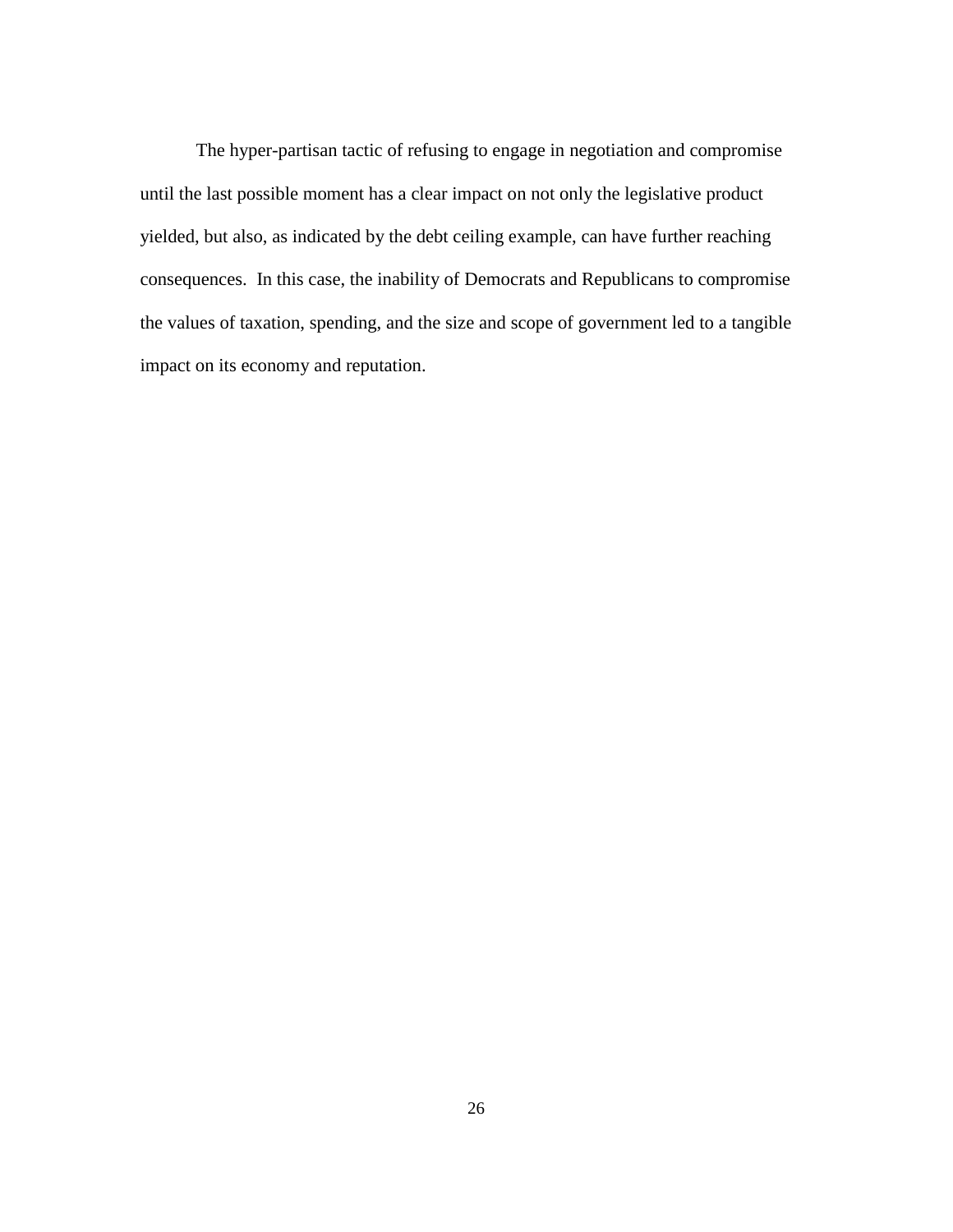The hyper-partisan tactic of refusing to engage in negotiation and compromise until the last possible moment has a clear impact on not only the legislative product yielded, but also, as indicated by the debt ceiling example, can have further reaching consequences. In this case, the inability of Democrats and Republicans to compromise the values of taxation, spending, and the size and scope of government led to a tangible impact on its economy and reputation.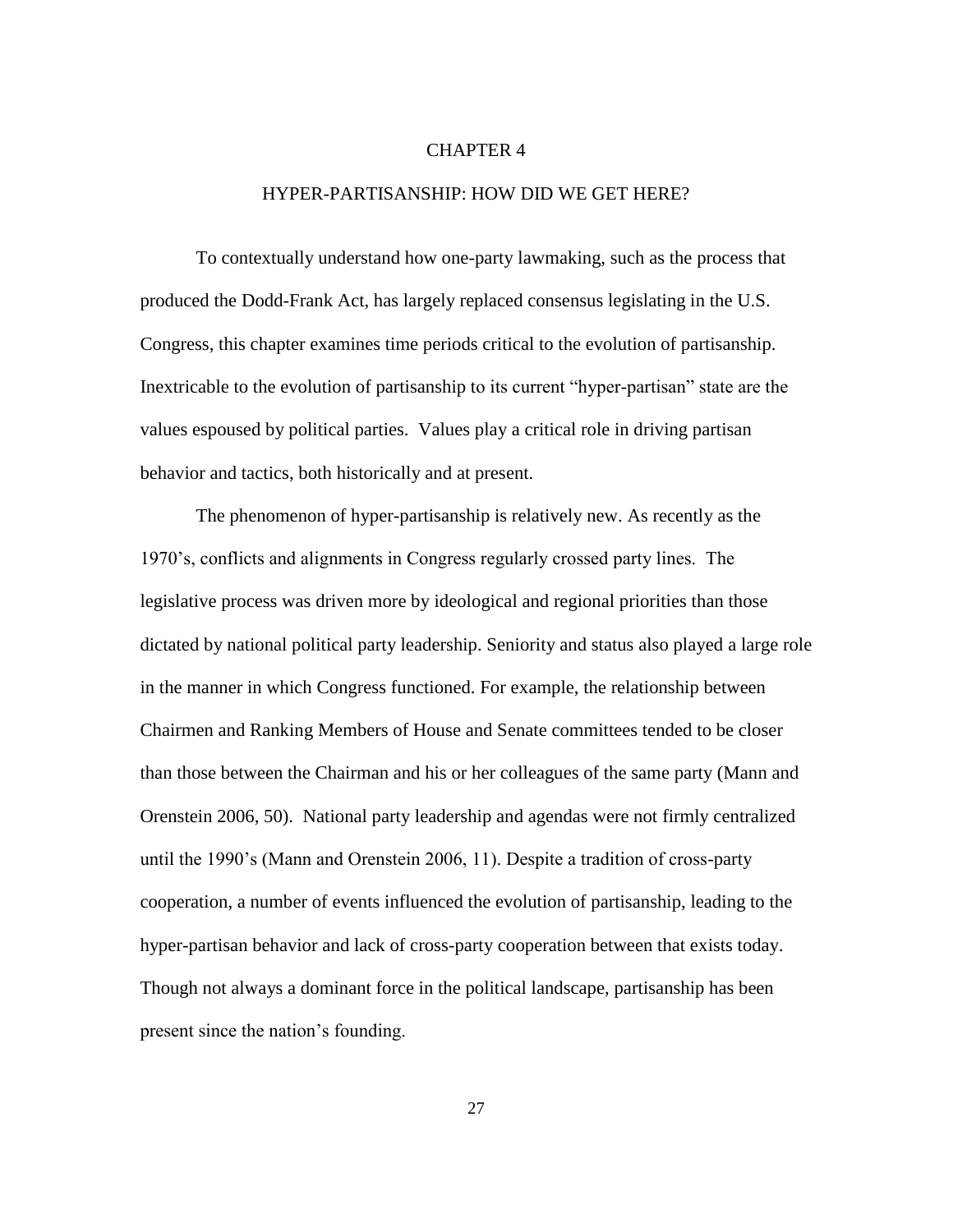#### CHAPTER 4

#### HYPER-PARTISANSHIP: HOW DID WE GET HERE?

To contextually understand how one-party lawmaking, such as the process that produced the Dodd-Frank Act, has largely replaced consensus legislating in the U.S. Congress, this chapter examines time periods critical to the evolution of partisanship. Inextricable to the evolution of partisanship to its current "hyper-partisan" state are the values espoused by political parties. Values play a critical role in driving partisan behavior and tactics, both historically and at present.

The phenomenon of hyper-partisanship is relatively new. As recently as the 1970"s, conflicts and alignments in Congress regularly crossed party lines. The legislative process was driven more by ideological and regional priorities than those dictated by national political party leadership. Seniority and status also played a large role in the manner in which Congress functioned. For example, the relationship between Chairmen and Ranking Members of House and Senate committees tended to be closer than those between the Chairman and his or her colleagues of the same party (Mann and Orenstein 2006, 50). National party leadership and agendas were not firmly centralized until the 1990"s (Mann and Orenstein 2006, 11). Despite a tradition of cross-party cooperation, a number of events influenced the evolution of partisanship, leading to the hyper-partisan behavior and lack of cross-party cooperation between that exists today. Though not always a dominant force in the political landscape, partisanship has been present since the nation"s founding.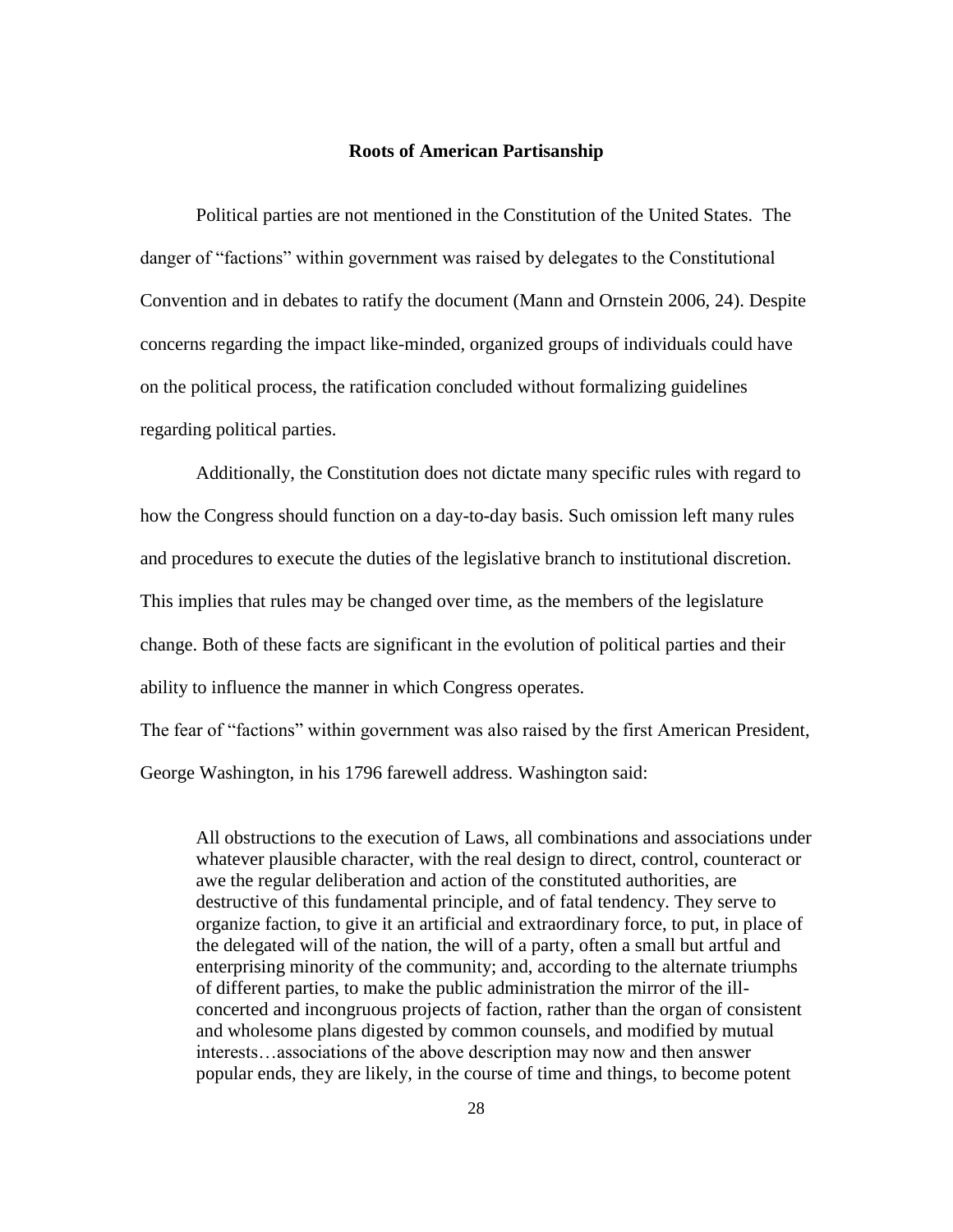#### **Roots of American Partisanship**

Political parties are not mentioned in the Constitution of the United States. The danger of "factions" within government was raised by delegates to the Constitutional Convention and in debates to ratify the document (Mann and Ornstein 2006, 24). Despite concerns regarding the impact like-minded, organized groups of individuals could have on the political process, the ratification concluded without formalizing guidelines regarding political parties.

Additionally, the Constitution does not dictate many specific rules with regard to how the Congress should function on a day-to-day basis. Such omission left many rules and procedures to execute the duties of the legislative branch to institutional discretion. This implies that rules may be changed over time, as the members of the legislature change. Both of these facts are significant in the evolution of political parties and their ability to influence the manner in which Congress operates.

The fear of "factions" within government was also raised by the first American President, George Washington, in his 1796 farewell address. Washington said:

All obstructions to the execution of Laws, all combinations and associations under whatever plausible character, with the real design to direct, control, counteract or awe the regular deliberation and action of the constituted authorities, are destructive of this fundamental principle, and of fatal tendency. They serve to organize faction, to give it an artificial and extraordinary force, to put, in place of the delegated will of the nation, the will of a party, often a small but artful and enterprising minority of the community; and, according to the alternate triumphs of different parties, to make the public administration the mirror of the illconcerted and incongruous projects of faction, rather than the organ of consistent and wholesome plans digested by common counsels, and modified by mutual interests…associations of the above description may now and then answer popular ends, they are likely, in the course of time and things, to become potent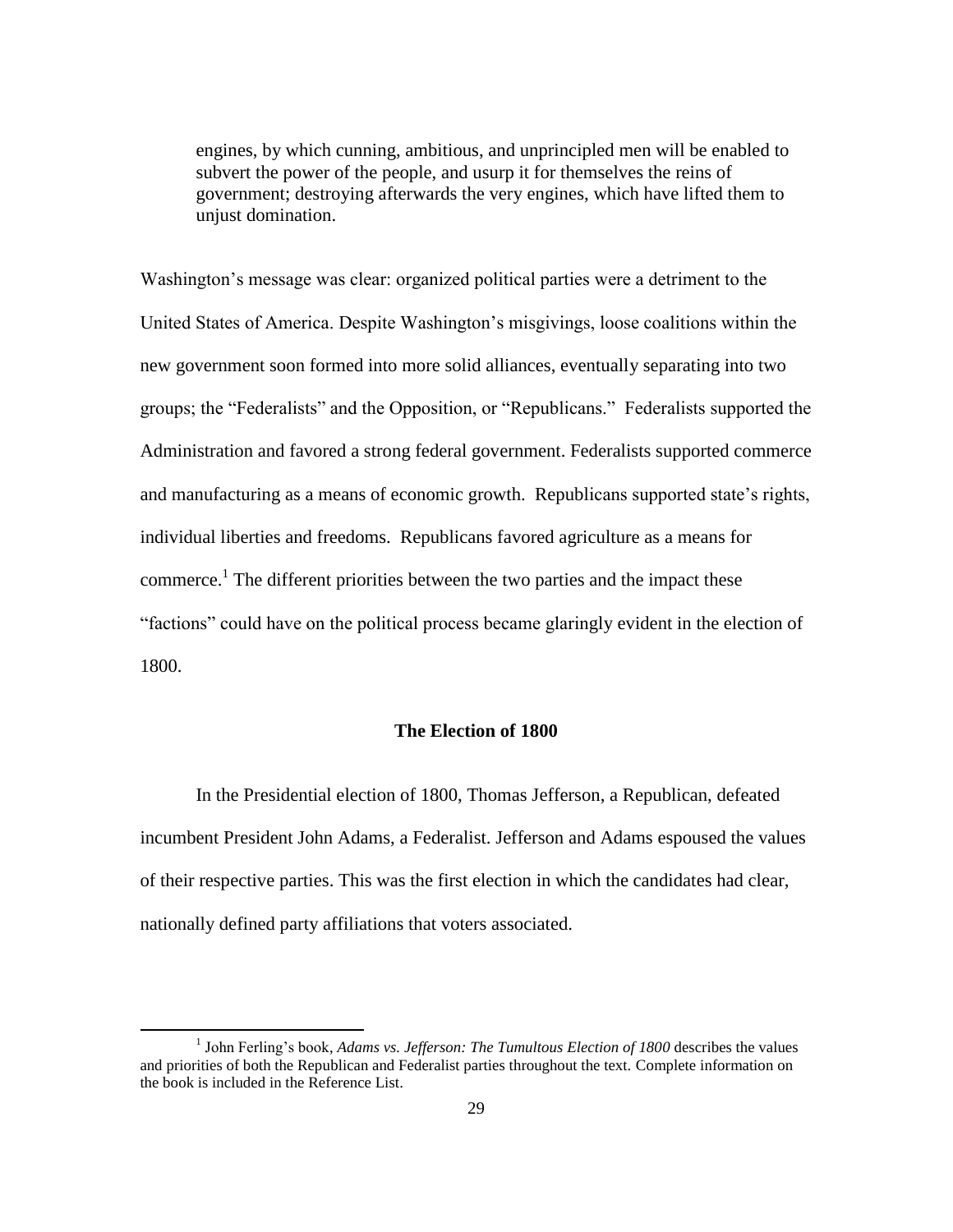engines, by which cunning, ambitious, and unprincipled men will be enabled to subvert the power of the people, and usurp it for themselves the reins of government; destroying afterwards the very engines, which have lifted them to unjust domination.

Washington"s message was clear: organized political parties were a detriment to the United States of America. Despite Washington"s misgivings, loose coalitions within the new government soon formed into more solid alliances, eventually separating into two groups; the "Federalists" and the Opposition, or "Republicans." Federalists supported the Administration and favored a strong federal government. Federalists supported commerce and manufacturing as a means of economic growth. Republicans supported state's rights, individual liberties and freedoms. Republicans favored agriculture as a means for commerce.<sup>1</sup> The different priorities between the two parties and the impact these "factions" could have on the political process became glaringly evident in the election of 1800.

## **The Election of 1800**

In the Presidential election of 1800, Thomas Jefferson, a Republican, defeated incumbent President John Adams, a Federalist. Jefferson and Adams espoused the values of their respective parties. This was the first election in which the candidates had clear, nationally defined party affiliations that voters associated.

 $\overline{\phantom{a}}$ 

<sup>&</sup>lt;sup>1</sup> John Ferling's book, *Adams vs. Jefferson: The Tumultous Election of 1800* describes the values and priorities of both the Republican and Federalist parties throughout the text. Complete information on the book is included in the Reference List.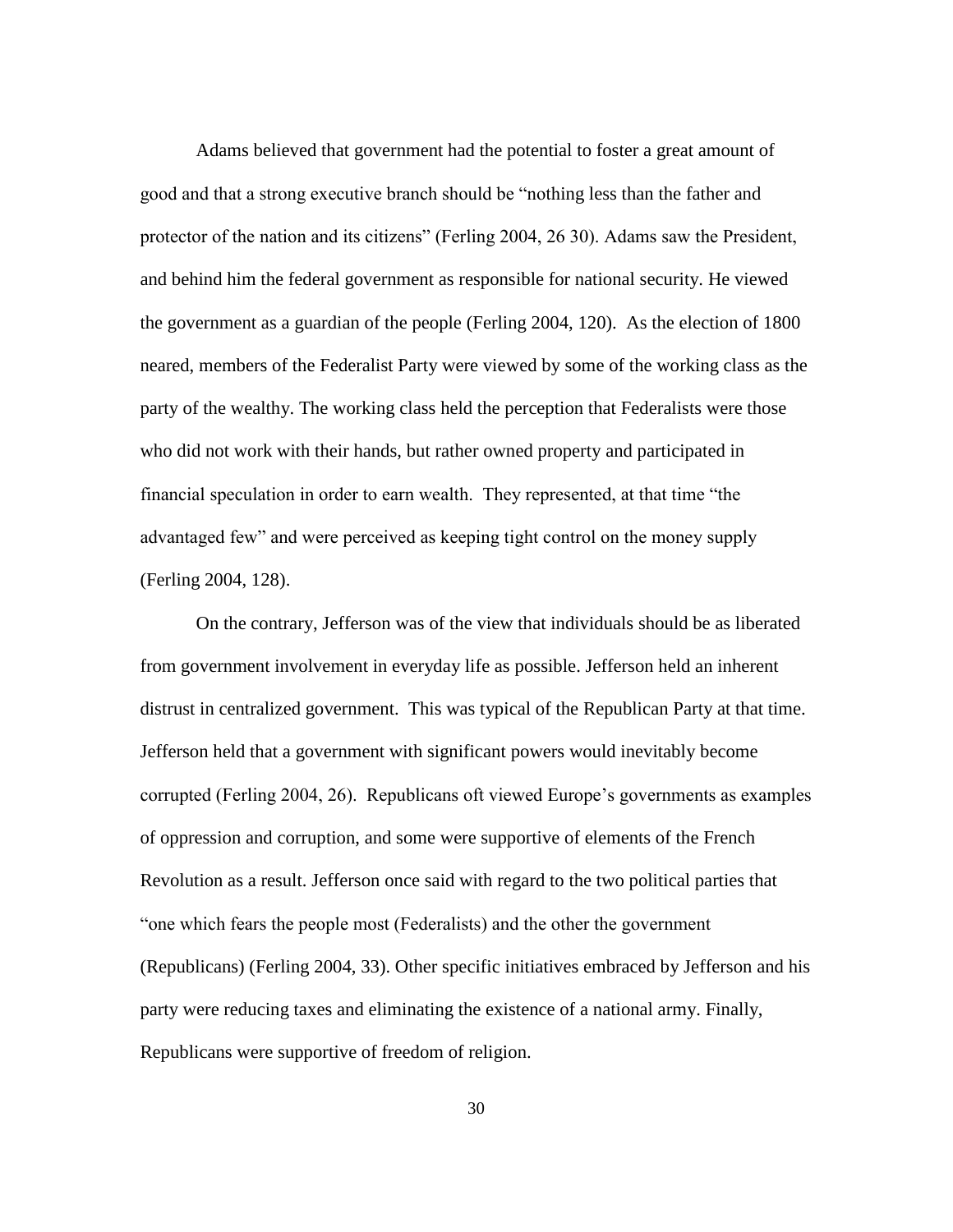Adams believed that government had the potential to foster a great amount of good and that a strong executive branch should be "nothing less than the father and protector of the nation and its citizens" (Ferling 2004, 26 30). Adams saw the President, and behind him the federal government as responsible for national security. He viewed the government as a guardian of the people (Ferling 2004, 120). As the election of 1800 neared, members of the Federalist Party were viewed by some of the working class as the party of the wealthy. The working class held the perception that Federalists were those who did not work with their hands, but rather owned property and participated in financial speculation in order to earn wealth. They represented, at that time "the advantaged few" and were perceived as keeping tight control on the money supply (Ferling 2004, 128).

On the contrary, Jefferson was of the view that individuals should be as liberated from government involvement in everyday life as possible. Jefferson held an inherent distrust in centralized government. This was typical of the Republican Party at that time. Jefferson held that a government with significant powers would inevitably become corrupted (Ferling 2004, 26). Republicans oft viewed Europe"s governments as examples of oppression and corruption, and some were supportive of elements of the French Revolution as a result. Jefferson once said with regard to the two political parties that "one which fears the people most (Federalists) and the other the government (Republicans) (Ferling 2004, 33). Other specific initiatives embraced by Jefferson and his party were reducing taxes and eliminating the existence of a national army. Finally, Republicans were supportive of freedom of religion.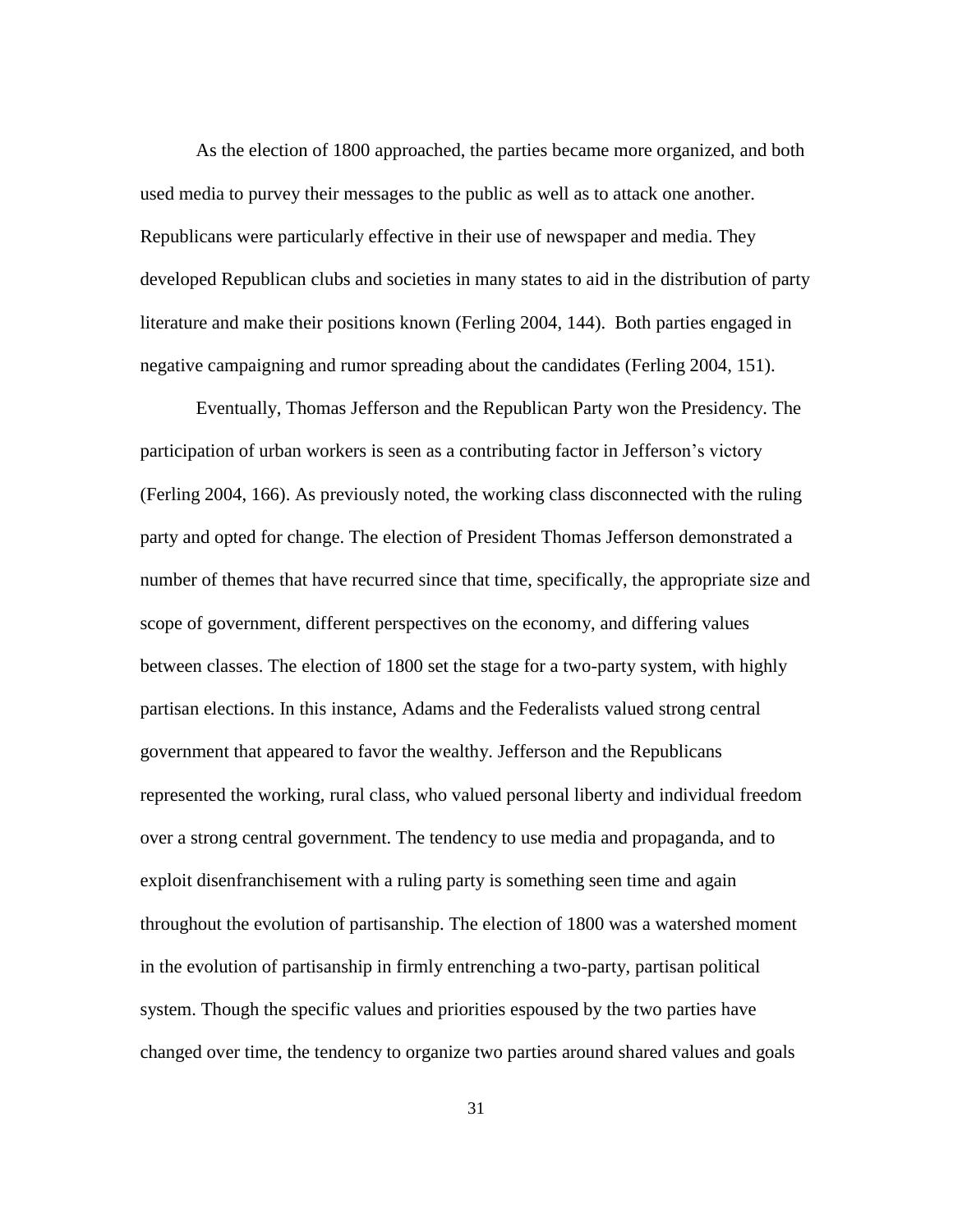As the election of 1800 approached, the parties became more organized, and both used media to purvey their messages to the public as well as to attack one another. Republicans were particularly effective in their use of newspaper and media. They developed Republican clubs and societies in many states to aid in the distribution of party literature and make their positions known (Ferling 2004, 144). Both parties engaged in negative campaigning and rumor spreading about the candidates (Ferling 2004, 151).

Eventually, Thomas Jefferson and the Republican Party won the Presidency. The participation of urban workers is seen as a contributing factor in Jefferson"s victory (Ferling 2004, 166). As previously noted, the working class disconnected with the ruling party and opted for change. The election of President Thomas Jefferson demonstrated a number of themes that have recurred since that time, specifically, the appropriate size and scope of government, different perspectives on the economy, and differing values between classes. The election of 1800 set the stage for a two-party system, with highly partisan elections. In this instance, Adams and the Federalists valued strong central government that appeared to favor the wealthy. Jefferson and the Republicans represented the working, rural class, who valued personal liberty and individual freedom over a strong central government. The tendency to use media and propaganda, and to exploit disenfranchisement with a ruling party is something seen time and again throughout the evolution of partisanship. The election of 1800 was a watershed moment in the evolution of partisanship in firmly entrenching a two-party, partisan political system. Though the specific values and priorities espoused by the two parties have changed over time, the tendency to organize two parties around shared values and goals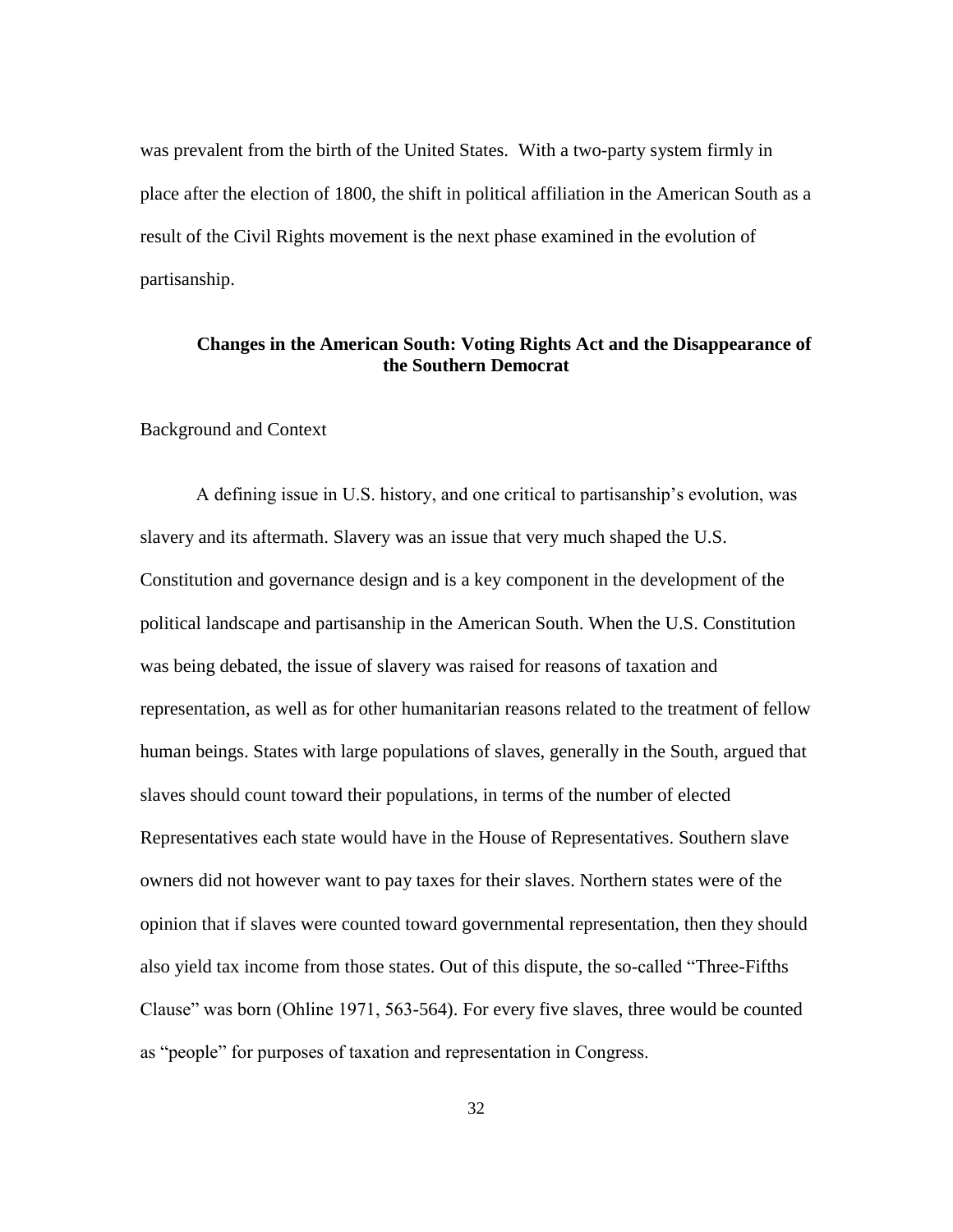was prevalent from the birth of the United States. With a two-party system firmly in place after the election of 1800, the shift in political affiliation in the American South as a result of the Civil Rights movement is the next phase examined in the evolution of partisanship.

# **Changes in the American South: Voting Rights Act and the Disappearance of the Southern Democrat**

Background and Context

A defining issue in U.S. history, and one critical to partisanship"s evolution, was slavery and its aftermath. Slavery was an issue that very much shaped the U.S. Constitution and governance design and is a key component in the development of the political landscape and partisanship in the American South. When the U.S. Constitution was being debated, the issue of slavery was raised for reasons of taxation and representation, as well as for other humanitarian reasons related to the treatment of fellow human beings. States with large populations of slaves, generally in the South, argued that slaves should count toward their populations, in terms of the number of elected Representatives each state would have in the House of Representatives. Southern slave owners did not however want to pay taxes for their slaves. Northern states were of the opinion that if slaves were counted toward governmental representation, then they should also yield tax income from those states. Out of this dispute, the so-called "Three-Fifths Clause" was born (Ohline 1971, 563-564). For every five slaves, three would be counted as "people" for purposes of taxation and representation in Congress.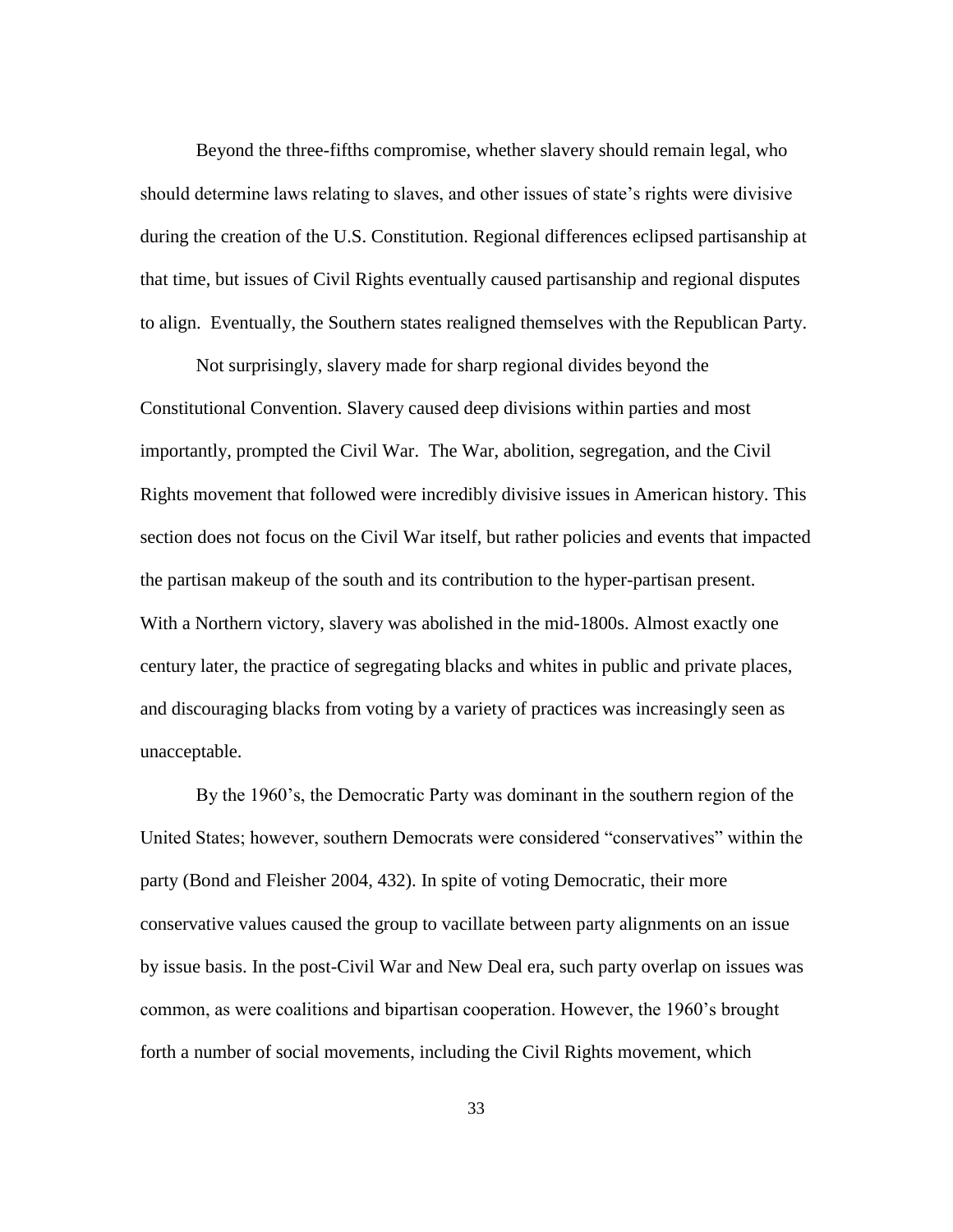Beyond the three-fifths compromise, whether slavery should remain legal, who should determine laws relating to slaves, and other issues of state's rights were divisive during the creation of the U.S. Constitution. Regional differences eclipsed partisanship at that time, but issues of Civil Rights eventually caused partisanship and regional disputes to align. Eventually, the Southern states realigned themselves with the Republican Party.

Not surprisingly, slavery made for sharp regional divides beyond the Constitutional Convention. Slavery caused deep divisions within parties and most importantly, prompted the Civil War. The War, abolition, segregation, and the Civil Rights movement that followed were incredibly divisive issues in American history. This section does not focus on the Civil War itself, but rather policies and events that impacted the partisan makeup of the south and its contribution to the hyper-partisan present. With a Northern victory, slavery was abolished in the mid-1800s. Almost exactly one century later, the practice of segregating blacks and whites in public and private places, and discouraging blacks from voting by a variety of practices was increasingly seen as unacceptable.

By the 1960"s, the Democratic Party was dominant in the southern region of the United States; however, southern Democrats were considered "conservatives" within the party (Bond and Fleisher 2004, 432). In spite of voting Democratic, their more conservative values caused the group to vacillate between party alignments on an issue by issue basis. In the post-Civil War and New Deal era, such party overlap on issues was common, as were coalitions and bipartisan cooperation. However, the 1960"s brought forth a number of social movements, including the Civil Rights movement, which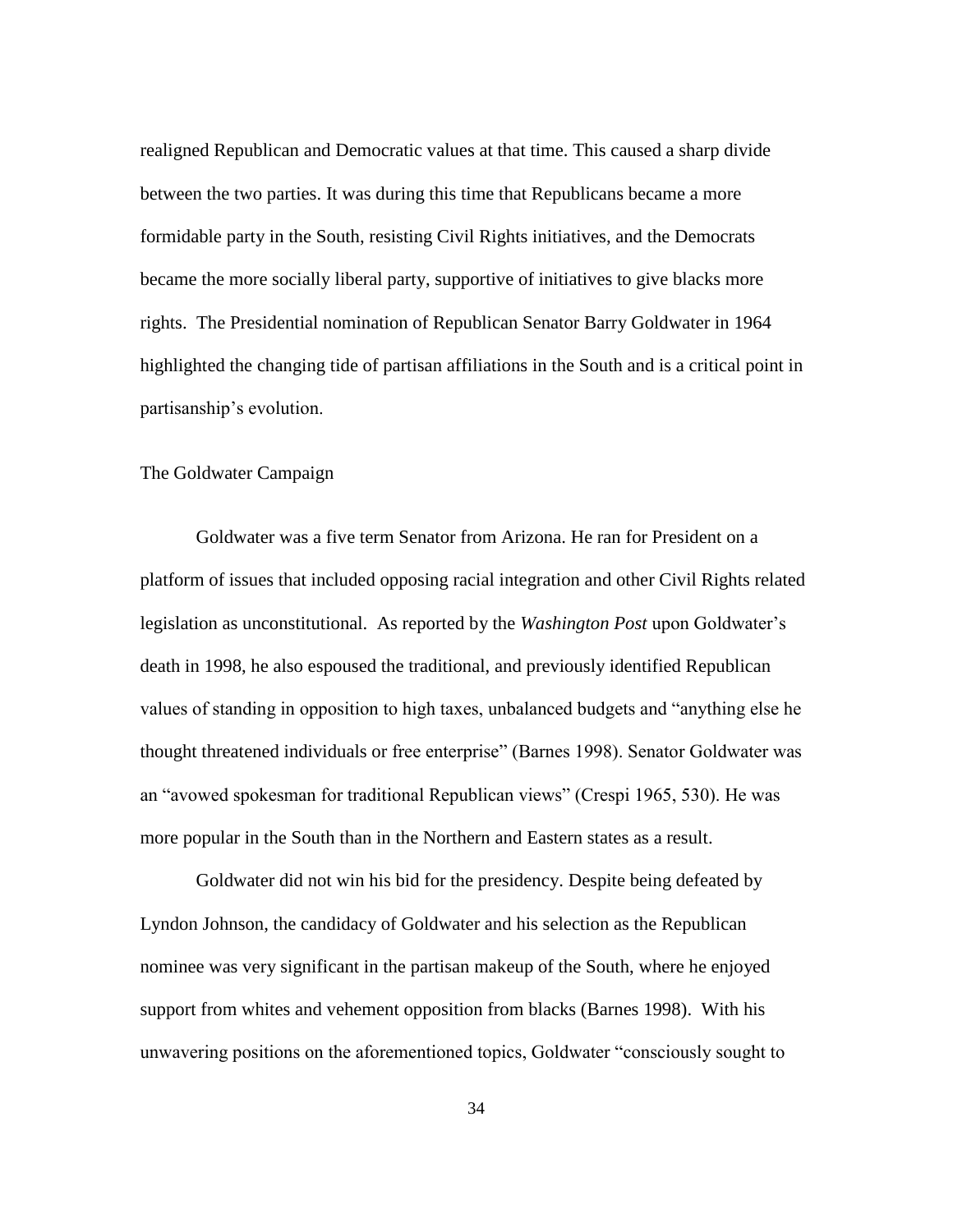realigned Republican and Democratic values at that time. This caused a sharp divide between the two parties. It was during this time that Republicans became a more formidable party in the South, resisting Civil Rights initiatives, and the Democrats became the more socially liberal party, supportive of initiatives to give blacks more rights. The Presidential nomination of Republican Senator Barry Goldwater in 1964 highlighted the changing tide of partisan affiliations in the South and is a critical point in partisanship"s evolution.

# The Goldwater Campaign

Goldwater was a five term Senator from Arizona. He ran for President on a platform of issues that included opposing racial integration and other Civil Rights related legislation as unconstitutional. As reported by the *Washington Post* upon Goldwater"s death in 1998, he also espoused the traditional, and previously identified Republican values of standing in opposition to high taxes, unbalanced budgets and "anything else he thought threatened individuals or free enterprise" (Barnes 1998). Senator Goldwater was an "avowed spokesman for traditional Republican views" (Crespi 1965, 530). He was more popular in the South than in the Northern and Eastern states as a result.

Goldwater did not win his bid for the presidency. Despite being defeated by Lyndon Johnson, the candidacy of Goldwater and his selection as the Republican nominee was very significant in the partisan makeup of the South, where he enjoyed support from whites and vehement opposition from blacks (Barnes 1998). With his unwavering positions on the aforementioned topics, Goldwater "consciously sought to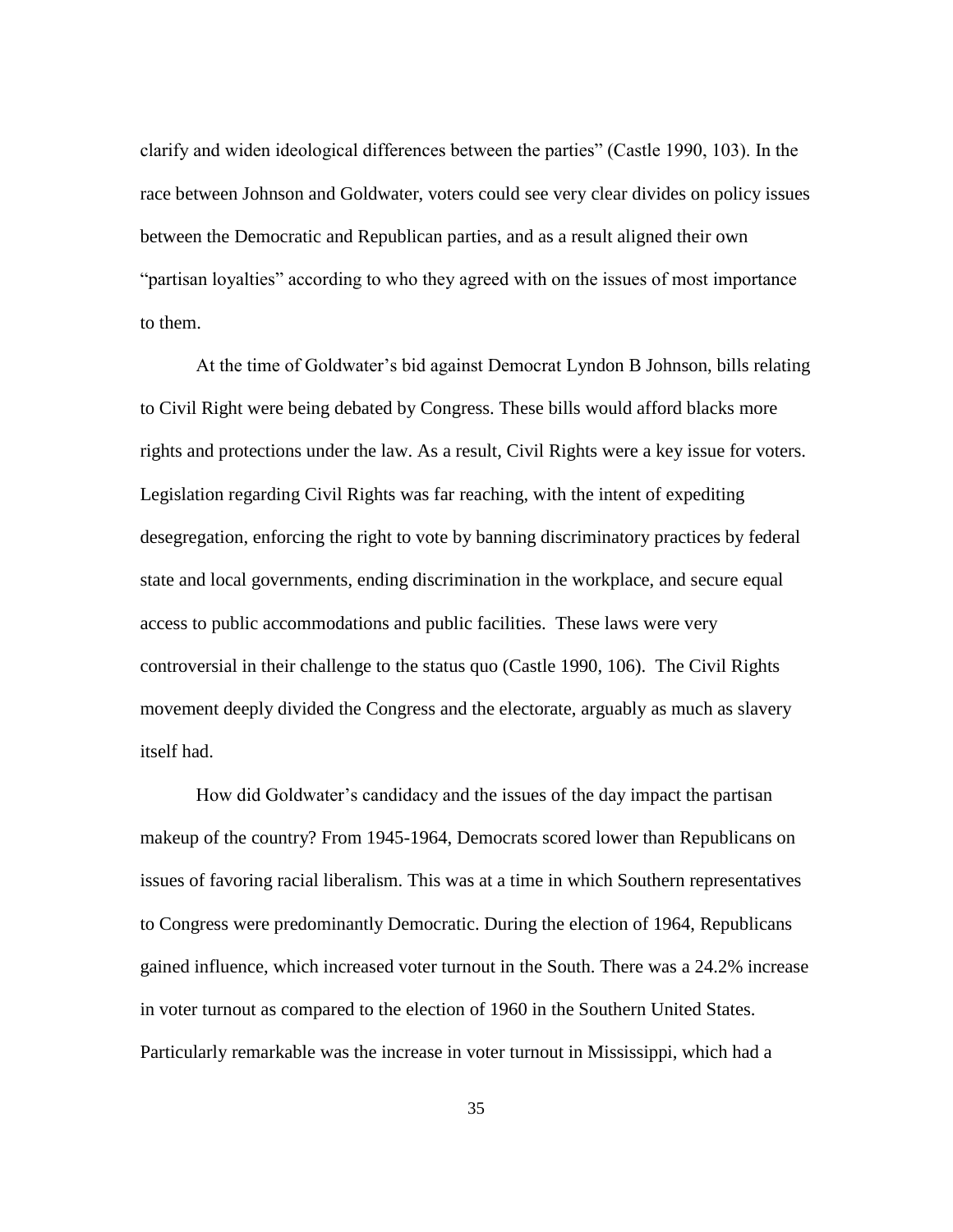clarify and widen ideological differences between the parties" (Castle 1990, 103). In the race between Johnson and Goldwater, voters could see very clear divides on policy issues between the Democratic and Republican parties, and as a result aligned their own "partisan loyalties" according to who they agreed with on the issues of most importance to them.

At the time of Goldwater"s bid against Democrat Lyndon B Johnson, bills relating to Civil Right were being debated by Congress. These bills would afford blacks more rights and protections under the law. As a result, Civil Rights were a key issue for voters. Legislation regarding Civil Rights was far reaching, with the intent of expediting desegregation, enforcing the right to vote by banning discriminatory practices by federal state and local governments, ending discrimination in the workplace, and secure equal access to public accommodations and public facilities. These laws were very controversial in their challenge to the status quo (Castle 1990, 106). The Civil Rights movement deeply divided the Congress and the electorate, arguably as much as slavery itself had.

How did Goldwater's candidacy and the issues of the day impact the partisan makeup of the country? From 1945-1964, Democrats scored lower than Republicans on issues of favoring racial liberalism. This was at a time in which Southern representatives to Congress were predominantly Democratic. During the election of 1964, Republicans gained influence, which increased voter turnout in the South. There was a 24.2% increase in voter turnout as compared to the election of 1960 in the Southern United States. Particularly remarkable was the increase in voter turnout in Mississippi, which had a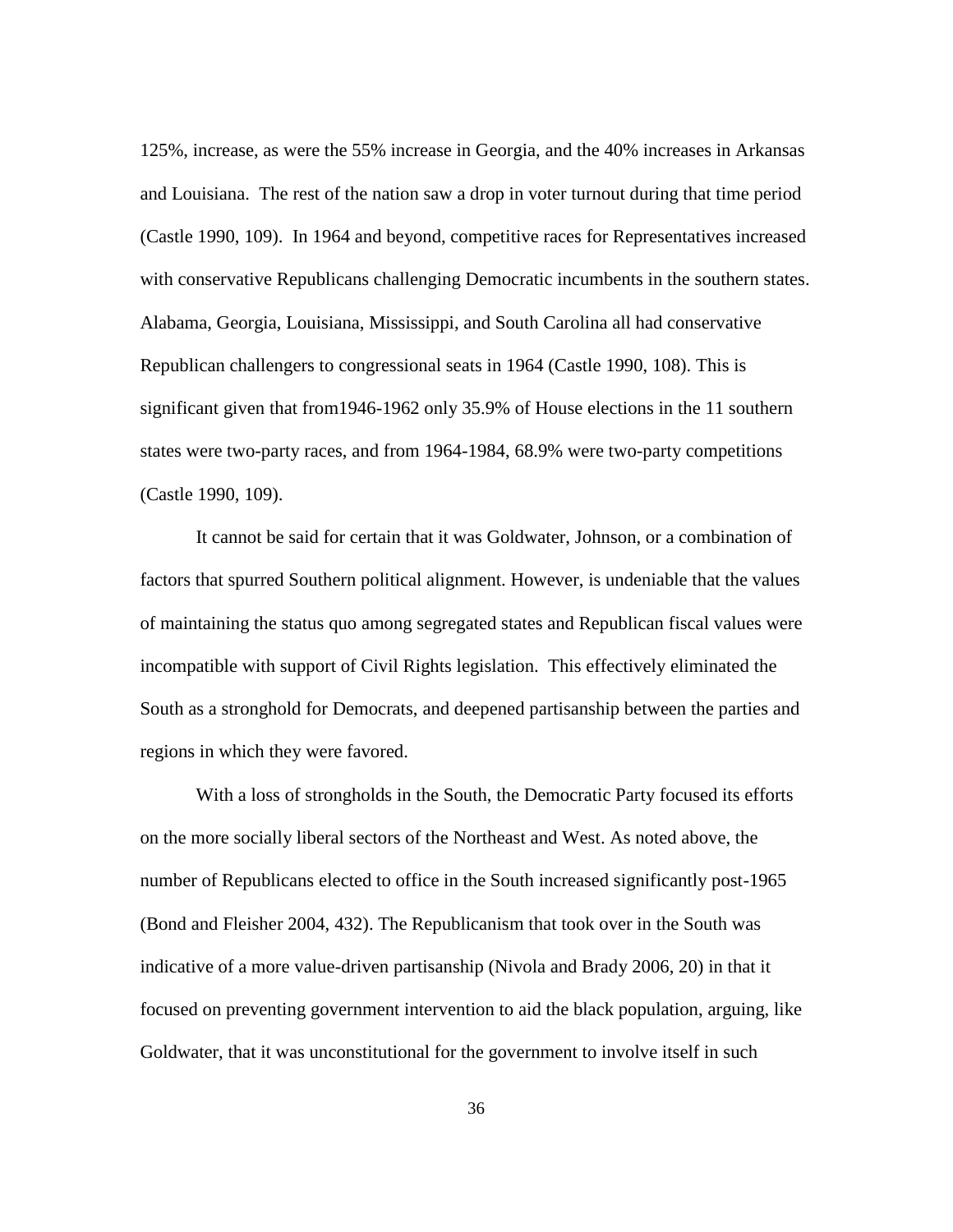125%, increase, as were the 55% increase in Georgia, and the 40% increases in Arkansas and Louisiana. The rest of the nation saw a drop in voter turnout during that time period (Castle 1990, 109). In 1964 and beyond, competitive races for Representatives increased with conservative Republicans challenging Democratic incumbents in the southern states. Alabama, Georgia, Louisiana, Mississippi, and South Carolina all had conservative Republican challengers to congressional seats in 1964 (Castle 1990, 108). This is significant given that from1946-1962 only 35.9% of House elections in the 11 southern states were two-party races, and from 1964-1984, 68.9% were two-party competitions (Castle 1990, 109).

It cannot be said for certain that it was Goldwater, Johnson, or a combination of factors that spurred Southern political alignment. However, is undeniable that the values of maintaining the status quo among segregated states and Republican fiscal values were incompatible with support of Civil Rights legislation. This effectively eliminated the South as a stronghold for Democrats, and deepened partisanship between the parties and regions in which they were favored.

With a loss of strongholds in the South, the Democratic Party focused its efforts on the more socially liberal sectors of the Northeast and West. As noted above, the number of Republicans elected to office in the South increased significantly post-1965 (Bond and Fleisher 2004, 432). The Republicanism that took over in the South was indicative of a more value-driven partisanship (Nivola and Brady 2006, 20) in that it focused on preventing government intervention to aid the black population, arguing, like Goldwater, that it was unconstitutional for the government to involve itself in such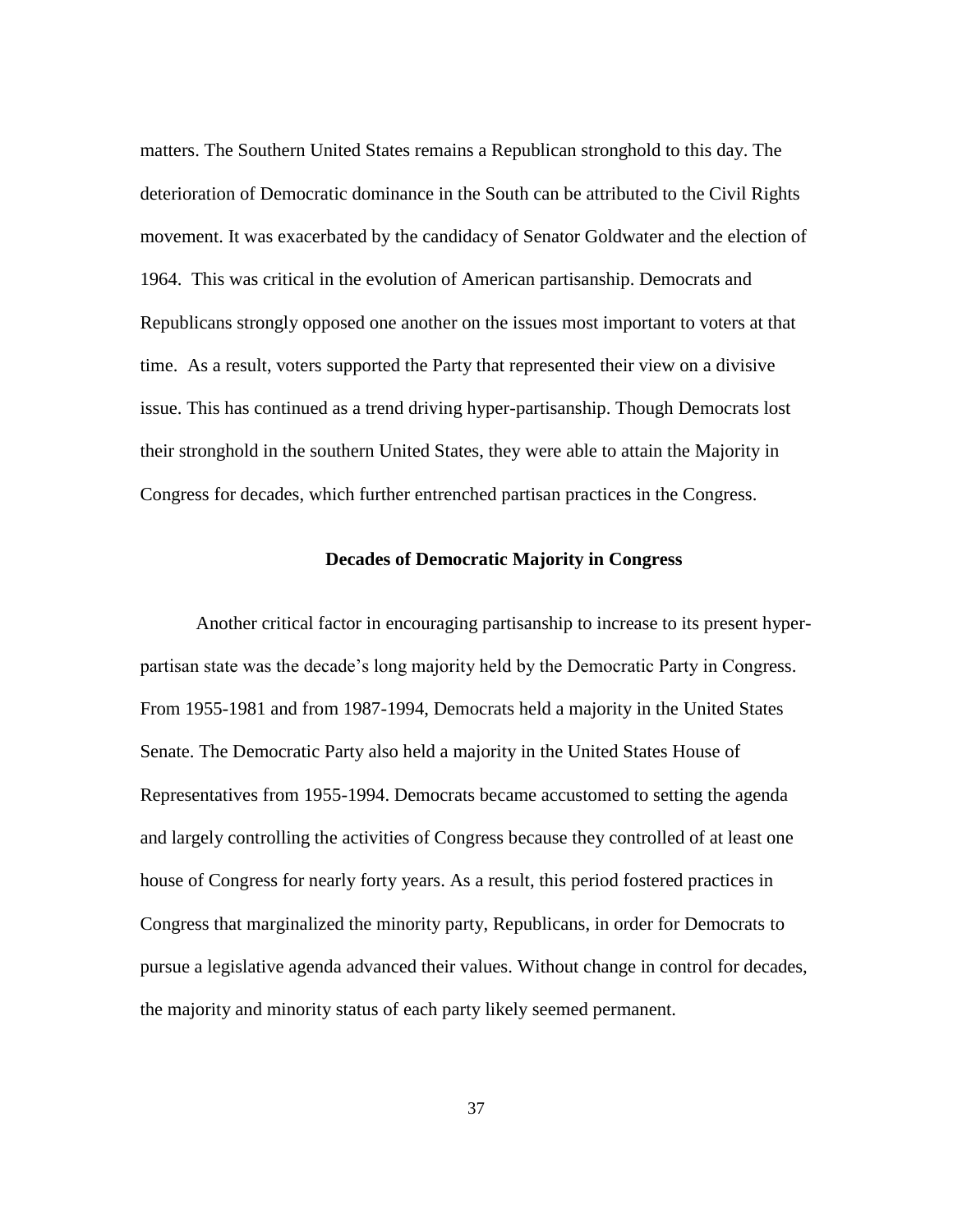matters. The Southern United States remains a Republican stronghold to this day. The deterioration of Democratic dominance in the South can be attributed to the Civil Rights movement. It was exacerbated by the candidacy of Senator Goldwater and the election of 1964. This was critical in the evolution of American partisanship. Democrats and Republicans strongly opposed one another on the issues most important to voters at that time. As a result, voters supported the Party that represented their view on a divisive issue. This has continued as a trend driving hyper-partisanship. Though Democrats lost their stronghold in the southern United States, they were able to attain the Majority in Congress for decades, which further entrenched partisan practices in the Congress.

# **Decades of Democratic Majority in Congress**

Another critical factor in encouraging partisanship to increase to its present hyperpartisan state was the decade"s long majority held by the Democratic Party in Congress. From 1955-1981 and from 1987-1994, Democrats held a majority in the United States Senate. The Democratic Party also held a majority in the United States House of Representatives from 1955-1994. Democrats became accustomed to setting the agenda and largely controlling the activities of Congress because they controlled of at least one house of Congress for nearly forty years. As a result, this period fostered practices in Congress that marginalized the minority party, Republicans, in order for Democrats to pursue a legislative agenda advanced their values. Without change in control for decades, the majority and minority status of each party likely seemed permanent.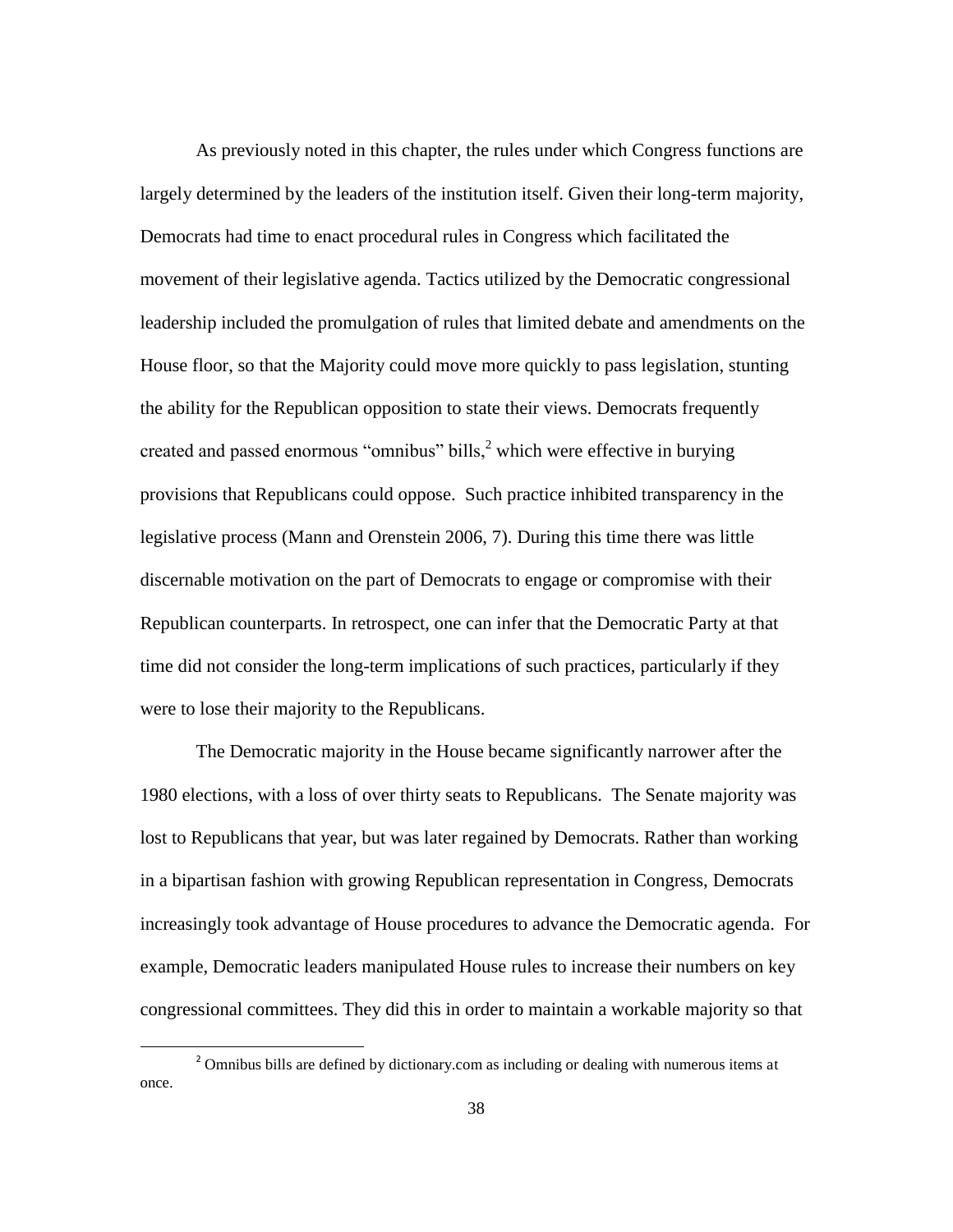As previously noted in this chapter, the rules under which Congress functions are largely determined by the leaders of the institution itself. Given their long-term majority, Democrats had time to enact procedural rules in Congress which facilitated the movement of their legislative agenda. Tactics utilized by the Democratic congressional leadership included the promulgation of rules that limited debate and amendments on the House floor, so that the Majority could move more quickly to pass legislation, stunting the ability for the Republican opposition to state their views. Democrats frequently created and passed enormous "omnibus" bills, $\frac{2}{3}$  which were effective in burying provisions that Republicans could oppose. Such practice inhibited transparency in the legislative process (Mann and Orenstein 2006, 7). During this time there was little discernable motivation on the part of Democrats to engage or compromise with their Republican counterparts. In retrospect, one can infer that the Democratic Party at that time did not consider the long-term implications of such practices, particularly if they were to lose their majority to the Republicans.

The Democratic majority in the House became significantly narrower after the 1980 elections, with a loss of over thirty seats to Republicans. The Senate majority was lost to Republicans that year, but was later regained by Democrats. Rather than working in a bipartisan fashion with growing Republican representation in Congress, Democrats increasingly took advantage of House procedures to advance the Democratic agenda. For example, Democratic leaders manipulated House rules to increase their numbers on key congressional committees. They did this in order to maintain a workable majority so that

l

 $<sup>2</sup>$  Omnibus bills are defined by dictionary.com as including or dealing with numerous items at</sup> once.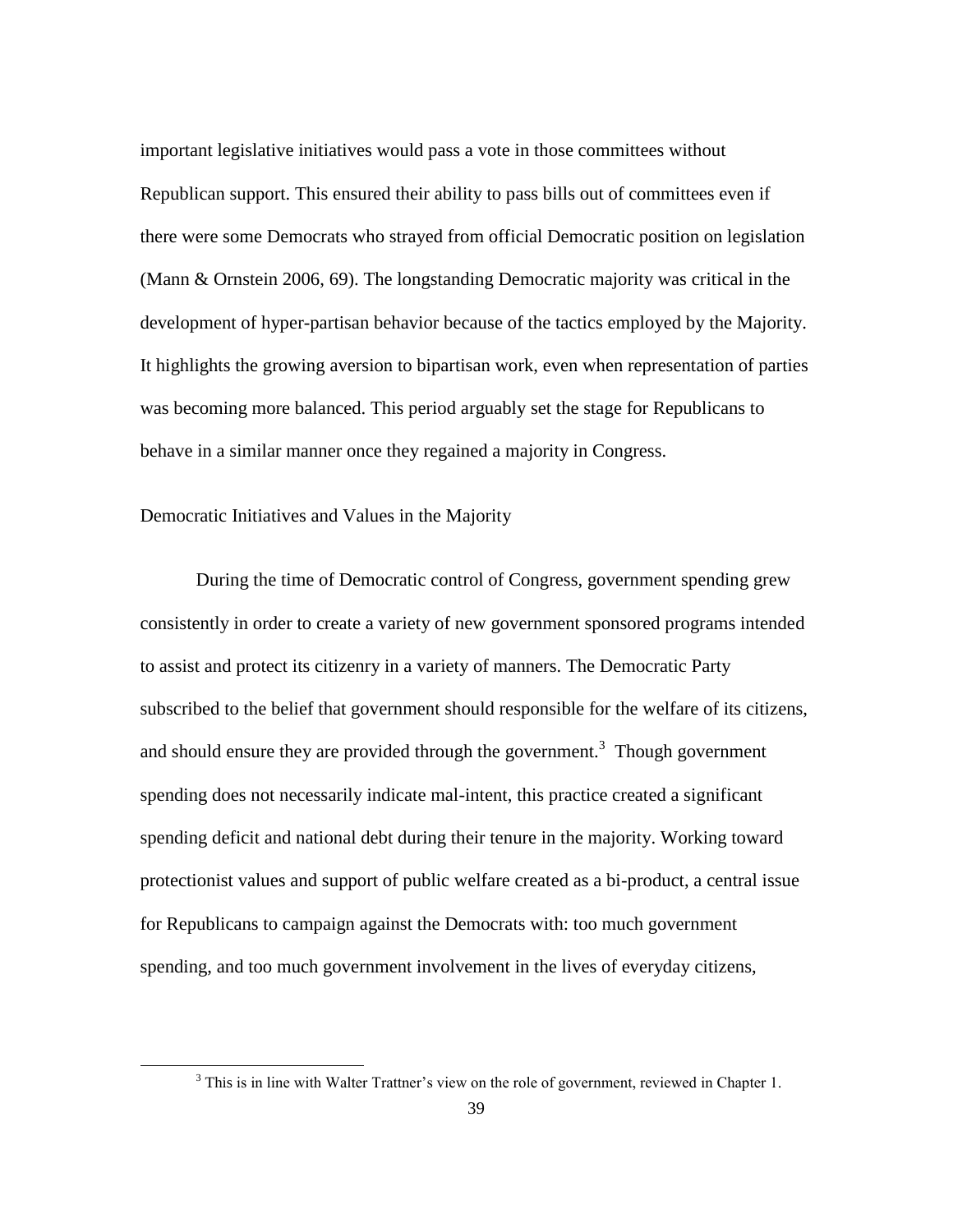important legislative initiatives would pass a vote in those committees without Republican support. This ensured their ability to pass bills out of committees even if there were some Democrats who strayed from official Democratic position on legislation (Mann & Ornstein 2006, 69). The longstanding Democratic majority was critical in the development of hyper-partisan behavior because of the tactics employed by the Majority. It highlights the growing aversion to bipartisan work, even when representation of parties was becoming more balanced. This period arguably set the stage for Republicans to behave in a similar manner once they regained a majority in Congress.

Democratic Initiatives and Values in the Majority

 $\overline{\phantom{a}}$ 

During the time of Democratic control of Congress, government spending grew consistently in order to create a variety of new government sponsored programs intended to assist and protect its citizenry in a variety of manners. The Democratic Party subscribed to the belief that government should responsible for the welfare of its citizens, and should ensure they are provided through the government.<sup>3</sup> Though government spending does not necessarily indicate mal-intent, this practice created a significant spending deficit and national debt during their tenure in the majority. Working toward protectionist values and support of public welfare created as a bi-product, a central issue for Republicans to campaign against the Democrats with: too much government spending, and too much government involvement in the lives of everyday citizens,

<sup>&</sup>lt;sup>3</sup> This is in line with Walter Trattner's view on the role of government, reviewed in Chapter 1.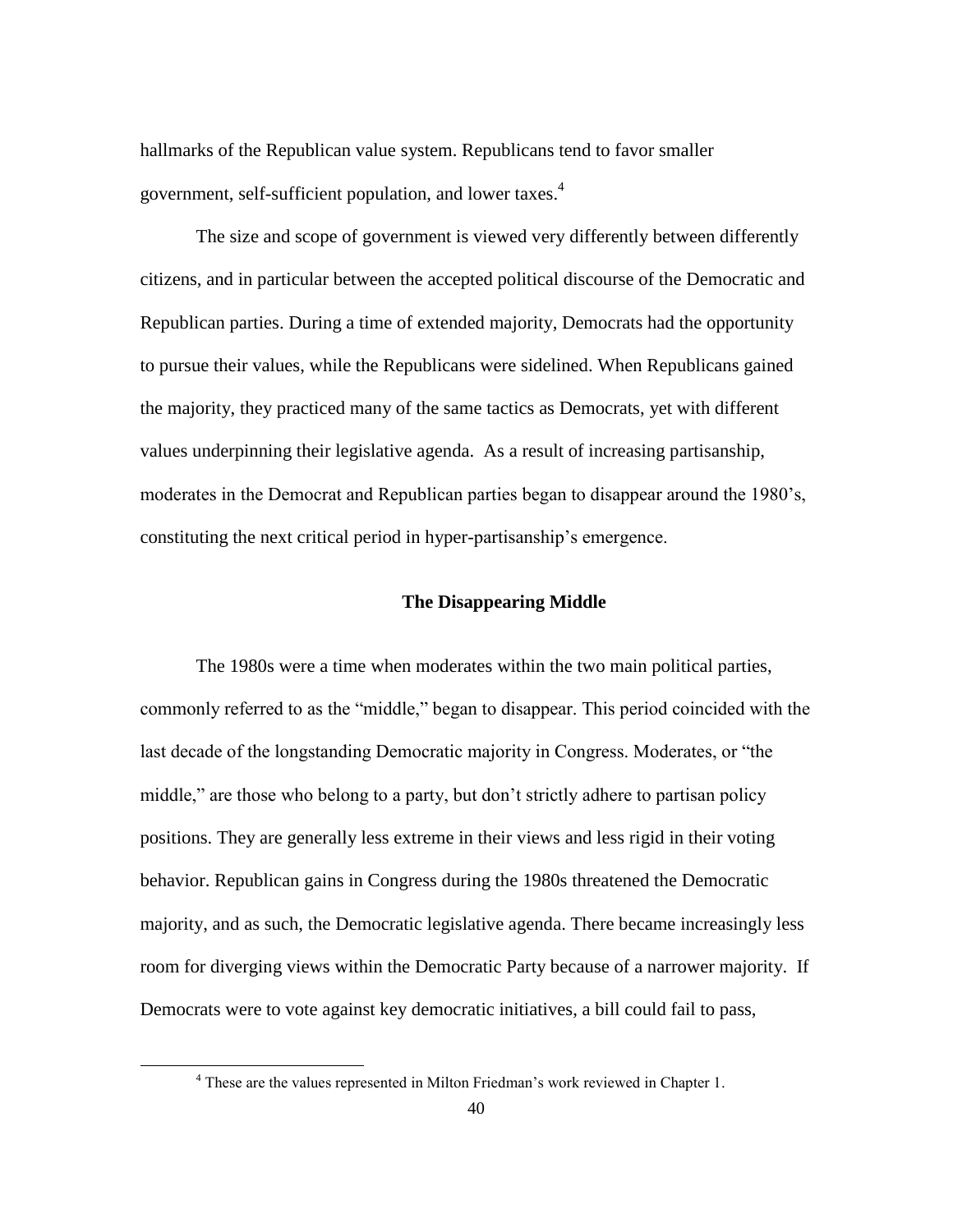hallmarks of the Republican value system. Republicans tend to favor smaller government, self-sufficient population, and lower taxes.<sup>4</sup>

The size and scope of government is viewed very differently between differently citizens, and in particular between the accepted political discourse of the Democratic and Republican parties. During a time of extended majority, Democrats had the opportunity to pursue their values, while the Republicans were sidelined. When Republicans gained the majority, they practiced many of the same tactics as Democrats, yet with different values underpinning their legislative agenda. As a result of increasing partisanship, moderates in the Democrat and Republican parties began to disappear around the 1980"s, constituting the next critical period in hyper-partisanship"s emergence.

# **The Disappearing Middle**

The 1980s were a time when moderates within the two main political parties, commonly referred to as the "middle," began to disappear. This period coincided with the last decade of the longstanding Democratic majority in Congress. Moderates, or "the middle," are those who belong to a party, but don"t strictly adhere to partisan policy positions. They are generally less extreme in their views and less rigid in their voting behavior. Republican gains in Congress during the 1980s threatened the Democratic majority, and as such, the Democratic legislative agenda. There became increasingly less room for diverging views within the Democratic Party because of a narrower majority. If Democrats were to vote against key democratic initiatives, a bill could fail to pass,

<sup>&</sup>lt;sup>4</sup> These are the values represented in Milton Friedman's work reviewed in Chapter 1.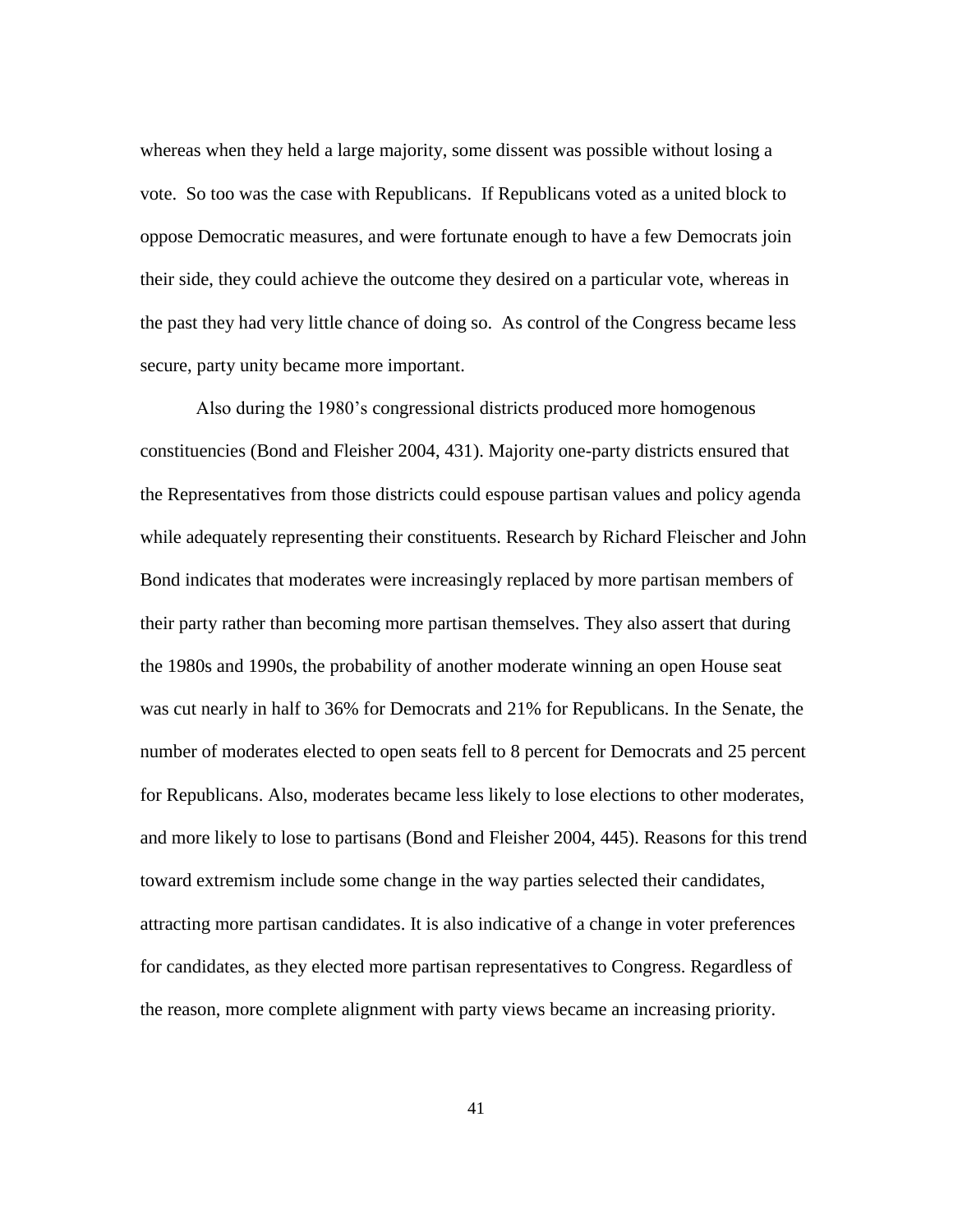whereas when they held a large majority, some dissent was possible without losing a vote. So too was the case with Republicans. If Republicans voted as a united block to oppose Democratic measures, and were fortunate enough to have a few Democrats join their side, they could achieve the outcome they desired on a particular vote, whereas in the past they had very little chance of doing so. As control of the Congress became less secure, party unity became more important.

Also during the 1980"s congressional districts produced more homogenous constituencies (Bond and Fleisher 2004, 431). Majority one-party districts ensured that the Representatives from those districts could espouse partisan values and policy agenda while adequately representing their constituents. Research by Richard Fleischer and John Bond indicates that moderates were increasingly replaced by more partisan members of their party rather than becoming more partisan themselves. They also assert that during the 1980s and 1990s, the probability of another moderate winning an open House seat was cut nearly in half to 36% for Democrats and 21% for Republicans. In the Senate, the number of moderates elected to open seats fell to 8 percent for Democrats and 25 percent for Republicans. Also, moderates became less likely to lose elections to other moderates, and more likely to lose to partisans (Bond and Fleisher 2004, 445). Reasons for this trend toward extremism include some change in the way parties selected their candidates, attracting more partisan candidates. It is also indicative of a change in voter preferences for candidates, as they elected more partisan representatives to Congress. Regardless of the reason, more complete alignment with party views became an increasing priority.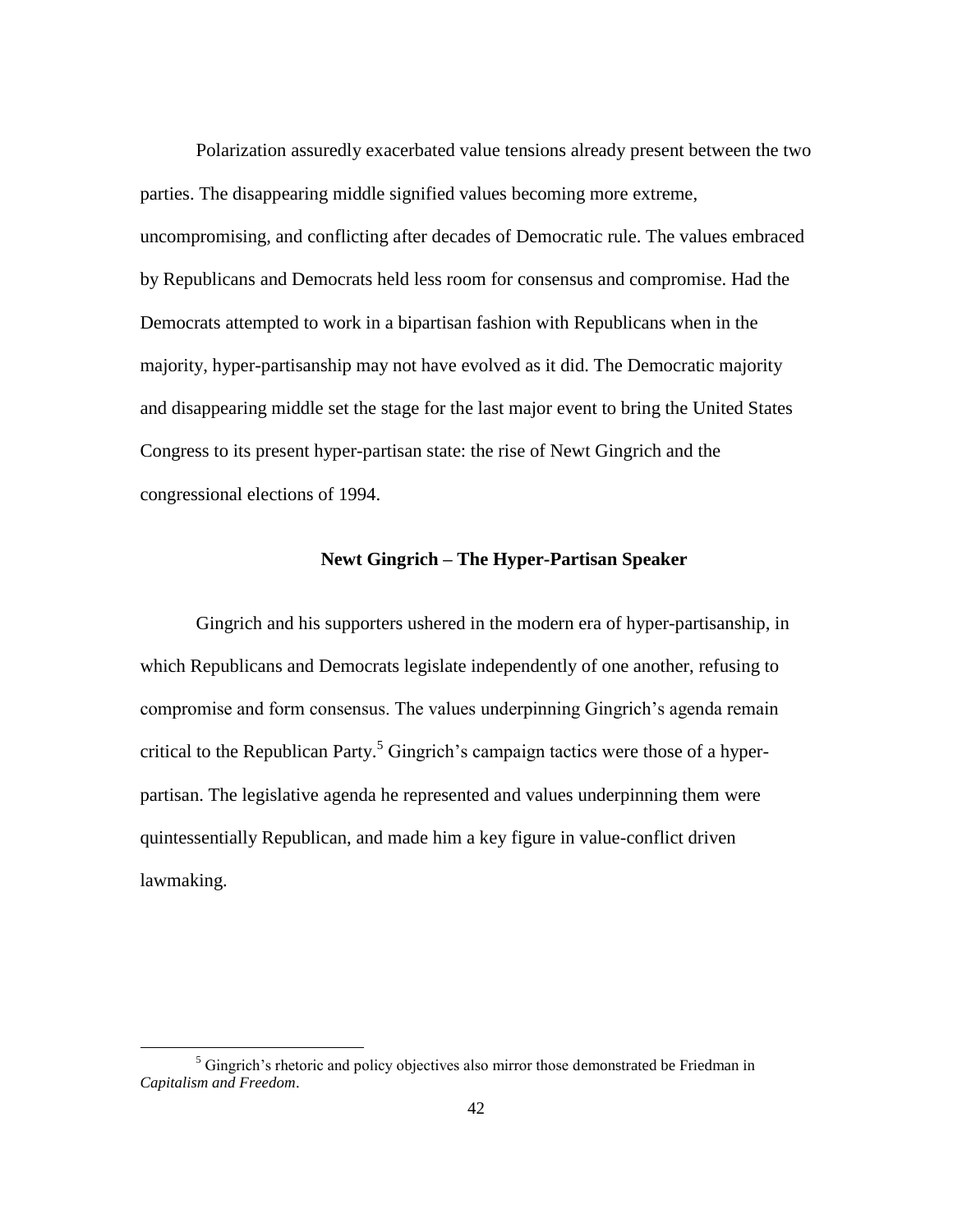Polarization assuredly exacerbated value tensions already present between the two parties. The disappearing middle signified values becoming more extreme, uncompromising, and conflicting after decades of Democratic rule. The values embraced by Republicans and Democrats held less room for consensus and compromise. Had the Democrats attempted to work in a bipartisan fashion with Republicans when in the majority, hyper-partisanship may not have evolved as it did. The Democratic majority and disappearing middle set the stage for the last major event to bring the United States Congress to its present hyper-partisan state: the rise of Newt Gingrich and the congressional elections of 1994.

# **Newt Gingrich – The Hyper-Partisan Speaker**

Gingrich and his supporters ushered in the modern era of hyper-partisanship, in which Republicans and Democrats legislate independently of one another, refusing to compromise and form consensus. The values underpinning Gingrich's agenda remain critical to the Republican Party.<sup>5</sup> Gingrich's campaign tactics were those of a hyperpartisan. The legislative agenda he represented and values underpinning them were quintessentially Republican, and made him a key figure in value-conflict driven lawmaking.

 $<sup>5</sup>$  Gingrich's rhetoric and policy objectives also mirror those demonstrated be Friedman in</sup> *Capitalism and Freedom*.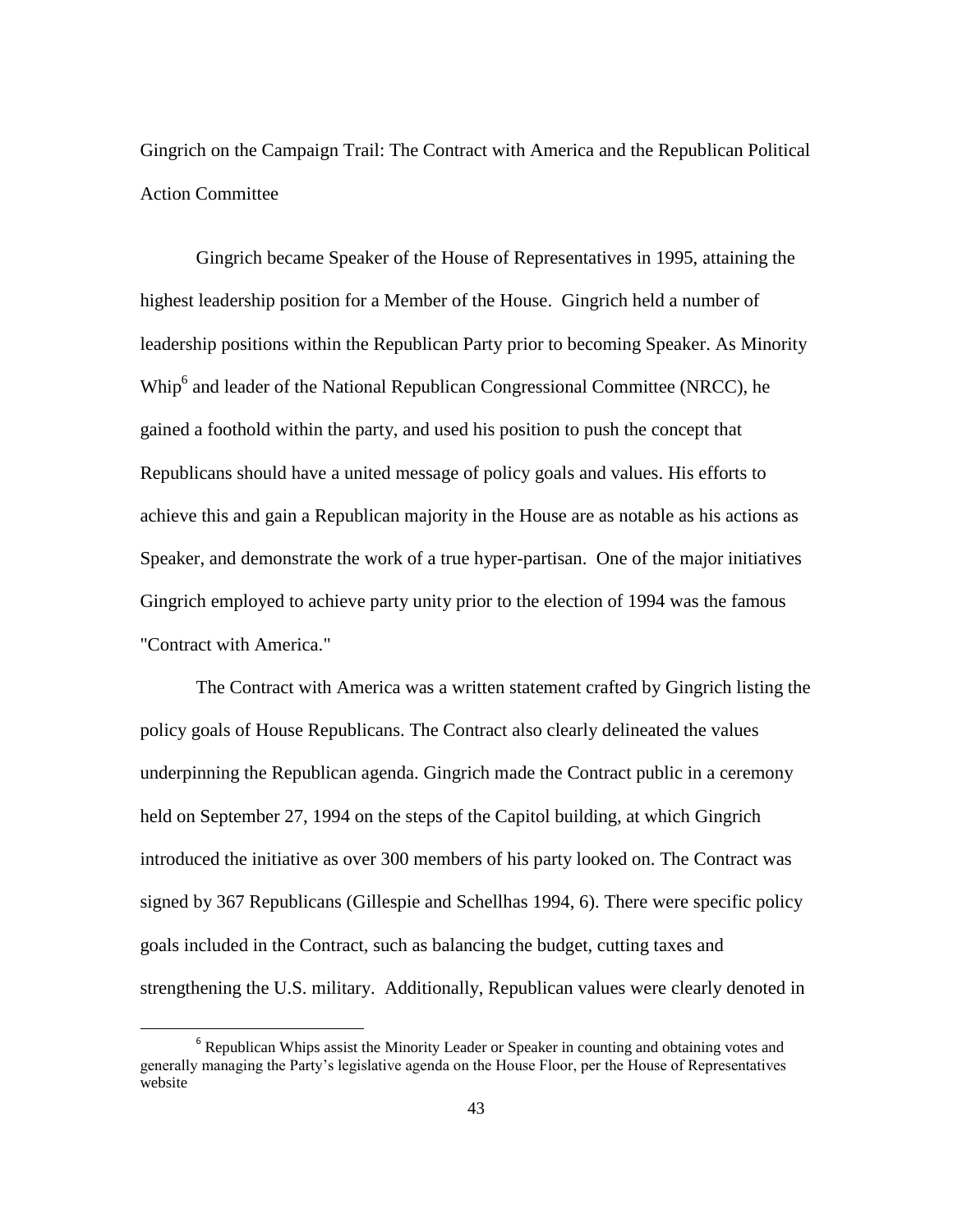Gingrich on the Campaign Trail: The Contract with America and the Republican Political Action Committee

Gingrich became Speaker of the House of Representatives in 1995, attaining the highest leadership position for a Member of the House. Gingrich held a number of leadership positions within the Republican Party prior to becoming Speaker. As Minority Whip<sup>6</sup> and leader of the National Republican Congressional Committee (NRCC), he gained a foothold within the party, and used his position to push the concept that Republicans should have a united message of policy goals and values. His efforts to achieve this and gain a Republican majority in the House are as notable as his actions as Speaker, and demonstrate the work of a true hyper-partisan. One of the major initiatives Gingrich employed to achieve party unity prior to the election of 1994 was the famous "Contract with America."

The Contract with America was a written statement crafted by Gingrich listing the policy goals of House Republicans. The Contract also clearly delineated the values underpinning the Republican agenda. Gingrich made the Contract public in a ceremony held on September 27, 1994 on the steps of the Capitol building, at which Gingrich introduced the initiative as over 300 members of his party looked on. The Contract was signed by 367 Republicans (Gillespie and Schellhas 1994, 6). There were specific policy goals included in the Contract, such as balancing the budget, cutting taxes and strengthening the U.S. military. Additionally, Republican values were clearly denoted in

<sup>&</sup>lt;sup>6</sup> Republican Whips assist the Minority Leader or Speaker in counting and obtaining votes and generally managing the Party"s legislative agenda on the House Floor, per the House of Representatives website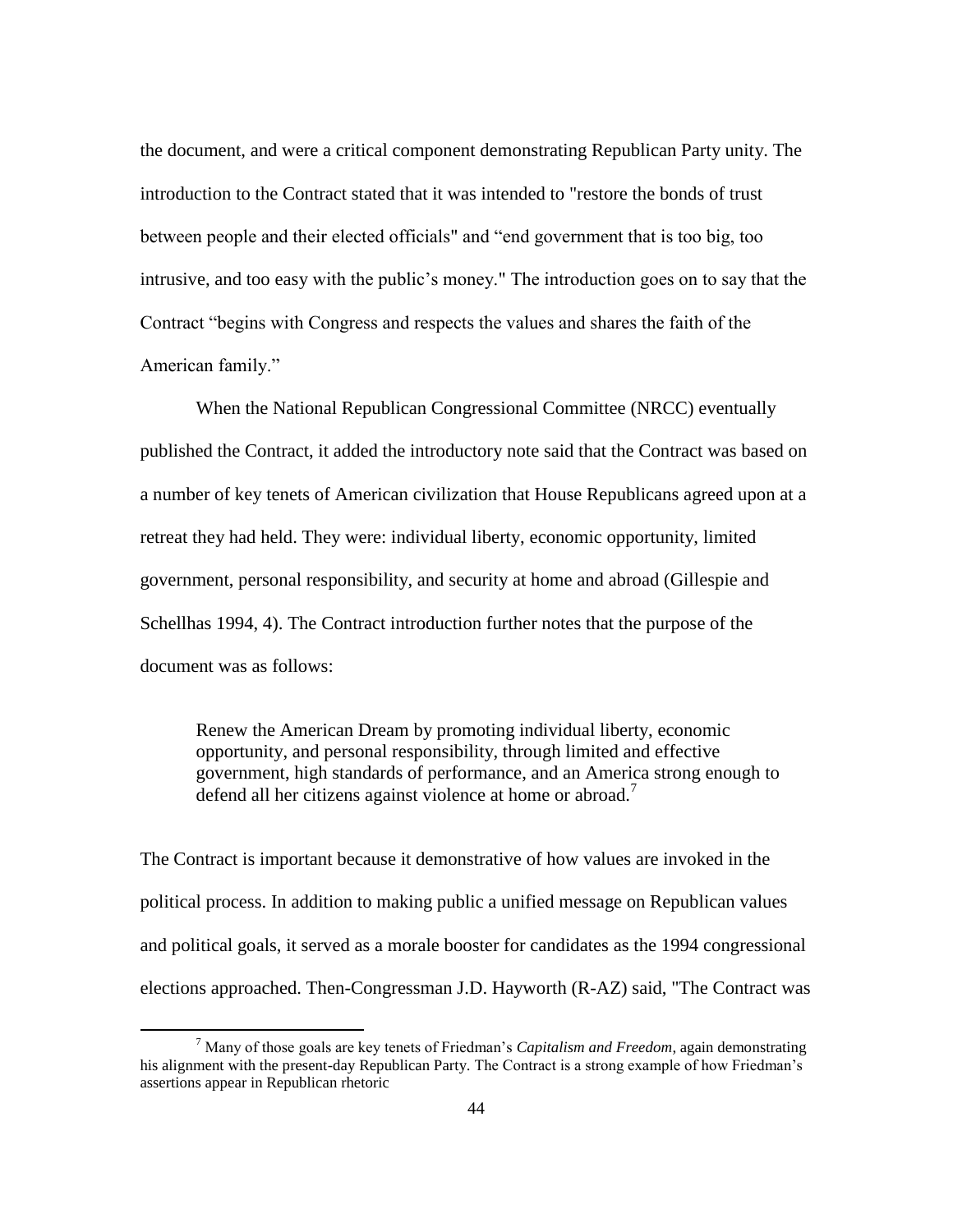the document, and were a critical component demonstrating Republican Party unity. The introduction to the Contract stated that it was intended to "restore the bonds of trust between people and their elected officials" and "end government that is too big, too intrusive, and too easy with the public's money." The introduction goes on to say that the Contract "begins with Congress and respects the values and shares the faith of the American family."

When the National Republican Congressional Committee (NRCC) eventually published the Contract, it added the introductory note said that the Contract was based on a number of key tenets of American civilization that House Republicans agreed upon at a retreat they had held. They were: individual liberty, economic opportunity, limited government, personal responsibility, and security at home and abroad (Gillespie and Schellhas 1994, 4). The Contract introduction further notes that the purpose of the document was as follows:

Renew the American Dream by promoting individual liberty, economic opportunity, and personal responsibility, through limited and effective government, high standards of performance, and an America strong enough to defend all her citizens against violence at home or abroad.<sup>7</sup>

The Contract is important because it demonstrative of how values are invoked in the political process. In addition to making public a unified message on Republican values and political goals, it served as a morale booster for candidates as the 1994 congressional elections approached. Then-Congressman J.D. Hayworth (R-AZ) said, "The Contract was

<sup>7</sup> Many of those goals are key tenets of Friedman"s *Capitalism and Freedom*, again demonstrating his alignment with the present-day Republican Party. The Contract is a strong example of how Friedman"s assertions appear in Republican rhetoric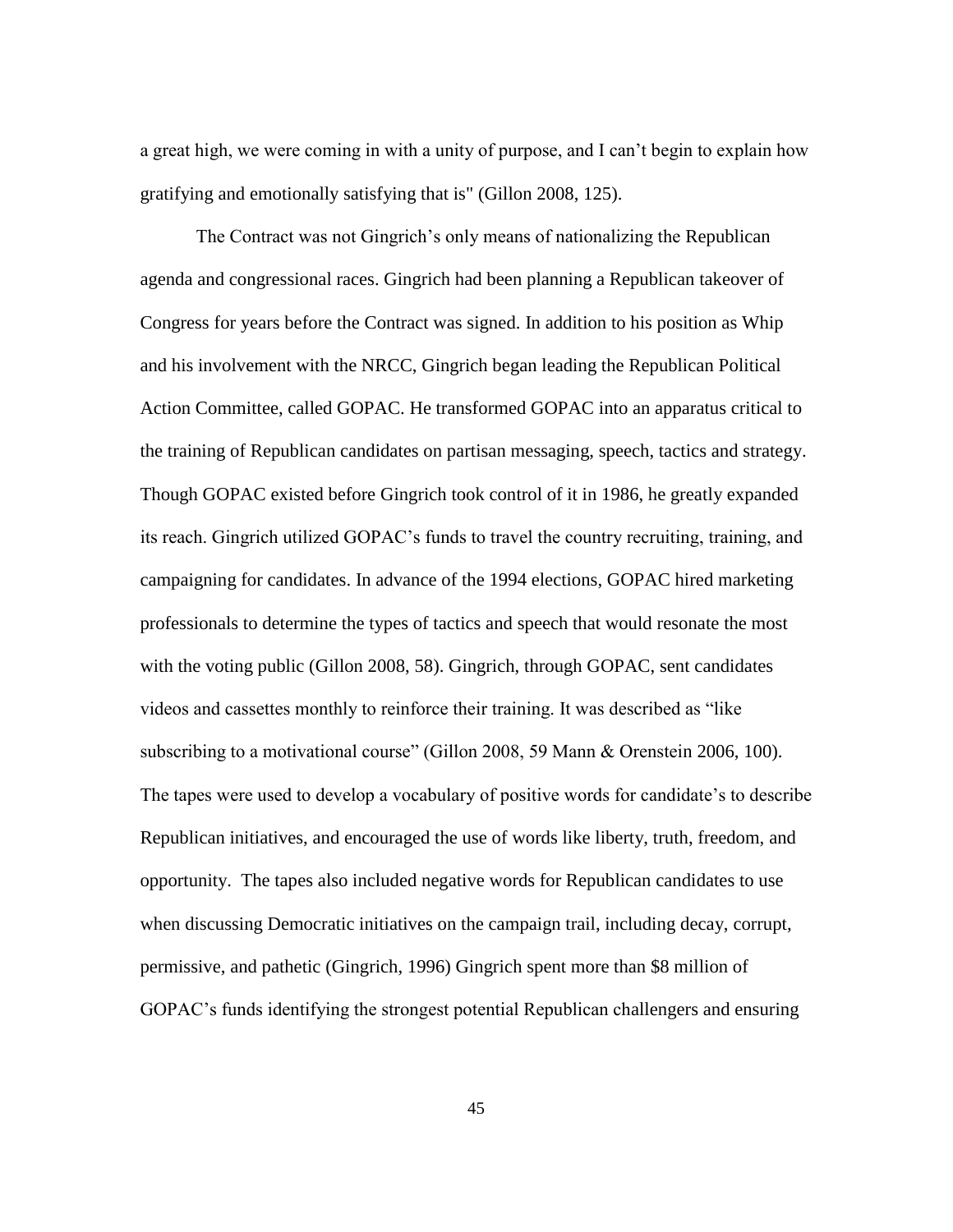a great high, we were coming in with a unity of purpose, and I can"t begin to explain how gratifying and emotionally satisfying that is" (Gillon 2008, 125).

The Contract was not Gingrich's only means of nationalizing the Republican agenda and congressional races. Gingrich had been planning a Republican takeover of Congress for years before the Contract was signed. In addition to his position as Whip and his involvement with the NRCC, Gingrich began leading the Republican Political Action Committee, called GOPAC. He transformed GOPAC into an apparatus critical to the training of Republican candidates on partisan messaging, speech, tactics and strategy. Though GOPAC existed before Gingrich took control of it in 1986, he greatly expanded its reach. Gingrich utilized GOPAC"s funds to travel the country recruiting, training, and campaigning for candidates. In advance of the 1994 elections, GOPAC hired marketing professionals to determine the types of tactics and speech that would resonate the most with the voting public (Gillon 2008, 58). Gingrich, through GOPAC, sent candidates videos and cassettes monthly to reinforce their training. It was described as "like subscribing to a motivational course" (Gillon 2008, 59 Mann & Orenstein 2006, 100). The tapes were used to develop a vocabulary of positive words for candidate"s to describe Republican initiatives, and encouraged the use of words like liberty, truth, freedom, and opportunity. The tapes also included negative words for Republican candidates to use when discussing Democratic initiatives on the campaign trail, including decay, corrupt, permissive, and pathetic (Gingrich, 1996) Gingrich spent more than \$8 million of GOPAC"s funds identifying the strongest potential Republican challengers and ensuring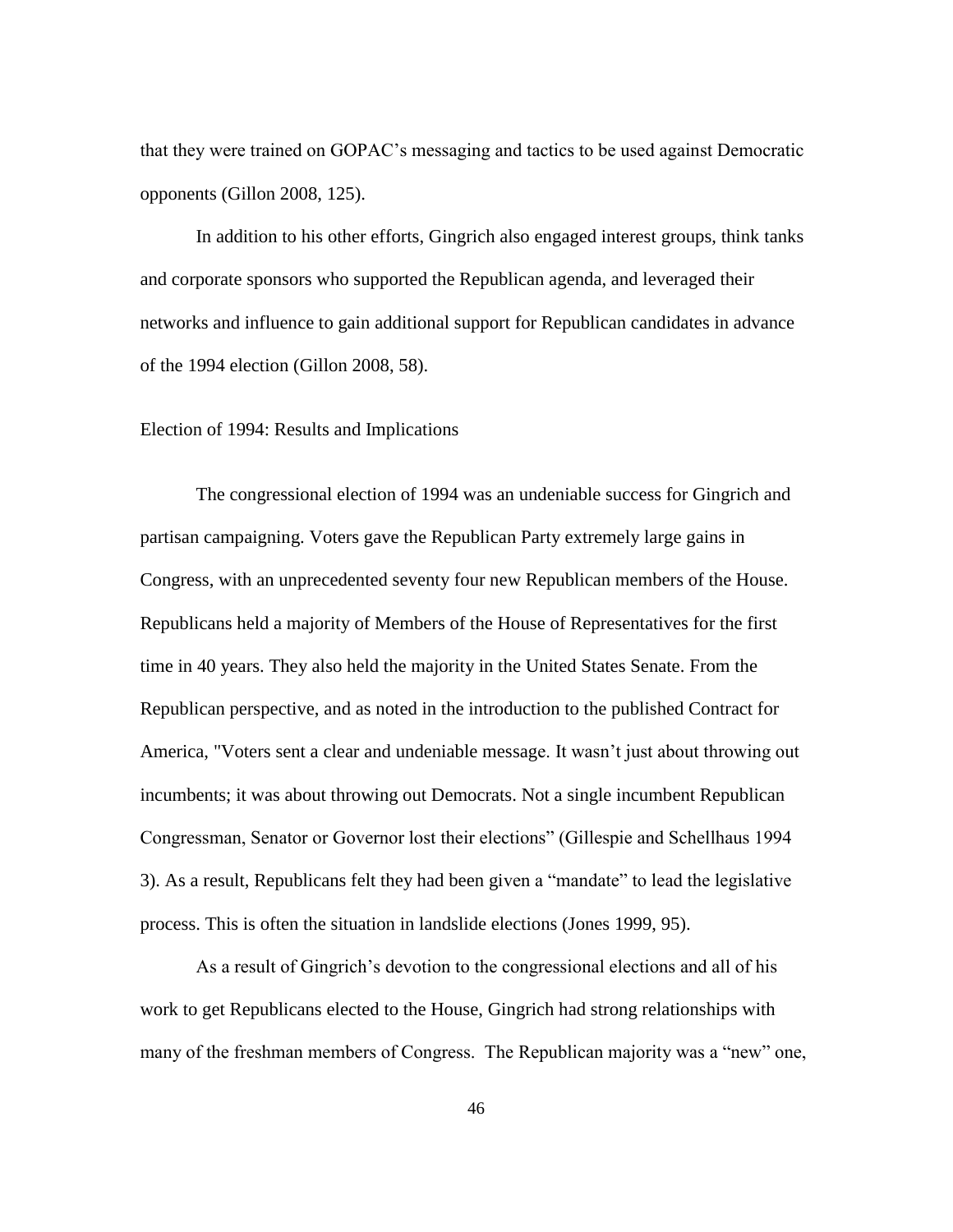that they were trained on GOPAC"s messaging and tactics to be used against Democratic opponents (Gillon 2008, 125).

In addition to his other efforts, Gingrich also engaged interest groups, think tanks and corporate sponsors who supported the Republican agenda, and leveraged their networks and influence to gain additional support for Republican candidates in advance of the 1994 election (Gillon 2008, 58).

### Election of 1994: Results and Implications

The congressional election of 1994 was an undeniable success for Gingrich and partisan campaigning. Voters gave the Republican Party extremely large gains in Congress, with an unprecedented seventy four new Republican members of the House. Republicans held a majority of Members of the House of Representatives for the first time in 40 years. They also held the majority in the United States Senate. From the Republican perspective, and as noted in the introduction to the published Contract for America, "Voters sent a clear and undeniable message. It wasn"t just about throwing out incumbents; it was about throwing out Democrats. Not a single incumbent Republican Congressman, Senator or Governor lost their elections" (Gillespie and Schellhaus 1994 3). As a result, Republicans felt they had been given a "mandate" to lead the legislative process. This is often the situation in landslide elections (Jones 1999, 95).

As a result of Gingrich's devotion to the congressional elections and all of his work to get Republicans elected to the House, Gingrich had strong relationships with many of the freshman members of Congress. The Republican majority was a "new" one,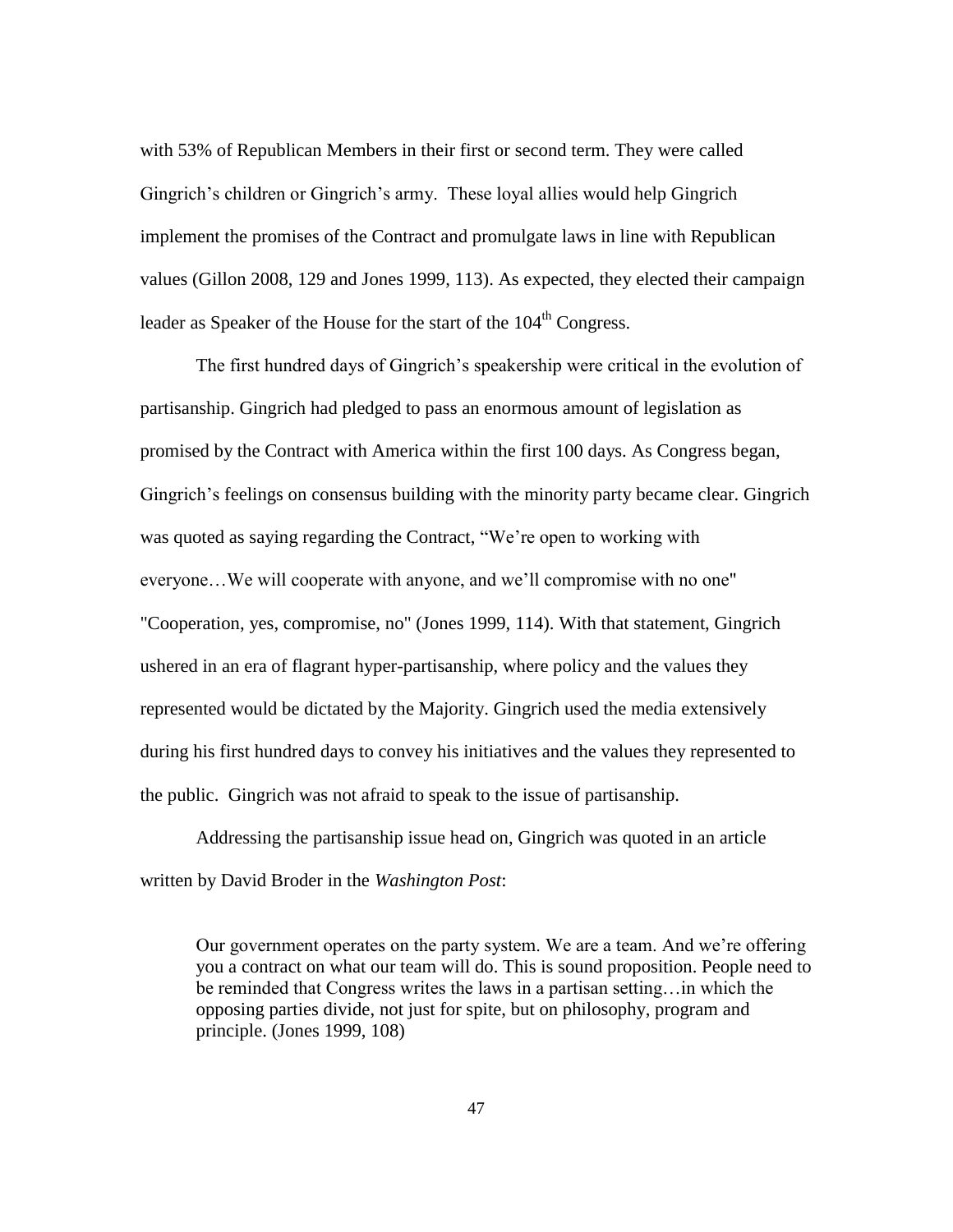with 53% of Republican Members in their first or second term. They were called Gingrich"s children or Gingrich"s army. These loyal allies would help Gingrich implement the promises of the Contract and promulgate laws in line with Republican values (Gillon 2008, 129 and Jones 1999, 113). As expected, they elected their campaign leader as Speaker of the House for the start of the  $104<sup>th</sup>$  Congress.

The first hundred days of Gingrich"s speakership were critical in the evolution of partisanship. Gingrich had pledged to pass an enormous amount of legislation as promised by the Contract with America within the first 100 days. As Congress began, Gingrich's feelings on consensus building with the minority party became clear. Gingrich was quoted as saying regarding the Contract, "We're open to working with everyone…We will cooperate with anyone, and we"ll compromise with no one" "Cooperation, yes, compromise, no" (Jones 1999, 114). With that statement, Gingrich ushered in an era of flagrant hyper-partisanship, where policy and the values they represented would be dictated by the Majority. Gingrich used the media extensively during his first hundred days to convey his initiatives and the values they represented to the public. Gingrich was not afraid to speak to the issue of partisanship.

Addressing the partisanship issue head on, Gingrich was quoted in an article written by David Broder in the *Washington Post*:

Our government operates on the party system. We are a team. And we"re offering you a contract on what our team will do. This is sound proposition. People need to be reminded that Congress writes the laws in a partisan setting…in which the opposing parties divide, not just for spite, but on philosophy, program and principle. (Jones 1999, 108)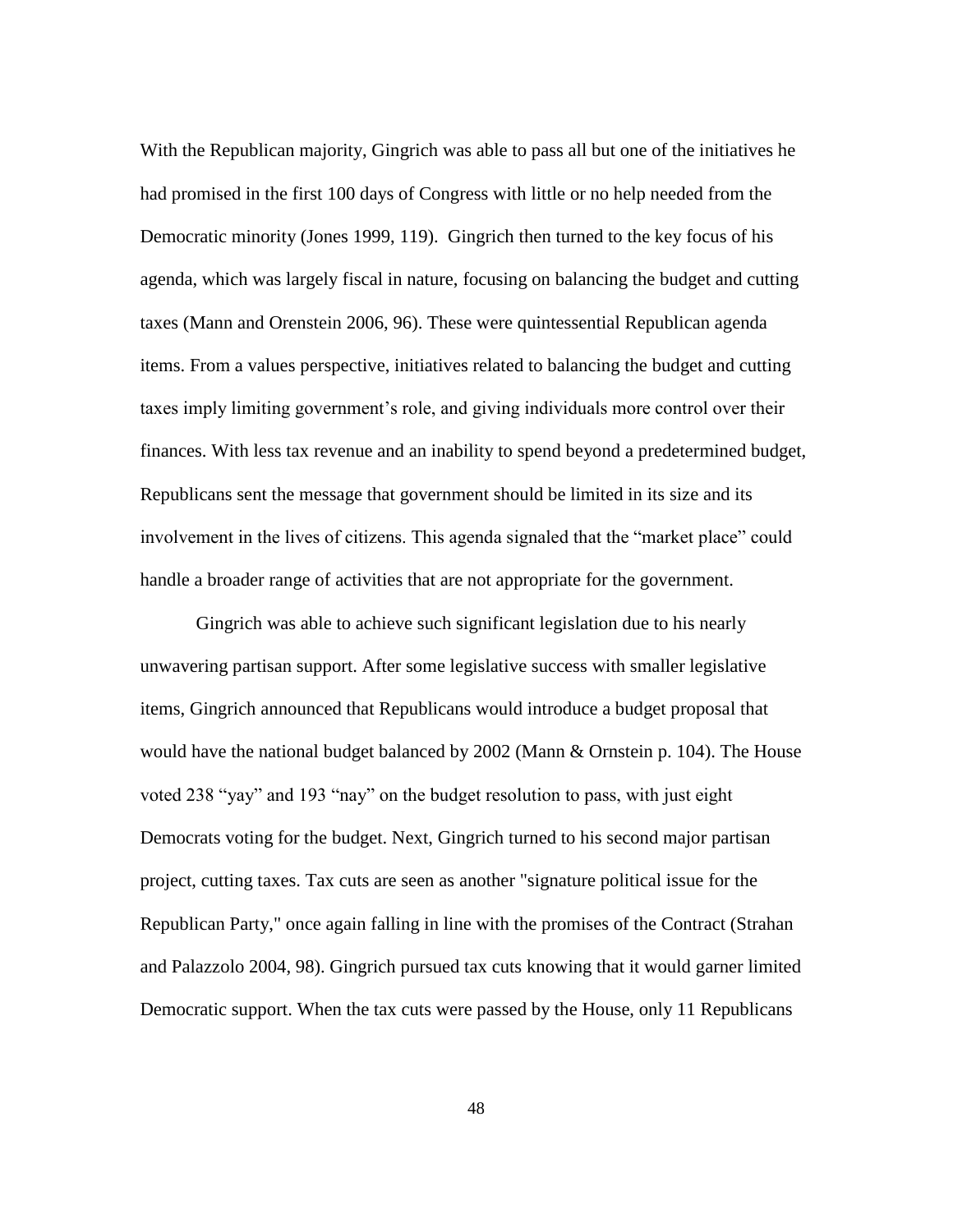With the Republican majority, Gingrich was able to pass all but one of the initiatives he had promised in the first 100 days of Congress with little or no help needed from the Democratic minority (Jones 1999, 119). Gingrich then turned to the key focus of his agenda, which was largely fiscal in nature, focusing on balancing the budget and cutting taxes (Mann and Orenstein 2006, 96). These were quintessential Republican agenda items. From a values perspective, initiatives related to balancing the budget and cutting taxes imply limiting government"s role, and giving individuals more control over their finances. With less tax revenue and an inability to spend beyond a predetermined budget, Republicans sent the message that government should be limited in its size and its involvement in the lives of citizens. This agenda signaled that the "market place" could handle a broader range of activities that are not appropriate for the government.

Gingrich was able to achieve such significant legislation due to his nearly unwavering partisan support. After some legislative success with smaller legislative items, Gingrich announced that Republicans would introduce a budget proposal that would have the national budget balanced by 2002 (Mann & Ornstein p. 104). The House voted 238 "yay" and 193 "nay" on the budget resolution to pass, with just eight Democrats voting for the budget. Next, Gingrich turned to his second major partisan project, cutting taxes. Tax cuts are seen as another "signature political issue for the Republican Party," once again falling in line with the promises of the Contract (Strahan and Palazzolo 2004, 98). Gingrich pursued tax cuts knowing that it would garner limited Democratic support. When the tax cuts were passed by the House, only 11 Republicans

48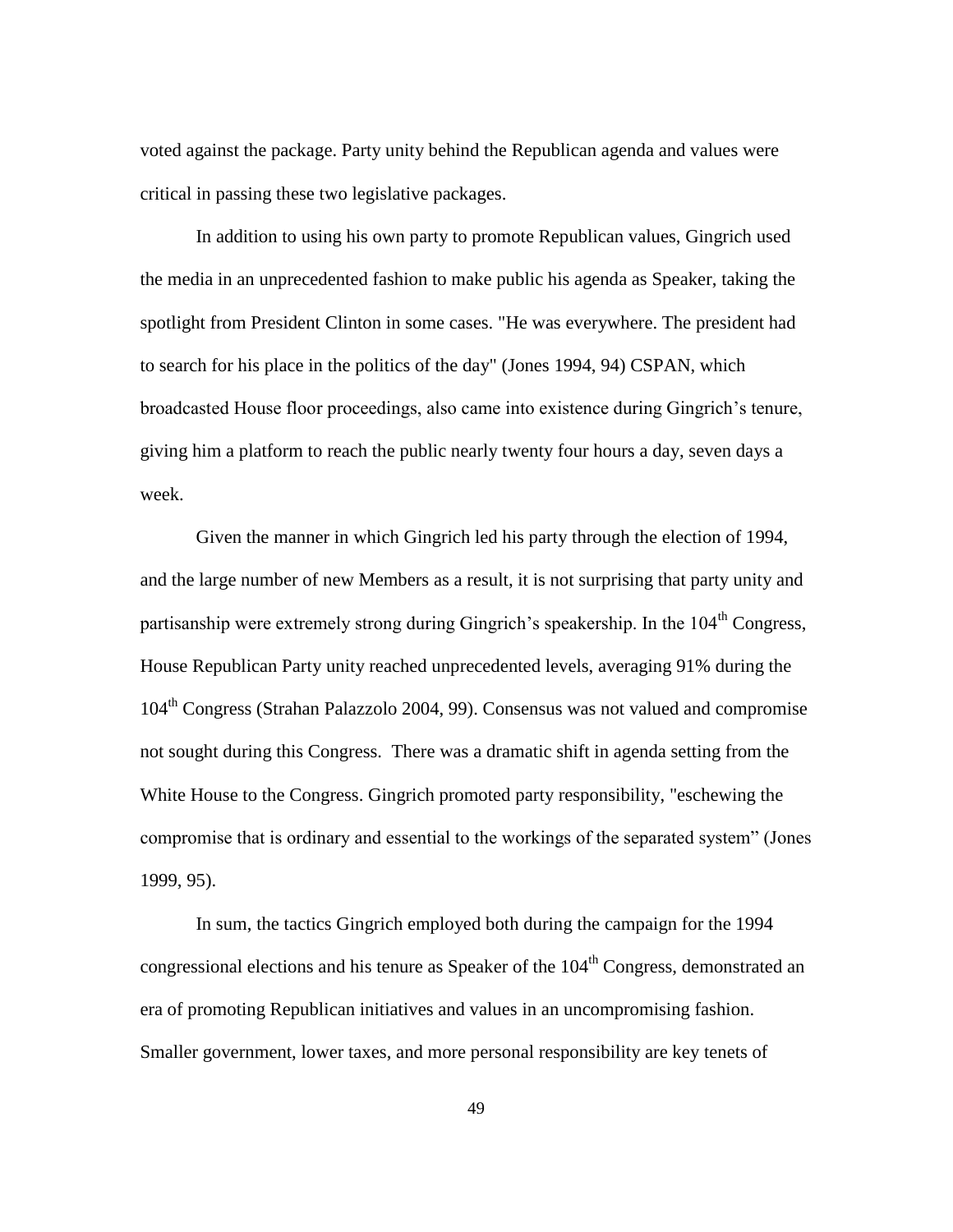voted against the package. Party unity behind the Republican agenda and values were critical in passing these two legislative packages.

In addition to using his own party to promote Republican values, Gingrich used the media in an unprecedented fashion to make public his agenda as Speaker, taking the spotlight from President Clinton in some cases. "He was everywhere. The president had to search for his place in the politics of the day" (Jones 1994, 94) CSPAN, which broadcasted House floor proceedings, also came into existence during Gingrich"s tenure, giving him a platform to reach the public nearly twenty four hours a day, seven days a week.

Given the manner in which Gingrich led his party through the election of 1994, and the large number of new Members as a result, it is not surprising that party unity and partisanship were extremely strong during Gingrich's speakership. In the 104<sup>th</sup> Congress, House Republican Party unity reached unprecedented levels, averaging 91% during the 104th Congress (Strahan Palazzolo 2004, 99). Consensus was not valued and compromise not sought during this Congress. There was a dramatic shift in agenda setting from the White House to the Congress. Gingrich promoted party responsibility, "eschewing the compromise that is ordinary and essential to the workings of the separated system" (Jones 1999, 95).

In sum, the tactics Gingrich employed both during the campaign for the 1994 congressional elections and his tenure as Speaker of the 104<sup>th</sup> Congress, demonstrated an era of promoting Republican initiatives and values in an uncompromising fashion. Smaller government, lower taxes, and more personal responsibility are key tenets of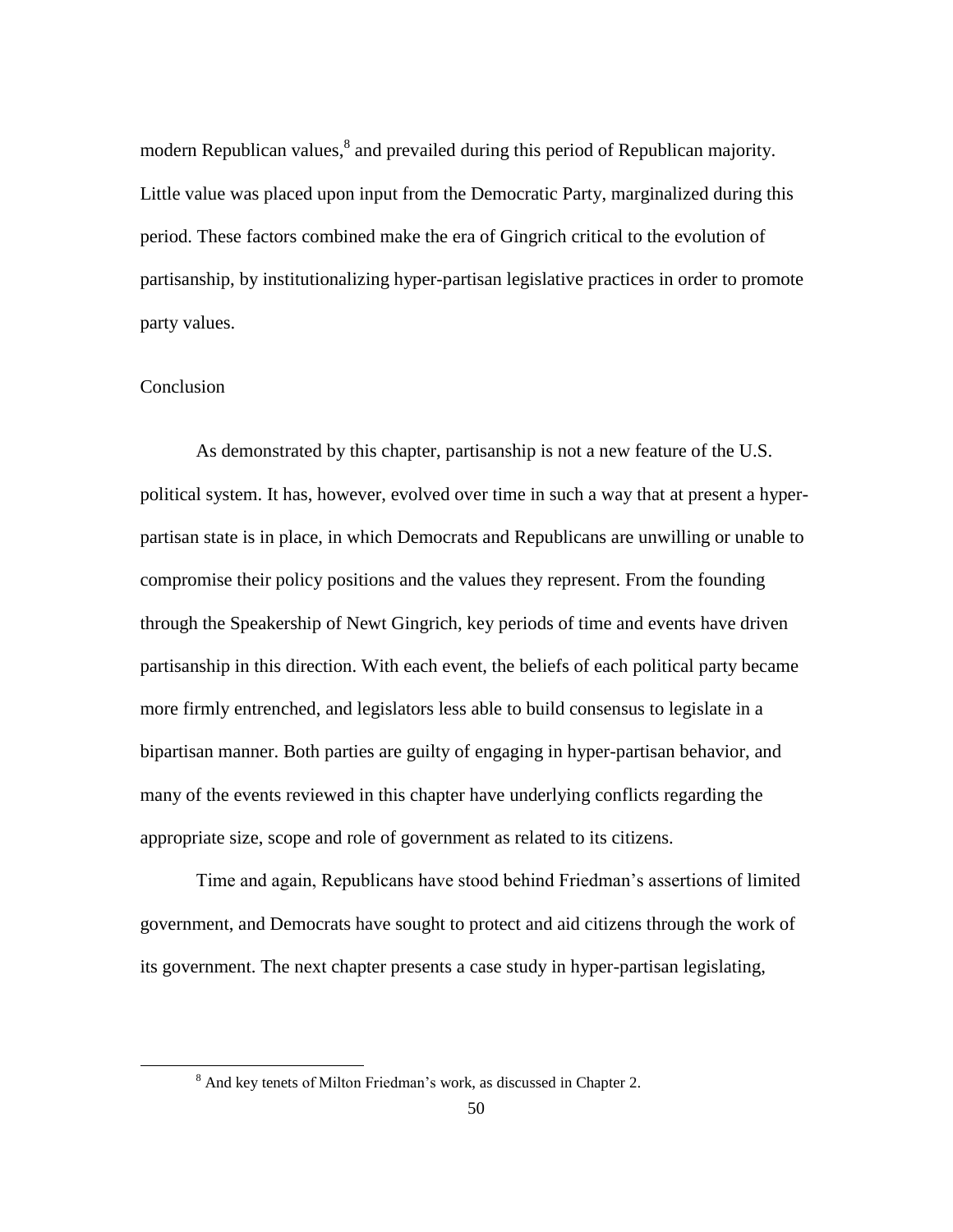modern Republican values,<sup>8</sup> and prevailed during this period of Republican majority. Little value was placed upon input from the Democratic Party, marginalized during this period. These factors combined make the era of Gingrich critical to the evolution of partisanship, by institutionalizing hyper-partisan legislative practices in order to promote party values.

# Conclusion

 $\overline{\phantom{a}}$ 

As demonstrated by this chapter, partisanship is not a new feature of the U.S. political system. It has, however, evolved over time in such a way that at present a hyperpartisan state is in place, in which Democrats and Republicans are unwilling or unable to compromise their policy positions and the values they represent. From the founding through the Speakership of Newt Gingrich, key periods of time and events have driven partisanship in this direction. With each event, the beliefs of each political party became more firmly entrenched, and legislators less able to build consensus to legislate in a bipartisan manner. Both parties are guilty of engaging in hyper-partisan behavior, and many of the events reviewed in this chapter have underlying conflicts regarding the appropriate size, scope and role of government as related to its citizens.

Time and again, Republicans have stood behind Friedman"s assertions of limited government, and Democrats have sought to protect and aid citizens through the work of its government. The next chapter presents a case study in hyper-partisan legislating,

<sup>8</sup> And key tenets of Milton Friedman"s work, as discussed in Chapter 2.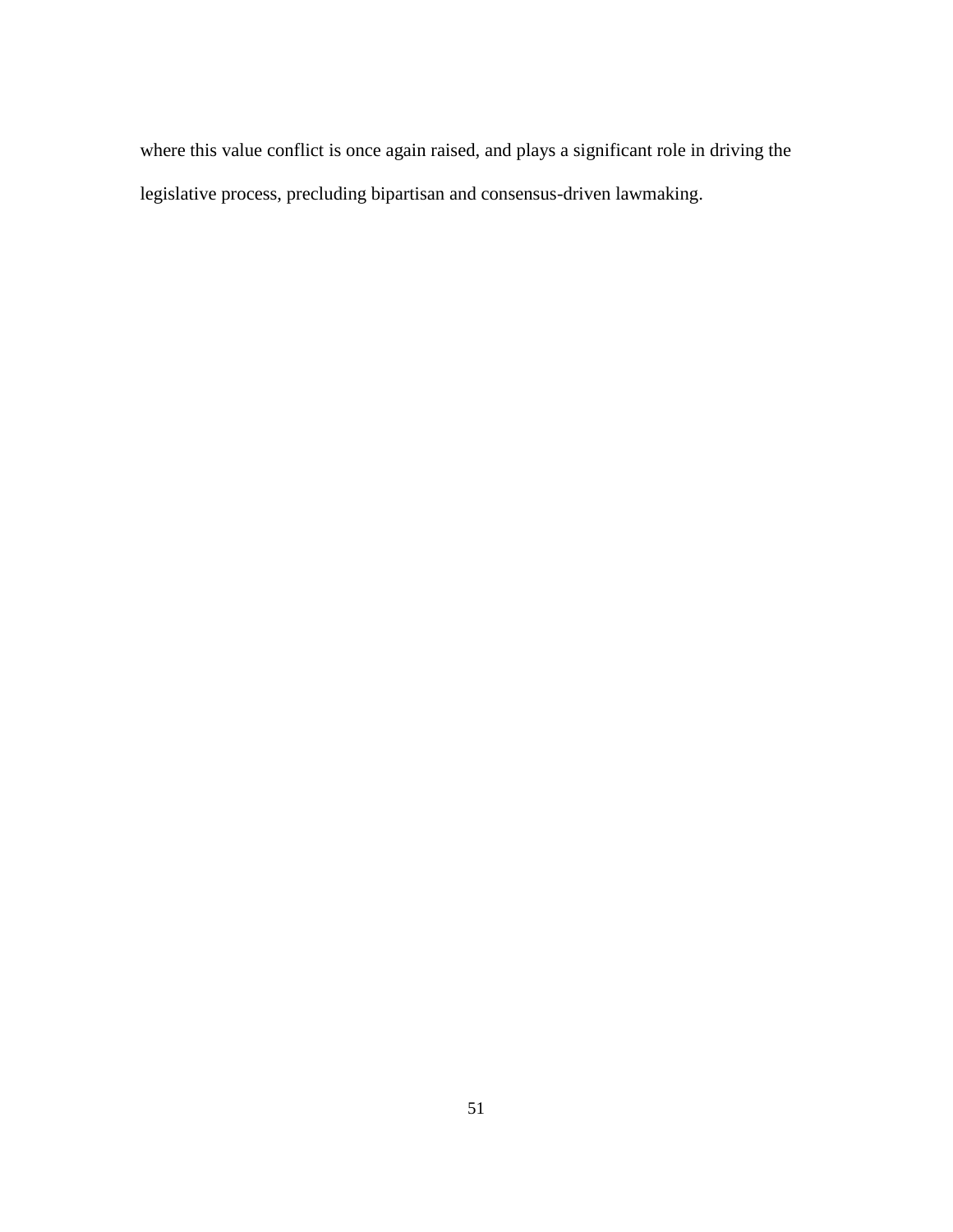where this value conflict is once again raised, and plays a significant role in driving the legislative process, precluding bipartisan and consensus-driven lawmaking.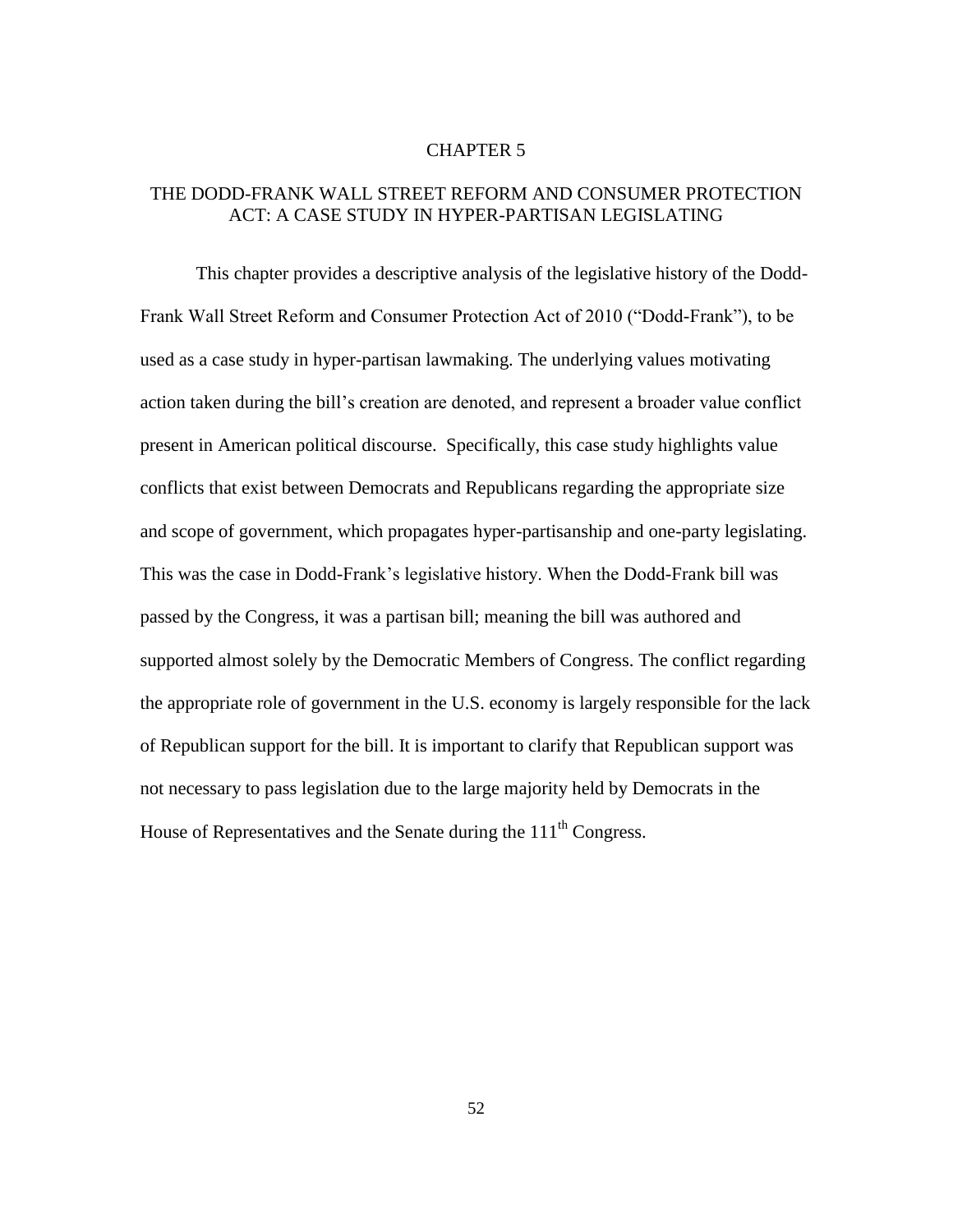### CHAPTER 5

# THE DODD-FRANK WALL STREET REFORM AND CONSUMER PROTECTION ACT: A CASE STUDY IN HYPER-PARTISAN LEGISLATING

This chapter provides a descriptive analysis of the legislative history of the Dodd-Frank Wall Street Reform and Consumer Protection Act of 2010 ("Dodd-Frank"), to be used as a case study in hyper-partisan lawmaking. The underlying values motivating action taken during the bill"s creation are denoted, and represent a broader value conflict present in American political discourse. Specifically, this case study highlights value conflicts that exist between Democrats and Republicans regarding the appropriate size and scope of government, which propagates hyper-partisanship and one-party legislating. This was the case in Dodd-Frank's legislative history. When the Dodd-Frank bill was passed by the Congress, it was a partisan bill; meaning the bill was authored and supported almost solely by the Democratic Members of Congress. The conflict regarding the appropriate role of government in the U.S. economy is largely responsible for the lack of Republican support for the bill. It is important to clarify that Republican support was not necessary to pass legislation due to the large majority held by Democrats in the House of Representatives and the Senate during the  $111<sup>th</sup>$  Congress.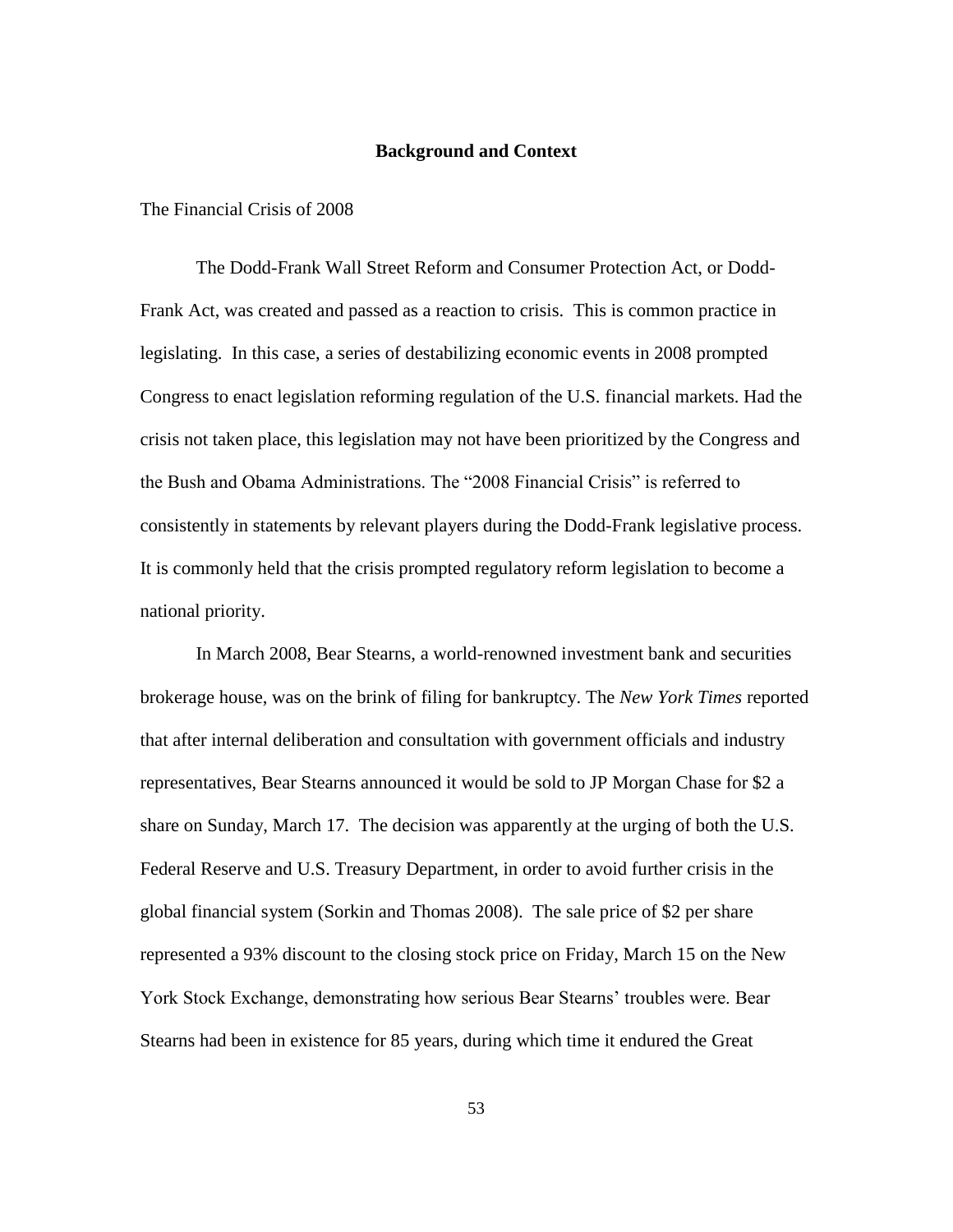#### **Background and Context**

### The Financial Crisis of 2008

The Dodd-Frank Wall Street Reform and Consumer Protection Act, or Dodd-Frank Act, was created and passed as a reaction to crisis. This is common practice in legislating. In this case, a series of destabilizing economic events in 2008 prompted Congress to enact legislation reforming regulation of the U.S. financial markets. Had the crisis not taken place, this legislation may not have been prioritized by the Congress and the Bush and Obama Administrations. The "2008 Financial Crisis" is referred to consistently in statements by relevant players during the Dodd-Frank legislative process. It is commonly held that the crisis prompted regulatory reform legislation to become a national priority.

In March 2008, Bear Stearns, a world-renowned investment bank and securities brokerage house, was on the brink of filing for bankruptcy. The *New York Times* reported that after internal deliberation and consultation with government officials and industry representatives, Bear Stearns announced it would be sold to JP Morgan Chase for \$2 a share on Sunday, March 17. The decision was apparently at the urging of both the U.S. Federal Reserve and U.S. Treasury Department, in order to avoid further crisis in the global financial system (Sorkin and Thomas 2008). The sale price of \$2 per share represented a 93% discount to the closing stock price on Friday, March 15 on the New York Stock Exchange, demonstrating how serious Bear Stearns" troubles were. Bear Stearns had been in existence for 85 years, during which time it endured the Great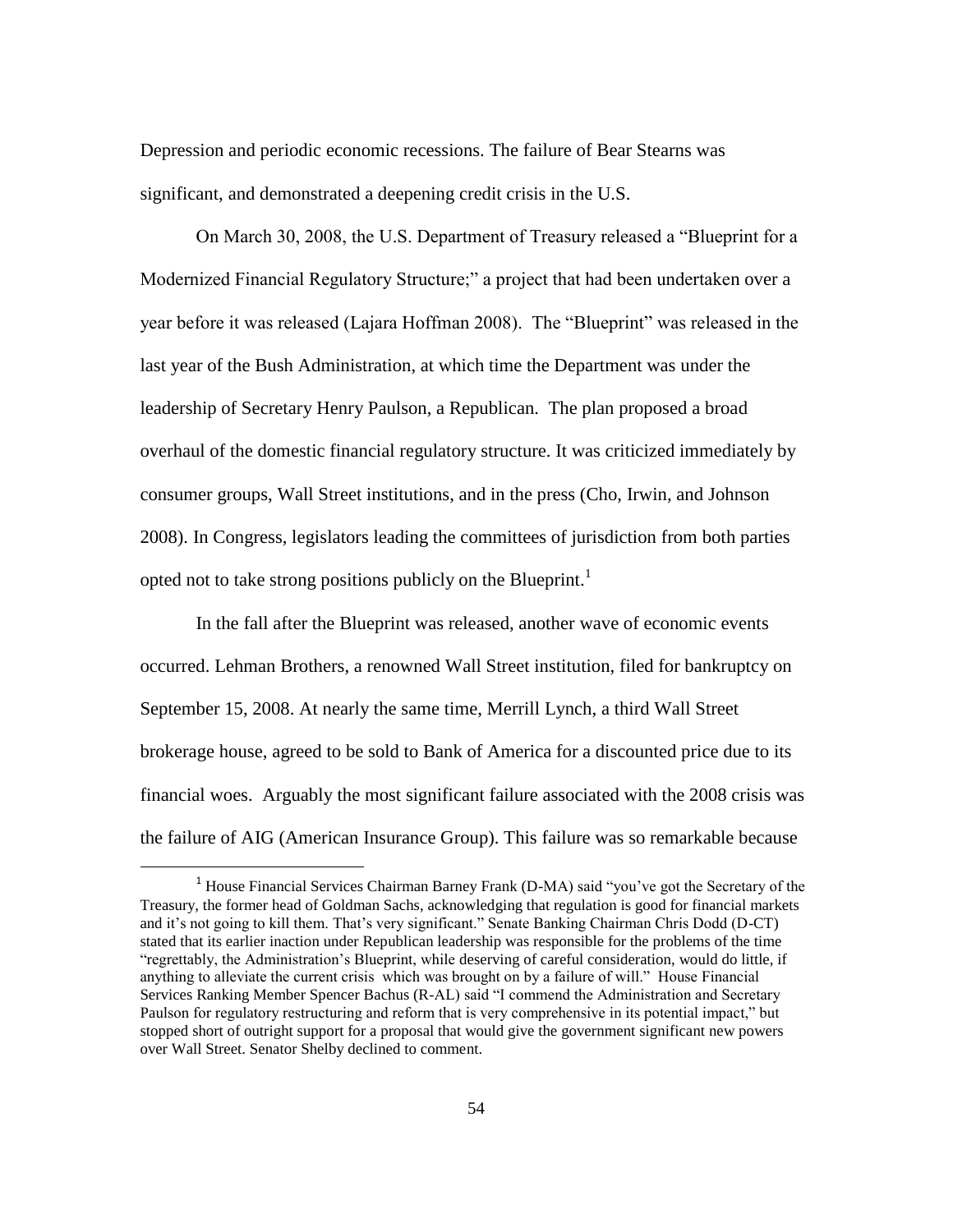Depression and periodic economic recessions. The failure of Bear Stearns was significant, and demonstrated a deepening credit crisis in the U.S.

On March 30, 2008, the U.S. Department of Treasury released a "Blueprint for a Modernized Financial Regulatory Structure;" a project that had been undertaken over a year before it was released (Lajara Hoffman 2008). The "Blueprint" was released in the last year of the Bush Administration, at which time the Department was under the leadership of Secretary Henry Paulson, a Republican. The plan proposed a broad overhaul of the domestic financial regulatory structure. It was criticized immediately by consumer groups, Wall Street institutions, and in the press (Cho, Irwin, and Johnson 2008). In Congress, legislators leading the committees of jurisdiction from both parties opted not to take strong positions publicly on the Blueprint.<sup>1</sup>

In the fall after the Blueprint was released, another wave of economic events occurred. Lehman Brothers, a renowned Wall Street institution, filed for bankruptcy on September 15, 2008. At nearly the same time, Merrill Lynch, a third Wall Street brokerage house, agreed to be sold to Bank of America for a discounted price due to its financial woes. Arguably the most significant failure associated with the 2008 crisis was the failure of AIG (American Insurance Group). This failure was so remarkable because

l

<sup>1</sup> House Financial Services Chairman Barney Frank (D-MA) said "you"ve got the Secretary of the Treasury, the former head of Goldman Sachs, acknowledging that regulation is good for financial markets and it"s not going to kill them. That"s very significant." Senate Banking Chairman Chris Dodd (D-CT) stated that its earlier inaction under Republican leadership was responsible for the problems of the time "regrettably, the Administration"s Blueprint, while deserving of careful consideration, would do little, if anything to alleviate the current crisis which was brought on by a failure of will." House Financial Services Ranking Member Spencer Bachus (R-AL) said "I commend the Administration and Secretary Paulson for regulatory restructuring and reform that is very comprehensive in its potential impact," but stopped short of outright support for a proposal that would give the government significant new powers over Wall Street. Senator Shelby declined to comment.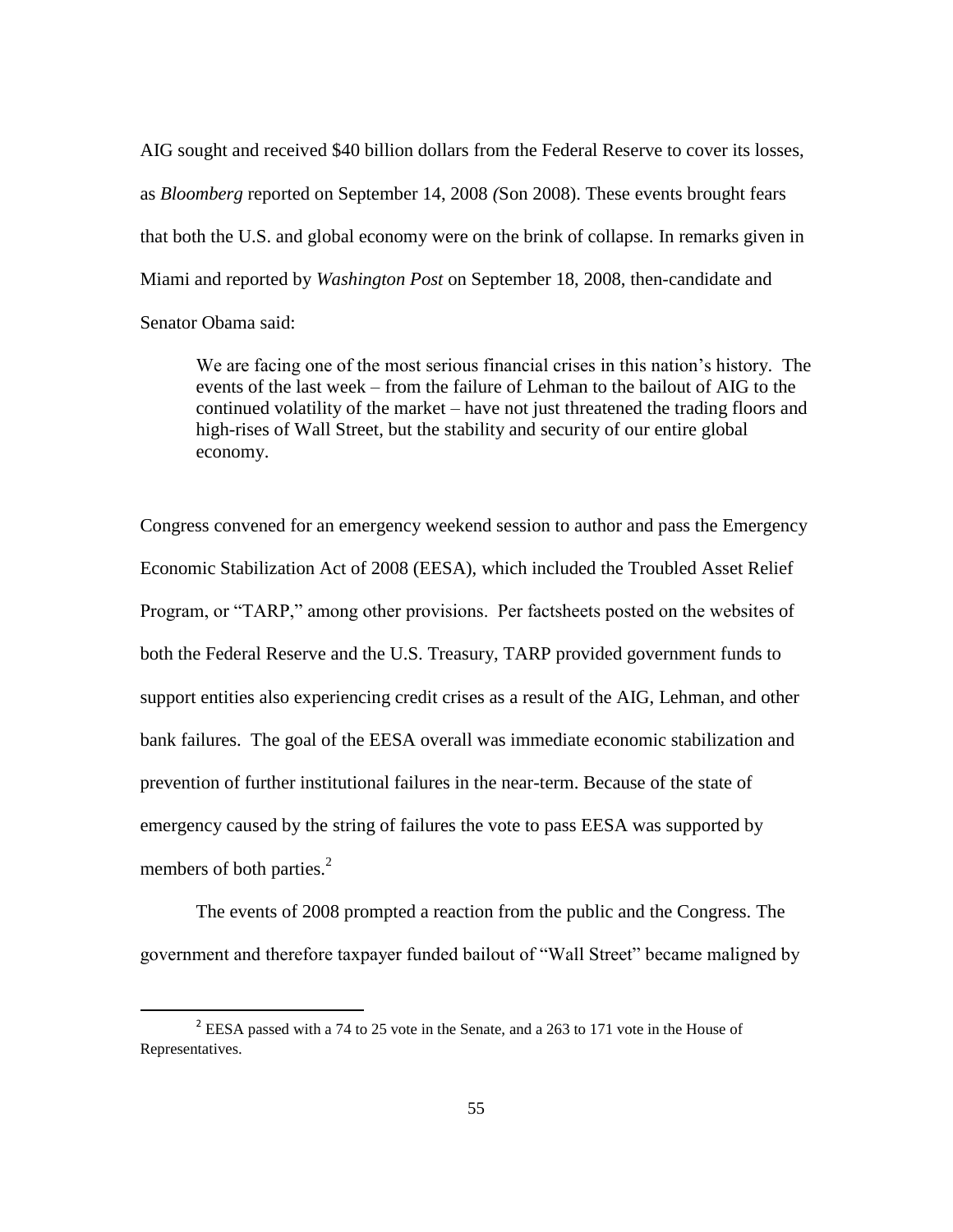AIG sought and received \$40 billion dollars from the Federal Reserve to cover its losses, as *Bloomberg* reported on September 14, 2008 *(*Son 2008). These events brought fears that both the U.S. and global economy were on the brink of collapse. In remarks given in Miami and reported by *Washington Post* on September 18, 2008, then-candidate and Senator Obama said:

We are facing one of the most serious financial crises in this nation"s history. The events of the last week – from the failure of Lehman to the bailout of AIG to the continued volatility of the market – have not just threatened the trading floors and high-rises of Wall Street, but the stability and security of our entire global economy.

Congress convened for an emergency weekend session to author and pass the Emergency Economic Stabilization Act of 2008 (EESA), which included the Troubled Asset Relief Program, or "TARP," among other provisions. Per factsheets posted on the websites of both the Federal Reserve and the U.S. Treasury, TARP provided government funds to support entities also experiencing credit crises as a result of the AIG, Lehman, and other bank failures. The goal of the EESA overall was immediate economic stabilization and prevention of further institutional failures in the near-term. Because of the state of emergency caused by the string of failures the vote to pass EESA was supported by members of both parties.<sup>2</sup>

The events of 2008 prompted a reaction from the public and the Congress. The government and therefore taxpayer funded bailout of "Wall Street" became maligned by

<sup>&</sup>lt;sup>2</sup> EESA passed with a 74 to 25 vote in the Senate, and a 263 to 171 vote in the House of Representatives.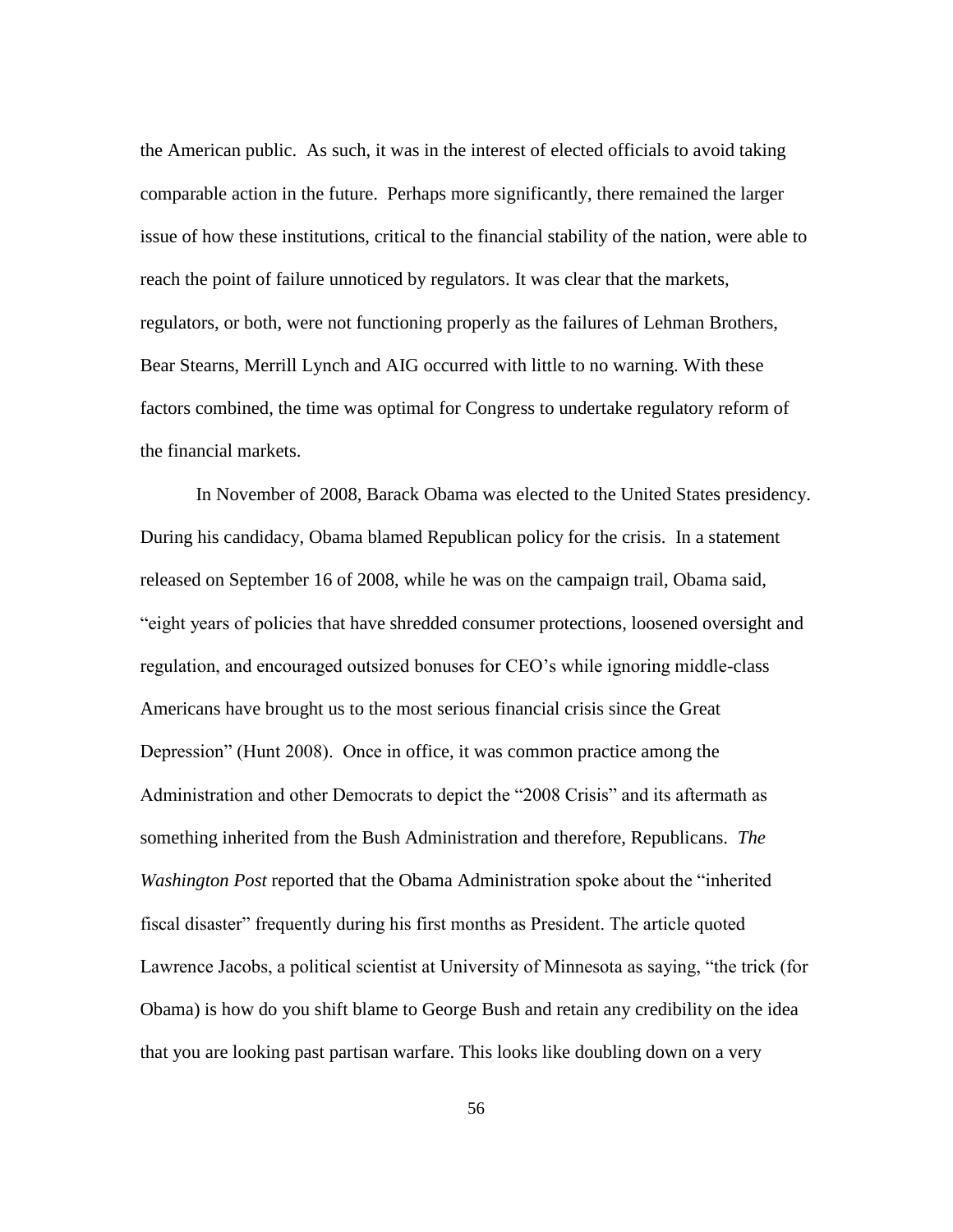the American public. As such, it was in the interest of elected officials to avoid taking comparable action in the future. Perhaps more significantly, there remained the larger issue of how these institutions, critical to the financial stability of the nation, were able to reach the point of failure unnoticed by regulators. It was clear that the markets, regulators, or both, were not functioning properly as the failures of Lehman Brothers, Bear Stearns, Merrill Lynch and AIG occurred with little to no warning. With these factors combined, the time was optimal for Congress to undertake regulatory reform of the financial markets.

In November of 2008, Barack Obama was elected to the United States presidency. During his candidacy, Obama blamed Republican policy for the crisis. In a statement released on September 16 of 2008, while he was on the campaign trail, Obama said, "eight years of policies that have shredded consumer protections, loosened oversight and regulation, and encouraged outsized bonuses for CEO"s while ignoring middle-class Americans have brought us to the most serious financial crisis since the Great Depression" (Hunt 2008). Once in office, it was common practice among the Administration and other Democrats to depict the "2008 Crisis" and its aftermath as something inherited from the Bush Administration and therefore, Republicans. *The Washington Post* reported that the Obama Administration spoke about the "inherited fiscal disaster" frequently during his first months as President. The article quoted Lawrence Jacobs, a political scientist at University of Minnesota as saying, "the trick (for Obama) is how do you shift blame to George Bush and retain any credibility on the idea that you are looking past partisan warfare. This looks like doubling down on a very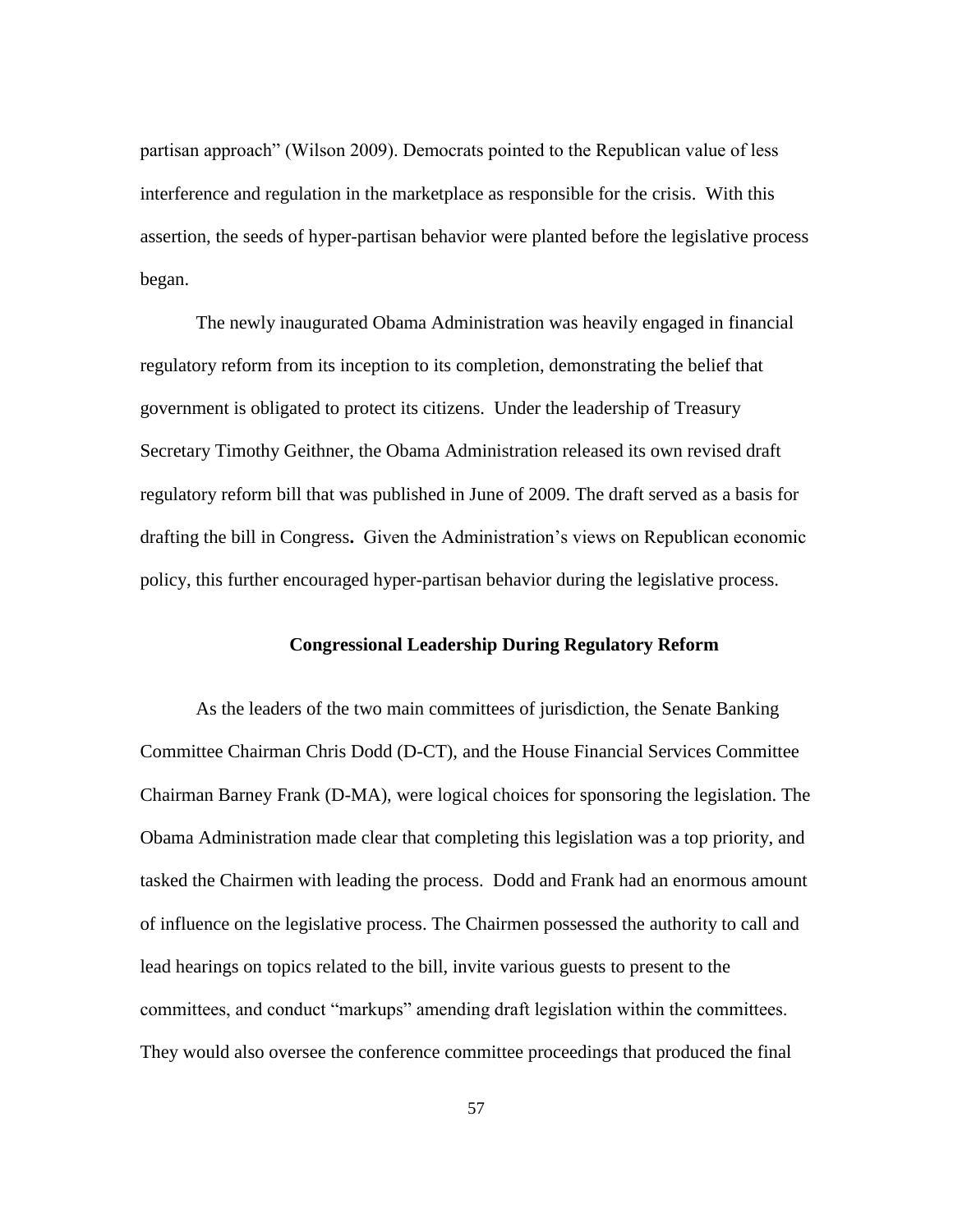partisan approach" (Wilson 2009). Democrats pointed to the Republican value of less interference and regulation in the marketplace as responsible for the crisis. With this assertion, the seeds of hyper-partisan behavior were planted before the legislative process began.

The newly inaugurated Obama Administration was heavily engaged in financial regulatory reform from its inception to its completion, demonstrating the belief that government is obligated to protect its citizens. Under the leadership of Treasury Secretary Timothy Geithner, the Obama Administration released its own revised draft regulatory reform bill that was published in June of 2009. The draft served as a basis for drafting the bill in Congress**.** Given the Administration"s views on Republican economic policy, this further encouraged hyper-partisan behavior during the legislative process.

# **Congressional Leadership During Regulatory Reform**

As the leaders of the two main committees of jurisdiction, the Senate Banking Committee Chairman Chris Dodd (D-CT), and the House Financial Services Committee Chairman Barney Frank (D-MA), were logical choices for sponsoring the legislation. The Obama Administration made clear that completing this legislation was a top priority, and tasked the Chairmen with leading the process. Dodd and Frank had an enormous amount of influence on the legislative process. The Chairmen possessed the authority to call and lead hearings on topics related to the bill, invite various guests to present to the committees, and conduct "markups" amending draft legislation within the committees. They would also oversee the conference committee proceedings that produced the final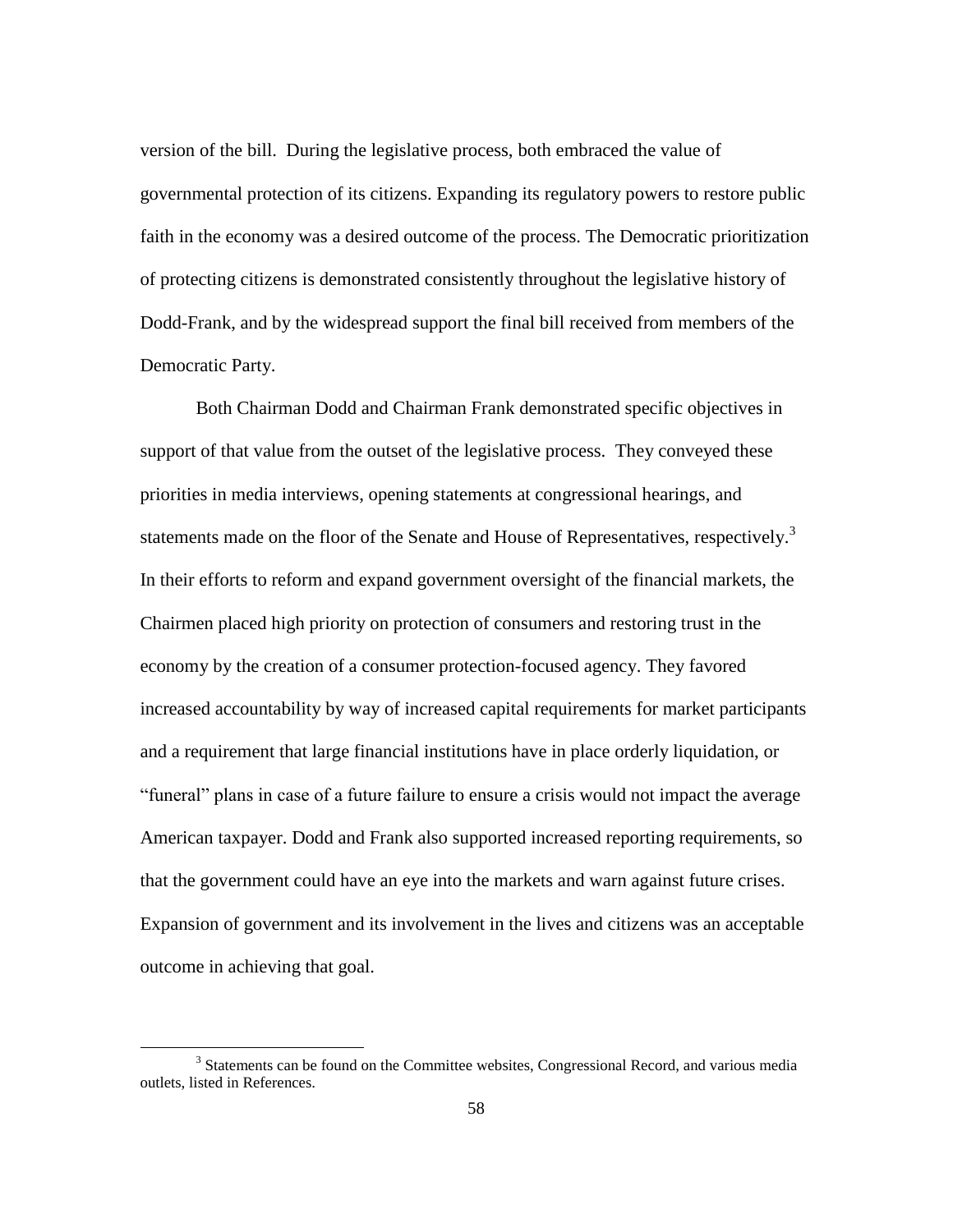version of the bill. During the legislative process, both embraced the value of governmental protection of its citizens. Expanding its regulatory powers to restore public faith in the economy was a desired outcome of the process. The Democratic prioritization of protecting citizens is demonstrated consistently throughout the legislative history of Dodd-Frank, and by the widespread support the final bill received from members of the Democratic Party.

Both Chairman Dodd and Chairman Frank demonstrated specific objectives in support of that value from the outset of the legislative process. They conveyed these priorities in media interviews, opening statements at congressional hearings, and statements made on the floor of the Senate and House of Representatives, respectively.<sup>3</sup> In their efforts to reform and expand government oversight of the financial markets, the Chairmen placed high priority on protection of consumers and restoring trust in the economy by the creation of a consumer protection-focused agency. They favored increased accountability by way of increased capital requirements for market participants and a requirement that large financial institutions have in place orderly liquidation, or "funeral" plans in case of a future failure to ensure a crisis would not impact the average American taxpayer. Dodd and Frank also supported increased reporting requirements, so that the government could have an eye into the markets and warn against future crises. Expansion of government and its involvement in the lives and citizens was an acceptable outcome in achieving that goal.

<sup>&</sup>lt;sup>3</sup> Statements can be found on the Committee websites, Congressional Record, and various media outlets, listed in References.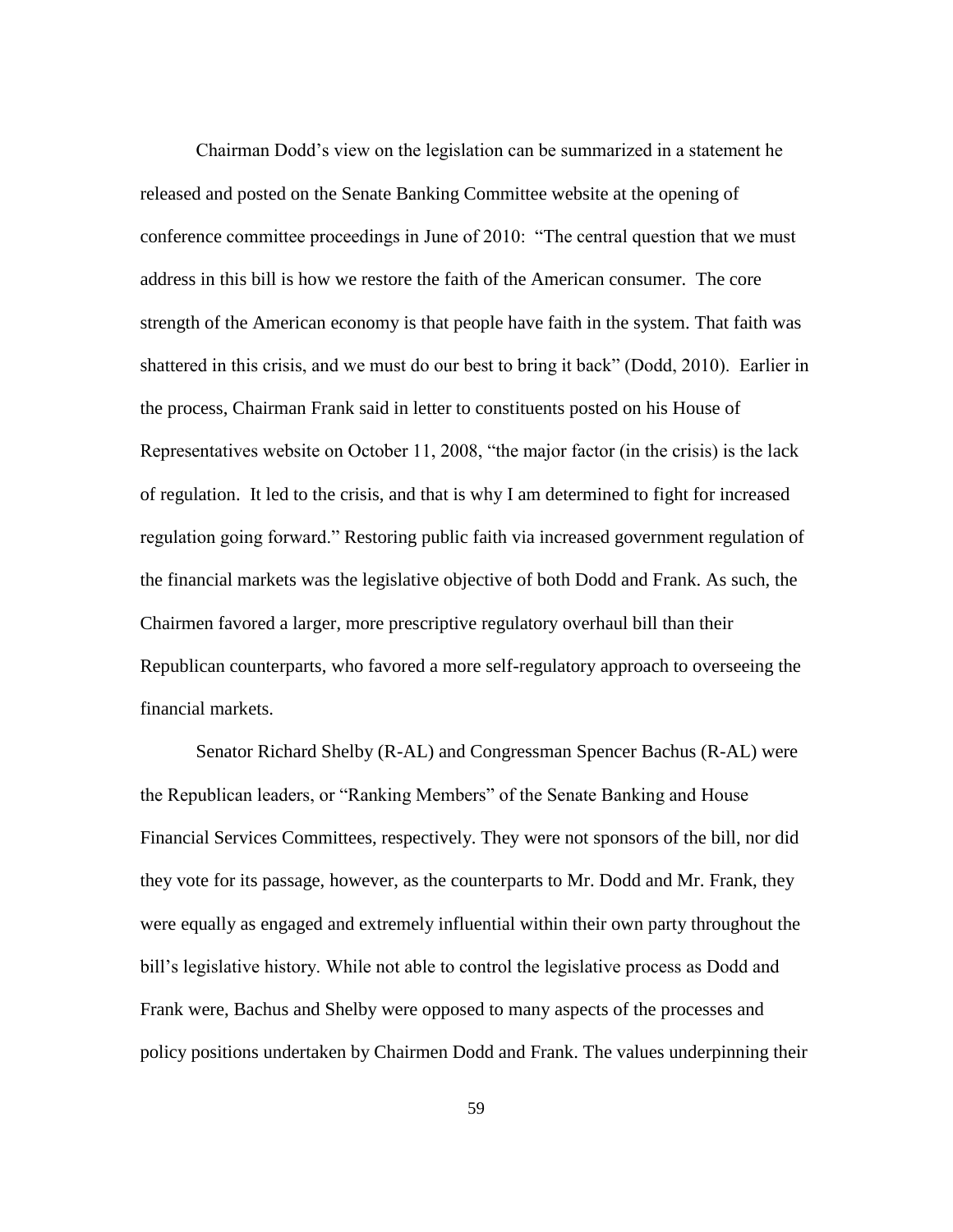Chairman Dodd"s view on the legislation can be summarized in a statement he released and posted on the Senate Banking Committee website at the opening of conference committee proceedings in June of 2010: "The central question that we must address in this bill is how we restore the faith of the American consumer. The core strength of the American economy is that people have faith in the system. That faith was shattered in this crisis, and we must do our best to bring it back" (Dodd, 2010). Earlier in the process, Chairman Frank said in letter to constituents posted on his House of Representatives website on October 11, 2008, "the major factor (in the crisis) is the lack of regulation. It led to the crisis, and that is why I am determined to fight for increased regulation going forward." Restoring public faith via increased government regulation of the financial markets was the legislative objective of both Dodd and Frank. As such, the Chairmen favored a larger, more prescriptive regulatory overhaul bill than their Republican counterparts, who favored a more self-regulatory approach to overseeing the financial markets.

Senator Richard Shelby (R-AL) and Congressman Spencer Bachus (R-AL) were the Republican leaders, or "Ranking Members" of the Senate Banking and House Financial Services Committees, respectively. They were not sponsors of the bill, nor did they vote for its passage, however, as the counterparts to Mr. Dodd and Mr. Frank, they were equally as engaged and extremely influential within their own party throughout the bill"s legislative history. While not able to control the legislative process as Dodd and Frank were, Bachus and Shelby were opposed to many aspects of the processes and policy positions undertaken by Chairmen Dodd and Frank. The values underpinning their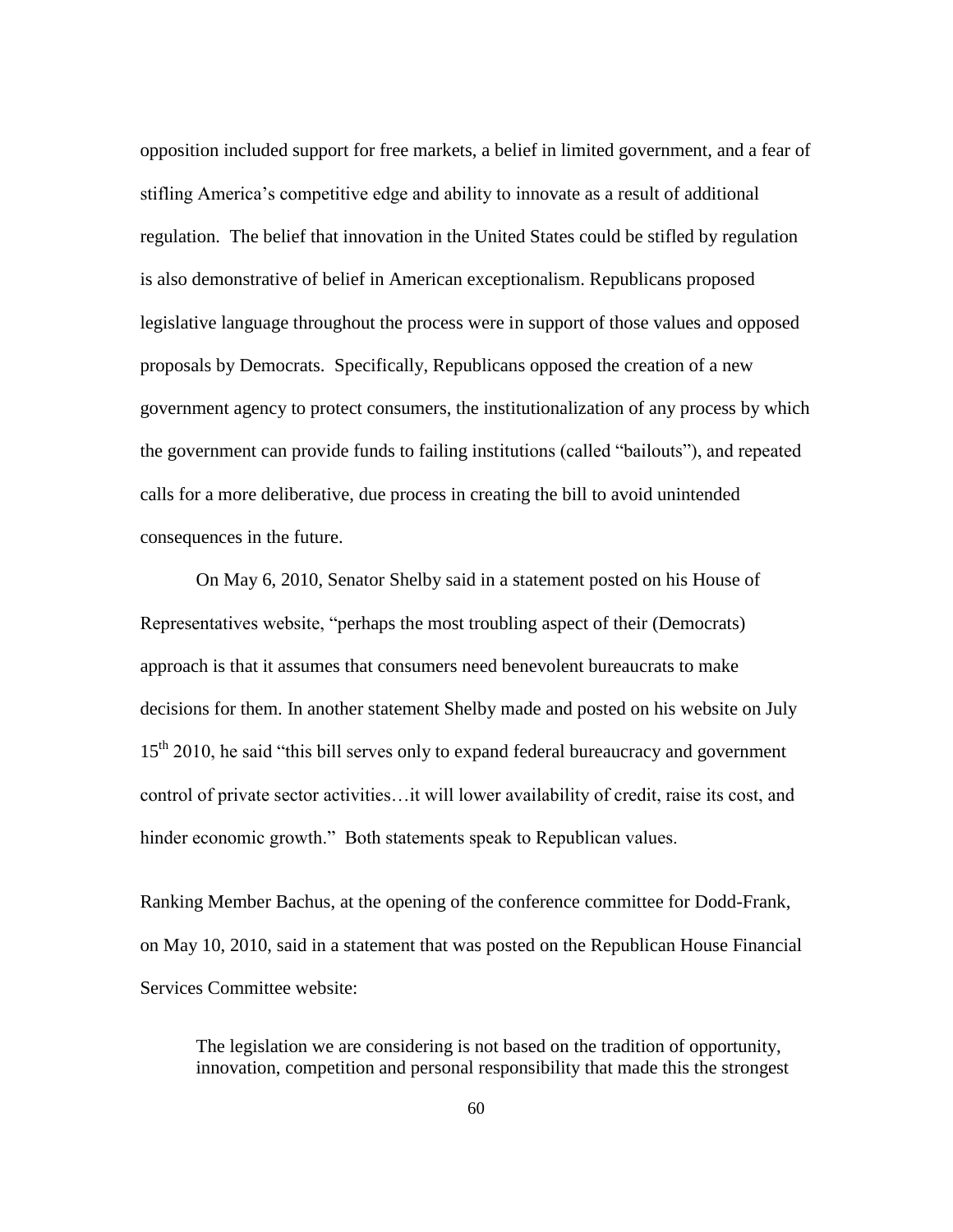opposition included support for free markets, a belief in limited government, and a fear of stifling America"s competitive edge and ability to innovate as a result of additional regulation. The belief that innovation in the United States could be stifled by regulation is also demonstrative of belief in American exceptionalism. Republicans proposed legislative language throughout the process were in support of those values and opposed proposals by Democrats. Specifically, Republicans opposed the creation of a new government agency to protect consumers, the institutionalization of any process by which the government can provide funds to failing institutions (called "bailouts"), and repeated calls for a more deliberative, due process in creating the bill to avoid unintended consequences in the future.

On May 6, 2010, Senator Shelby said in a statement posted on his House of Representatives website, "perhaps the most troubling aspect of their (Democrats) approach is that it assumes that consumers need benevolent bureaucrats to make decisions for them. In another statement Shelby made and posted on his website on July 15<sup>th</sup> 2010, he said "this bill serves only to expand federal bureaucracy and government control of private sector activities…it will lower availability of credit, raise its cost, and hinder economic growth." Both statements speak to Republican values.

Ranking Member Bachus, at the opening of the conference committee for Dodd-Frank, on May 10, 2010, said in a statement that was posted on the Republican House Financial Services Committee website:

The legislation we are considering is not based on the tradition of opportunity, innovation, competition and personal responsibility that made this the strongest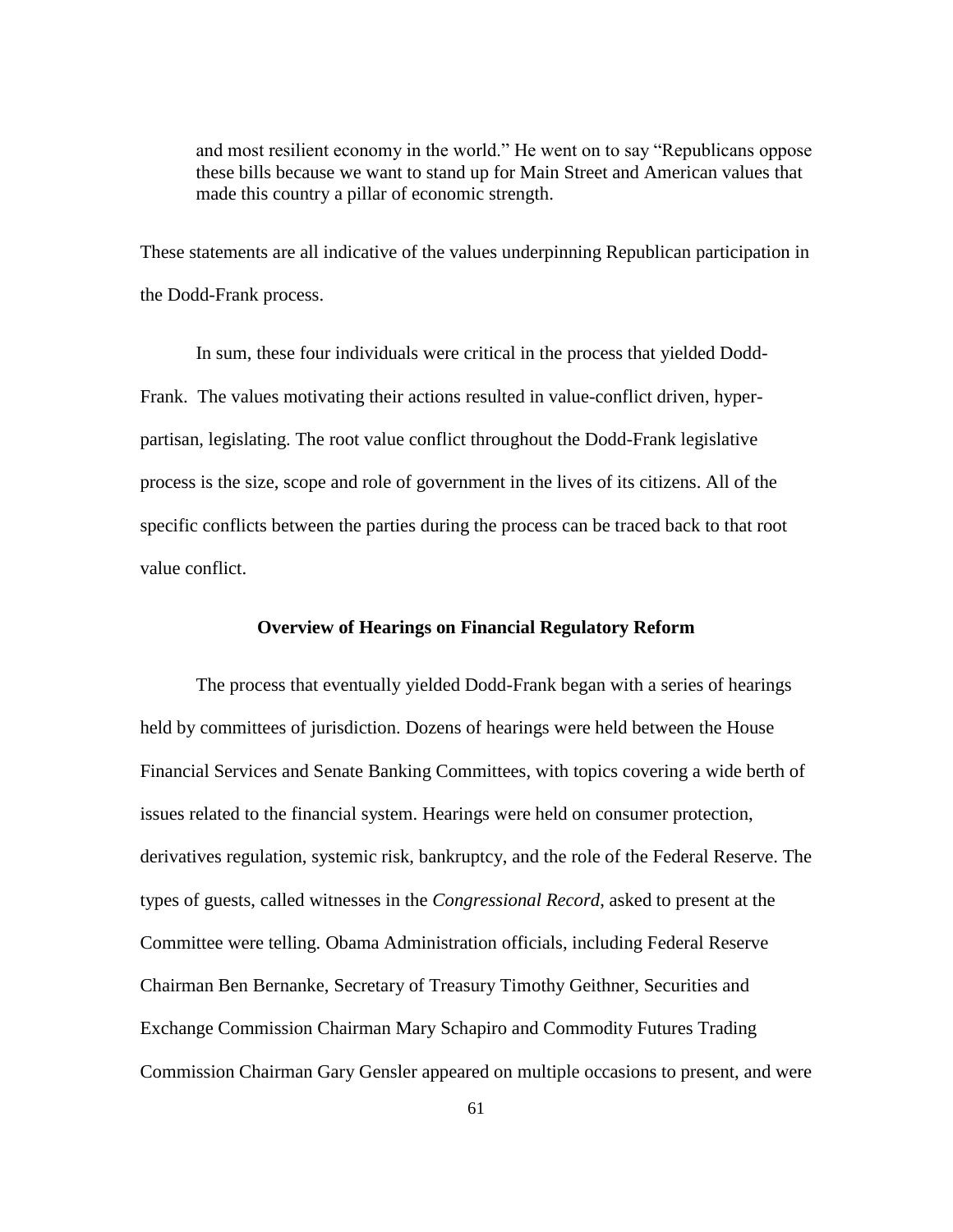and most resilient economy in the world." He went on to say "Republicans oppose these bills because we want to stand up for Main Street and American values that made this country a pillar of economic strength.

These statements are all indicative of the values underpinning Republican participation in the Dodd-Frank process.

In sum, these four individuals were critical in the process that yielded Dodd-Frank. The values motivating their actions resulted in value-conflict driven, hyperpartisan, legislating. The root value conflict throughout the Dodd-Frank legislative process is the size, scope and role of government in the lives of its citizens. All of the specific conflicts between the parties during the process can be traced back to that root value conflict.

# **Overview of Hearings on Financial Regulatory Reform**

The process that eventually yielded Dodd-Frank began with a series of hearings held by committees of jurisdiction. Dozens of hearings were held between the House Financial Services and Senate Banking Committees, with topics covering a wide berth of issues related to the financial system. Hearings were held on consumer protection, derivatives regulation, systemic risk, bankruptcy, and the role of the Federal Reserve. The types of guests, called witnesses in the *Congressional Record*, asked to present at the Committee were telling. Obama Administration officials, including Federal Reserve Chairman Ben Bernanke, Secretary of Treasury Timothy Geithner, Securities and Exchange Commission Chairman Mary Schapiro and Commodity Futures Trading Commission Chairman Gary Gensler appeared on multiple occasions to present, and were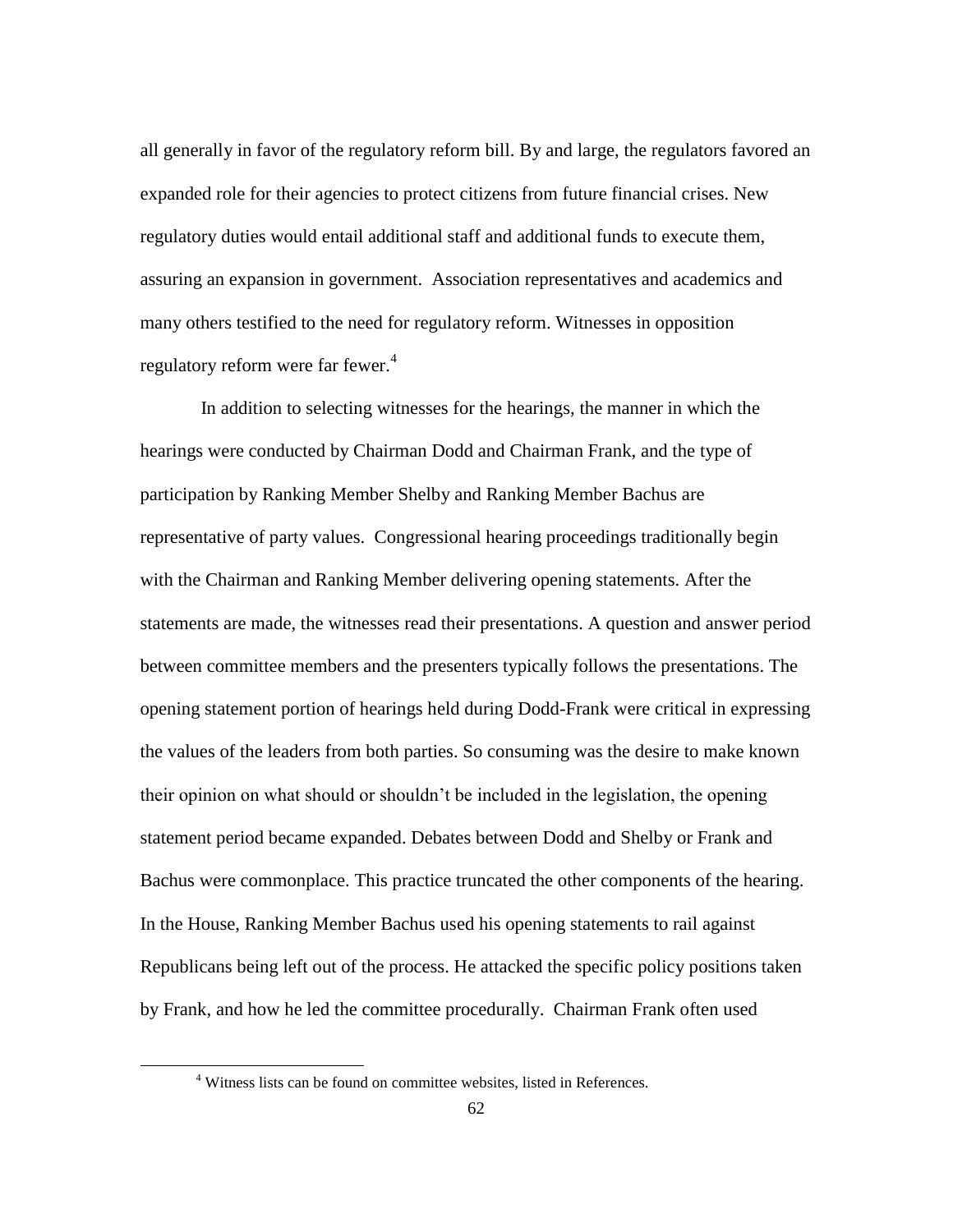all generally in favor of the regulatory reform bill. By and large, the regulators favored an expanded role for their agencies to protect citizens from future financial crises. New regulatory duties would entail additional staff and additional funds to execute them, assuring an expansion in government. Association representatives and academics and many others testified to the need for regulatory reform. Witnesses in opposition regulatory reform were far fewer.<sup>4</sup>

In addition to selecting witnesses for the hearings, the manner in which the hearings were conducted by Chairman Dodd and Chairman Frank, and the type of participation by Ranking Member Shelby and Ranking Member Bachus are representative of party values. Congressional hearing proceedings traditionally begin with the Chairman and Ranking Member delivering opening statements. After the statements are made, the witnesses read their presentations. A question and answer period between committee members and the presenters typically follows the presentations. The opening statement portion of hearings held during Dodd-Frank were critical in expressing the values of the leaders from both parties. So consuming was the desire to make known their opinion on what should or shouldn"t be included in the legislation, the opening statement period became expanded. Debates between Dodd and Shelby or Frank and Bachus were commonplace. This practice truncated the other components of the hearing. In the House, Ranking Member Bachus used his opening statements to rail against Republicans being left out of the process. He attacked the specific policy positions taken by Frank, and how he led the committee procedurally. Chairman Frank often used

<sup>4</sup> Witness lists can be found on committee websites, listed in References.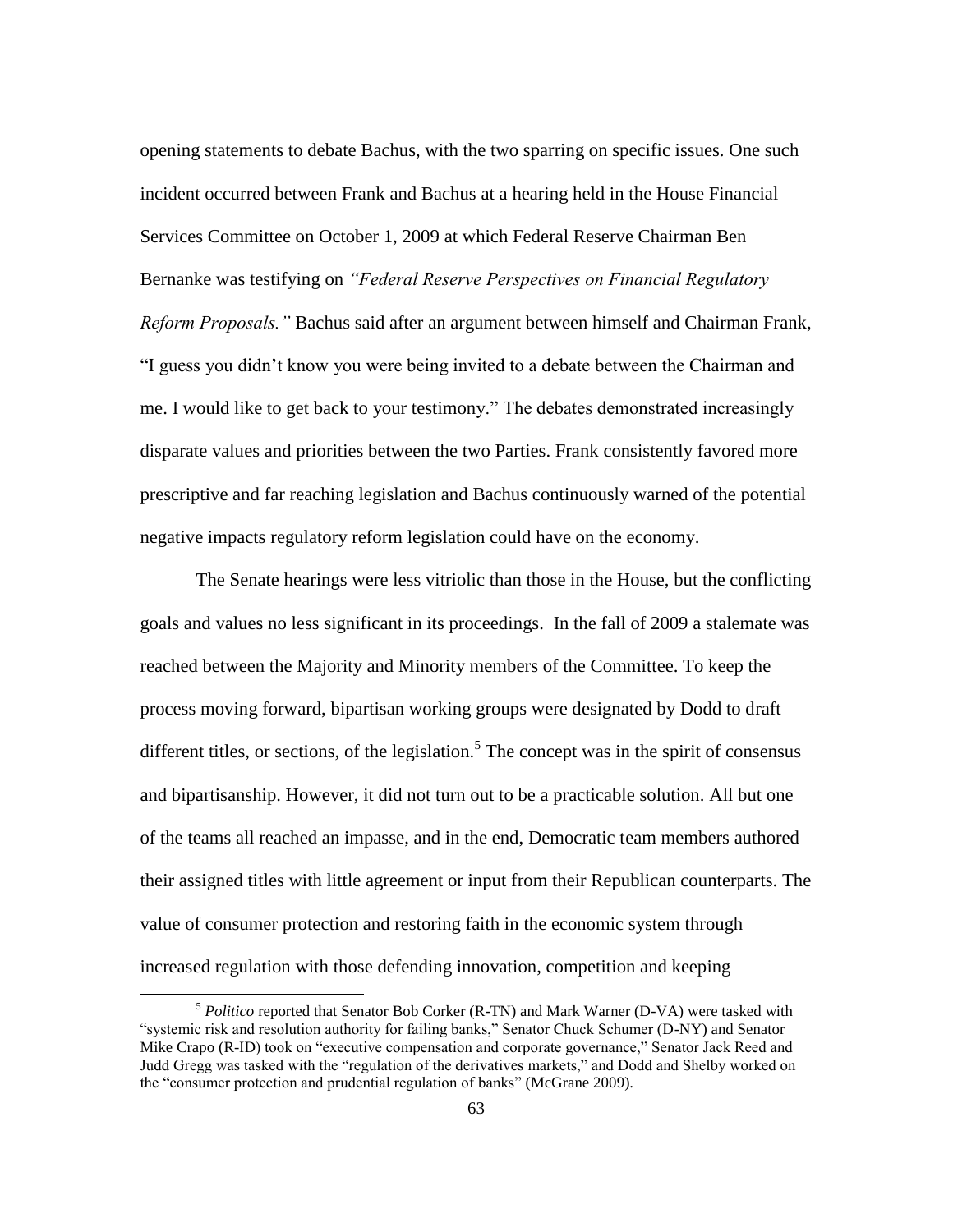opening statements to debate Bachus, with the two sparring on specific issues. One such incident occurred between Frank and Bachus at a hearing held in the House Financial Services Committee on October 1, 2009 at which Federal Reserve Chairman Ben Bernanke was testifying on *"Federal Reserve Perspectives on Financial Regulatory Reform Proposals."* Bachus said after an argument between himself and Chairman Frank, "I guess you didn"t know you were being invited to a debate between the Chairman and me. I would like to get back to your testimony." The debates demonstrated increasingly disparate values and priorities between the two Parties. Frank consistently favored more prescriptive and far reaching legislation and Bachus continuously warned of the potential negative impacts regulatory reform legislation could have on the economy.

The Senate hearings were less vitriolic than those in the House, but the conflicting goals and values no less significant in its proceedings.In the fall of 2009 a stalemate was reached between the Majority and Minority members of the Committee. To keep the process moving forward, bipartisan working groups were designated by Dodd to draft different titles, or sections, of the legislation.<sup>5</sup> The concept was in the spirit of consensus and bipartisanship. However, it did not turn out to be a practicable solution. All but one of the teams all reached an impasse, and in the end, Democratic team members authored their assigned titles with little agreement or input from their Republican counterparts. The value of consumer protection and restoring faith in the economic system through increased regulation with those defending innovation, competition and keeping

 $\overline{a}$ 

<sup>5</sup> *Politico* reported that Senator Bob Corker (R-TN) and Mark Warner (D-VA) were tasked with "systemic risk and resolution authority for failing banks," Senator Chuck Schumer (D-NY) and Senator Mike Crapo (R-ID) took on "executive compensation and corporate governance," Senator Jack Reed and Judd Gregg was tasked with the "regulation of the derivatives markets," and Dodd and Shelby worked on the "consumer protection and prudential regulation of banks" (McGrane 2009).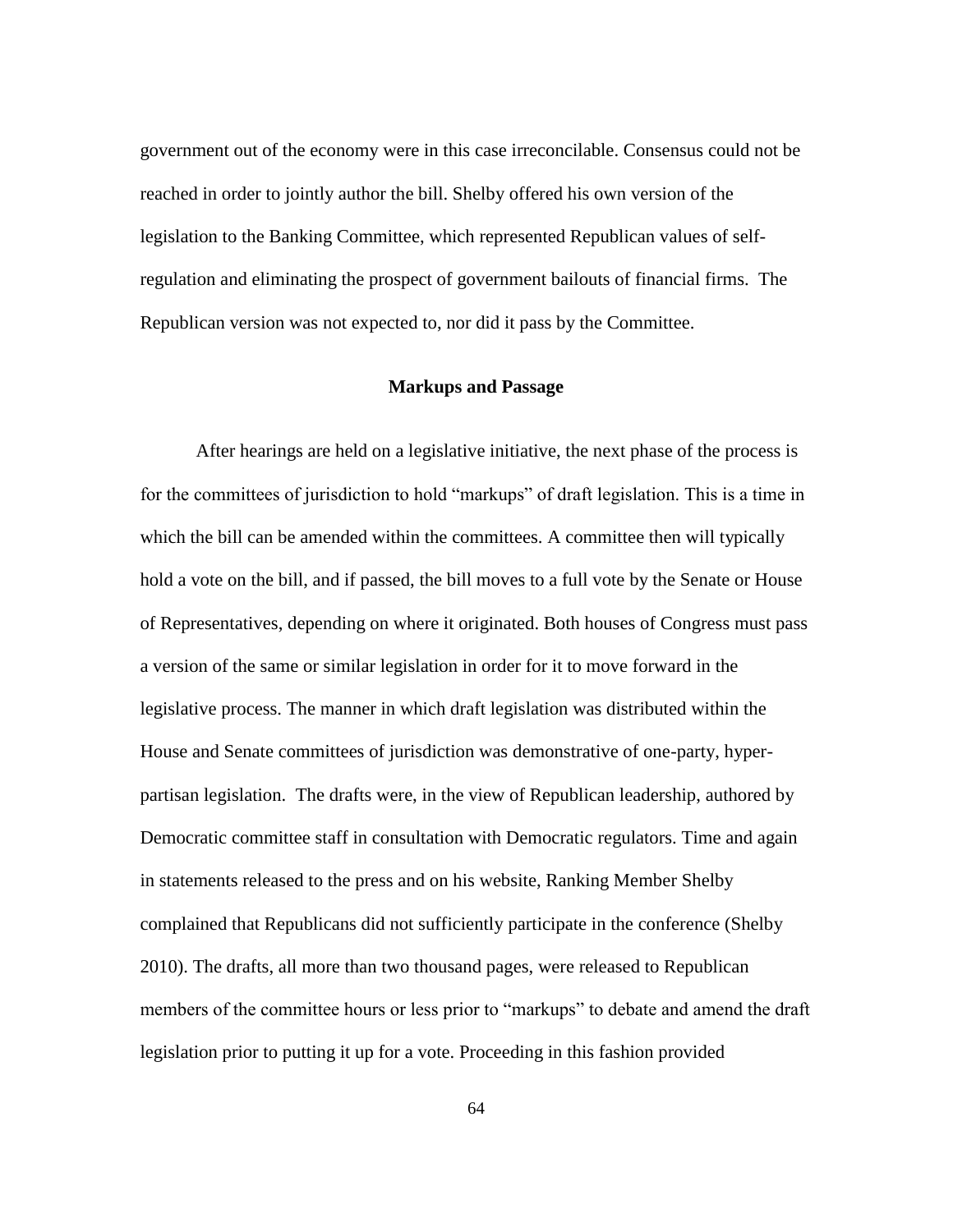government out of the economy were in this case irreconcilable. Consensus could not be reached in order to jointly author the bill. Shelby offered his own version of the legislation to the Banking Committee, which represented Republican values of selfregulation and eliminating the prospect of government bailouts of financial firms. The Republican version was not expected to, nor did it pass by the Committee.

### **Markups and Passage**

After hearings are held on a legislative initiative, the next phase of the process is for the committees of jurisdiction to hold "markups" of draft legislation. This is a time in which the bill can be amended within the committees. A committee then will typically hold a vote on the bill, and if passed, the bill moves to a full vote by the Senate or House of Representatives, depending on where it originated. Both houses of Congress must pass a version of the same or similar legislation in order for it to move forward in the legislative process. The manner in which draft legislation was distributed within the House and Senate committees of jurisdiction was demonstrative of one-party, hyperpartisan legislation. The drafts were, in the view of Republican leadership, authored by Democratic committee staff in consultation with Democratic regulators. Time and again in statements released to the press and on his website, Ranking Member Shelby complained that Republicans did not sufficiently participate in the conference (Shelby 2010). The drafts, all more than two thousand pages, were released to Republican members of the committee hours or less prior to "markups" to debate and amend the draft legislation prior to putting it up for a vote. Proceeding in this fashion provided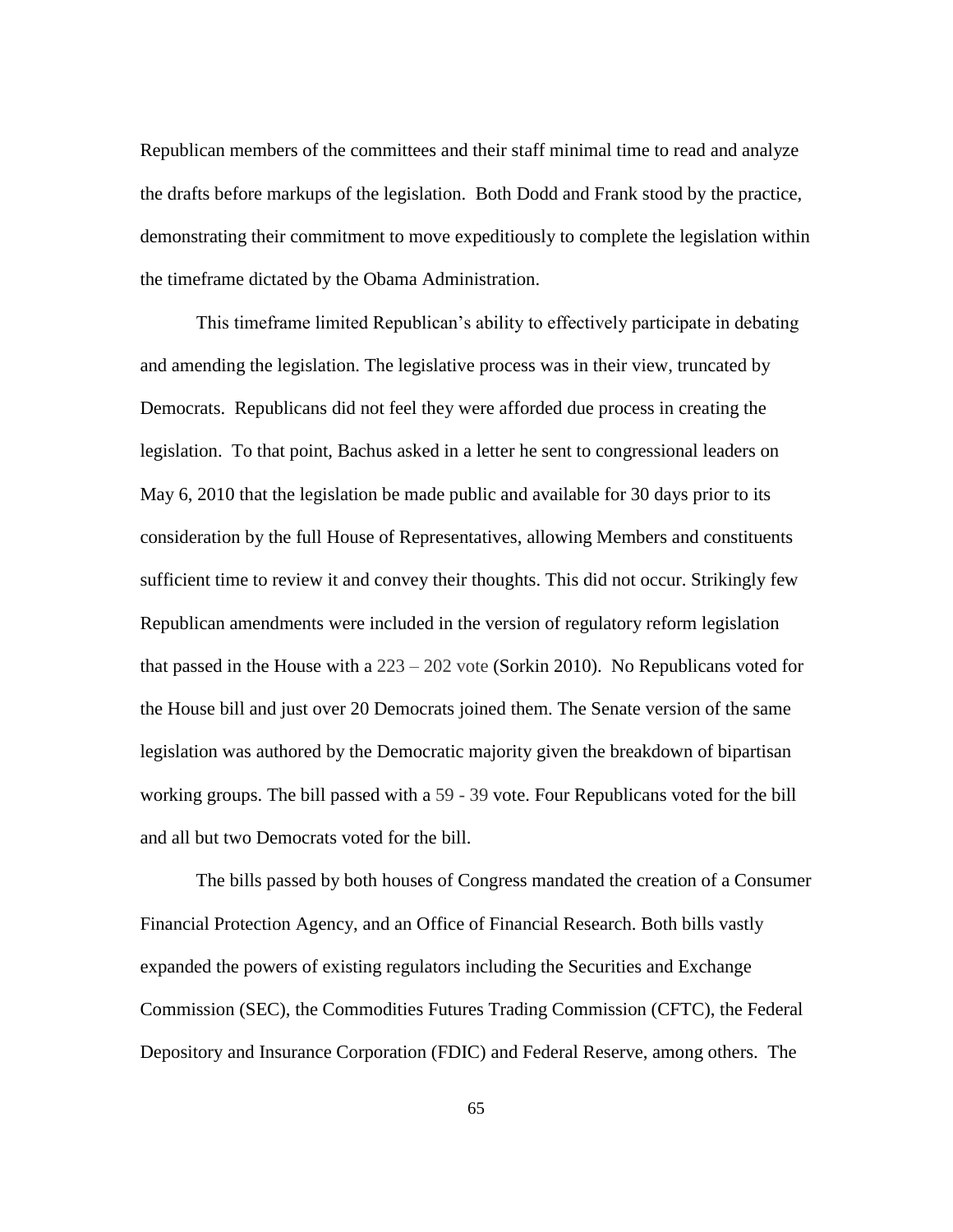Republican members of the committees and their staff minimal time to read and analyze the drafts before markups of the legislation. Both Dodd and Frank stood by the practice, demonstrating their commitment to move expeditiously to complete the legislation within the timeframe dictated by the Obama Administration.

This timeframe limited Republican"s ability to effectively participate in debating and amending the legislation. The legislative process was in their view, truncated by Democrats. Republicans did not feel they were afforded due process in creating the legislation. To that point, Bachus asked in a letter he sent to congressional leaders on May 6, 2010 that the legislation be made public and available for 30 days prior to its consideration by the full House of Representatives, allowing Members and constituents sufficient time to review it and convey their thoughts. This did not occur. Strikingly few Republican amendments were included in the version of regulatory reform legislation that passed in the House with a 223 – 202 vote (Sorkin 2010). No Republicans voted for the House bill and just over 20 Democrats joined them. The Senate version of the same legislation was authored by the Democratic majority given the breakdown of bipartisan working groups. The bill passed with a 59 - 39 vote. Four Republicans voted for the bill and all but two Democrats voted for the bill.

The bills passed by both houses of Congress mandated the creation of a Consumer Financial Protection Agency, and an Office of Financial Research. Both bills vastly expanded the powers of existing regulators including the Securities and Exchange Commission (SEC), the Commodities Futures Trading Commission (CFTC), the Federal Depository and Insurance Corporation (FDIC) and Federal Reserve, among others. The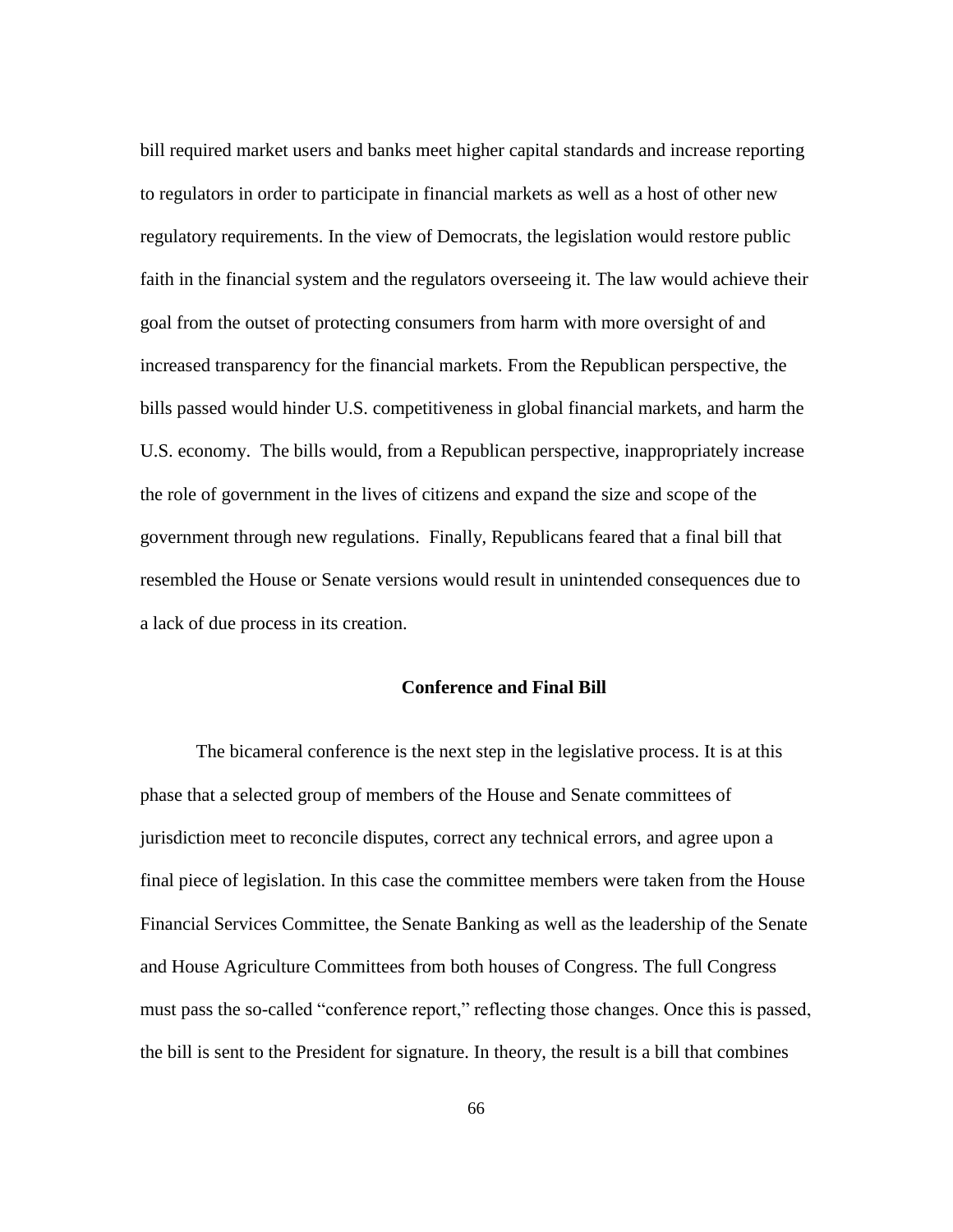bill required market users and banks meet higher capital standards and increase reporting to regulators in order to participate in financial markets as well as a host of other new regulatory requirements. In the view of Democrats, the legislation would restore public faith in the financial system and the regulators overseeing it. The law would achieve their goal from the outset of protecting consumers from harm with more oversight of and increased transparency for the financial markets. From the Republican perspective, the bills passed would hinder U.S. competitiveness in global financial markets, and harm the U.S. economy. The bills would, from a Republican perspective, inappropriately increase the role of government in the lives of citizens and expand the size and scope of the government through new regulations. Finally, Republicans feared that a final bill that resembled the House or Senate versions would result in unintended consequences due to a lack of due process in its creation.

# **Conference and Final Bill**

The bicameral conference is the next step in the legislative process. It is at this phase that a selected group of members of the House and Senate committees of jurisdiction meet to reconcile disputes, correct any technical errors, and agree upon a final piece of legislation. In this case the committee members were taken from the House Financial Services Committee, the Senate Banking as well as the leadership of the Senate and House Agriculture Committees from both houses of Congress. The full Congress must pass the so-called "conference report," reflecting those changes. Once this is passed, the bill is sent to the President for signature. In theory, the result is a bill that combines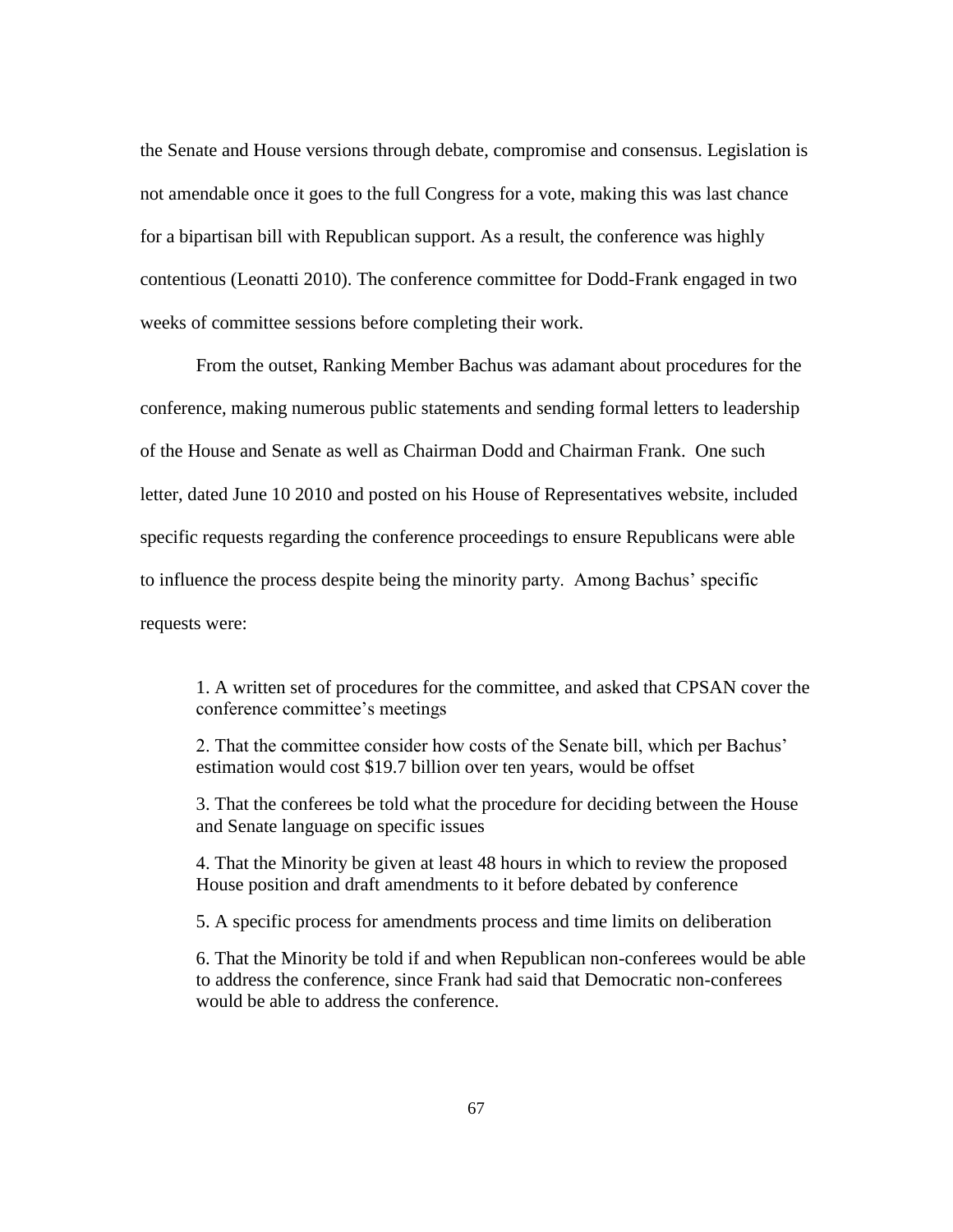the Senate and House versions through debate, compromise and consensus. Legislation is not amendable once it goes to the full Congress for a vote, making this was last chance for a bipartisan bill with Republican support. As a result, the conference was highly contentious (Leonatti 2010). The conference committee for Dodd-Frank engaged in two weeks of committee sessions before completing their work.

From the outset, Ranking Member Bachus was adamant about procedures for the conference, making numerous public statements and sending formal letters to leadership of the House and Senate as well as Chairman Dodd and Chairman Frank. One such letter, dated June 10 2010 and posted on his House of Representatives website, included specific requests regarding the conference proceedings to ensure Republicans were able to influence the process despite being the minority party. Among Bachus" specific requests were:

1. A written set of procedures for the committee, and asked that CPSAN cover the conference committee"s meetings

2. That the committee consider how costs of the Senate bill, which per Bachus" estimation would cost \$19.7 billion over ten years, would be offset

3. That the conferees be told what the procedure for deciding between the House and Senate language on specific issues

4. That the Minority be given at least 48 hours in which to review the proposed House position and draft amendments to it before debated by conference

5. A specific process for amendments process and time limits on deliberation

6. That the Minority be told if and when Republican non-conferees would be able to address the conference, since Frank had said that Democratic non-conferees would be able to address the conference.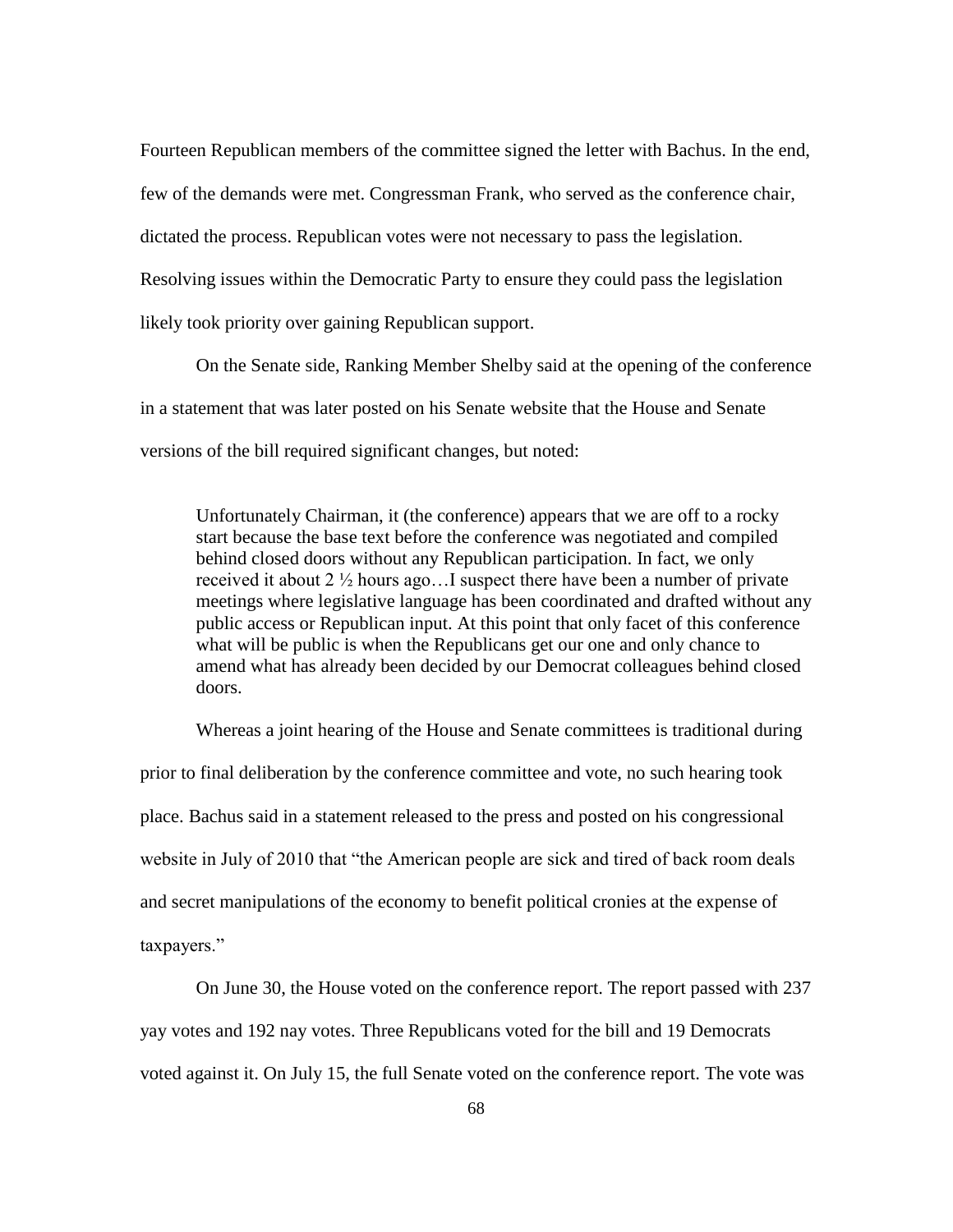Fourteen Republican members of the committee signed the letter with Bachus. In the end, few of the demands were met. Congressman Frank, who served as the conference chair, dictated the process. Republican votes were not necessary to pass the legislation. Resolving issues within the Democratic Party to ensure they could pass the legislation likely took priority over gaining Republican support.

On the Senate side, Ranking Member Shelby said at the opening of the conference in a statement that was later posted on his Senate website that the House and Senate versions of the bill required significant changes, but noted:

Unfortunately Chairman, it (the conference) appears that we are off to a rocky start because the base text before the conference was negotiated and compiled behind closed doors without any Republican participation. In fact, we only received it about 2 ½ hours ago…I suspect there have been a number of private meetings where legislative language has been coordinated and drafted without any public access or Republican input. At this point that only facet of this conference what will be public is when the Republicans get our one and only chance to amend what has already been decided by our Democrat colleagues behind closed doors.

Whereas a joint hearing of the House and Senate committees is traditional during prior to final deliberation by the conference committee and vote, no such hearing took place. Bachus said in a statement released to the press and posted on his congressional website in July of 2010 that "the American people are sick and tired of back room deals and secret manipulations of the economy to benefit political cronies at the expense of taxpayers."

On June 30, the House voted on the conference report. The report passed with 237 yay votes and 192 nay votes. Three Republicans voted for the bill and 19 Democrats voted against it. On July 15, the full Senate voted on the conference report. The vote was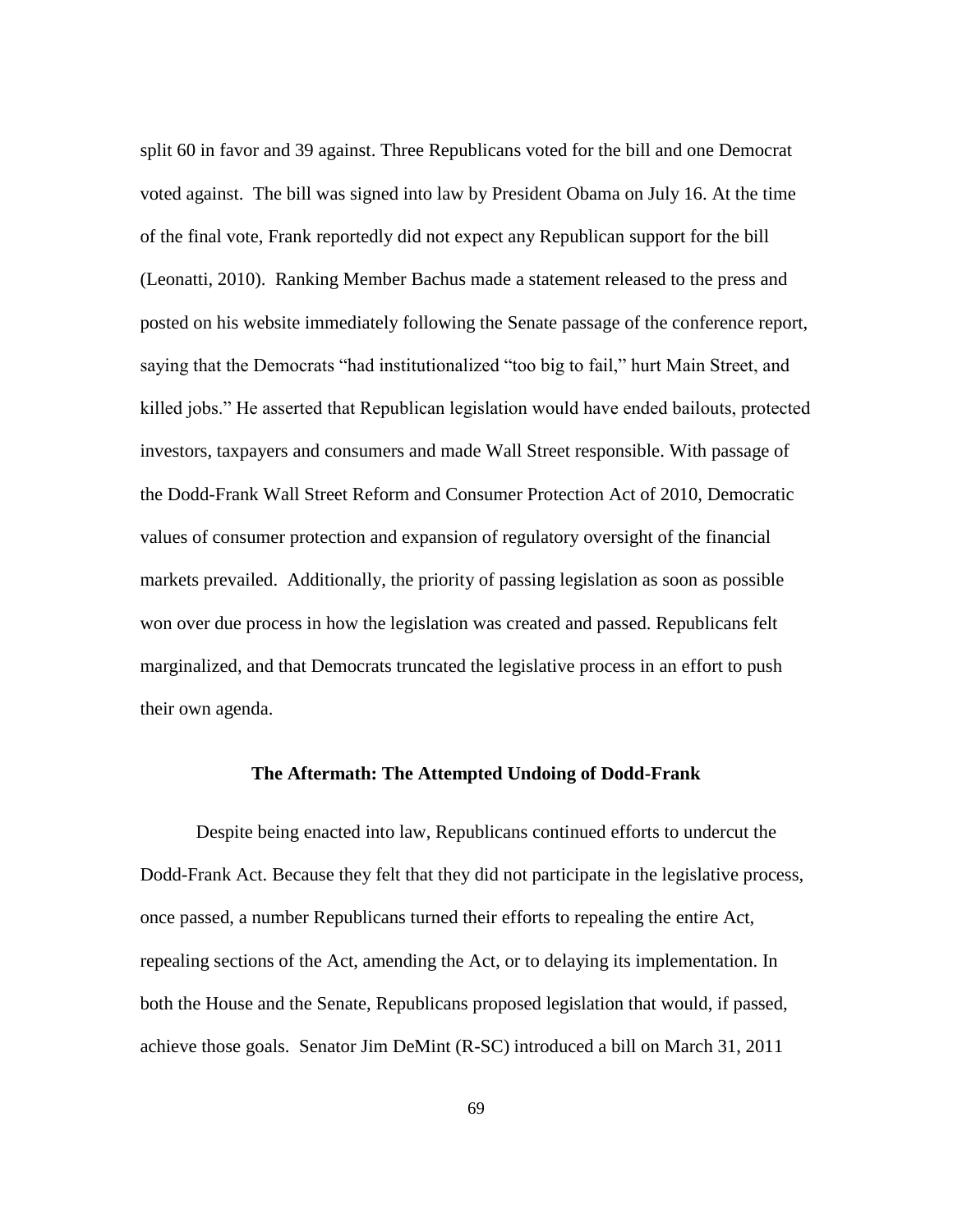split 60 in favor and 39 against. Three Republicans voted for the bill and one Democrat voted against. The bill was signed into law by President Obama on July 16. At the time of the final vote, Frank reportedly did not expect any Republican support for the bill (Leonatti, 2010). Ranking Member Bachus made a statement released to the press and posted on his website immediately following the Senate passage of the conference report, saying that the Democrats "had institutionalized "too big to fail," hurt Main Street, and killed jobs." He asserted that Republican legislation would have ended bailouts, protected investors, taxpayers and consumers and made Wall Street responsible. With passage of the Dodd-Frank Wall Street Reform and Consumer Protection Act of 2010, Democratic values of consumer protection and expansion of regulatory oversight of the financial markets prevailed. Additionally, the priority of passing legislation as soon as possible won over due process in how the legislation was created and passed. Republicans felt marginalized, and that Democrats truncated the legislative process in an effort to push their own agenda.

#### **The Aftermath: The Attempted Undoing of Dodd-Frank**

Despite being enacted into law, Republicans continued efforts to undercut the Dodd-Frank Act. Because they felt that they did not participate in the legislative process, once passed, a number Republicans turned their efforts to repealing the entire Act, repealing sections of the Act, amending the Act, or to delaying its implementation. In both the House and the Senate, Republicans proposed legislation that would, if passed, achieve those goals. Senator Jim DeMint (R-SC) introduced a bill on March 31, 2011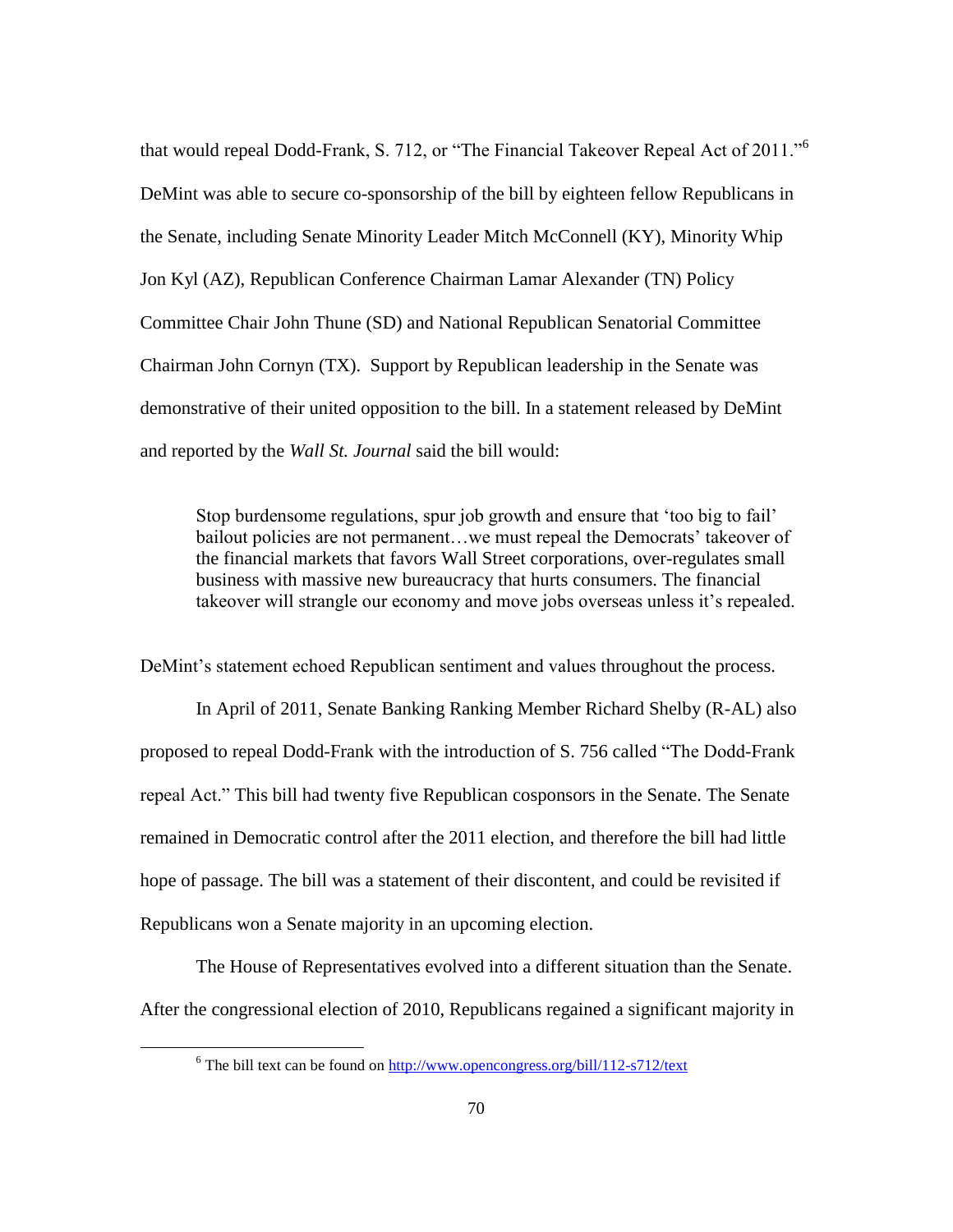that would repeal Dodd-Frank, S. 712, or "The Financial Takeover Repeal Act of 2011."<sup>6</sup> DeMint was able to secure co-sponsorship of the bill by eighteen fellow Republicans in the Senate, including Senate Minority Leader Mitch McConnell (KY), Minority Whip Jon Kyl (AZ), Republican Conference Chairman Lamar Alexander (TN) Policy Committee Chair John Thune (SD) and National Republican Senatorial Committee Chairman John Cornyn (TX). Support by Republican leadership in the Senate was demonstrative of their united opposition to the bill. In a statement released by DeMint and reported by the *Wall St. Journal* said the bill would:

Stop burdensome regulations, spur job growth and ensure that "too big to fail" bailout policies are not permanent...we must repeal the Democrats' takeover of the financial markets that favors Wall Street corporations, over-regulates small business with massive new bureaucracy that hurts consumers. The financial takeover will strangle our economy and move jobs overseas unless it's repealed.

DeMint's statement echoed Republican sentiment and values throughout the process.

In April of 2011, Senate Banking Ranking Member Richard Shelby (R-AL) also proposed to repeal Dodd-Frank with the introduction of S. 756 called "The Dodd-Frank repeal Act." This bill had twenty five Republican cosponsors in the Senate. The Senate remained in Democratic control after the 2011 election, and therefore the bill had little hope of passage. The bill was a statement of their discontent, and could be revisited if Republicans won a Senate majority in an upcoming election.

The House of Representatives evolved into a different situation than the Senate. After the congressional election of 2010, Republicans regained a significant majority in

 $\overline{\phantom{a}}$ 

 $6$  The bill text can be found on<http://www.opencongress.org/bill/112-s712/text>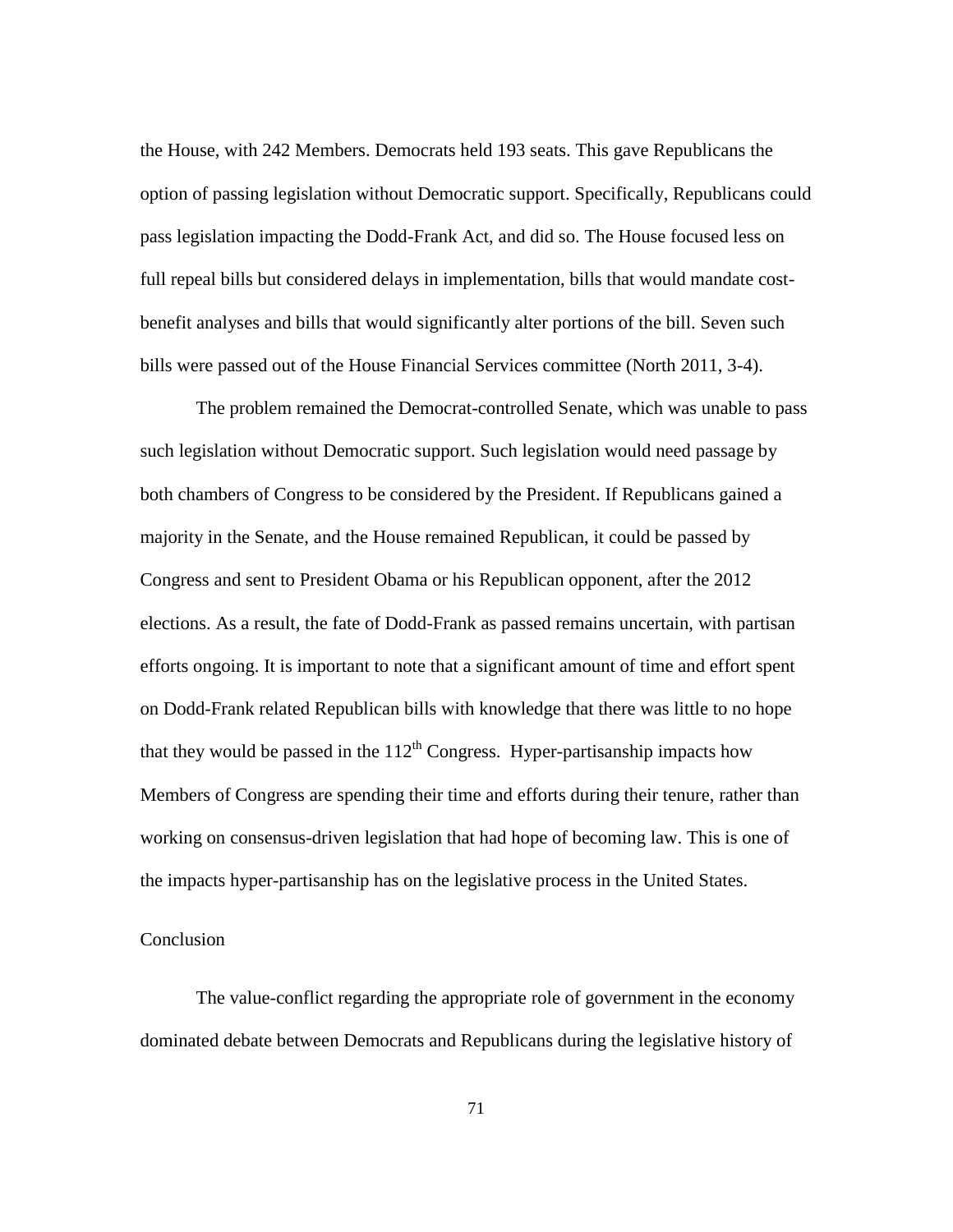the House, with 242 Members. Democrats held 193 seats. This gave Republicans the option of passing legislation without Democratic support. Specifically, Republicans could pass legislation impacting the Dodd-Frank Act, and did so. The House focused less on full repeal bills but considered delays in implementation, bills that would mandate costbenefit analyses and bills that would significantly alter portions of the bill. Seven such bills were passed out of the House Financial Services committee (North 2011, 3-4).

The problem remained the Democrat-controlled Senate, which was unable to pass such legislation without Democratic support. Such legislation would need passage by both chambers of Congress to be considered by the President. If Republicans gained a majority in the Senate, and the House remained Republican, it could be passed by Congress and sent to President Obama or his Republican opponent, after the 2012 elections. As a result, the fate of Dodd-Frank as passed remains uncertain, with partisan efforts ongoing. It is important to note that a significant amount of time and effort spent on Dodd-Frank related Republican bills with knowledge that there was little to no hope that they would be passed in the  $112<sup>th</sup>$  Congress. Hyper-partisanship impacts how Members of Congress are spending their time and efforts during their tenure, rather than working on consensus-driven legislation that had hope of becoming law. This is one of the impacts hyper-partisanship has on the legislative process in the United States.

#### Conclusion

The value-conflict regarding the appropriate role of government in the economy dominated debate between Democrats and Republicans during the legislative history of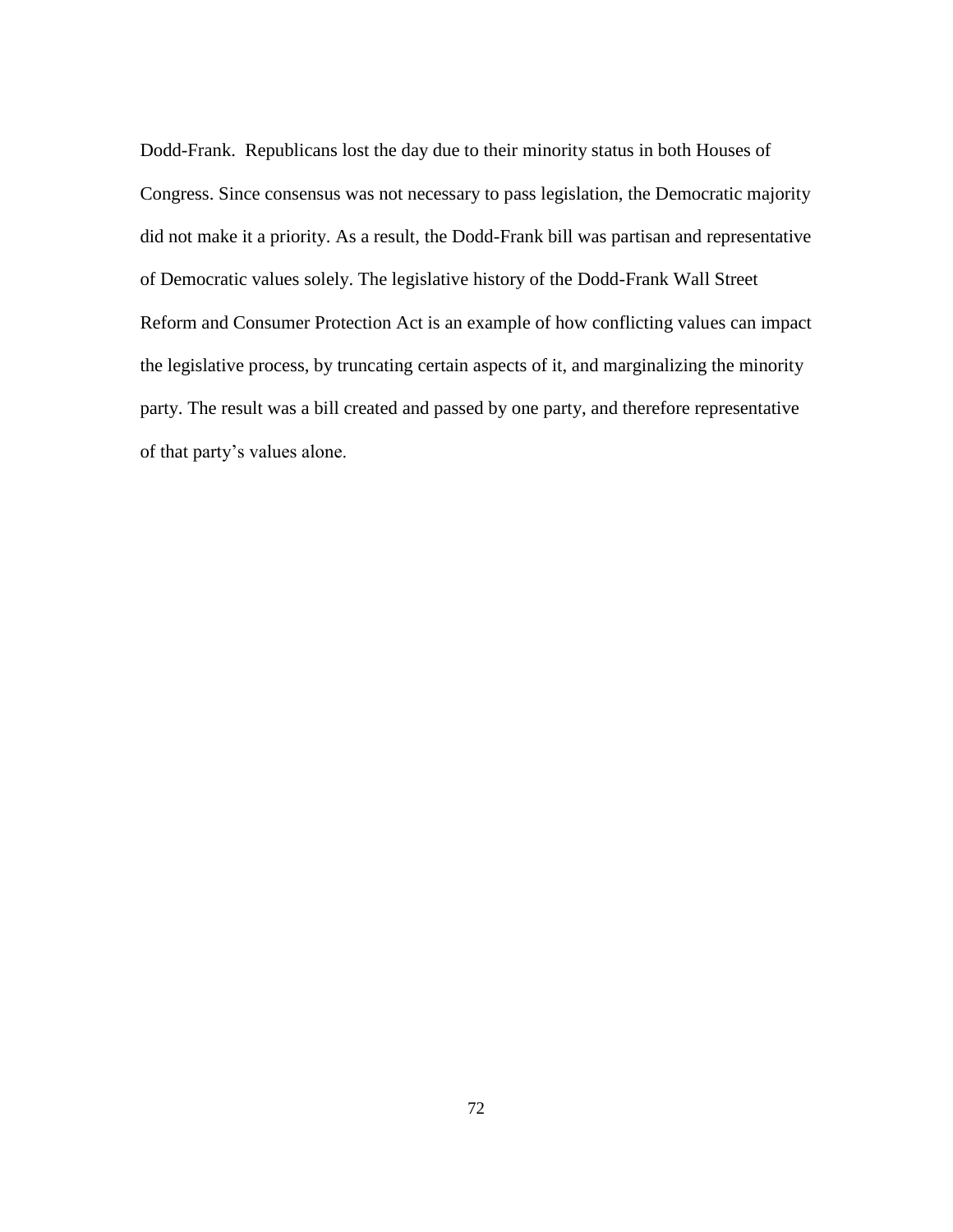Dodd-Frank. Republicans lost the day due to their minority status in both Houses of Congress. Since consensus was not necessary to pass legislation, the Democratic majority did not make it a priority. As a result, the Dodd-Frank bill was partisan and representative of Democratic values solely. The legislative history of the Dodd-Frank Wall Street Reform and Consumer Protection Act is an example of how conflicting values can impact the legislative process, by truncating certain aspects of it, and marginalizing the minority party. The result was a bill created and passed by one party, and therefore representative of that party"s values alone.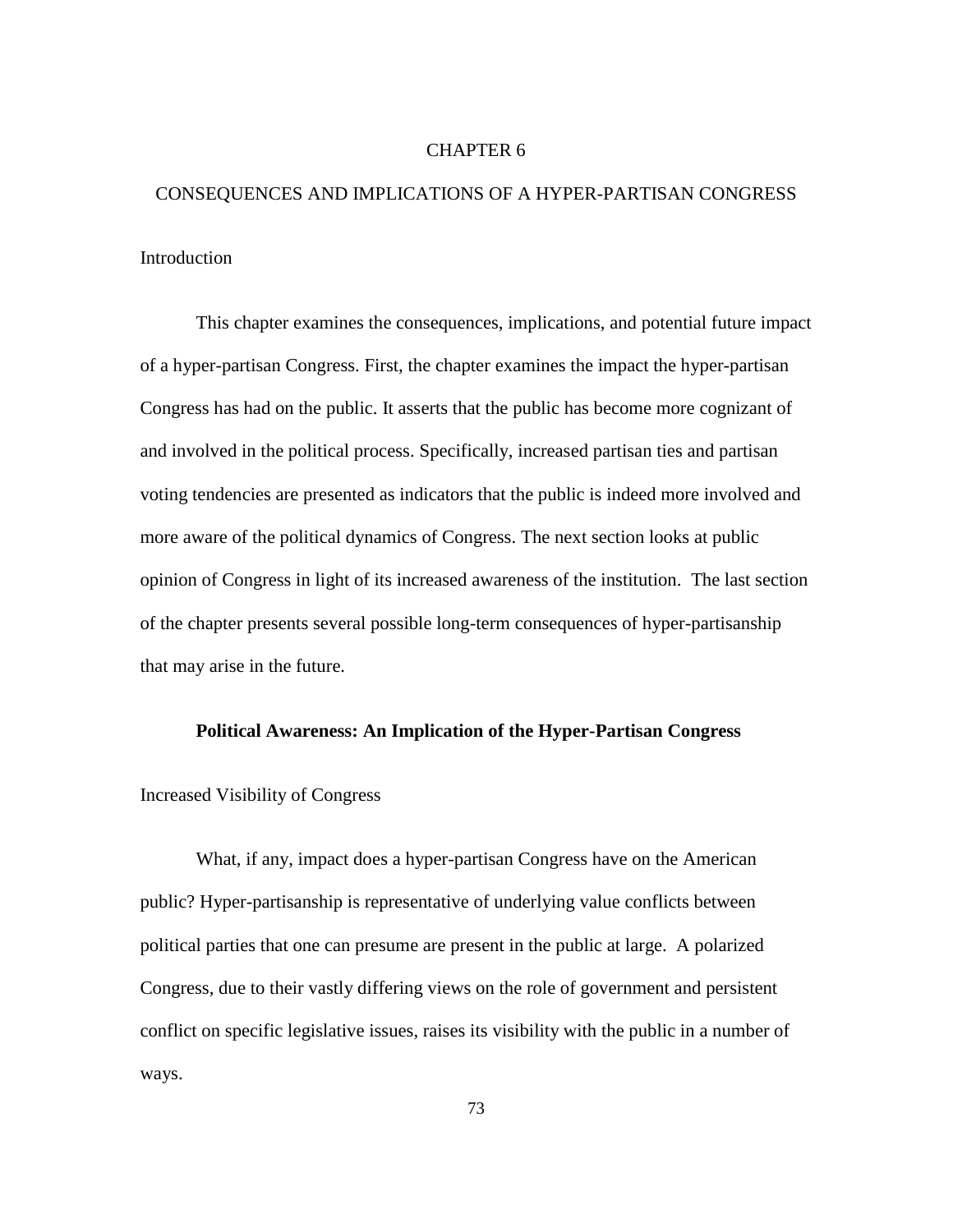#### CHAPTER 6

# CONSEQUENCES AND IMPLICATIONS OF A HYPER-PARTISAN CONGRESS Introduction

This chapter examines the consequences, implications, and potential future impact of a hyper-partisan Congress. First, the chapter examines the impact the hyper-partisan Congress has had on the public. It asserts that the public has become more cognizant of and involved in the political process. Specifically, increased partisan ties and partisan voting tendencies are presented as indicators that the public is indeed more involved and more aware of the political dynamics of Congress. The next section looks at public opinion of Congress in light of its increased awareness of the institution. The last section of the chapter presents several possible long-term consequences of hyper-partisanship that may arise in the future.

## **Political Awareness: An Implication of the Hyper-Partisan Congress**

## Increased Visibility of Congress

What, if any, impact does a hyper-partisan Congress have on the American public? Hyper-partisanship is representative of underlying value conflicts between political parties that one can presume are present in the public at large. A polarized Congress, due to their vastly differing views on the role of government and persistent conflict on specific legislative issues, raises its visibility with the public in a number of ways.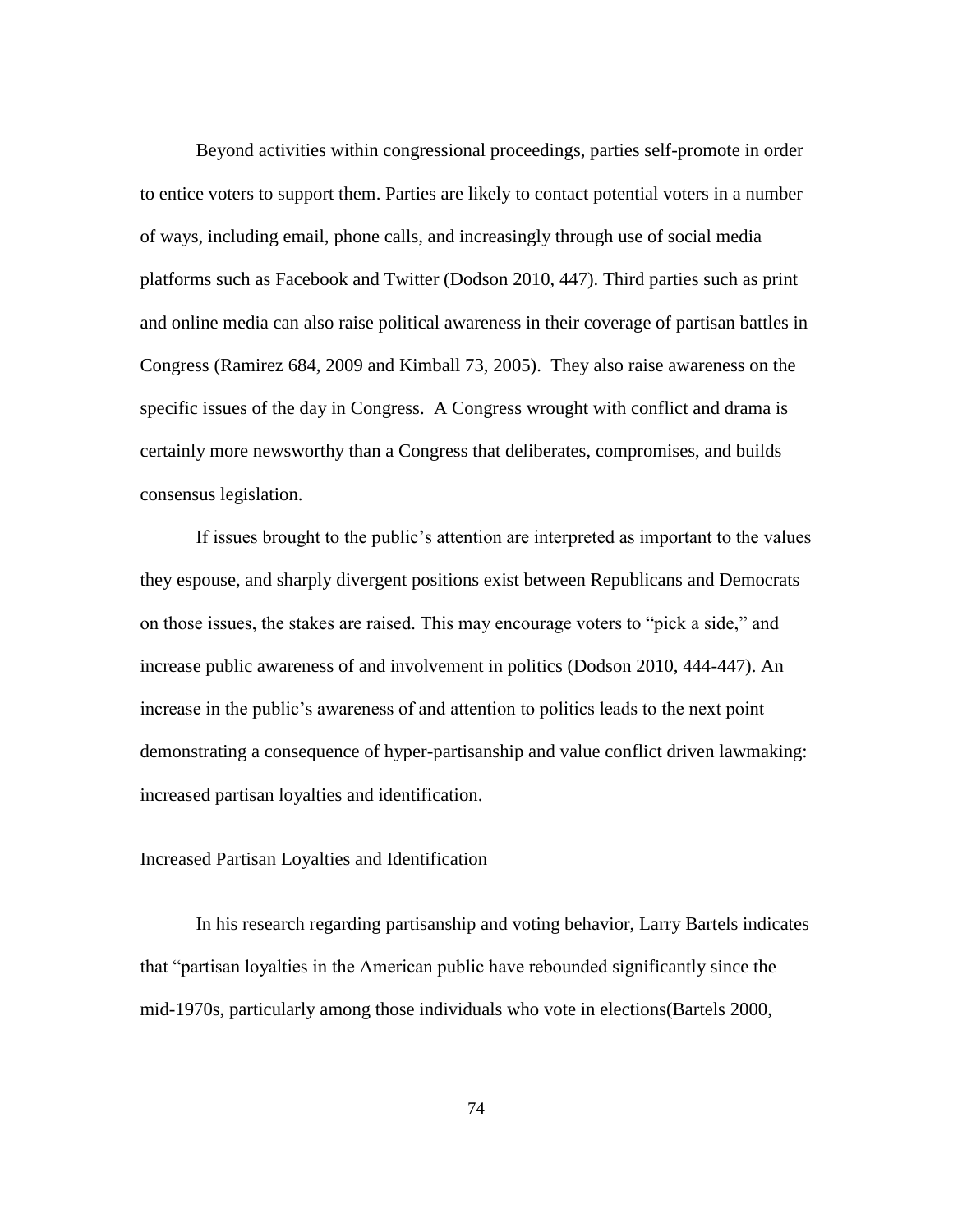Beyond activities within congressional proceedings, parties self-promote in order to entice voters to support them. Parties are likely to contact potential voters in a number of ways, including email, phone calls, and increasingly through use of social media platforms such as Facebook and Twitter (Dodson 2010, 447). Third parties such as print and online media can also raise political awareness in their coverage of partisan battles in Congress (Ramirez 684, 2009 and Kimball 73, 2005). They also raise awareness on the specific issues of the day in Congress. A Congress wrought with conflict and drama is certainly more newsworthy than a Congress that deliberates, compromises, and builds consensus legislation.

If issues brought to the public"s attention are interpreted as important to the values they espouse, and sharply divergent positions exist between Republicans and Democrats on those issues, the stakes are raised. This may encourage voters to "pick a side," and increase public awareness of and involvement in politics (Dodson 2010, 444-447). An increase in the public"s awareness of and attention to politics leads to the next point demonstrating a consequence of hyper-partisanship and value conflict driven lawmaking: increased partisan loyalties and identification.

## Increased Partisan Loyalties and Identification

In his research regarding partisanship and voting behavior, Larry Bartels indicates that "partisan loyalties in the American public have rebounded significantly since the mid-1970s, particularly among those individuals who vote in elections(Bartels 2000,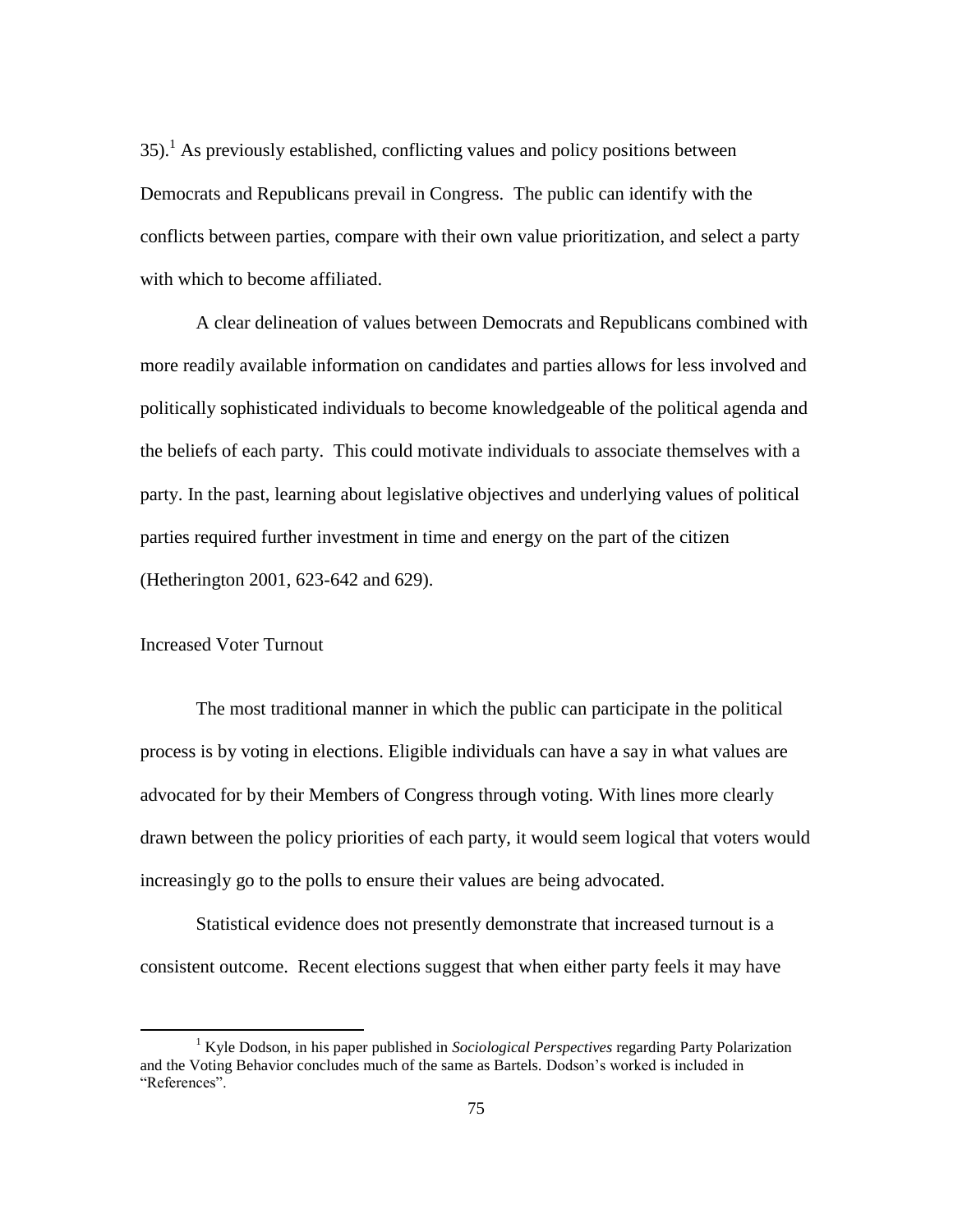$35$ ).<sup>1</sup> As previously established, conflicting values and policy positions between Democrats and Republicans prevail in Congress. The public can identify with the conflicts between parties, compare with their own value prioritization, and select a party with which to become affiliated.

A clear delineation of values between Democrats and Republicans combined with more readily available information on candidates and parties allows for less involved and politically sophisticated individuals to become knowledgeable of the political agenda and the beliefs of each party. This could motivate individuals to associate themselves with a party. In the past, learning about legislative objectives and underlying values of political parties required further investment in time and energy on the part of the citizen (Hetherington 2001, 623-642 and 629).

## Increased Voter Turnout

 $\overline{\phantom{a}}$ 

The most traditional manner in which the public can participate in the political process is by voting in elections. Eligible individuals can have a say in what values are advocated for by their Members of Congress through voting. With lines more clearly drawn between the policy priorities of each party, it would seem logical that voters would increasingly go to the polls to ensure their values are being advocated.

Statistical evidence does not presently demonstrate that increased turnout is a consistent outcome. Recent elections suggest that when either party feels it may have

<sup>&</sup>lt;sup>1</sup> Kyle Dodson, in his paper published in *Sociological Perspectives* regarding Party Polarization and the Voting Behavior concludes much of the same as Bartels. Dodson"s worked is included in "References".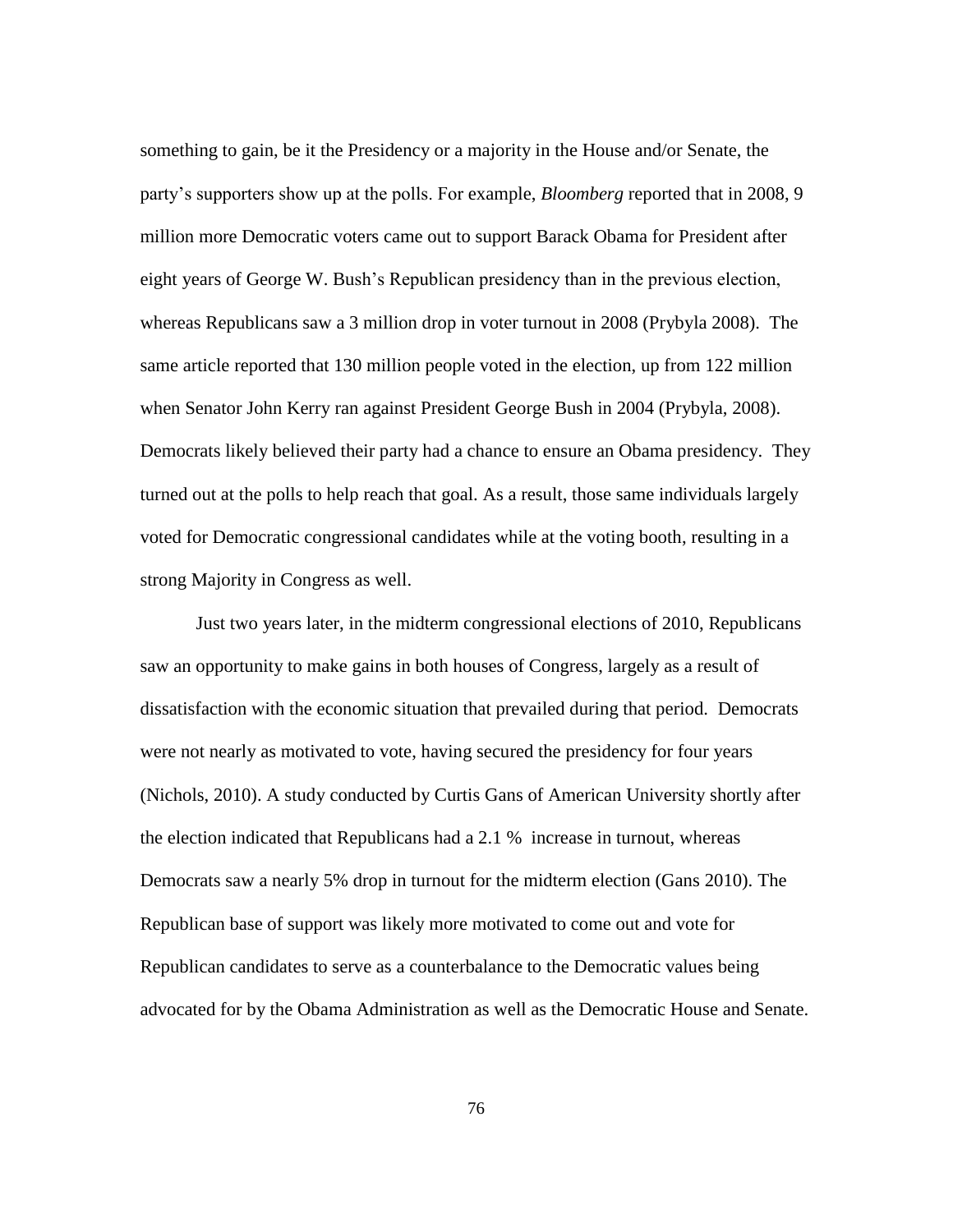something to gain, be it the Presidency or a majority in the House and/or Senate, the party"s supporters show up at the polls. For example, *Bloomberg* reported that in 2008, 9 million more Democratic voters came out to support Barack Obama for President after eight years of George W. Bush"s Republican presidency than in the previous election, whereas Republicans saw a 3 million drop in voter turnout in 2008 (Prybyla 2008). The same article reported that 130 million people voted in the election, up from 122 million when Senator John Kerry ran against President George Bush in 2004 (Prybyla, 2008). Democrats likely believed their party had a chance to ensure an Obama presidency. They turned out at the polls to help reach that goal. As a result, those same individuals largely voted for Democratic congressional candidates while at the voting booth, resulting in a strong Majority in Congress as well.

Just two years later, in the midterm congressional elections of 2010, Republicans saw an opportunity to make gains in both houses of Congress, largely as a result of dissatisfaction with the economic situation that prevailed during that period. Democrats were not nearly as motivated to vote, having secured the presidency for four years (Nichols, 2010). A study conducted by Curtis Gans of American University shortly after the election indicated that Republicans had a 2.1 % increase in turnout, whereas Democrats saw a nearly 5% drop in turnout for the midterm election (Gans 2010). The Republican base of support was likely more motivated to come out and vote for Republican candidates to serve as a counterbalance to the Democratic values being advocated for by the Obama Administration as well as the Democratic House and Senate.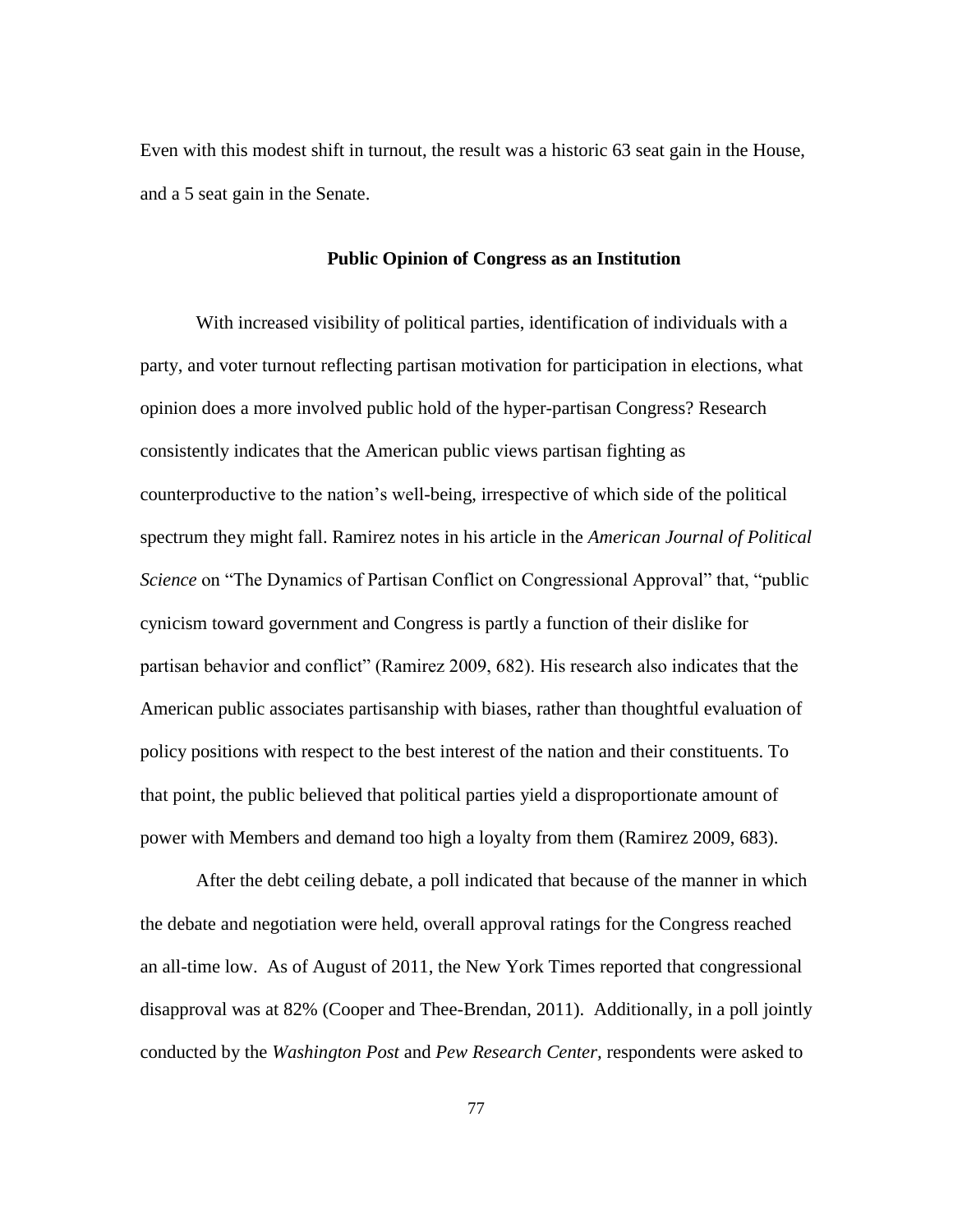Even with this modest shift in turnout, the result was a historic 63 seat gain in the House, and a 5 seat gain in the Senate.

#### **Public Opinion of Congress as an Institution**

With increased visibility of political parties, identification of individuals with a party, and voter turnout reflecting partisan motivation for participation in elections, what opinion does a more involved public hold of the hyper-partisan Congress? Research consistently indicates that the American public views partisan fighting as counterproductive to the nation"s well-being, irrespective of which side of the political spectrum they might fall. Ramirez notes in his article in the *American Journal of Political Science* on "The Dynamics of Partisan Conflict on Congressional Approval" that, "public cynicism toward government and Congress is partly a function of their dislike for partisan behavior and conflict" (Ramirez 2009, 682). His research also indicates that the American public associates partisanship with biases, rather than thoughtful evaluation of policy positions with respect to the best interest of the nation and their constituents. To that point, the public believed that political parties yield a disproportionate amount of power with Members and demand too high a loyalty from them (Ramirez 2009, 683).

After the debt ceiling debate, a poll indicated that because of the manner in which the debate and negotiation were held, overall approval ratings for the Congress reached an all-time low. As of August of 2011, the New York Times reported that congressional disapproval was at 82% (Cooper and Thee-Brendan, 2011). Additionally, in a poll jointly conducted by the *Washington Post* and *Pew Research Center,* respondents were asked to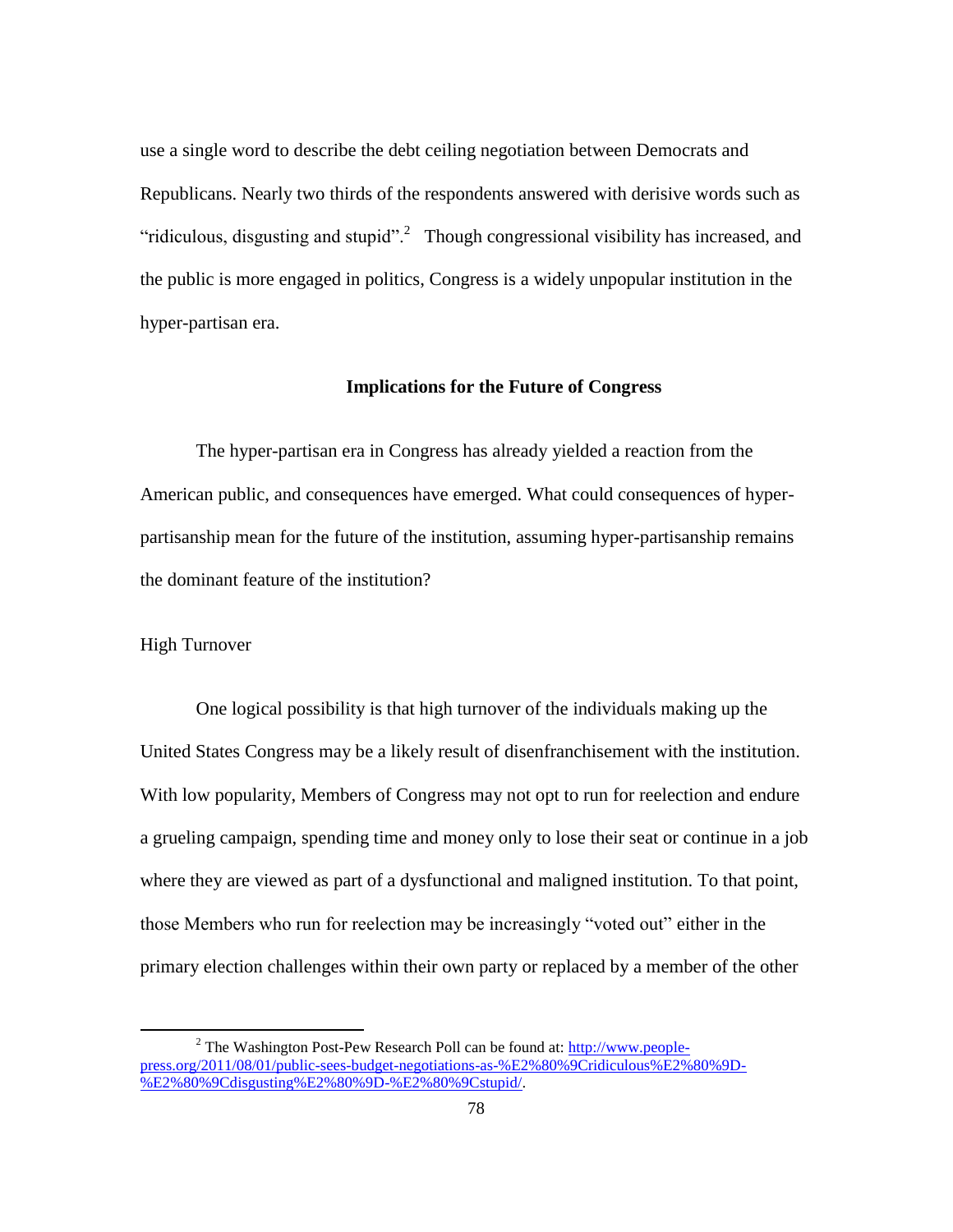use a single word to describe the debt ceiling negotiation between Democrats and Republicans. Nearly two thirds of the respondents answered with derisive words such as "ridiculous, disgusting and stupid".<sup>2</sup> Though congressional visibility has increased, and the public is more engaged in politics, Congress is a widely unpopular institution in the hyper-partisan era.

#### **Implications for the Future of Congress**

The hyper-partisan era in Congress has already yielded a reaction from the American public, and consequences have emerged. What could consequences of hyperpartisanship mean for the future of the institution, assuming hyper-partisanship remains the dominant feature of the institution?

## High Turnover

 $\overline{\phantom{a}}$ 

One logical possibility is that high turnover of the individuals making up the United States Congress may be a likely result of disenfranchisement with the institution. With low popularity, Members of Congress may not opt to run for reelection and endure a grueling campaign, spending time and money only to lose their seat or continue in a job where they are viewed as part of a dysfunctional and maligned institution. To that point, those Members who run for reelection may be increasingly "voted out" either in the primary election challenges within their own party or replaced by a member of the other

 $2$  The Washington Post-Pew Research Poll can be found at: [http://www.people](http://www.people-press.org/2011/08/01/public-sees-budget-negotiations-as-%E2%80%9Cridiculous%E2%80%9D-%E2%80%9Cdisgusting%E2%80%9D-%E2%80%9Cstupid/)[press.org/2011/08/01/public-sees-budget-negotiations-as-%E2%80%9Cridiculous%E2%80%9D-](http://www.people-press.org/2011/08/01/public-sees-budget-negotiations-as-%E2%80%9Cridiculous%E2%80%9D-%E2%80%9Cdisgusting%E2%80%9D-%E2%80%9Cstupid/) [%E2%80%9Cdisgusting%E2%80%9D-%E2%80%9Cstupid/.](http://www.people-press.org/2011/08/01/public-sees-budget-negotiations-as-%E2%80%9Cridiculous%E2%80%9D-%E2%80%9Cdisgusting%E2%80%9D-%E2%80%9Cstupid/)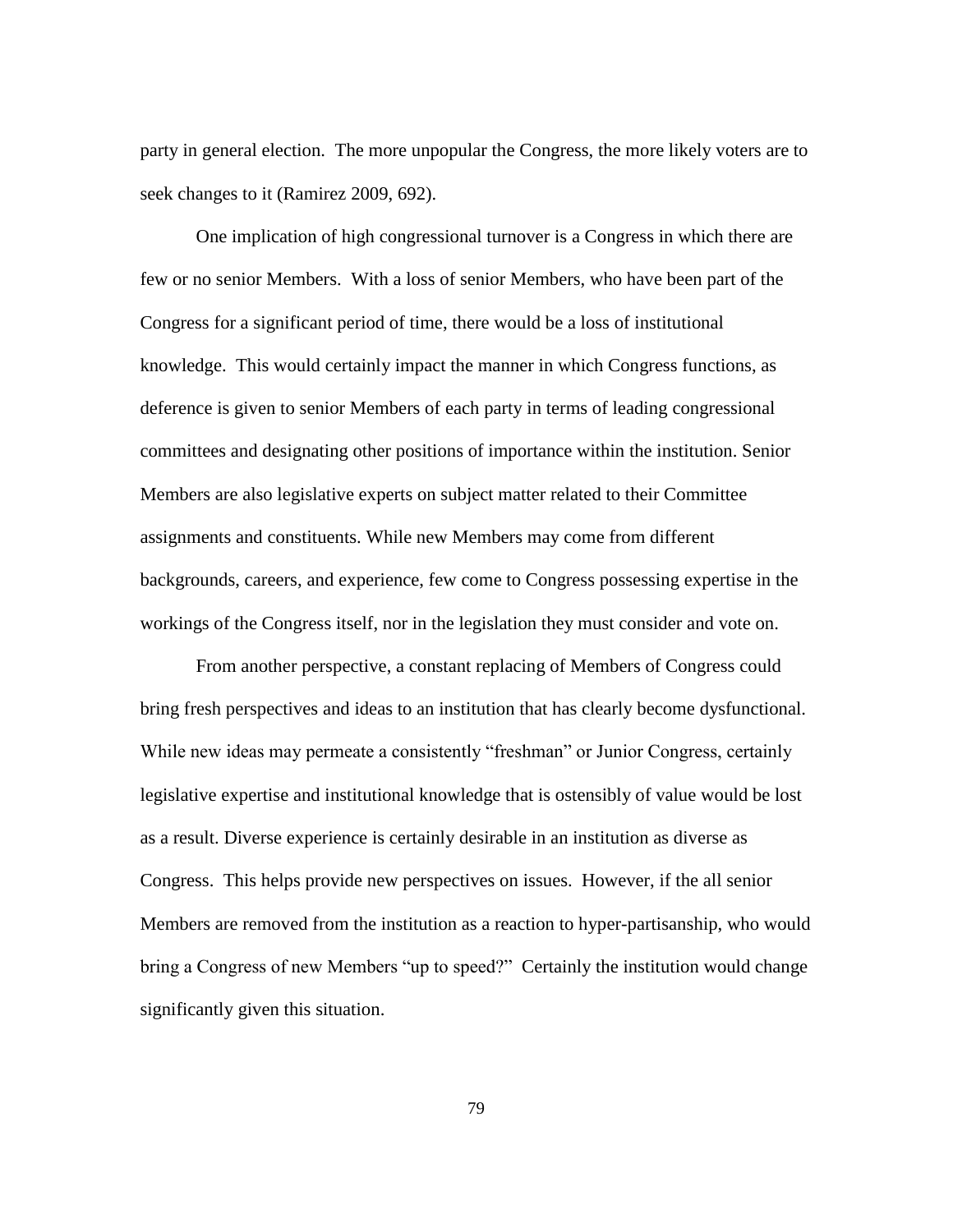party in general election. The more unpopular the Congress, the more likely voters are to seek changes to it (Ramirez 2009, 692).

One implication of high congressional turnover is a Congress in which there are few or no senior Members. With a loss of senior Members, who have been part of the Congress for a significant period of time, there would be a loss of institutional knowledge. This would certainly impact the manner in which Congress functions, as deference is given to senior Members of each party in terms of leading congressional committees and designating other positions of importance within the institution. Senior Members are also legislative experts on subject matter related to their Committee assignments and constituents. While new Members may come from different backgrounds, careers, and experience, few come to Congress possessing expertise in the workings of the Congress itself, nor in the legislation they must consider and vote on.

From another perspective, a constant replacing of Members of Congress could bring fresh perspectives and ideas to an institution that has clearly become dysfunctional. While new ideas may permeate a consistently "freshman" or Junior Congress, certainly legislative expertise and institutional knowledge that is ostensibly of value would be lost as a result. Diverse experience is certainly desirable in an institution as diverse as Congress. This helps provide new perspectives on issues. However, if the all senior Members are removed from the institution as a reaction to hyper-partisanship, who would bring a Congress of new Members "up to speed?" Certainly the institution would change significantly given this situation.

79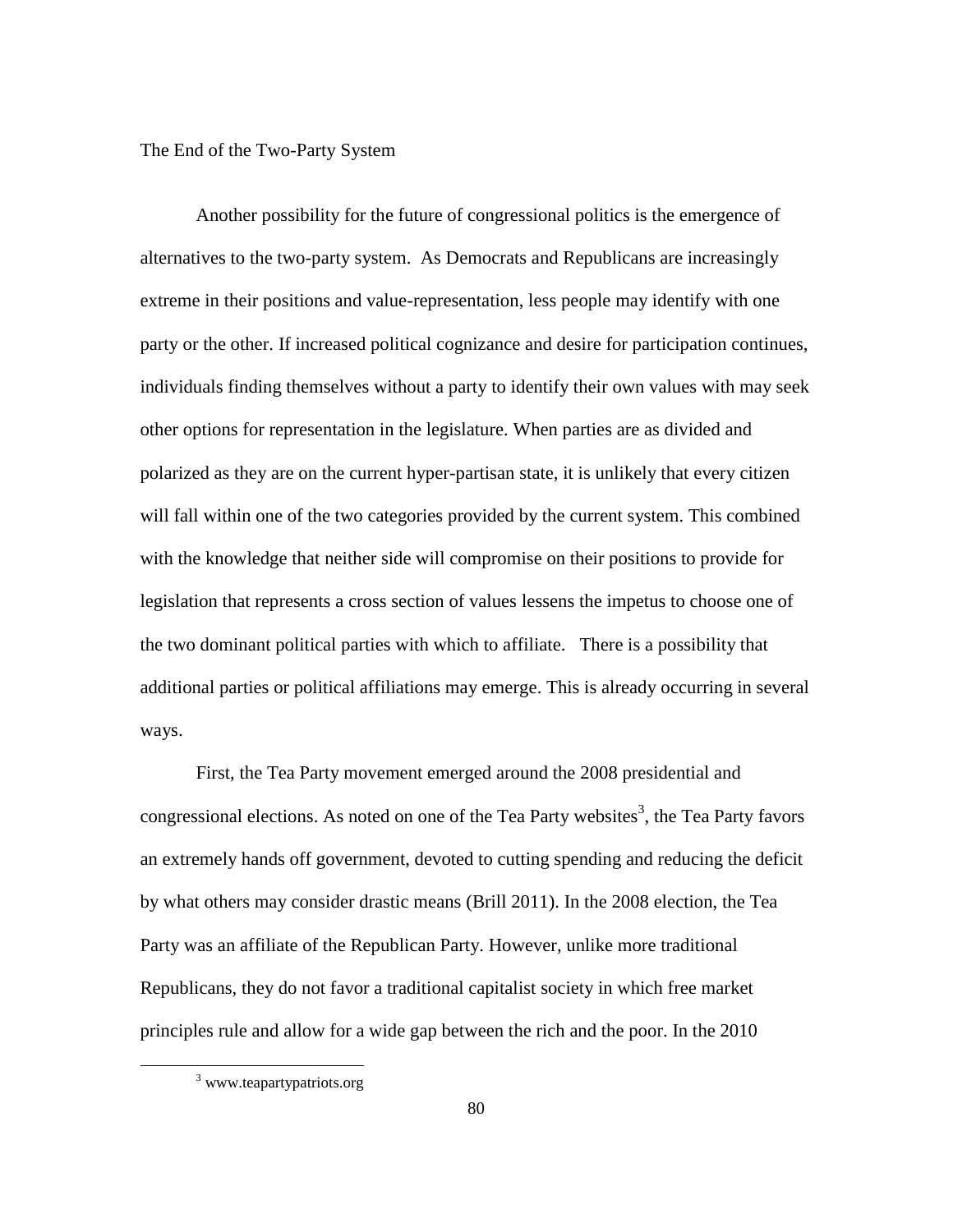The End of the Two-Party System

Another possibility for the future of congressional politics is the emergence of alternatives to the two-party system. As Democrats and Republicans are increasingly extreme in their positions and value-representation, less people may identify with one party or the other. If increased political cognizance and desire for participation continues, individuals finding themselves without a party to identify their own values with may seek other options for representation in the legislature. When parties are as divided and polarized as they are on the current hyper-partisan state, it is unlikely that every citizen will fall within one of the two categories provided by the current system. This combined with the knowledge that neither side will compromise on their positions to provide for legislation that represents a cross section of values lessens the impetus to choose one of the two dominant political parties with which to affiliate. There is a possibility that additional parties or political affiliations may emerge. This is already occurring in several ways.

First, the Tea Party movement emerged around the 2008 presidential and congressional elections. As noted on one of the Tea Party websites<sup>3</sup>, the Tea Party favors an extremely hands off government, devoted to cutting spending and reducing the deficit by what others may consider drastic means (Brill 2011). In the 2008 election, the Tea Party was an affiliate of the Republican Party. However, unlike more traditional Republicans, they do not favor a traditional capitalist society in which free market principles rule and allow for a wide gap between the rich and the poor. In the 2010

 $\overline{\phantom{a}}$ 

<sup>3</sup> www.teapartypatriots.org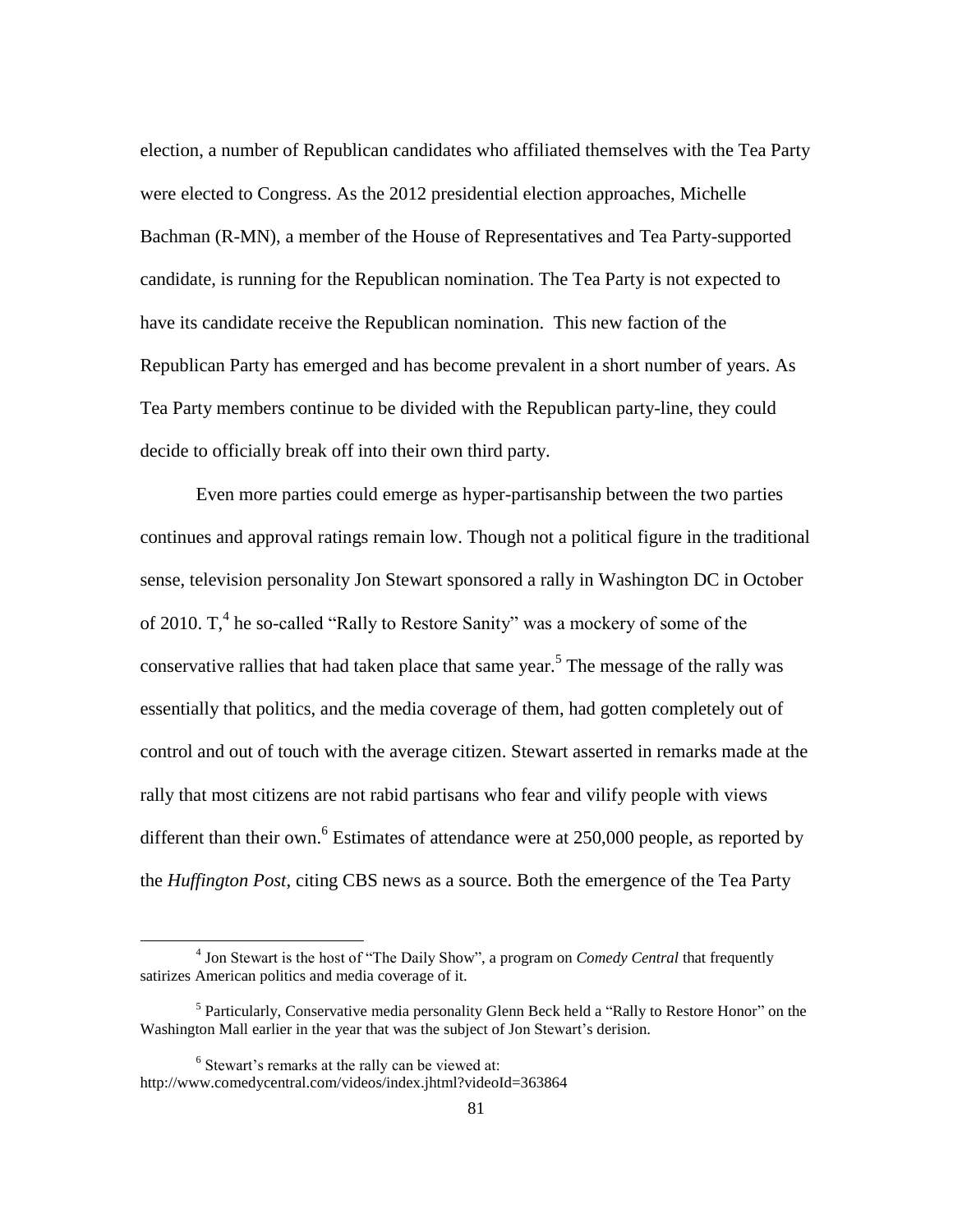election, a number of Republican candidates who affiliated themselves with the Tea Party were elected to Congress. As the 2012 presidential election approaches, Michelle Bachman (R-MN), a member of the House of Representatives and Tea Party-supported candidate, is running for the Republican nomination. The Tea Party is not expected to have its candidate receive the Republican nomination. This new faction of the Republican Party has emerged and has become prevalent in a short number of years. As Tea Party members continue to be divided with the Republican party-line, they could decide to officially break off into their own third party.

Even more parties could emerge as hyper-partisanship between the two parties continues and approval ratings remain low. Though not a political figure in the traditional sense, television personality Jon Stewart sponsored a rally in Washington DC in October of 2010.  $T<sub>1</sub><sup>4</sup>$  he so-called "Rally to Restore Sanity" was a mockery of some of the conservative rallies that had taken place that same year. 5 The message of the rally was essentially that politics, and the media coverage of them, had gotten completely out of control and out of touch with the average citizen. Stewart asserted in remarks made at the rally that most citizens are not rabid partisans who fear and vilify people with views different than their own.<sup>6</sup> Estimates of attendance were at  $250,000$  people, as reported by the *Huffington Post*, citing CBS news as a source. Both the emergence of the Tea Party

 $\overline{a}$ 

<sup>4</sup> Jon Stewart is the host of "The Daily Show", a program on *Comedy Central* that frequently satirizes American politics and media coverage of it.

<sup>&</sup>lt;sup>5</sup> Particularly, Conservative media personality Glenn Beck held a "Rally to Restore Honor" on the Washington Mall earlier in the year that was the subject of Jon Stewart's derision.

 $6$  Stewart's remarks at the rally can be viewed at: http://www.comedycentral.com/videos/index.jhtml?videoId=363864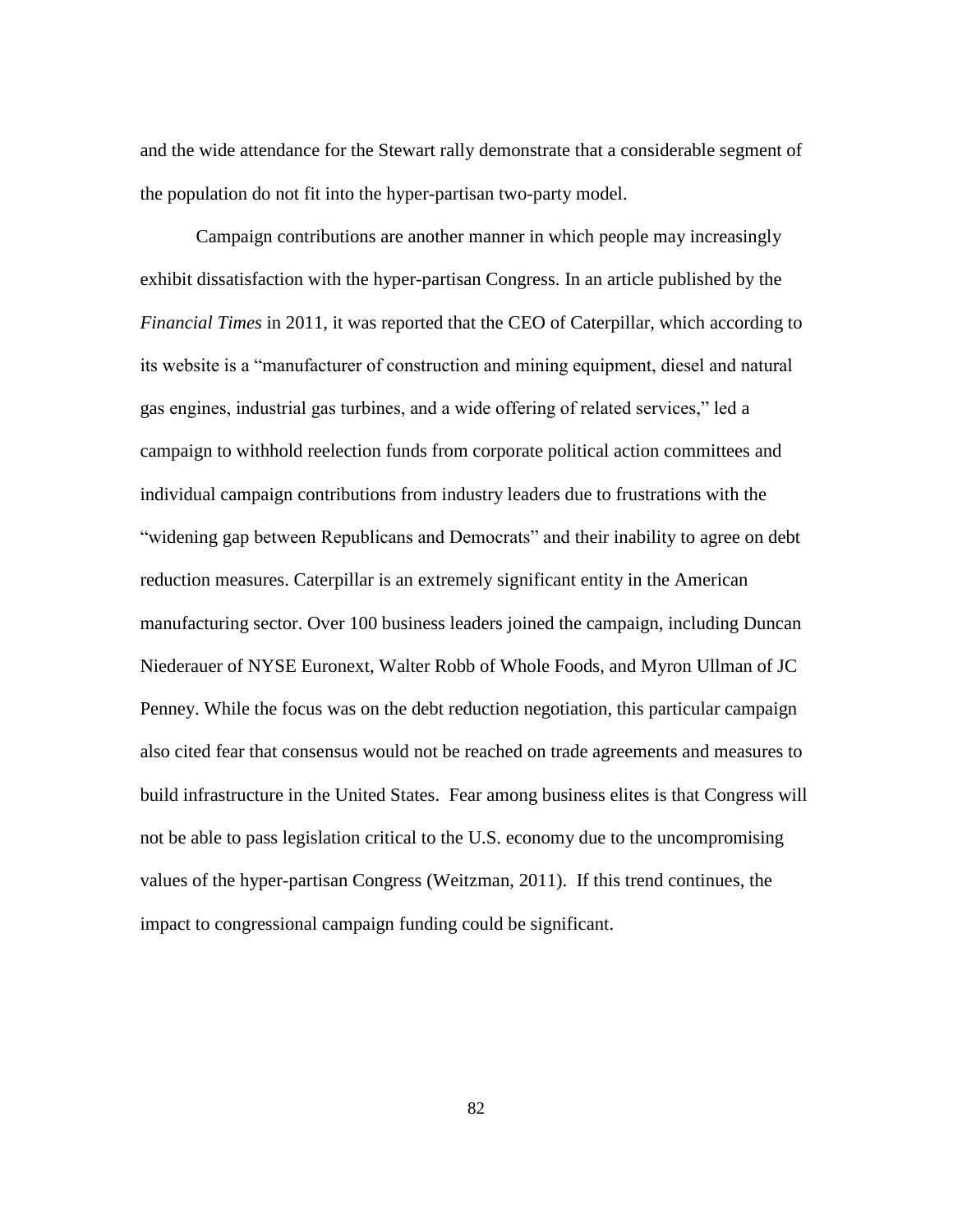and the wide attendance for the Stewart rally demonstrate that a considerable segment of the population do not fit into the hyper-partisan two-party model.

Campaign contributions are another manner in which people may increasingly exhibit dissatisfaction with the hyper-partisan Congress. In an article published by the *Financial Times* in 2011, it was reported that the CEO of Caterpillar, which according to its website is a "manufacturer of construction and mining equipment, diesel and natural gas engines, industrial gas turbines, and a wide offering of related services," led a campaign to withhold reelection funds from corporate political action committees and individual campaign contributions from industry leaders due to frustrations with the "widening gap between Republicans and Democrats" and their inability to agree on debt reduction measures. Caterpillar is an extremely significant entity in the American manufacturing sector. Over 100 business leaders joined the campaign, including Duncan Niederauer of NYSE Euronext, Walter Robb of Whole Foods, and Myron Ullman of JC Penney. While the focus was on the debt reduction negotiation, this particular campaign also cited fear that consensus would not be reached on trade agreements and measures to build infrastructure in the United States. Fear among business elites is that Congress will not be able to pass legislation critical to the U.S. economy due to the uncompromising values of the hyper-partisan Congress (Weitzman, 2011). If this trend continues, the impact to congressional campaign funding could be significant.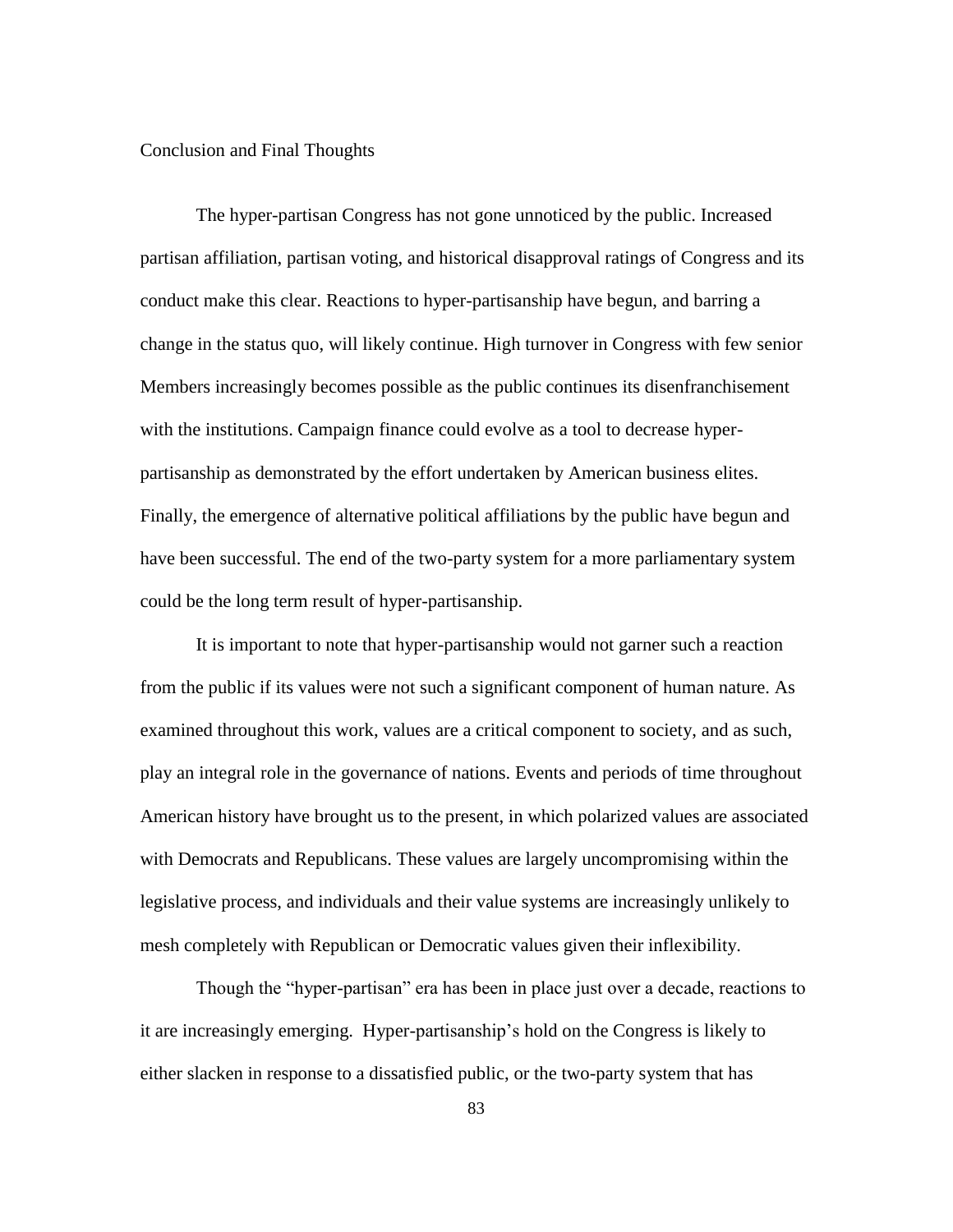## Conclusion and Final Thoughts

The hyper-partisan Congress has not gone unnoticed by the public. Increased partisan affiliation, partisan voting, and historical disapproval ratings of Congress and its conduct make this clear. Reactions to hyper-partisanship have begun, and barring a change in the status quo, will likely continue. High turnover in Congress with few senior Members increasingly becomes possible as the public continues its disenfranchisement with the institutions. Campaign finance could evolve as a tool to decrease hyperpartisanship as demonstrated by the effort undertaken by American business elites. Finally, the emergence of alternative political affiliations by the public have begun and have been successful. The end of the two-party system for a more parliamentary system could be the long term result of hyper-partisanship.

It is important to note that hyper-partisanship would not garner such a reaction from the public if its values were not such a significant component of human nature. As examined throughout this work, values are a critical component to society, and as such, play an integral role in the governance of nations. Events and periods of time throughout American history have brought us to the present, in which polarized values are associated with Democrats and Republicans. These values are largely uncompromising within the legislative process, and individuals and their value systems are increasingly unlikely to mesh completely with Republican or Democratic values given their inflexibility.

Though the "hyper-partisan" era has been in place just over a decade, reactions to it are increasingly emerging. Hyper-partisanship"s hold on the Congress is likely to either slacken in response to a dissatisfied public, or the two-party system that has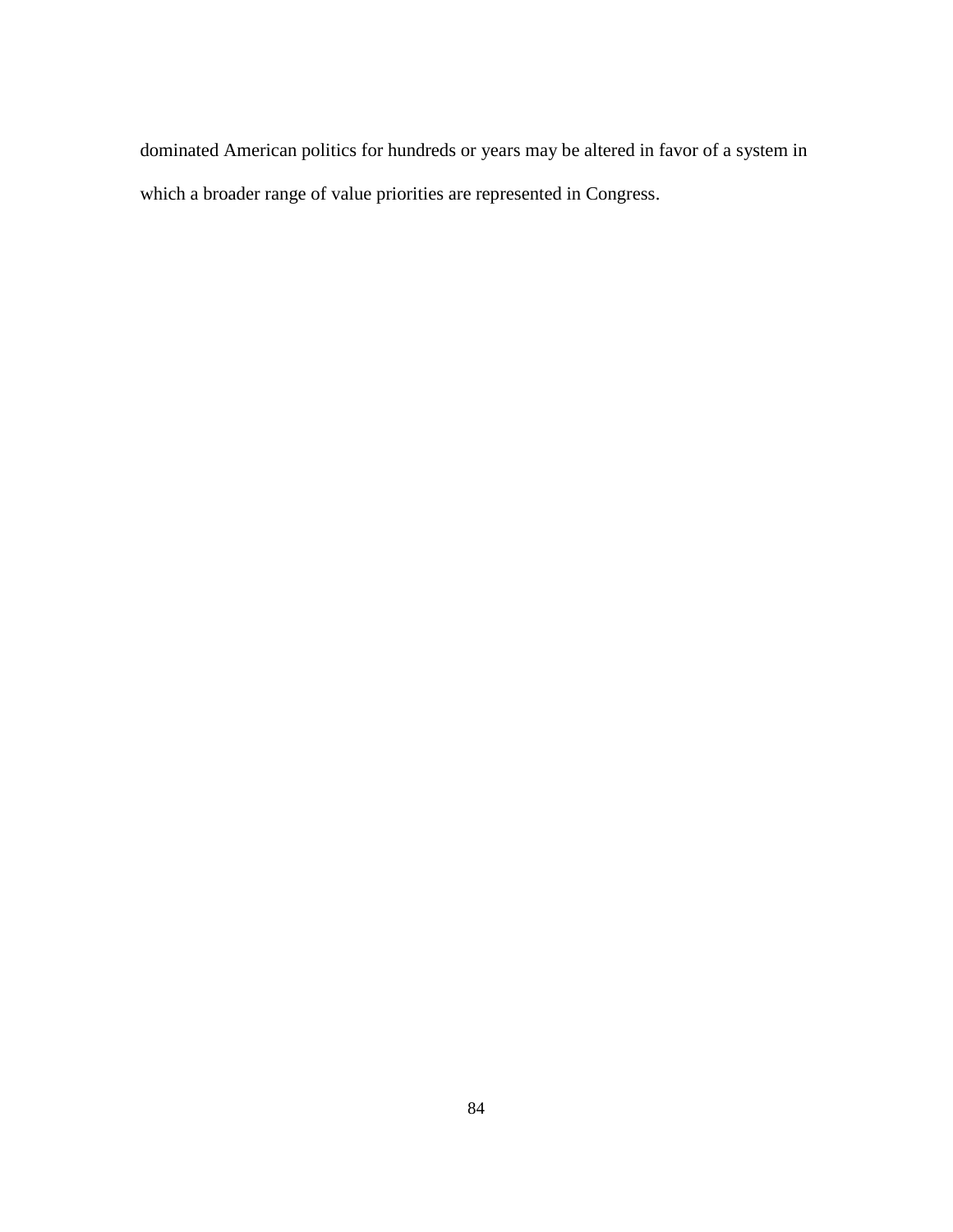dominated American politics for hundreds or years may be altered in favor of a system in which a broader range of value priorities are represented in Congress.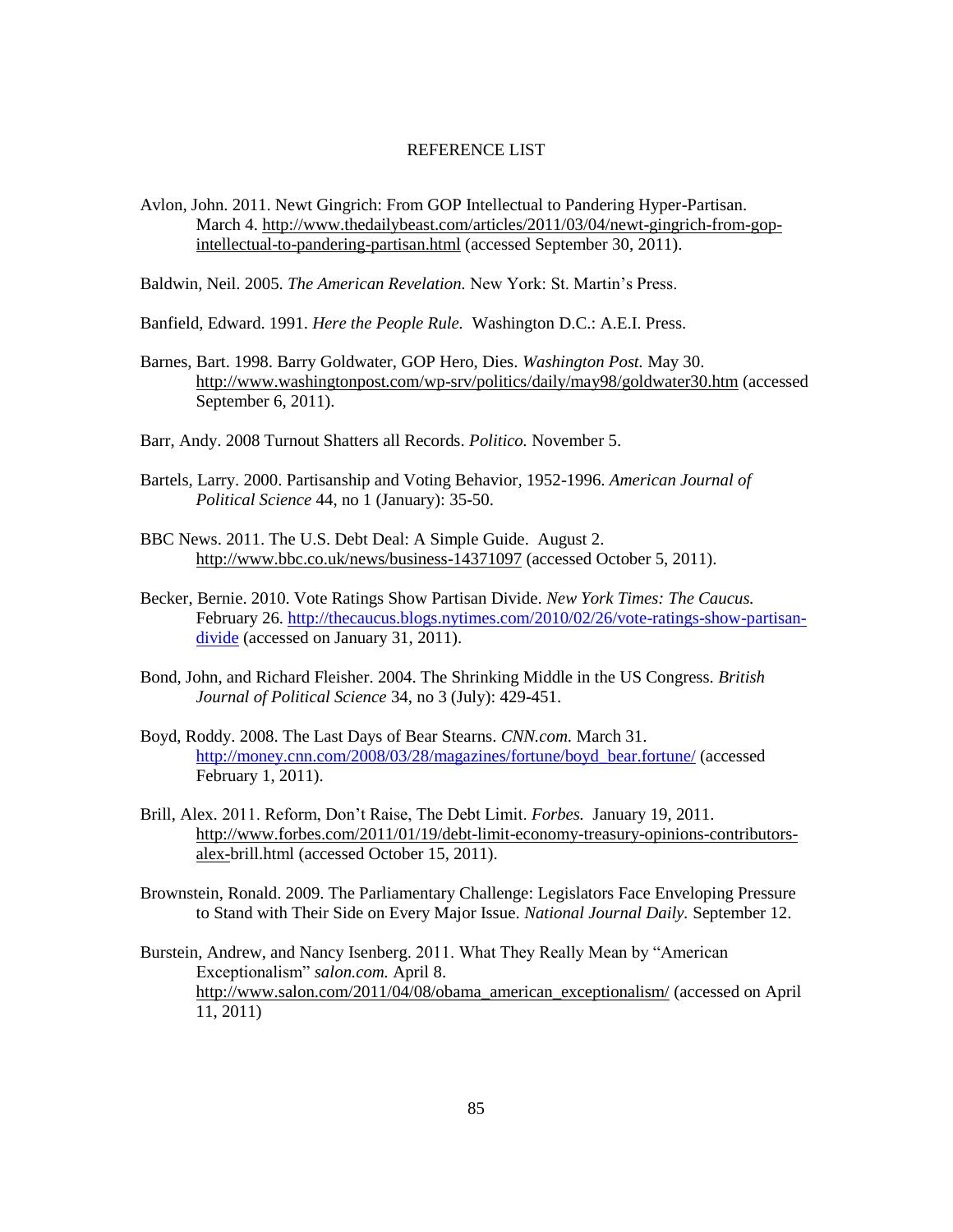#### REFERENCE LIST

Avlon, John. 2011. Newt Gingrich: From GOP Intellectual to Pandering Hyper-Partisan. March 4. [http://www.thedailybeast.com/articles/2011/03/04/newt-gingrich-from-gop](http://www.thedailybeast.com/articles/2011/03/04/newt-gingrich-from-gop-intellectual-to-pandering-partisan.html)[intellectual-to-pandering-partisan.html](http://www.thedailybeast.com/articles/2011/03/04/newt-gingrich-from-gop-intellectual-to-pandering-partisan.html) (accessed September 30, 2011).

Baldwin, Neil. 2005. *The American Revelation.* New York: St. Martin"s Press.

Banfield, Edward. 1991. *Here the People Rule.* Washington D.C.: A.E.I. Press.

- Barnes, Bart. 1998. Barry Goldwater, GOP Hero, Dies. *Washington Post.* May 30. <http://www.washingtonpost.com/wp-srv/politics/daily/may98/goldwater30.htm> (accessed September 6, 2011).
- Barr, Andy. 2008 Turnout Shatters all Records. *Politico.* November 5.
- Bartels, Larry. 2000. Partisanship and Voting Behavior, 1952-1996. *American Journal of Political Science* 44, no 1 (January): 35-50.
- BBC News. 2011. The U.S. Debt Deal: A Simple Guide. August 2. <http://www.bbc.co.uk/news/business-14371097> (accessed October 5, 2011).
- Becker, Bernie. 2010. Vote Ratings Show Partisan Divide. *New York Times: The Caucus.*  February 26. [http://thecaucus.blogs.nytimes.com/2010/02/26/vote-ratings-show-partisan](http://thecaucus.blogs.nytimes.com/2010/02/26/vote-ratings-show-partisan-divide)[divide](http://thecaucus.blogs.nytimes.com/2010/02/26/vote-ratings-show-partisan-divide) (accessed on January 31, 2011).
- Bond, John, and Richard Fleisher. 2004. The Shrinking Middle in the US Congress. *British Journal of Political Science* 34, no 3 (July): 429-451.
- Boyd, Roddy. 2008. The Last Days of Bear Stearns. *CNN.com.* March 31. [http://money.cnn.com/2008/03/28/magazines/fortune/boyd\\_bear.fortune/](http://money.cnn.com/2008/03/28/magazines/fortune/boyd_bear.fortune/) (accessed February 1, 2011).
- Brill, Alex. 2011. Reform, Don"t Raise, The Debt Limit. *Forbes.* January 19, 2011. [http://www.forbes.com/2011/01/19/debt-limit-economy-treasury-opinions-contributors](http://www.forbes.com/2011/01/19/debt-limit-economy-treasury-opinions-contributors-alex-)[alex-b](http://www.forbes.com/2011/01/19/debt-limit-economy-treasury-opinions-contributors-alex-)rill.html (accessed October 15, 2011).
- Brownstein, Ronald. 2009. The Parliamentary Challenge: Legislators Face Enveloping Pressure to Stand with Their Side on Every Major Issue. *National Journal Daily.* September 12.
- Burstein, Andrew, and Nancy Isenberg. 2011. What They Really Mean by "American Exceptionalism" *salon.com.* April 8. [http://www.salon.com/2011/04/08/obama\\_american\\_exceptionalism/](http://www.salon.com/2011/04/08/obama_american_exceptionalism/) (accessed on April 11, 2011)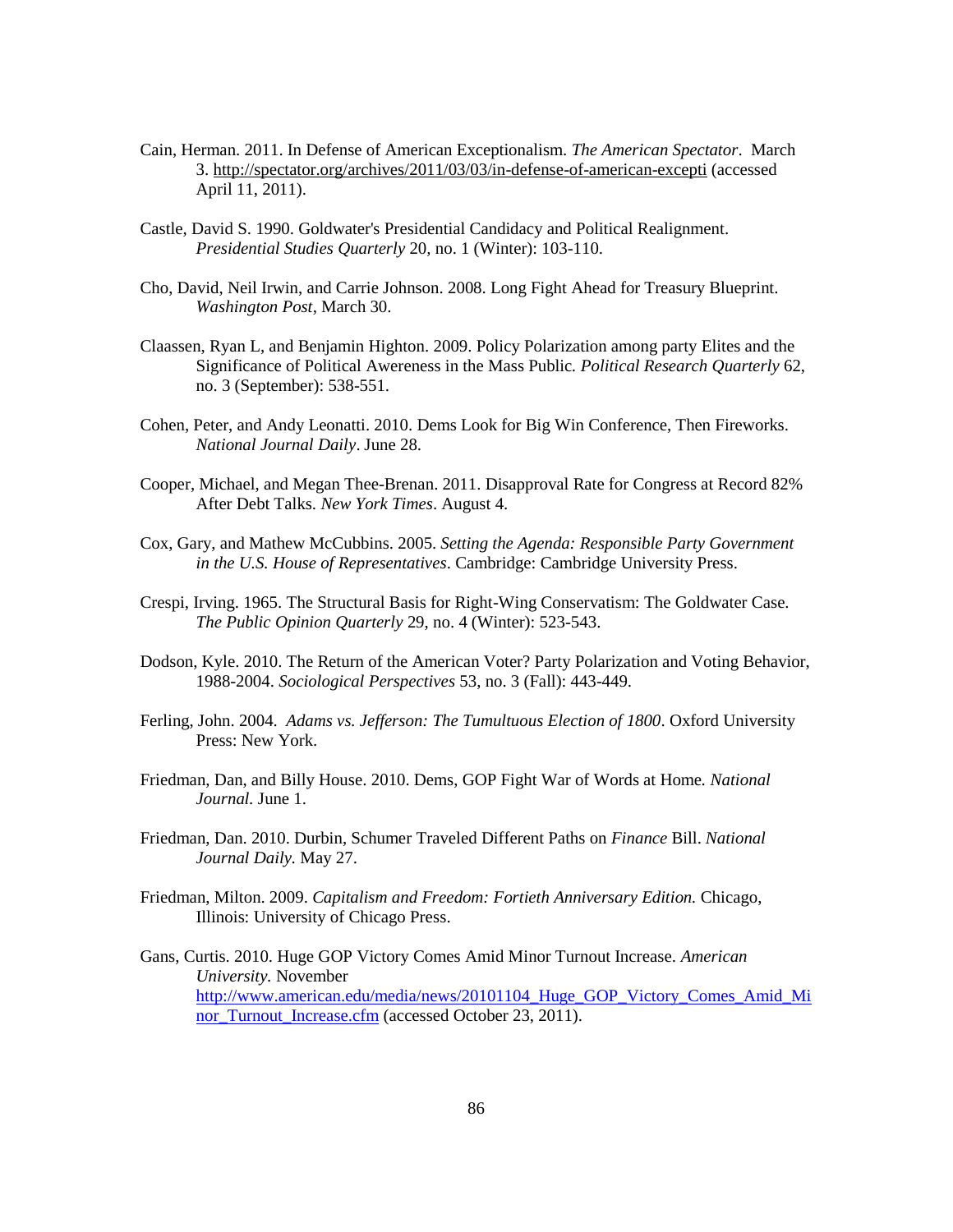- Cain, Herman. 2011. In Defense of American Exceptionalism. *The American Spectator*. March 3.<http://spectator.org/archives/2011/03/03/in-defense-of-american-excepti> (accessed April 11, 2011).
- Castle, David S. 1990. Goldwater's Presidential Candidacy and Political Realignment. *Presidential Studies Quarterly* 20*,* no. 1 (Winter): 103-110.
- Cho, David, Neil Irwin, and Carrie Johnson. 2008. Long Fight Ahead for Treasury Blueprint. *Washington Post*, March 30.
- Claassen, Ryan L, and Benjamin Highton. 2009. Policy Polarization among party Elites and the Significance of Political Awereness in the Mass Public*. Political Research Quarterly* 62, no. 3 (September): 538-551.
- Cohen, Peter, and Andy Leonatti. 2010. Dems Look for Big Win Conference, Then Fireworks. *National Journal Daily*. June 28.
- Cooper, Michael, and Megan Thee-Brenan. 2011. Disapproval Rate for Congress at Record 82% After Debt Talks. *New York Times*. August 4.
- Cox, Gary, and Mathew McCubbins. 2005. *Setting the Agenda: Responsible Party Government in the U.S. House of Representatives*. Cambridge: Cambridge University Press.
- Crespi, Irving. 1965. The Structural Basis for Right-Wing Conservatism: The Goldwater Case. *The Public Opinion Quarterly* 29, no. 4 (Winter): 523-543.
- Dodson, Kyle. 2010. The Return of the American Voter? Party Polarization and Voting Behavior, 1988-2004. *Sociological Perspectives* 53, no. 3 (Fall): 443-449.
- Ferling, John. 2004. *Adams vs. Jefferson: The Tumultuous Election of 1800*. Oxford University Press: New York.
- Friedman, Dan, and Billy House. 2010. Dems, GOP Fight War of Words at Home*. National Journal.* June 1.
- Friedman, Dan. 2010. Durbin, Schumer Traveled Different Paths on *Finance* Bill. *National Journal Daily.* May 27.
- Friedman, Milton. 2009. *Capitalism and Freedom: Fortieth Anniversary Edition.* Chicago, Illinois: University of Chicago Press.
- Gans, Curtis. 2010. Huge GOP Victory Comes Amid Minor Turnout Increase. *American University.* November [http://www.american.edu/media/news/20101104\\_Huge\\_GOP\\_Victory\\_Comes\\_Amid\\_Mi](http://www.american.edu/media/news/20101104_Huge_GOP_Victory_Comes_Amid_Minor_Turnout_Increase.cfm) [nor\\_Turnout\\_Increase.cfm](http://www.american.edu/media/news/20101104_Huge_GOP_Victory_Comes_Amid_Minor_Turnout_Increase.cfm) (accessed October 23, 2011).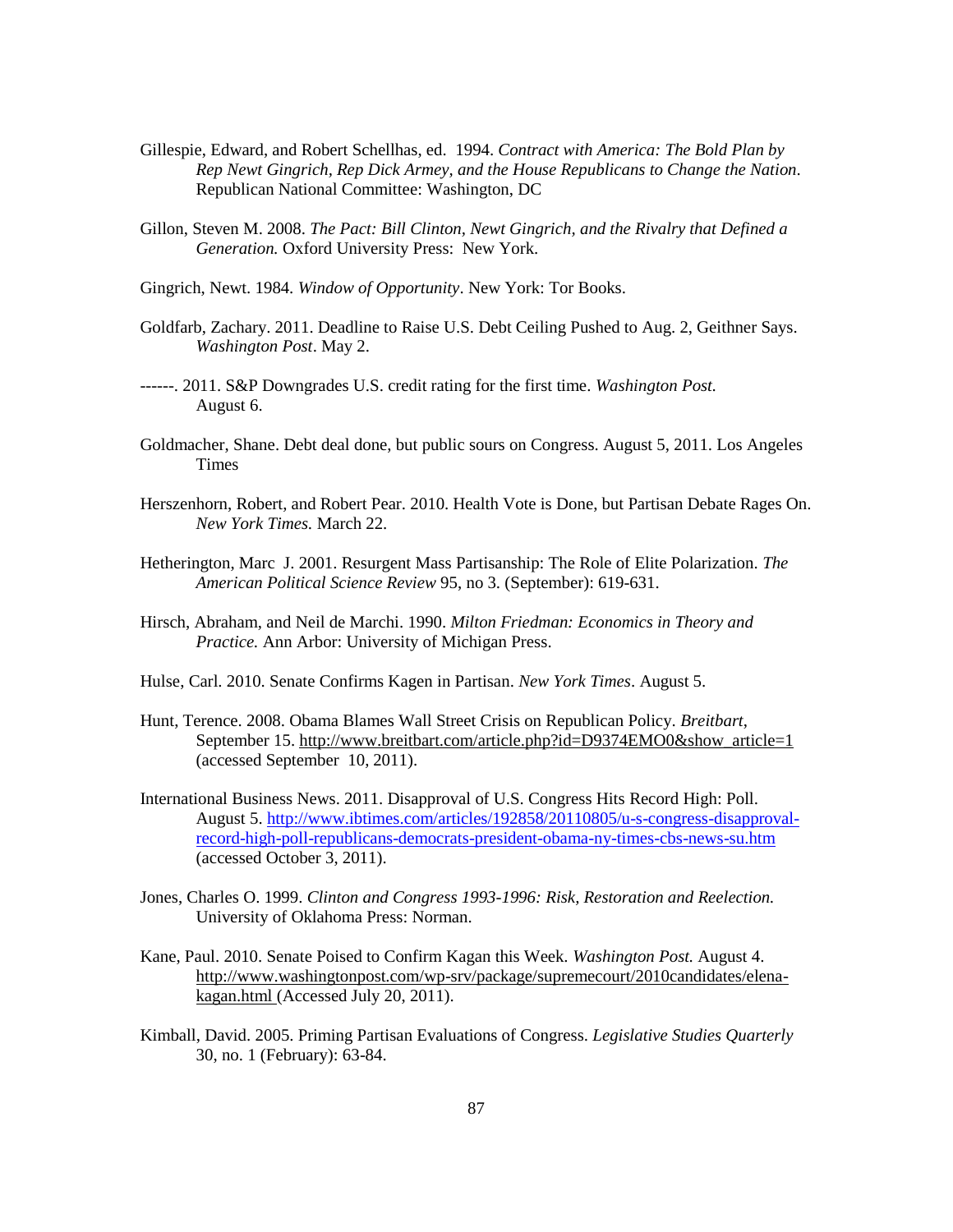- Gillespie, Edward, and Robert Schellhas, ed. 1994. *Contract with America: The Bold Plan by Rep Newt Gingrich, Rep Dick Armey, and the House Republicans to Change the Nation*. Republican National Committee: Washington, DC
- Gillon, Steven M. 2008. *The Pact: Bill Clinton, Newt Gingrich, and the Rivalry that Defined a Generation.* Oxford University Press: New York.
- Gingrich, Newt. 1984. *Window of Opportunity*. New York: Tor Books.
- Goldfarb, Zachary. 2011. Deadline to Raise U.S. Debt Ceiling Pushed to Aug. 2, Geithner Says. *Washington Post*. May 2.
- ------. 2011. S&P Downgrades U.S. credit rating for the first time. *Washington Post.* August 6.
- Goldmacher, Shane. Debt deal done, but public sours on Congress. August 5, 2011. Los Angeles **Times**
- Herszenhorn, Robert, and Robert Pear. 2010. Health Vote is Done, but Partisan Debate Rages On. *New York Times.* March 22.
- Hetherington, Marc J. 2001. Resurgent Mass Partisanship: The Role of Elite Polarization. *The American Political Science Review* 95, no 3. (September): 619-631.
- Hirsch, Abraham, and Neil de Marchi. 1990. *Milton Friedman: Economics in Theory and Practice.* Ann Arbor: University of Michigan Press.
- Hulse, Carl. 2010. Senate Confirms Kagen in Partisan. *New York Times*. August 5.
- Hunt, Terence. 2008. Obama Blames Wall Street Crisis on Republican Policy. *Breitbart*, September 15. [http://www.breitbart.com/article.php?id=D9374EMO0&show\\_article=1](http://www.breitbart.com/article.php?id=D9374EMO0&show_article=1) (accessed September 10, 2011).
- International Business News. 2011. Disapproval of U.S. Congress Hits Record High: Poll. August 5. [http://www.ibtimes.com/articles/192858/20110805/u-s-congress-disapproval](http://www.ibtimes.com/articles/192858/20110805/u-s-congress-disapproval-record-high-poll-republicans-democrats-president-obama-ny-times-cbs-news-su.htm)[record-high-poll-republicans-democrats-president-obama-ny-times-cbs-news-su.htm](http://www.ibtimes.com/articles/192858/20110805/u-s-congress-disapproval-record-high-poll-republicans-democrats-president-obama-ny-times-cbs-news-su.htm) (accessed October 3, 2011).
- Jones, Charles O. 1999. *Clinton and Congress 1993-1996: Risk, Restoration and Reelection.* University of Oklahoma Press: Norman.
- Kane, Paul. 2010. Senate Poised to Confirm Kagan this Week. *Washington Post.* August 4. [http://www.washingtonpost.com/wp-srv/package/supremecourt/2010candidates/elena](http://www.washingtonpost.com/wp-srv/package/supremecourt/2010candidates/elena-kagan.html)[kagan.html](http://www.washingtonpost.com/wp-srv/package/supremecourt/2010candidates/elena-kagan.html) (Accessed July 20, 2011).
- Kimball, David. 2005. Priming Partisan Evaluations of Congress. *Legislative Studies Quarterly* 30, no. 1 (February): 63-84.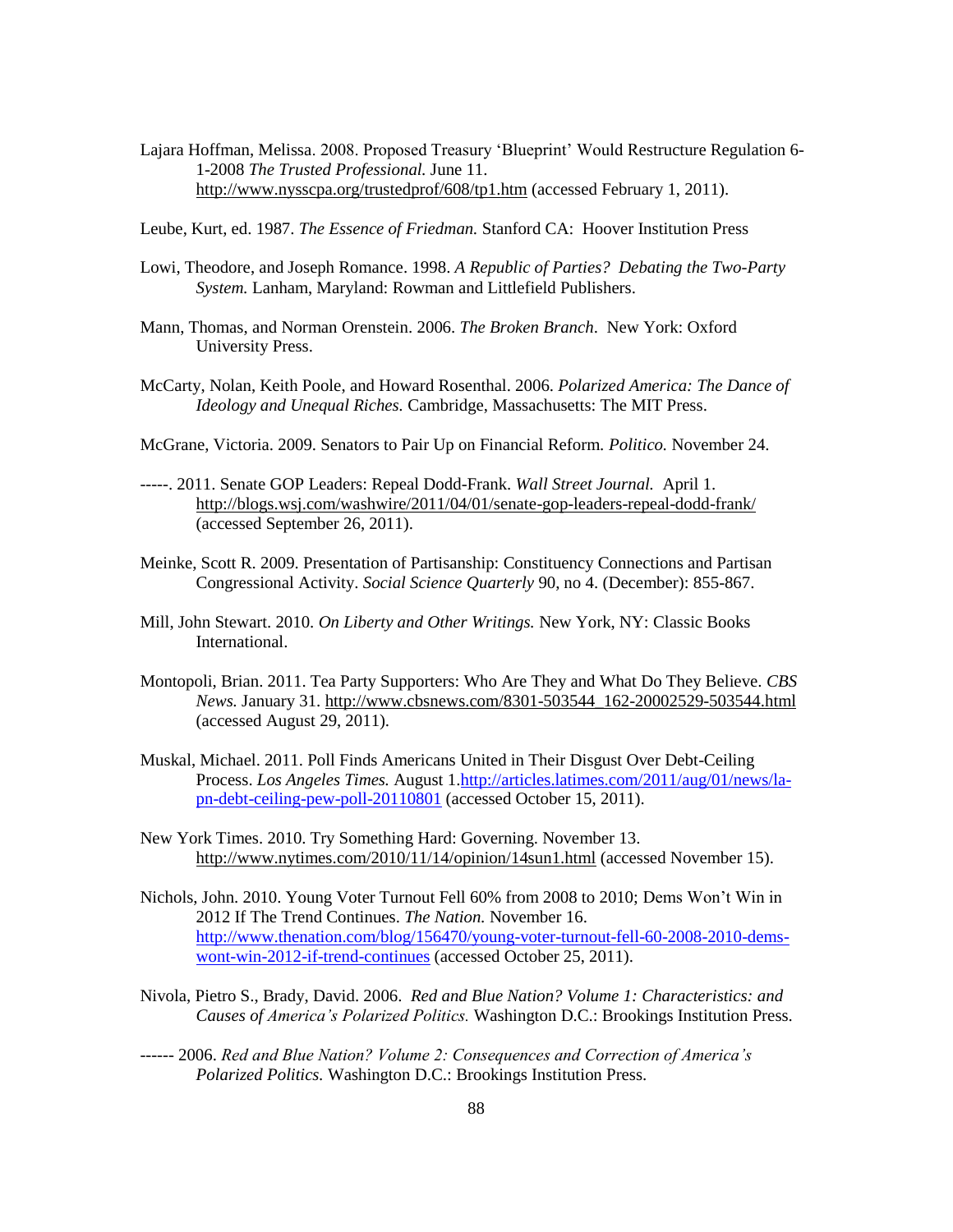- Lajara Hoffman, Melissa. 2008. Proposed Treasury "Blueprint" Would Restructure Regulation 6- 1-2008 *The Trusted Professional.* June 11. <http://www.nysscpa.org/trustedprof/608/tp1.htm> (accessed February 1, 2011).
- Leube, Kurt, ed. 1987. *The Essence of Friedman.* Stanford CA: Hoover Institution Press
- Lowi, Theodore, and Joseph Romance. 1998. *A Republic of Parties? Debating the Two-Party System.* Lanham, Maryland: Rowman and Littlefield Publishers.
- Mann, Thomas, and Norman Orenstein. 2006. *The Broken Branch*. New York: Oxford University Press.
- McCarty, Nolan, Keith Poole, and Howard Rosenthal. 2006. *Polarized America: The Dance of Ideology and Unequal Riches.* Cambridge, Massachusetts: The MIT Press.
- McGrane, Victoria. 2009. Senators to Pair Up on Financial Reform. *Politico.* November 24.
- -----. 2011. Senate GOP Leaders: Repeal Dodd-Frank. *Wall Street Journal.* April 1. <http://blogs.wsj.com/washwire/2011/04/01/senate-gop-leaders-repeal-dodd-frank/> (accessed September 26, 2011).
- Meinke, Scott R. 2009. Presentation of Partisanship: Constituency Connections and Partisan Congressional Activity. *Social Science Quarterly* 90, no 4. (December): 855-867.
- Mill, John Stewart. 2010. *On Liberty and Other Writings.* New York, NY: Classic Books International.
- Montopoli, Brian. 2011. Tea Party Supporters: Who Are They and What Do They Believe. *CBS News.* January 31. [http://www.cbsnews.com/8301-503544\\_162-20002529-503544.html](http://www.cbsnews.com/8301-503544_162-20002529-503544.html) (accessed August 29, 2011).
- Muskal, Michael. 2011. Poll Finds Americans United in Their Disgust Over Debt-Ceiling Process. *Los Angeles Times.* August 1[.http://articles.latimes.com/2011/aug/01/news/la](http://articles.latimes.com/2011/aug/01/news/la-pn-debt-ceiling-pew-poll-20110801)[pn-debt-ceiling-pew-poll-20110801](http://articles.latimes.com/2011/aug/01/news/la-pn-debt-ceiling-pew-poll-20110801) (accessed October 15, 2011).
- New York Times. 2010. Try Something Hard: Governing. November 13. <http://www.nytimes.com/2010/11/14/opinion/14sun1.html> (accessed November 15).
- Nichols, John. 2010. Young Voter Turnout Fell 60% from 2008 to 2010; Dems Won"t Win in 2012 If The Trend Continues. *The Nation.* November 16. [http://www.thenation.com/blog/156470/young-voter-turnout-fell-60-2008-2010-dems](http://www.thenation.com/blog/156470/young-voter-turnout-fell-60-2008-2010-dems-wont-win-2012-if-trend-continues)[wont-win-2012-if-trend-continues](http://www.thenation.com/blog/156470/young-voter-turnout-fell-60-2008-2010-dems-wont-win-2012-if-trend-continues) (accessed October 25, 2011).
- Nivola, Pietro S., Brady, David. 2006. *Red and Blue Nation? Volume 1: Characteristics: and Causes of America's Polarized Politics.* Washington D.C.: Brookings Institution Press.
- ------ 2006. *Red and Blue Nation? Volume 2: Consequences and Correction of America's Polarized Politics.* Washington D.C.: Brookings Institution Press.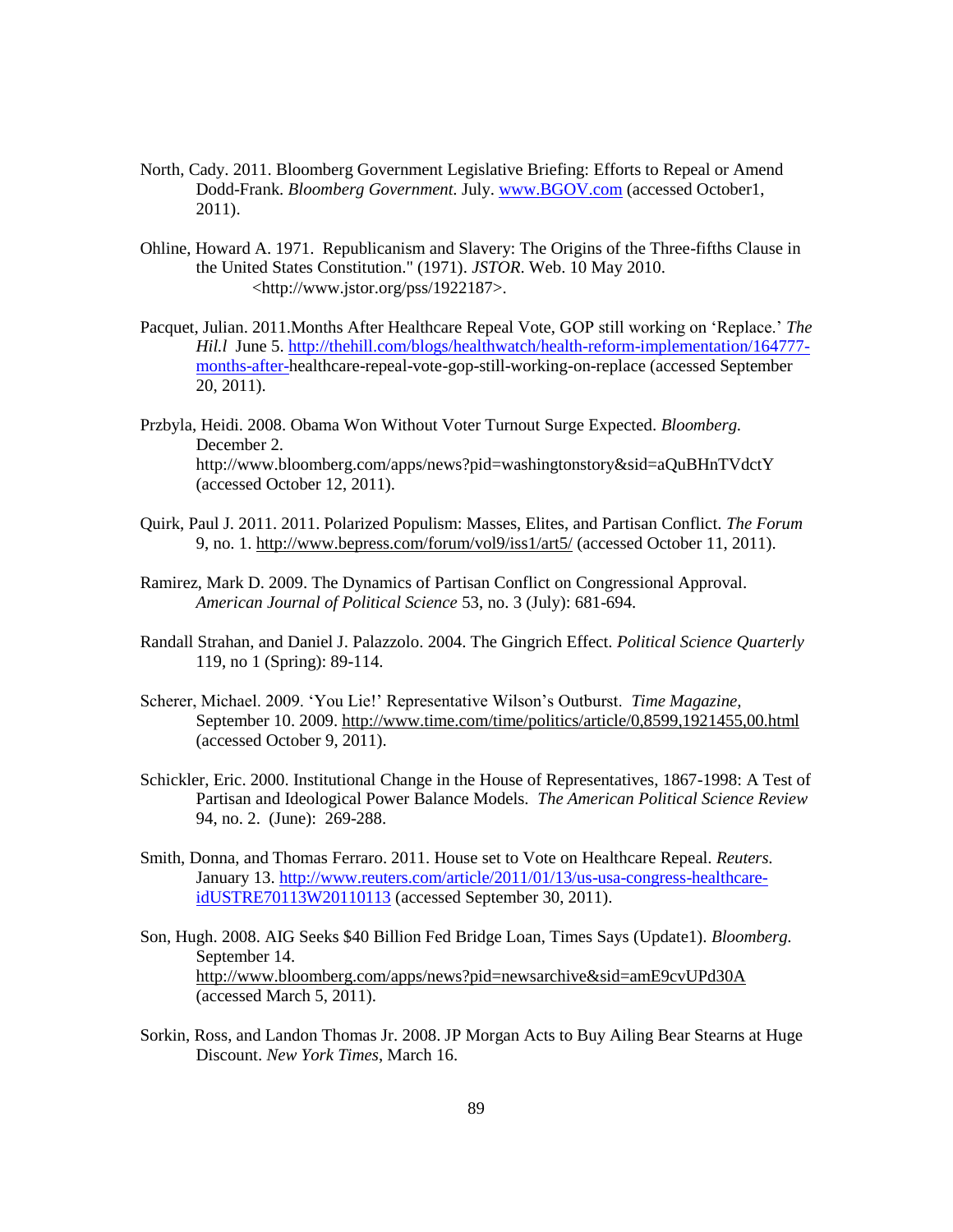- North, Cady. 2011. Bloomberg Government Legislative Briefing: Efforts to Repeal or Amend Dodd-Frank. *Bloomberg Government.* July. [www.BGOV.com](http://www.bgov.com/) (accessed October1, 2011).
- Ohline, Howard A. 1971. Republicanism and Slavery: The Origins of the Three-fifths Clause in the United States Constitution." (1971). *JSTOR*. Web. 10 May 2010. <http://www.jstor.org/pss/1922187>.
- Pacquet, Julian. 2011.Months After Healthcare Repeal Vote, GOP still working on "Replace." *The Hil.l* June 5. [http://thehill.com/blogs/healthwatch/health-reform-implementation/164777](http://thehill.com/blogs/healthwatch/health-reform-implementation/164777-months-after-) [months-after-h](http://thehill.com/blogs/healthwatch/health-reform-implementation/164777-months-after-)ealthcare-repeal-vote-gop-still-working-on-replace (accessed September 20, 2011).
- Przbyla, Heidi. 2008. Obama Won Without Voter Turnout Surge Expected. *Bloomberg.*  December 2. http://www.bloomberg.com/apps/news?pid=washingtonstory&sid=aQuBHnTVdctY (accessed October 12, 2011).
- Quirk, Paul J. 2011. 2011. Polarized Populism: Masses, Elites, and Partisan Conflict*. The Forum*  9, no. 1.<http://www.bepress.com/forum/vol9/iss1/art5/> (accessed October 11, 2011).
- Ramirez, Mark D. 2009. The Dynamics of Partisan Conflict on Congressional Approval. *American Journal of Political Science* 53, no. 3 (July): 681-694.
- Randall Strahan, and Daniel J. Palazzolo. 2004. The Gingrich Effect. *Political Science Quarterly*  119, no 1 (Spring): 89-114.
- Scherer, Michael. 2009. "You Lie!" Representative Wilson"s Outburst. *Time Magazine,*  September 10. 2009.<http://www.time.com/time/politics/article/0,8599,1921455,00.html> (accessed October 9, 2011).
- Schickler, Eric. 2000. Institutional Change in the House of Representatives, 1867-1998: A Test of Partisan and Ideological Power Balance Models. *The American Political Science Review* 94, no. 2. (June): 269-288.
- Smith, Donna, and Thomas Ferraro. 2011. House set to Vote on Healthcare Repeal. *Reuters.*  January 13. [http://www.reuters.com/article/2011/01/13/us-usa-congress-healthcare](http://www.reuters.com/article/2011/01/13/us-usa-congress-healthcare-idUSTRE70113W20110113)[idUSTRE70113W20110113](http://www.reuters.com/article/2011/01/13/us-usa-congress-healthcare-idUSTRE70113W20110113) (accessed September 30, 2011).
- Son, Hugh. 2008. AIG Seeks \$40 Billion Fed Bridge Loan, Times Says (Update1). *Bloomberg.* September 14. <http://www.bloomberg.com/apps/news?pid=newsarchive&sid=amE9cvUPd30A> (accessed March 5, 2011).
- Sorkin, Ross, and Landon Thomas Jr. 2008. JP Morgan Acts to Buy Ailing Bear Stearns at Huge Discount. *New York Times*, March 16.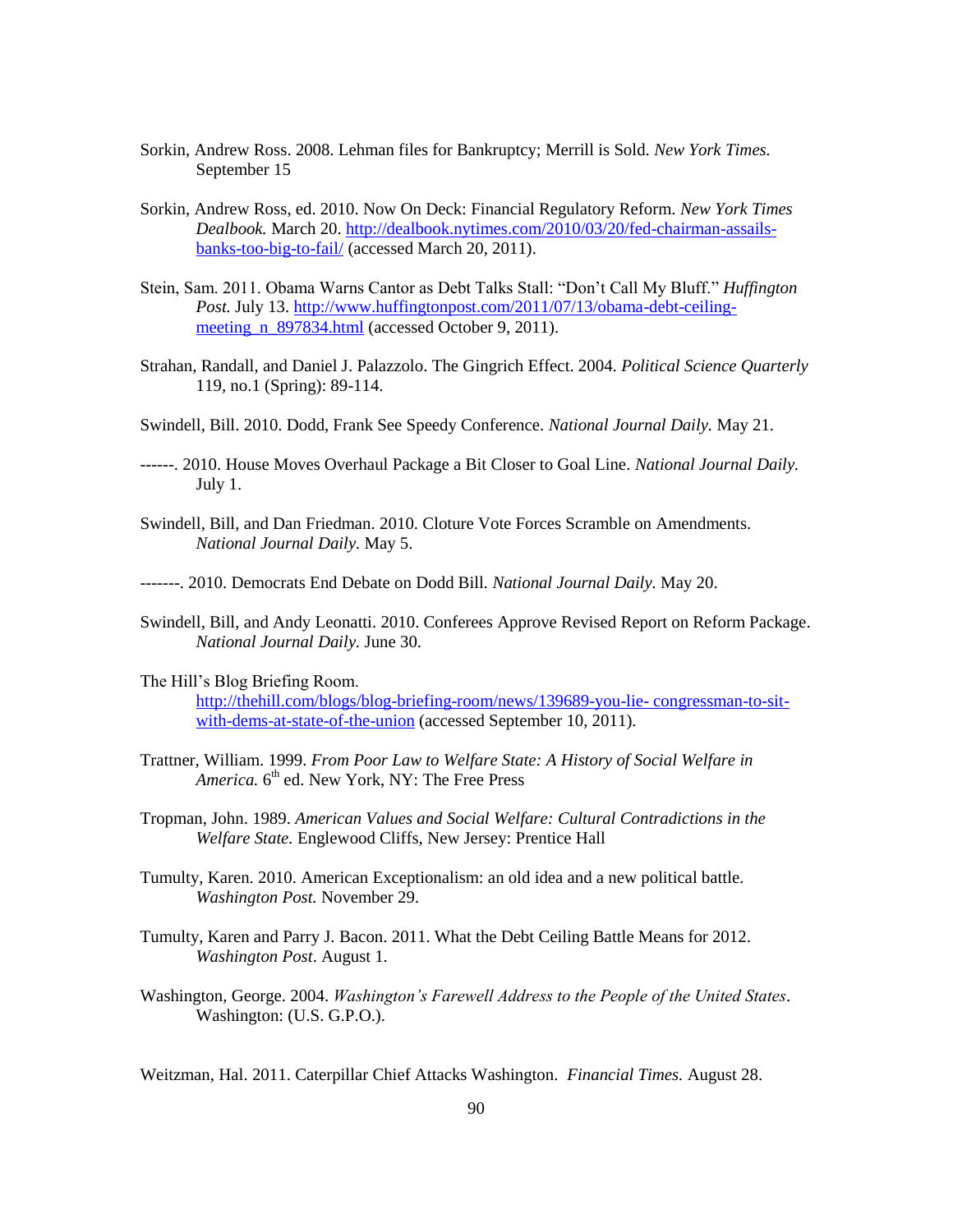- Sorkin, Andrew Ross. 2008. Lehman files for Bankruptcy; Merrill is Sold. *New York Times.* September 15
- Sorkin, Andrew Ross, ed. 2010. Now On Deck: Financial Regulatory Reform. *New York Times Dealbook.* March 20. [http://dealbook.nytimes.com/2010/03/20/fed-chairman-assails](http://dealbook.nytimes.com/2010/03/20/fed-chairman-assails-banks-too-big-to-fail/)[banks-too-big-to-fail/](http://dealbook.nytimes.com/2010/03/20/fed-chairman-assails-banks-too-big-to-fail/) (accessed March 20, 2011).
- Stein, Sam. 2011. Obama Warns Cantor as Debt Talks Stall: "Don"t Call My Bluff." *Huffington Post.* July 13[. http://www.huffingtonpost.com/2011/07/13/obama-debt-ceiling](http://www.huffingtonpost.com/2011/07/13/obama-debt-ceiling-meeting_n_897834.html)meeting n 897834.html (accessed October 9, 2011).
- Strahan, Randall, and Daniel J. Palazzolo. The Gingrich Effect. 2004. *Political Science Quarterly*  119*,* no.1 (Spring): 89-114.
- Swindell, Bill. 2010. Dodd, Frank See Speedy Conference. *National Journal Daily.* May 21.
- ------. 2010. House Moves Overhaul Package a Bit Closer to Goal Line. *National Journal Daily.* July 1.
- Swindell, Bill, and Dan Friedman. 2010. Cloture Vote Forces Scramble on Amendments*. National Journal Daily.* May 5.
- -------. 2010. Democrats End Debate on Dodd Bill*. National Journal Daily.* May 20.
- Swindell, Bill, and Andy Leonatti. 2010. Conferees Approve Revised Report on Reform Package. *National Journal Daily.* June 30.
- The Hill"s Blog Briefing Room.

[http://thehill.com/blogs/blog-briefing-room/news/139689-you-lie-](http://thehill.com/blogs/blog-briefing-room/news/139689-you-lie-%20congressman-to-sit-with-dems-at-state-of-the-union) congressman-to-sit[with-dems-at-state-of-the-union](http://thehill.com/blogs/blog-briefing-room/news/139689-you-lie-%20congressman-to-sit-with-dems-at-state-of-the-union) (accessed September 10, 2011).

- Trattner, William. 1999. *From Poor Law to Welfare State: A History of Social Welfare in*  America. 6<sup>th</sup> ed. New York, NY: The Free Press
- Tropman, John. 1989. *American Values and Social Welfare: Cultural Contradictions in the Welfare State.* Englewood Cliffs, New Jersey: Prentice Hall
- Tumulty, Karen. 2010. American Exceptionalism: an old idea and a new political battle. *Washington Post.* November 29.
- Tumulty, Karen and Parry J. Bacon. 2011. What the Debt Ceiling Battle Means for 2012. *Washington Post*. August 1.
- Washington, George. 2004. *Washington's Farewell Address to the People of the United States*. Washington: (U.S. G.P.O.).

Weitzman, Hal. 2011. Caterpillar Chief Attacks Washington. *Financial Times.* August 28.